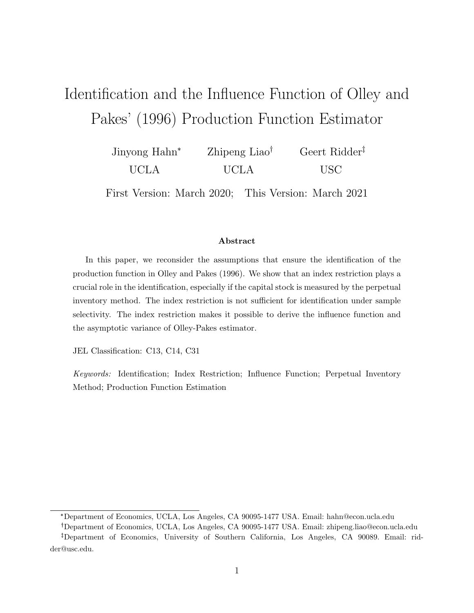# Identification and the Influence Function of Olley and Pakes' (1996) Production Function Estimator

Jinyong Hahn\* UCLA Zhipeng Liao<sup>†</sup> UCLA Geert Ridder USC

First Version: March 2020; This Version: March 2021

#### Abstract

In this paper, we reconsider the assumptions that ensure the identification of the production function in Olley and Pakes (1996). We show that an index restriction plays a crucial role in the identification, especially if the capital stock is measured by the perpetual inventory method. The index restriction is not sufficient for identification under sample selectivity. The index restriction makes it possible to derive the influence function and the asymptotic variance of Olley-Pakes estimator.

JEL Classification: C13, C14, C31

Keywords: Identification; Index Restriction; Influence Function; Perpetual Inventory Method; Production Function Estimation

<sup>\*</sup>Department of Economics, UCLA, Los Angeles, CA 90095-1477 USA. Email: hahn@econ.ucla.edu

Department of Economics, UCLA, Los Angeles, CA 90095-1477 USA. Email: zhipeng.liao@econ.ucla.edu

Department of Economics, University of Southern California, Los Angeles, CA 90089. Email: ridder@usc.edu.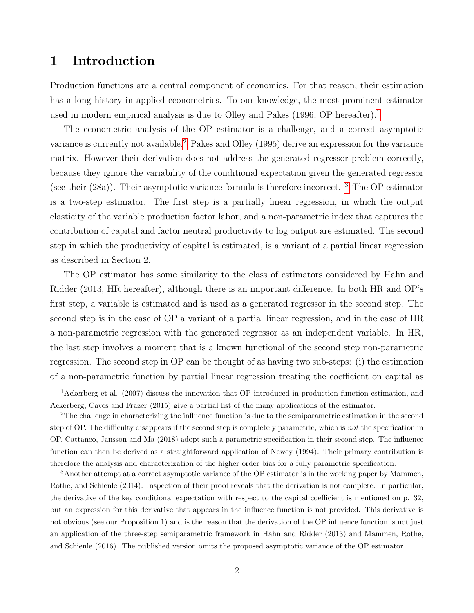## 1 Introduction

Production functions are a central component of economics. For that reason, their estimation has a long history in applied econometrics. To our knowledge, the most prominent estimator used in modern empirical analysis is due to Olley and Pakes ([1](#page-1-0)996, OP hereafter).<sup>1</sup>

The econometric analysis of the OP estimator is a challenge, and a correct asymptotic variance is currently not available.<sup>[2](#page-1-1)</sup> Pakes and Olley (1995) derive an expression for the variance matrix. However their derivation does not address the generated regressor problem correctly, because they ignore the variability of the conditional expectation given the generated regressor (see their  $(28a)$ ). Their asymptotic variance formula is therefore incorrect. <sup>[3](#page-1-2)</sup> The OP estimator is a two-step estimator. The first step is a partially linear regression, in which the output elasticity of the variable production factor labor, and a non-parametric index that captures the contribution of capital and factor neutral productivity to log output are estimated. The second step in which the productivity of capital is estimated, is a variant of a partial linear regression as described in Section 2.

The OP estimator has some similarity to the class of estimators considered by Hahn and Ridder (2013, HR hereafter), although there is an important difference. In both HR and OP's first step, a variable is estimated and is used as a generated regressor in the second step. The second step is in the case of OP a variant of a partial linear regression, and in the case of HR a non-parametric regression with the generated regressor as an independent variable. In HR, the last step involves a moment that is a known functional of the second step non-parametric regression. The second step in OP can be thought of as having two sub-steps: (i) the estimation of a non-parametric function by partial linear regression treating the coefficient on capital as

<span id="page-1-0"></span><sup>&</sup>lt;sup>1</sup>Ackerberg et al. (2007) discuss the innovation that OP introduced in production function estimation, and Ackerberg, Caves and Frazer (2015) give a partial list of the many applications of the estimator.

<span id="page-1-1"></span><sup>&</sup>lt;sup>2</sup>The challenge in characterizing the influence function is due to the semiparametric estimation in the second step of OP. The difficulty disappears if the second step is completely parametric, which is not the specification in OP. Cattaneo, Jansson and Ma (2018) adopt such a parametric specification in their second step. The influence function can then be derived as a straightforward application of Newey (1994). Their primary contribution is therefore the analysis and characterization of the higher order bias for a fully parametric specification.

<span id="page-1-2"></span><sup>3</sup>Another attempt at a correct asymptotic variance of the OP estimator is in the working paper by Mammen, Rothe, and Schienle (2014). Inspection of their proof reveals that the derivation is not complete. In particular, the derivative of the key conditional expectation with respect to the capital coefficient is mentioned on p. 32, but an expression for this derivative that appears in the influence function is not provided. This derivative is not obvious (see our Proposition 1) and is the reason that the derivation of the OP influence function is not just an application of the three-step semiparametric framework in Hahn and Ridder (2013) and Mammen, Rothe, and Schienle (2016). The published version omits the proposed asymptotic variance of the OP estimator.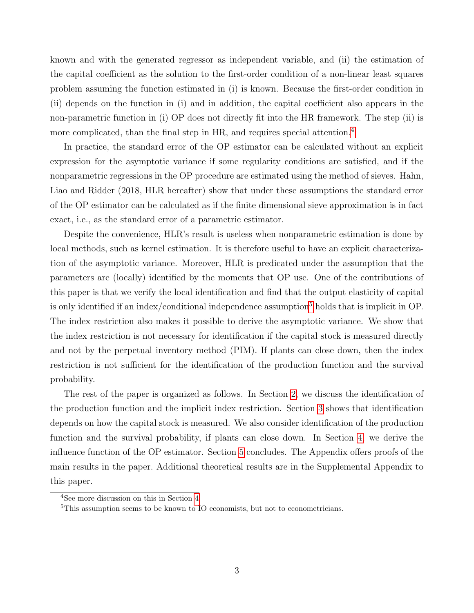known and with the generated regressor as independent variable, and (ii) the estimation of the capital coefficient as the solution to the first-order condition of a non-linear least squares problem assuming the function estimated in (i) is known. Because the first-order condition in (ii) depends on the function in (i) and in addition, the capital coefficient also appears in the non-parametric function in (i) OP does not directly fit into the HR framework. The step (ii) is more complicated, than the final step in HR, and requires special attention.<sup>[4](#page-2-0)</sup>

In practice, the standard error of the OP estimator can be calculated without an explicit expression for the asymptotic variance if some regularity conditions are satisfied, and if the nonparametric regressions in the OP procedure are estimated using the method of sieves. Hahn, Liao and Ridder (2018, HLR hereafter) show that under these assumptions the standard error of the OP estimator can be calculated as if the finite dimensional sieve approximation is in fact exact, i.e., as the standard error of a parametric estimator.

Despite the convenience, HLR's result is useless when nonparametric estimation is done by local methods, such as kernel estimation. It is therefore useful to have an explicit characterization of the asymptotic variance. Moreover, HLR is predicated under the assumption that the parameters are (locally) identified by the moments that OP use. One of the contributions of this paper is that we verify the local identification and find that the output elasticity of capital is only identified if an index/conditional independence assumption<sup>[5](#page-2-1)</sup> holds that is implicit in OP. The index restriction also makes it possible to derive the asymptotic variance. We show that the index restriction is not necessary for identification if the capital stock is measured directly and not by the perpetual inventory method (PIM). If plants can close down, then the index restriction is not sufficient for the identification of the production function and the survival probability.

The rest of the paper is organized as follows. In Section [2,](#page-3-0) we discuss the identification of the production function and the implicit index restriction. Section [3](#page-7-0) shows that identification depends on how the capital stock is measured. We also consider identification of the production function and the survival probability, if plants can close down. In Section [4,](#page-9-0) we derive the influence function of the OP estimator. Section [5](#page-12-0) concludes. The Appendix offers proofs of the main results in the paper. Additional theoretical results are in the Supplemental Appendix to this paper.

<span id="page-2-1"></span><span id="page-2-0"></span><sup>4</sup>See more discussion on this in Section [4.](#page-9-0)

<sup>&</sup>lt;sup>5</sup>This assumption seems to be known to IO economists, but not to econometricians.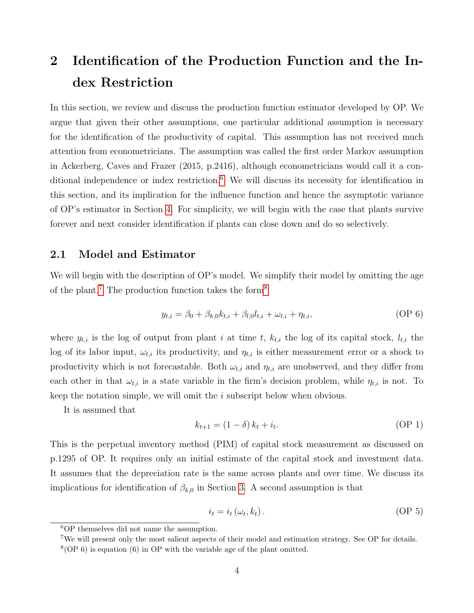# <span id="page-3-0"></span>2 Identification of the Production Function and the Index Restriction

In this section, we review and discuss the production function estimator developed by OP. We argue that given their other assumptions, one particular additional assumption is necessary for the identification of the productivity of capital. This assumption has not received much attention from econometricians. The assumption was called the first order Markov assumption in Ackerberg, Caves and Frazer (2015, p.2416), although econometricians would call it a con-ditional independence or index restriction.<sup>[6](#page-3-1)</sup> We will discuss its necessity for identification in this section, and its implication for the influence function and hence the asymptotic variance of OP's estimator in Section [4.](#page-9-0) For simplicity, we will begin with the case that plants survive forever and next consider identification if plants can close down and do so selectively.

### 2.1 Model and Estimator

We will begin with the description of OP's model. We simplify their model by omitting the age of the plant.<sup>[7](#page-3-2)</sup> The production function takes the form<sup>[8](#page-3-3)</sup>

<span id="page-3-7"></span>
$$
y_{t,i} = \beta_0 + \beta_{k,0} k_{t,i} + \beta_{l,0} l_{t,i} + \omega_{t,i} + \eta_{t,i},
$$
 (OP 6)

where  $y_{t,i}$  is the log of output from plant i at time t,  $k_{t,i}$  the log of its capital stock,  $l_{t,i}$  the log of its labor input,  $\omega_{t,i}$  its productivity, and  $\eta_{t,i}$  is either measurement error or a shock to productivity which is not forecastable. Both  $\omega_{t,i}$  and  $\eta_{t,i}$  are unobserved, and they differ from each other in that  $\omega_{t,i}$  is a state variable in the firm's decision problem, while  $\eta_{t,i}$  is not. To keep the notation simple, we will omit the *i* subscript below when obvious.

It is assumed that

<span id="page-3-6"></span><span id="page-3-5"></span>
$$
k_{t+1} = (1 - \delta) k_t + i_t.
$$
 (OP 1)

This is the perpetual inventory method (PIM) of capital stock measurement as discussed on p.1295 of OP. It requires only an initial estimate of the capital stock and investment data. It assumes that the depreciation rate is the same across plants and over time. We discuss its implications for identification of  $\beta_{k,0}$  in Section [3.](#page-7-0) A second assumption is that

<span id="page-3-4"></span>
$$
i_t = i_t \left( \omega_t, k_t \right). \tag{OP 5}
$$

<span id="page-3-2"></span><span id="page-3-1"></span><sup>6</sup>OP themselves did not name the assumption.

<span id="page-3-3"></span><sup>7</sup>We will present only the most salient aspects of their model and estimation strategy. See OP for details.  $8$ (OP 6) is equation (6) in OP with the variable age of the plant omitted.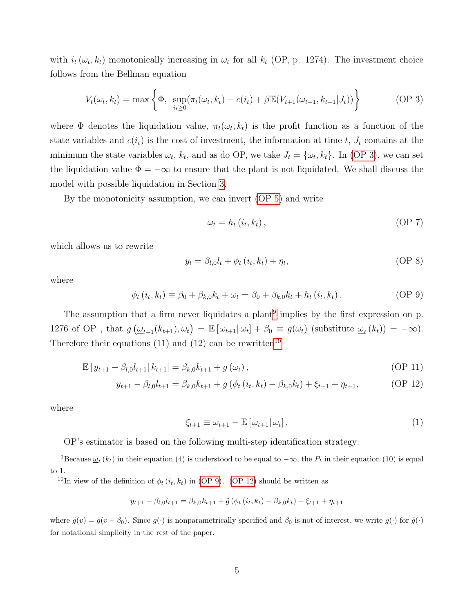with  $i_t(\omega_t, k_t)$  monotonically increasing in  $\omega_t$  for all  $k_t$  (OP, p. 1274). The investment choice follows from the Bellman equation

$$
V_t(\omega_t, k_t) = \max \left\{ \Phi, \ \sup_{i_t \ge 0} (\pi_t(\omega_t, k_t) - c(i_t) + \beta \mathbb{E}(V_{t+1}(\omega_{t+1}, k_{t+1} | J_t)) \right\}
$$
 (OP 3)

where  $\Phi$  denotes the liquidation value,  $\pi_t(\omega_t, k_t)$  is the profit function as a function of the state variables and  $c(i_t)$  is the cost of investment, the information at time t,  $J_t$  contains at the minimum the state variables  $\omega_t$ ,  $k_t$ , and as do OP, we take  $J_t = {\omega_t, k_t}$ . In [\(OP 3\)](#page-4-0), we can set the liquidation value  $\Phi = -\infty$  to ensure that the plant is not liquidated. We shall discuss the model with possible liquidation in Section [3.](#page-7-0)

By the monotonicity assumption, we can invert [\(OP 5\)](#page-3-4) and write

<span id="page-4-5"></span><span id="page-4-3"></span><span id="page-4-0"></span>
$$
\omega_t = h_t(i_t, k_t), \tag{OP 7}
$$

which allows us to rewrite

$$
y_t = \beta_{l,0} l_t + \phi_t (i_t, k_t) + \eta_t, \tag{OP 8}
$$

where

$$
\phi_t(i_t, k_t) \equiv \beta_0 + \beta_{k,0}k_t + \omega_t = \beta_0 + \beta_{k,0}k_t + h_t(i_t, k_t).
$$
 (OP 9)

The assumption that a firm never liquidates a plant<sup>[9](#page-4-1)</sup> implies by the first expression on p. 1276 of OP, that  $g\left(\underline{\omega}_{t+1}(k_{t+1}), \omega_t\right) = \mathbb{E}\left[\omega_{t+1}|\omega_t\right] + \beta_0 \equiv g(\omega_t)$  (substitute  $\underline{\omega}_t(k_t) = -\infty$ ). Therefore their equations (11) and (12) can be rewritten<sup>[10](#page-4-2)</sup>

$$
\mathbb{E}\left[y_{t+1} - \beta_{l,0}l_{t+1}\right|k_{t+1}\right] = \beta_{k,0}k_{t+1} + g\left(\omega_t\right),\tag{OP 11}
$$

$$
y_{t+1} - \beta_{l,0} l_{t+1} = \beta_{k,0} k_{t+1} + g \left( \phi_t \left( i_t, k_t \right) - \beta_{k,0} k_t \right) + \xi_{t+1} + \eta_{t+1}, \tag{OP 12}
$$

where

<span id="page-4-6"></span><span id="page-4-4"></span>
$$
\xi_{t+1} \equiv \omega_{t+1} - \mathbb{E}\left[\omega_{t+1}|\,\omega_t\right].\tag{1}
$$

<span id="page-4-1"></span>OP's estimator is based on the following multi-step identification strategy:

<sup>9</sup>Because  $\omega_t(k_t)$  in their equation (4) is understood to be equal to  $-\infty$ , the  $P_t$  in their equation (10) is equal to 1.

<span id="page-4-2"></span><sup>10</sup>In view of the definition of  $\phi_t(i_t, k_t)$  in [\(OP 9\)](#page-4-3), [\(OP 12\)](#page-4-4) should be written as

$$
y_{t+1} - \beta_{l,0}l_{t+1} = \beta_{k,0}k_{t+1} + \tilde{g}(\phi_t(i_t,k_t) - \beta_{k,0}k_t) + \xi_{t+1} + \eta_{t+1}
$$

where  $\tilde{g}(v) = g(v - \beta_0)$ . Since  $g(\cdot)$  is nonparametrically specified and  $\beta_0$  is not of interest, we write  $g(\cdot)$  for  $\tilde{g}(\cdot)$ for notational simplicity in the rest of the paper.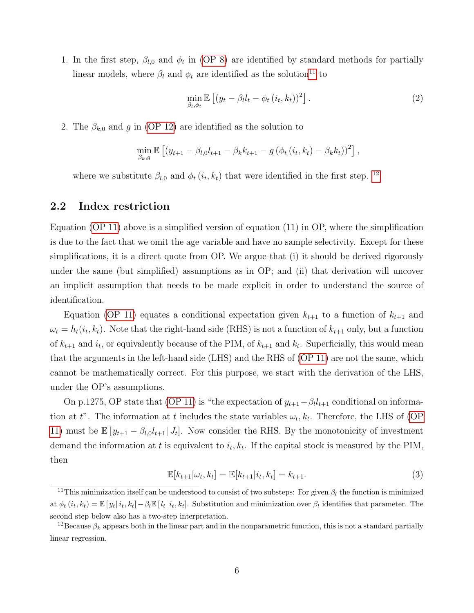1. In the first step,  $\beta_{l,0}$  and  $\phi_t$  in [\(OP 8\)](#page-4-5) are identified by standard methods for partially linear models, where  $\beta_l$  and  $\phi_t$  are identified as the solution<sup>[11](#page-5-0)</sup> to

<span id="page-5-3"></span>
$$
\min_{\beta_l, \phi_t} \mathbb{E}\left[ (y_t - \beta_l l_t - \phi_t(i_t, k_t))^2 \right].
$$
\n(2)

2. The  $\beta_{k,0}$  and g in [\(OP 12\)](#page-4-4) are identified as the solution to

$$
\min_{\beta_k, g} \mathbb{E} \left[ (y_{t+1} - \beta_{l,0} l_{t+1} - \beta_k k_{t+1} - g (\phi_t (i_t, k_t) - \beta_k k_t))^2 \right],
$$

where we substitute  $\beta_{l,0}$  and  $\phi_t(i_t, k_t)$  that were identified in the first step. <sup>[12](#page-5-1)</sup>

#### 2.2 Index restriction

Equation [\(OP 11\)](#page-4-6) above is a simplified version of equation (11) in OP, where the simplification is due to the fact that we omit the age variable and have no sample selectivity. Except for these simplifications, it is a direct quote from OP. We argue that (i) it should be derived rigorously under the same (but simplified) assumptions as in OP; and (ii) that derivation will uncover an implicit assumption that needs to be made explicit in order to understand the source of identification.

Equation [\(OP 11\)](#page-4-6) equates a conditional expectation given  $k_{t+1}$  to a function of  $k_{t+1}$  and  $\omega_t = h_t(i_t, k_t)$ . Note that the right-hand side (RHS) is not a function of  $k_{t+1}$  only, but a function of  $k_{t+1}$  and  $i_t$ , or equivalently because of the PIM, of  $k_{t+1}$  and  $k_t$ . Superficially, this would mean that the arguments in the left-hand side (LHS) and the RHS of [\(OP 11\)](#page-4-6) are not the same, which cannot be mathematically correct. For this purpose, we start with the derivation of the LHS, under the OP's assumptions.

On p.1275, OP state that [\(OP 11\)](#page-4-6) is "the expectation of  $y_{t+1} - \beta_l l_{t+1}$  conditional on information at t". The information at t includes the state variables  $\omega_t, k_t$ . Therefore, the LHS of [\(OP](#page-4-6) [11\)](#page-4-6) must be  $\mathbb{E}[y_{t+1} - \beta_{l,0}l_{t+1}|J_t]$ . Now consider the RHS. By the monotonicity of investment demand the information at t is equivalent to  $i_t, k_t$ . If the capital stock is measured by the PIM, then

<span id="page-5-2"></span>
$$
\mathbb{E}[k_{t+1}|\omega_t, k_t] = \mathbb{E}[k_{t+1}|i_t, k_t] = k_{t+1}.
$$
\n(3)

<span id="page-5-0"></span><sup>&</sup>lt;sup>11</sup>This minimization itself can be understood to consist of two substeps: For given  $\beta_l$  the function is minimized at  $\phi_t(i_t, k_t) = \mathbb{E}[y_t|i_t, k_t] - \beta_t \mathbb{E}[l_t|i_t, k_t]$ . Substitution and minimization over  $\beta_t$  identifies that parameter. The second step below also has a two-step interpretation.

<span id="page-5-1"></span><sup>&</sup>lt;sup>12</sup>Because  $\beta_k$  appears both in the linear part and in the nonparametric function, this is not a standard partially linear regression.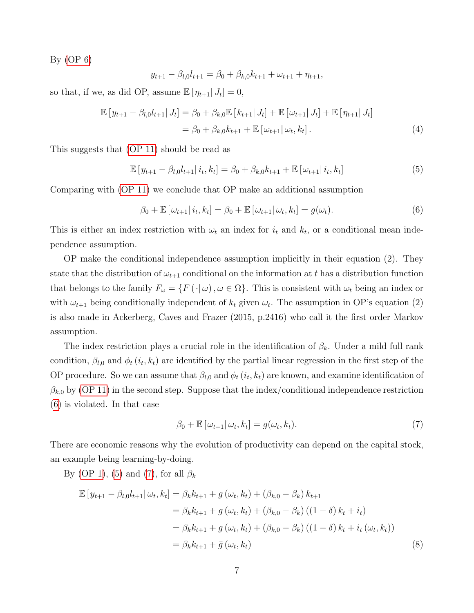By [\(OP 6\)](#page-3-5)

<span id="page-6-3"></span>
$$
y_{t+1} - \beta_{l,0} l_{t+1} = \beta_0 + \beta_{k,0} k_{t+1} + \omega_{t+1} + \eta_{t+1},
$$

so that, if we, as did OP, assume  $\mathbb{E}[\eta_{t+1}|J_t] = 0$ ,

$$
\mathbb{E}[y_{t+1} - \beta_{l,0}l_{t+1}|J_t] = \beta_0 + \beta_{k,0}\mathbb{E}[k_{t+1}|J_t] + \mathbb{E}[\omega_{t+1}|J_t] + \mathbb{E}[\eta_{t+1}|J_t]
$$
  
=  $\beta_0 + \beta_{k,0}k_{t+1} + \mathbb{E}[\omega_{t+1}|\omega_t, k_t].$  (4)

This suggests that [\(OP 11\)](#page-4-6) should be read as

<span id="page-6-1"></span>
$$
\mathbb{E}\left[y_{t+1} - \beta_{l,0}l_{t+1} | i_t, k_t\right] = \beta_0 + \beta_{k,0}k_{t+1} + \mathbb{E}\left[\omega_{t+1} | i_t, k_t\right]
$$
(5)

Comparing with [\(OP 11\)](#page-4-6) we conclude that OP make an additional assumption

<span id="page-6-0"></span>
$$
\beta_0 + \mathbb{E}\left[\left.\omega_{t+1}\right| i_t, k_t\right] = \beta_0 + \mathbb{E}\left[\left.\omega_{t+1}\right| \omega_t, k_t\right] = g(\omega_t). \tag{6}
$$

This is either an index restriction with  $\omega_t$  an index for  $i_t$  and  $k_t$ , or a conditional mean independence assumption.

OP make the conditional independence assumption implicitly in their equation (2). They state that the distribution of  $\omega_{t+1}$  conditional on the information at t has a distribution function that belongs to the family  $F_{\omega} = \{F(\cdot | \omega), \omega \in \Omega\}$ . This is consistent with  $\omega_t$  being an index or with  $\omega_{t+1}$  being conditionally independent of  $k_t$  given  $\omega_t$ . The assumption in OP's equation (2) is also made in Ackerberg, Caves and Frazer (2015, p.2416) who call it the first order Markov assumption.

The index restriction plays a crucial role in the identification of  $\beta_k$ . Under a mild full rank condition,  $\beta_{l,0}$  and  $\phi_t(i_t, k_t)$  are identified by the partial linear regression in the first step of the OP procedure. So we can assume that  $\beta_{l,0}$  and  $\phi_t(i_t, k_t)$  are known, and examine identification of  $\beta_{k,0}$  by [\(OP 11\)](#page-4-6) in the second step. Suppose that the index/conditional independence restriction [\(6\)](#page-6-0) is violated. In that case

<span id="page-6-2"></span>
$$
\beta_0 + \mathbb{E}\left[\omega_{t+1}|\,\omega_t, k_t\right] = g(\omega_t, k_t). \tag{7}
$$

There are economic reasons why the evolution of productivity can depend on the capital stock, an example being learning-by-doing.

By [\(OP 1\)](#page-3-6), [\(5\)](#page-6-1) and [\(7\)](#page-6-2), for all  $\beta_k$ 

$$
\mathbb{E}\left[y_{t+1} - \beta_{l,0}l_{t+1} | \omega_t, k_t\right] = \beta_k k_{t+1} + g\left(\omega_t, k_t\right) + \left(\beta_{k,0} - \beta_k\right)k_{t+1} \n= \beta_k k_{t+1} + g\left(\omega_t, k_t\right) + \left(\beta_{k,0} - \beta_k\right)\left(\left(1 - \delta\right)k_t + i_t\right) \n= \beta_k k_{t+1} + g\left(\omega_t, k_t\right) + \left(\beta_{k,0} - \beta_k\right)\left(\left(1 - \delta\right)k_t + i_t\left(\omega_t, k_t\right)\right) \n= \beta_k k_{t+1} + \bar{g}\left(\omega_t, k_t\right)
$$
\n(8)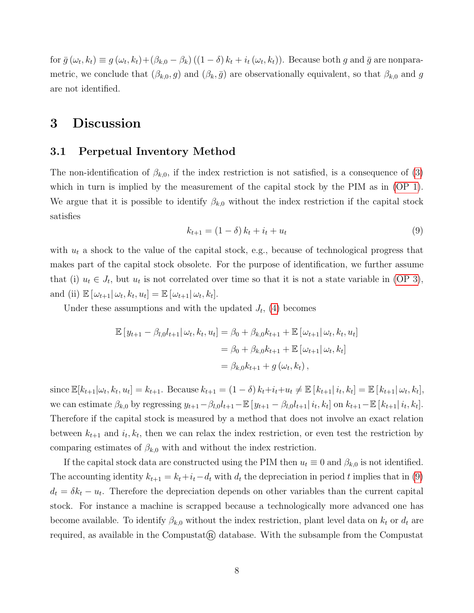for  $\bar{g}(\omega_t, k_t) \equiv g(\omega_t, k_t) + (\beta_{k,0} - \beta_k) ((1 - \delta) k_t + i_t(\omega_t, k_t))$ . Because both g and  $\bar{g}$  are nonparametric, we conclude that  $(\beta_{k,0}, g)$  and  $(\beta_k, \bar{g})$  are observationally equivalent, so that  $\beta_{k,0}$  and g are not identified.

### <span id="page-7-0"></span>3 Discussion

#### 3.1 Perpetual Inventory Method

The non-identification of  $\beta_{k,0}$ , if the index restriction is not satisfied, is a consequence of [\(3\)](#page-5-2) which in turn is implied by the measurement of the capital stock by the PIM as in [\(OP 1\)](#page-3-6). We argue that it is possible to identify  $\beta_{k,0}$  without the index restriction if the capital stock satisfies

<span id="page-7-1"></span>
$$
k_{t+1} = (1 - \delta) k_t + i_t + u_t \tag{9}
$$

with  $u_t$  a shock to the value of the capital stock, e.g., because of technological progress that makes part of the capital stock obsolete. For the purpose of identification, we further assume that (i)  $u_t \in J_t$ , but  $u_t$  is not correlated over time so that it is not a state variable in [\(OP 3\)](#page-4-0), and (ii)  $\mathbb{E} \left[ \omega_{t+1} | \omega_t, k_t, u_t \right] = \mathbb{E} \left[ \omega_{t+1} | \omega_t, k_t \right]$ .

Under these assumptions and with the updated  $J_t$ , [\(4\)](#page-6-3) becomes

$$
\mathbb{E}\left[y_{t+1} - \beta_{l,0}l_{t+1} | \omega_t, k_t, u_t\right] = \beta_0 + \beta_{k,0}k_{t+1} + \mathbb{E}\left[\omega_{t+1} | \omega_t, k_t, u_t\right]
$$

$$
= \beta_0 + \beta_{k,0}k_{t+1} + \mathbb{E}\left[\omega_{t+1} | \omega_t, k_t\right]
$$

$$
= \beta_{k,0}k_{t+1} + g\left(\omega_t, k_t\right),
$$

since  $\mathbb{E}[k_{t+1}|\omega_t, k_t, u_t] = k_{t+1}$ . Because  $k_{t+1} = (1 - \delta) k_t + i_t + u_t \neq \mathbb{E}[k_{t+1}|i_t, k_t] = \mathbb{E}[k_{t+1}|\omega_t, k_t]$ , we can estimate  $\beta_{k,0}$  by regressing  $y_{t+1} - \beta_{l,0}l_{t+1} - \mathbb{E}[y_{t+1} - \beta_{l,0}l_{t+1}| i_t, k_t]$  on  $k_{t+1} - \mathbb{E}[k_{t+1}| i_t, k_t]$ . Therefore if the capital stock is measured by a method that does not involve an exact relation between  $k_{t+1}$  and  $i_t, k_t$ , then we can relax the index restriction, or even test the restriction by comparing estimates of  $\beta_{k,0}$  with and without the index restriction.

If the capital stock data are constructed using the PIM then  $u_t \equiv 0$  and  $\beta_{k,0}$  is not identified. The accounting identity  $k_{t+1} = k_t + i_t - d_t$  with  $d_t$  the depreciation in period t implies that in [\(9\)](#page-7-1)  $d_t = \delta k_t - u_t$ . Therefore the depreciation depends on other variables than the current capital stock. For instance a machine is scrapped because a technologically more advanced one has become available. To identify  $\beta_{k,0}$  without the index restriction, plant level data on  $k_t$  or  $d_t$  are required, as available in the Compustat $(\mathbb{R})$  database. With the subsample from the Compustat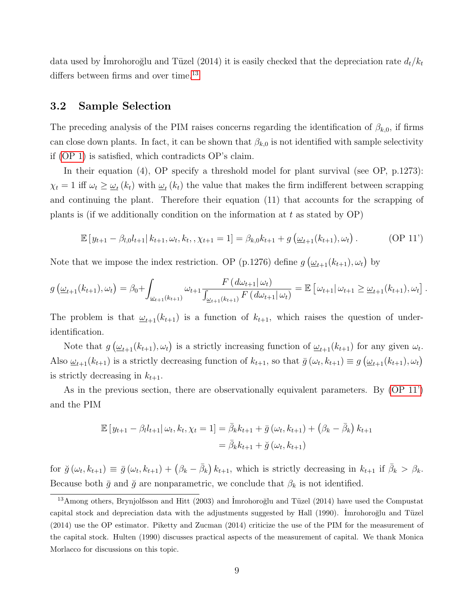data used by Imrohoroğlu and Tüzel (2014) it is easily checked that the depreciation rate  $d_t/k_t$ differs between firms and over time.<sup>[13](#page-8-0)</sup>

### 3.2 Sample Selection

The preceding analysis of the PIM raises concerns regarding the identification of  $\beta_{k,0}$ , if firms can close down plants. In fact, it can be shown that  $\beta_{k,0}$  is not identified with sample selectivity if [\(OP 1\)](#page-3-6) is satisfied, which contradicts OP's claim.

In their equation (4), OP specify a threshold model for plant survival (see OP, p.1273):  $\chi_t = 1$  iff  $\omega_t \geq \omega_t(k_t)$  with  $\omega_t(k_t)$  the value that makes the firm indifferent between scrapping and continuing the plant. Therefore their equation (11) that accounts for the scrapping of plants is (if we additionally condition on the information at  $t$  as stated by  $OP$ )

<span id="page-8-1"></span>
$$
\mathbb{E}\left[y_{t+1} - \beta_{l,0}l_{t+1} | k_{t+1}, \omega_t, k_t, \chi_{t+1} = 1\right] = \beta_{k,0}k_{t+1} + g\left(\underline{\omega}_{t+1}(k_{t+1}), \omega_t\right). \tag{OP 11'}
$$

Note that we impose the index restriction. OP (p.1276) define  $g\left(\underline{\omega}_{t+1}(k_{t+1}), \omega_t\right)$  by

$$
g\left(\underline{\omega}_{t+1}(k_{t+1}), \omega_t\right) = \beta_0 + \int_{\underline{\omega}_{t+1}(k_{t+1})} \omega_{t+1} \frac{F\left(d\omega_{t+1}|\omega_t\right)}{\int_{\underline{\omega}_{t+1}(k_{t+1})} F\left(d\omega_{t+1}|\omega_t\right)} = \mathbb{E}\left[\omega_{t+1}|\omega_{t+1}\geq \underline{\omega}_{t+1}(k_{t+1}), \omega_t\right].
$$

The problem is that  $\underline{\omega}_{t+1}(k_{t+1})$  is a function of  $k_{t+1}$ , which raises the question of underidentification.

Note that  $g\left(\underline{\omega}_{t+1}(k_{t+1}), \omega_t\right)$  is a strictly increasing function of  $\underline{\omega}_{t+1}(k_{t+1})$  for any given  $\omega_t$ . Also  $\underline{\omega}_{t+1}(k_{t+1})$  is a strictly decreasing function of  $k_{t+1}$ , so that  $\overline{g}(\omega_t, k_{t+1}) \equiv g(\underline{\omega}_{t+1}(k_{t+1}), \omega_t)$ is strictly decreasing in  $k_{t+1}$ .

As in the previous section, there are observationally equivalent parameters. By [\(OP 11'\)](#page-8-1) and the PIM

$$
\mathbb{E}\left[y_{t+1} - \beta_l l_{t+1} | \omega_t, k_t, \chi_t = 1\right] = \bar{\beta}_k k_{t+1} + \bar{g}\left(\omega_t, k_{t+1}\right) + \left(\beta_k - \bar{\beta}_k\right) k_{t+1}
$$

$$
= \bar{\beta}_k k_{t+1} + \breve{g}\left(\omega_t, k_{t+1}\right)
$$

for  $\check{g}(\omega_t, k_{t+1}) \equiv \bar{g}(\omega_t, k_{t+1}) + (\beta_k - \bar{\beta}_k) k_{t+1}$ , which is strictly decreasing in  $k_{t+1}$  if  $\bar{\beta}_k > \beta_k$ . Because both  $\bar{g}$  and  $\check{g}$  are nonparametric, we conclude that  $\beta_k$  is not identified.

<span id="page-8-0"></span><sup>&</sup>lt;sup>13</sup>Among others, Brynjolfsson and Hitt (2003) and Imrohoroğlu and Tüzel (2014) have used the Compustat capital stock and depreciation data with the adjustments suggested by Hall (1990). Imrohoroğlu and Tüzel (2014) use the OP estimator. Piketty and Zucman (2014) criticize the use of the PIM for the measurement of the capital stock. Hulten (1990) discusses practical aspects of the measurement of capital. We thank Monica Morlacco for discussions on this topic.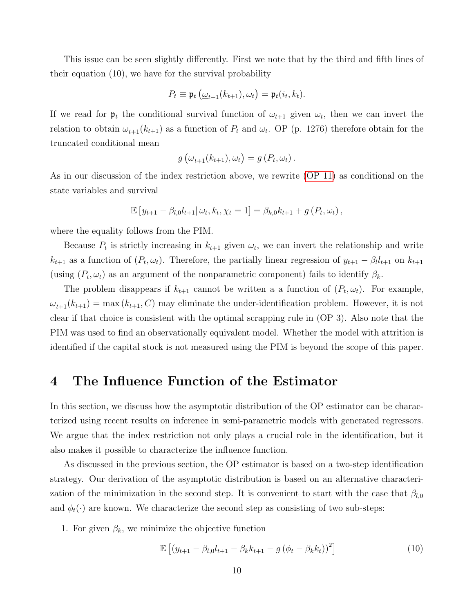This issue can be seen slightly differently. First we note that by the third and fifth lines of their equation (10), we have for the survival probability

$$
P_t \equiv \mathfrak{p}_t \left( \underline{\omega}_{t+1}(k_{t+1}), \omega_t \right) = \mathfrak{p}_t(i_t, k_t).
$$

If we read for  $\mathfrak{p}_t$  the conditional survival function of  $\omega_{t+1}$  given  $\omega_t$ , then we can invert the relation to obtain  $\underline{\omega}_{t+1}(k_{t+1})$  as a function of  $P_t$  and  $\omega_t$ . OP (p. 1276) therefore obtain for the truncated conditional mean

$$
g\left(\underline{\omega}_{t+1}(k_{t+1}), \omega_t\right) = g\left(P_t, \omega_t\right).
$$

As in our discussion of the index restriction above, we rewrite [\(OP 11\)](#page-4-6) as conditional on the state variables and survival

$$
\mathbb{E}[y_{t+1} - \beta_{l,0}l_{t+1}|\omega_t, k_t, \chi_t = 1] = \beta_{k,0}k_{t+1} + g(P_t, \omega_t),
$$

where the equality follows from the PIM.

Because  $P_t$  is strictly increasing in  $k_{t+1}$  given  $\omega_t$ , we can invert the relationship and write  $k_{t+1}$  as a function of  $(P_t, \omega_t)$ . Therefore, the partially linear regression of  $y_{t+1} - \beta_t l_{t+1}$  on  $k_{t+1}$ (using  $(P_t, \omega_t)$ ) as an argument of the nonparametric component) fails to identify  $\beta_k$ .

The problem disappears if  $k_{t+1}$  cannot be written a a function of  $(P_t, \omega_t)$ . For example,  $\omega_{t+1}(k_{t+1}) = \max(k_{t+1}, C)$  may eliminate the under-identification problem. However, it is not clear if that choice is consistent with the optimal scrapping rule in (OP 3). Also note that the PIM was used to find an observationally equivalent model. Whether the model with attrition is identified if the capital stock is not measured using the PIM is beyond the scope of this paper.

## <span id="page-9-0"></span>4 The Influence Function of the Estimator

In this section, we discuss how the asymptotic distribution of the OP estimator can be characterized using recent results on inference in semi-parametric models with generated regressors. We argue that the index restriction not only plays a crucial role in the identification, but it also makes it possible to characterize the influence function.

As discussed in the previous section, the OP estimator is based on a two-step identification strategy. Our derivation of the asymptotic distribution is based on an alternative characterization of the minimization in the second step. It is convenient to start with the case that  $\beta_{l,0}$ and  $\phi_t(\cdot)$  are known. We characterize the second step as consisting of two sub-steps:

1. For given  $\beta_k$ , we minimize the objective function

<span id="page-9-1"></span>
$$
\mathbb{E}\left[ (y_{t+1} - \beta_{l,0}l_{t+1} - \beta_k k_{t+1} - g(\phi_t - \beta_k k_t))^2 \right]
$$
 (10)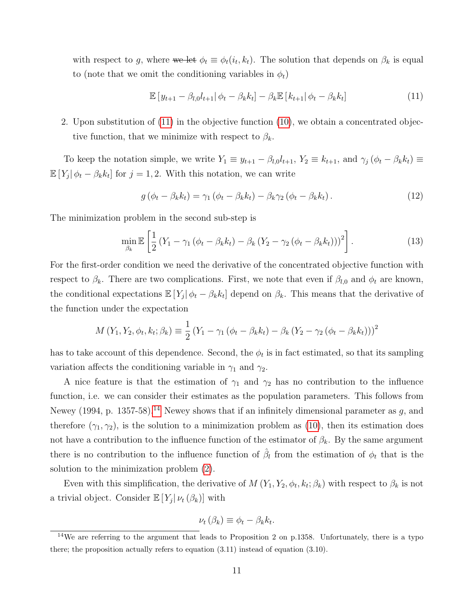with respect to g, where we let  $\phi_t \equiv \phi_t(i_t, k_t)$ . The solution that depends on  $\beta_k$  is equal to (note that we omit the conditioning variables in  $\phi_t$ )

<span id="page-10-0"></span>
$$
\mathbb{E}[y_{t+1} - \beta_{l,0}l_{t+1} | \phi_t - \beta_k k_t] - \beta_k \mathbb{E}[k_{t+1} | \phi_t - \beta_k k_t]
$$
\n(11)

2. Upon substitution of [\(11\)](#page-10-0) in the objective function [\(10\)](#page-9-1), we obtain a concentrated objective function, that we minimize with respect to  $\beta_k$ .

To keep the notation simple, we write  $Y_1 \equiv y_{t+1} - \beta_{l,0} l_{t+1}$ ,  $Y_2 \equiv k_{t+1}$ , and  $\gamma_j (\phi_t - \beta_k k_t) \equiv$  $\mathbb{E}[Y_j|\phi_t - \beta_k k_t]$  for  $j = 1, 2$ . With this notation, we can write

$$
g\left(\phi_t - \beta_k k_t\right) = \gamma_1 \left(\phi_t - \beta_k k_t\right) - \beta_k \gamma_2 \left(\phi_t - \beta_k k_t\right). \tag{12}
$$

The minimization problem in the second sub-step is

<span id="page-10-2"></span>
$$
\min_{\beta_k} \mathbb{E}\left[\frac{1}{2}\left(Y_1 - \gamma_1\left(\phi_t - \beta_k k_t\right) - \beta_k\left(Y_2 - \gamma_2\left(\phi_t - \beta_k k_t\right)\right)\right)^2\right].\tag{13}
$$

For the first-order condition we need the derivative of the concentrated objective function with respect to  $\beta_k$ . There are two complications. First, we note that even if  $\beta_{l,0}$  and  $\phi_t$  are known, the conditional expectations  $\mathbb{E}[Y_j|\phi_t - \beta_k k_t]$  depend on  $\beta_k$ . This means that the derivative of the function under the expectation

$$
M(Y_1, Y_2, \phi_t, k_t; \beta_k) \equiv \frac{1}{2} (Y_1 - \gamma_1 (\phi_t - \beta_k k_t) - \beta_k (Y_2 - \gamma_2 (\phi_t - \beta_k k_t)))^2
$$

has to take account of this dependence. Second, the  $\phi_t$  is in fact estimated, so that its sampling variation affects the conditioning variable in  $\gamma_1$  and  $\gamma_2$ .

A nice feature is that the estimation of  $\gamma_1$  and  $\gamma_2$  has no contribution to the influence function, i.e. we can consider their estimates as the population parameters. This follows from Newey (1994, p. 1357-58).<sup>[14](#page-10-1)</sup> Newey shows that if an infinitely dimensional parameter as g, and therefore  $(\gamma_1, \gamma_2)$ , is the solution to a minimization problem as [\(10\)](#page-9-1), then its estimation does not have a contribution to the influence function of the estimator of  $\beta_k$ . By the same argument there is no contribution to the influence function of  $\hat{\beta}_l$  from the estimation of  $\phi_t$  that is the solution to the minimization problem [\(2\)](#page-5-3).

Even with this simplification, the derivative of  $M(Y_1, Y_2, \phi_t, k_t; \beta_k)$  with respect to  $\beta_k$  is not a trivial object. Consider  $\mathbb{E}[Y_j | \nu_t(\beta_k)]$  with

$$
\nu_t(\beta_k) \equiv \phi_t - \beta_k k_t.
$$

<span id="page-10-1"></span><sup>&</sup>lt;sup>14</sup>We are referring to the argument that leads to Proposition 2 on p.1358. Unfortunately, there is a typo there; the proposition actually refers to equation (3.11) instead of equation (3.10).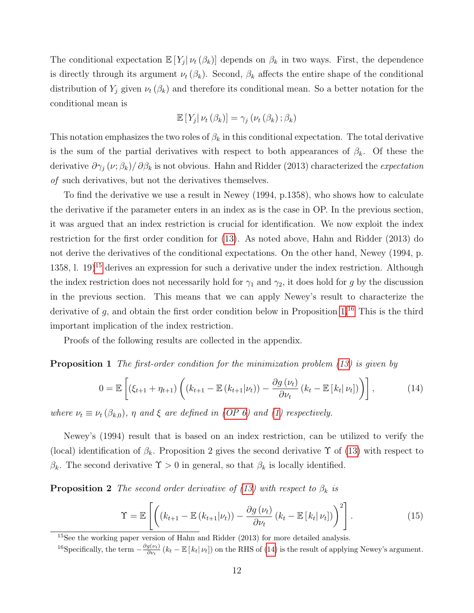The conditional expectation  $\mathbb{E}[Y_j | \nu_t(\beta_k)]$  depends on  $\beta_k$  in two ways. First, the dependence is directly through its argument  $\nu_t (\beta_k)$ . Second,  $\beta_k$  affects the entire shape of the conditional distribution of  $Y_j$  given  $\nu_t(\beta_k)$  and therefore its conditional mean. So a better notation for the conditional mean is

$$
\mathbb{E}\left[Y_j|\nu_t(\beta_k)\right] = \gamma_j\left(\nu_t(\beta_k);\beta_k\right)
$$

This notation emphasizes the two roles of  $\beta_k$  in this conditional expectation. The total derivative is the sum of the partial derivatives with respect to both appearances of  $\beta_k$ . Of these the derivative  $\partial\gamma_j(\nu;\beta_k)/\partial\beta_k$  is not obvious. Hahn and Ridder (2013) characterized the *expectation* of such derivatives, but not the derivatives themselves.

To find the derivative we use a result in Newey (1994, p.1358), who shows how to calculate the derivative if the parameter enters in an index as is the case in OP. In the previous section, it was argued that an index restriction is crucial for identification. We now exploit the index restriction for the first order condition for [\(13\)](#page-10-2). As noted above, Hahn and Ridder (2013) do not derive the derivatives of the conditional expectations. On the other hand, Newey (1994, p. 1358, l. 19 $15$  derives an expression for such a derivative under the index restriction. Although the index restriction does not necessarily hold for  $\gamma_1$  and  $\gamma_2$ , it does hold for g by the discussion in the previous section. This means that we can apply Newey's result to characterize the derivative of q, and obtain the first order condition below in Proposition  $1^{16}$  $1^{16}$  $1^{16}$ . This is the third important implication of the index restriction.

Proofs of the following results are collected in the appendix.

<span id="page-11-1"></span>**Proposition 1** The first-order condition for the minimization problem [\(13\)](#page-10-2) is given by

<span id="page-11-3"></span>
$$
0 = \mathbb{E}\left[\left(\xi_{t+1} + \eta_{t+1}\right)\left((k_{t+1} - \mathbb{E}\left(k_{t+1}|\nu_t\right)) - \frac{\partial g\left(\nu_t\right)}{\partial \nu_t}\left(k_t - \mathbb{E}\left[k_t|\nu_t\right]\right)\right)\right],\tag{14}
$$

where  $\nu_t \equiv \nu_t(\beta_{k,0}), \eta$  and  $\xi$  are defined in [\(OP 6\)](#page-3-5) and [\(1\)](#page-3-7) respectively.

Newey's (1994) result that is based on an index restriction, can be utilized to verify the (local) identification of  $\beta_k$ . Proposition 2 gives the second derivative  $\Upsilon$  of [\(13\)](#page-10-2) with respect to  $\beta_k$ . The second derivative  $\Upsilon > 0$  in general, so that  $\beta_k$  is locally identified.

<span id="page-11-4"></span>**Proposition 2** The second order derivative of [\(13\)](#page-10-2) with respect to  $\beta_k$  is

$$
\Upsilon = \mathbb{E}\left[\left((k_{t+1} - \mathbb{E}\left(k_{t+1}|\nu_t\right)) - \frac{\partial g\left(\nu_t\right)}{\partial \nu_t}\left(k_t - \mathbb{E}\left[k_t|\nu_t\right]\right)\right)^2\right].\tag{15}
$$

<span id="page-11-0"></span><sup>15</sup>See the working paper version of Hahn and Ridder (2013) for more detailed analysis.

<span id="page-11-2"></span><sup>&</sup>lt;sup>16</sup>Specifically, the term  $-\frac{\partial g(\nu_t)}{\partial u}$  $\frac{g(\nu_t)}{\partial \nu_t}$  ( $k_t - \mathbb{E}[k_t | \nu_t]$ ) on the RHS of [\(14\)](#page-11-3) is the result of applying Newey's argument.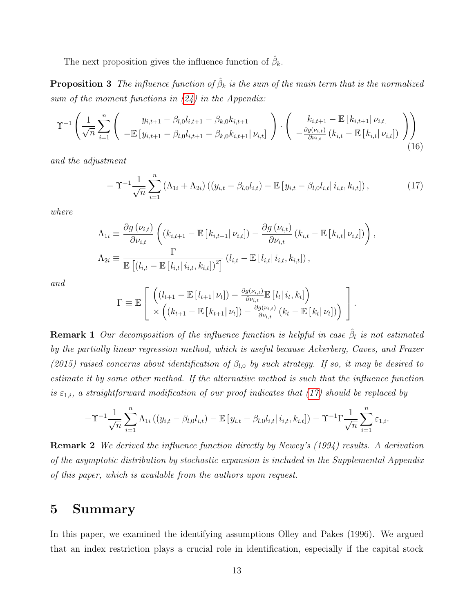The next proposition gives the influence function of  $\hat{\beta}_k$ .

<span id="page-12-2"></span>**Proposition 3** The influence function of  $\hat{\beta}_k$  is the sum of the main term that is the normalized sum of the moment functions in  $(24)$  in the Appendix:

$$
\Upsilon^{-1}\left(\frac{1}{\sqrt{n}}\sum_{i=1}^{n}\left(\begin{array}{c}y_{i,t+1}-\beta_{l,0}l_{i,t+1}-\beta_{k,0}k_{i,t+1} \\ -\mathbb{E}\left[y_{i,t+1}-\beta_{l,0}l_{i,t+1}-\beta_{k,0}k_{i,t+1}\right|\nu_{i,t}\right]\end{array}\right)\cdot\left(\begin{array}{c}k_{i,t+1}-\mathbb{E}\left[k_{i,t+1}\right|\nu_{i,t}\right] \\ -\frac{\partial g(\nu_{i,t})}{\partial \nu_{i,t}}\left(k_{i,t}-\mathbb{E}\left[k_{i,t}\right|\nu_{i,t}\right]\end{array}\right)\right) \tag{16}
$$

and the adjustment

<span id="page-12-1"></span>
$$
- \Upsilon^{-1} \frac{1}{\sqrt{n}} \sum_{i=1}^{n} \left( \Lambda_{1i} + \Lambda_{2i} \right) \left( (y_{i,t} - \beta_{l,0} l_{i,t}) - \mathbb{E} \left[ y_{i,t} - \beta_{l,0} l_{i,t} \right] i_{i,t}, k_{i,t} \right), \tag{17}
$$

where

$$
\Lambda_{1i} \equiv \frac{\partial g(\nu_{i,t})}{\partial \nu_{i,t}} \left( (k_{i,t+1} - \mathbb{E}[k_{i,t+1} | \nu_{i,t}]) - \frac{\partial g(\nu_{i,t})}{\partial \nu_{i,t}} (k_{i,t} - \mathbb{E}[k_{i,t} | \nu_{i,t}]) \right),
$$
  
\n
$$
\Lambda_{2i} \equiv \frac{\Gamma}{\mathbb{E}[ (l_{i,t} - \mathbb{E}[l_{i,t} | i_{i,t}, k_{i,t}])^2 ]} (l_{i,t} - \mathbb{E}[l_{i,t} | i_{i,t}, k_{i,t}]),
$$

and

$$
\Gamma \equiv \mathbb{E}\left[\begin{array}{c}\left((l_{t+1} - \mathbb{E}\left[l_{t+1}\middle|\nu_t\right]) - \frac{\partial g(\nu_{i,t})}{\partial \nu_{i,t}}\mathbb{E}\left[l_t\middle|\,i_t, k_t\right]\right)\\ \times \left((k_{t+1} - \mathbb{E}\left[k_{t+1}\middle|\nu_t\right]) - \frac{\partial g(\nu_{i,t})}{\partial \nu_{i,t}}\left(k_t - \mathbb{E}\left[k_t\middle|\nu_t\right]\right)\right)\end{array}\right].
$$

**Remark 1** Our decomposition of the influence function is helpful in case  $\hat{\beta}_l$  is not estimated by the partially linear regression method, which is useful because Ackerberg, Caves, and Frazer (2015) raised concerns about identification of  $\beta_{l,0}$  by such strategy. If so, it may be desired to estimate it by some other method. If the alternative method is such that the influence function is  $\varepsilon_{1,i}$ , a straightforward modification of our proof indicates that [\(17\)](#page-12-1) should be replaced by

$$
-\Upsilon^{-1}\frac{1}{\sqrt{n}}\sum_{i=1}^{n}\Lambda_{1i}\left((y_{i,t}-\beta_{l,0}l_{i,t})-\mathbb{E}\left[y_{i,t}-\beta_{l,0}l_{i,t}\right| i_{i,t},k_{i,t}\right])-\Upsilon^{-1}\Gamma\frac{1}{\sqrt{n}}\sum_{i=1}^{n}\varepsilon_{1,i}.
$$

Remark 2 We derived the influence function directly by Newey's (1994) results. A derivation of the asymptotic distribution by stochastic expansion is included in the Supplemental Appendix of this paper, which is available from the authors upon request.

## <span id="page-12-0"></span>5 Summary

In this paper, we examined the identifying assumptions Olley and Pakes (1996). We argued that an index restriction plays a crucial role in identification, especially if the capital stock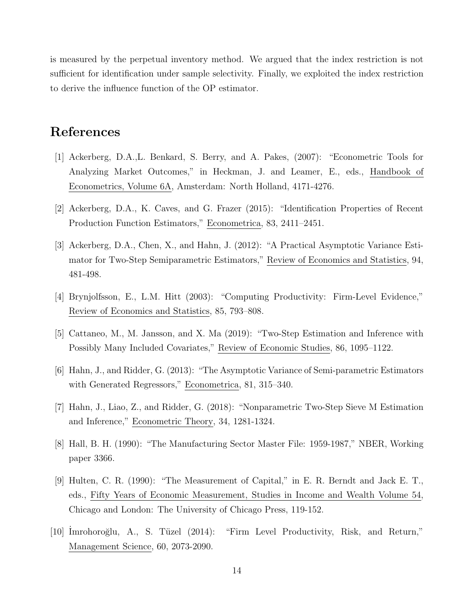is measured by the perpetual inventory method. We argued that the index restriction is not sufficient for identification under sample selectivity. Finally, we exploited the index restriction to derive the influence function of the OP estimator.

### References

- [1] Ackerberg, D.A.,L. Benkard, S. Berry, and A. Pakes, (2007): "Econometric Tools for Analyzing Market Outcomes," in Heckman, J. and Leamer, E., eds., Handbook of Econometrics, Volume 6A, Amsterdam: North Holland, 4171-4276.
- [2] Ackerberg, D.A., K. Caves, and G. Frazer (2015): "Identification Properties of Recent Production Function Estimators," Econometrica, 83, 2411–2451.
- [3] Ackerberg, D.A., Chen, X., and Hahn, J. (2012): "A Practical Asymptotic Variance Estimator for Two-Step Semiparametric Estimators," Review of Economics and Statistics, 94, 481-498.
- [4] Brynjolfsson, E., L.M. Hitt (2003): "Computing Productivity: Firm-Level Evidence," Review of Economics and Statistics, 85, 793–808.
- [5] Cattaneo, M., M. Jansson, and X. Ma (2019): "Two-Step Estimation and Inference with Possibly Many Included Covariates," Review of Economic Studies, 86, 1095–1122.
- [6] Hahn, J., and Ridder, G. (2013): "The Asymptotic Variance of Semi-parametric Estimators with Generated Regressors," Econometrica, 81, 315–340.
- [7] Hahn, J., Liao, Z., and Ridder, G. (2018): "Nonparametric Two-Step Sieve M Estimation and Inference," Econometric Theory, 34, 1281-1324.
- [8] Hall, B. H. (1990): "The Manufacturing Sector Master File: 1959-1987," NBER, Working paper 3366.
- [9] Hulten, C. R. (1990): "The Measurement of Capital," in E. R. Berndt and Jack E. T., eds., Fifty Years of Economic Measurement, Studies in Income and Wealth Volume 54, Chicago and London: The University of Chicago Press, 119-152.
- [10] İmrohoroğlu, A., S. Tüzel (2014): "Firm Level Productivity, Risk, and Return," Management Science, 60, 2073-2090.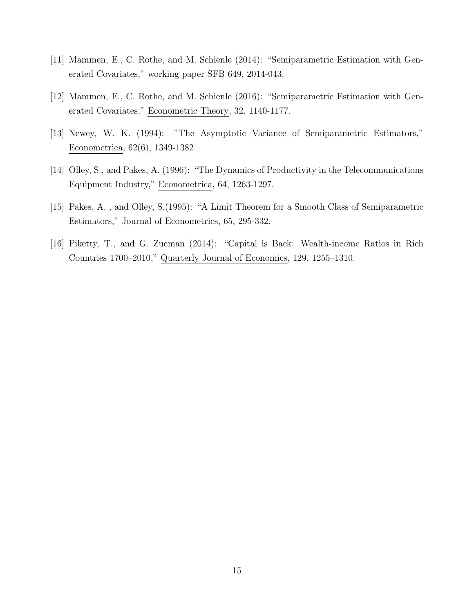- [11] Mammen, E., C. Rothe, and M. Schienle (2014): "Semiparametric Estimation with Generated Covariates," working paper SFB 649, 2014-043.
- [12] Mammen, E., C. Rothe, and M. Schienle (2016): "Semiparametric Estimation with Generated Covariates," Econometric Theory, 32, 1140-1177.
- [13] Newey, W. K. (1994): "The Asymptotic Variance of Semiparametric Estimators," Econometrica, 62(6), 1349-1382.
- [14] Olley, S., and Pakes, A. (1996): "The Dynamics of Productivity in the Telecommunications Equipment Industry," Econometrica, 64, 1263-1297.
- [15] Pakes, A. , and Olley, S.(1995): "A Limit Theorem for a Smooth Class of Semiparametric Estimators," Journal of Econometrics, 65, 295-332.
- [16] Piketty, T., and G. Zucman (2014): "Capital is Back: Wealth-income Ratios in Rich Countries 1700–2010," Quarterly Journal of Economics, 129, 1255–1310.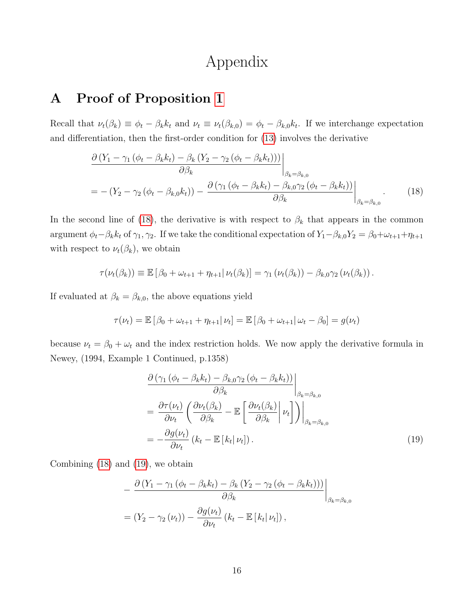## <span id="page-15-0"></span>Appendix

## A Proof of Proposition [1](#page-11-1)

Recall that  $\nu_t(\beta_k) \equiv \phi_t - \beta_k k_t$  and  $\nu_t \equiv \nu_t(\beta_{k,0}) = \phi_t - \beta_{k,0} k_t$ . If we interchange expectation and differentiation, then the first-order condition for [\(13\)](#page-10-2) involves the derivative

$$
\frac{\partial (Y_1 - \gamma_1 (\phi_t - \beta_k k_t) - \beta_k (Y_2 - \gamma_2 (\phi_t - \beta_k k_t)))}{\partial \beta_k} \Big|_{\beta_k = \beta_{k,0}}
$$
\n
$$
= - (Y_2 - \gamma_2 (\phi_t - \beta_{k,0} k_t)) - \frac{\partial (\gamma_1 (\phi_t - \beta_k k_t) - \beta_{k,0} \gamma_2 (\phi_t - \beta_k k_t))}{\partial \beta_k} \Big|_{\beta_k = \beta_{k,0}}.
$$
\n(18)

In the second line of [\(18\)](#page-15-0), the derivative is with respect to  $\beta_k$  that appears in the common argument  $\phi_t - \beta_k k_t$  of  $\gamma_1, \gamma_2$ . If we take the conditional expectation of  $Y_1 - \beta_{k,0} Y_2 = \beta_0 + \omega_{t+1} + \eta_{t+1}$ with respect to  $\nu_t(\beta_k)$ , we obtain

$$
\tau(\nu_t(\beta_k)) \equiv \mathbb{E}\left[\beta_0 + \omega_{t+1} + \eta_{t+1} | \nu_t(\beta_k)\right] = \gamma_1 \left(\nu_t(\beta_k)\right) - \beta_{k,0} \gamma_2 \left(\nu_t(\beta_k)\right).
$$

If evaluated at  $\beta_k = \beta_{k,0}$ , the above equations yield

$$
\tau(\nu_t) = \mathbb{E} [\beta_0 + \omega_{t+1} + \eta_{t+1} | \nu_t] = \mathbb{E} [\beta_0 + \omega_{t+1} | \omega_t - \beta_0] = g(\nu_t)
$$

because  $\nu_t = \beta_0 + \omega_t$  and the index restriction holds. We now apply the derivative formula in Newey, (1994, Example 1 Continued, p.1358)

<span id="page-15-1"></span>
$$
\frac{\partial \left(\gamma_{1}\left(\phi_{t}-\beta_{k}k_{t}\right)-\beta_{k,0}\gamma_{2}\left(\phi_{t}-\beta_{k}k_{t}\right)\right)}{\partial\beta_{k}}\Bigg|_{\beta_{k}=\beta_{k,0}} \\
=\frac{\partial \tau(\nu_{t})}{\partial\nu_{t}}\left(\frac{\partial\nu_{t}(\beta_{k})}{\partial\beta_{k}}-\mathbb{E}\left[\frac{\partial\nu_{t}(\beta_{k})}{\partial\beta_{k}}\Big|\nu_{t}\right]\right)\Bigg|_{\beta_{k}=\beta_{k,0}} \\
=-\frac{\partial g(\nu_{t})}{\partial\nu_{t}}\left(k_{t}-\mathbb{E}\left[k_{t}|\nu_{t}\right]\right).
$$
\n(19)

Combining [\(18\)](#page-15-0) and [\(19\)](#page-15-1), we obtain

$$
-\frac{\partial (Y_1 - \gamma_1 (\phi_t - \beta_k k_t) - \beta_k (Y_2 - \gamma_2 (\phi_t - \beta_k k_t)))}{\partial \beta_k}\Big|_{\beta_k = \beta_{k,0}}
$$
  
=  $(Y_2 - \gamma_2 (\nu_t)) - \frac{\partial g(\nu_t)}{\partial \nu_t} (k_t - \mathbb{E}[k_t|\nu_t]),$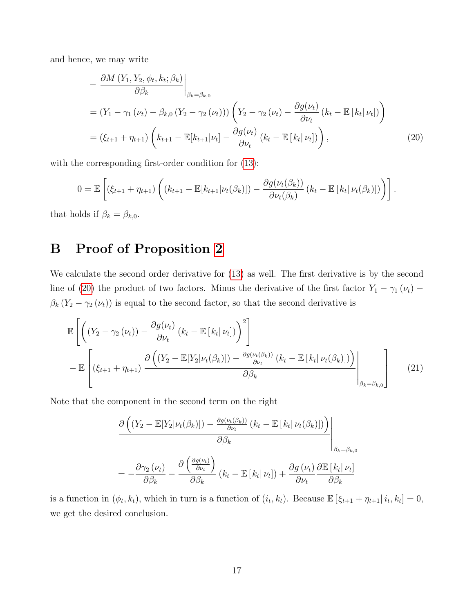and hence, we may write

<span id="page-16-0"></span>
$$
-\frac{\partial M\left(Y_1, Y_2, \phi_t, k_t; \beta_k\right)}{\partial \beta_k}\Big|_{\beta_k = \beta_{k,0}}
$$
  
= 
$$
\left(Y_1 - \gamma_1 \left(\nu_t\right) - \beta_{k,0} \left(Y_2 - \gamma_2 \left(\nu_t\right)\right)\right) \left(Y_2 - \gamma_2 \left(\nu_t\right) - \frac{\partial g(\nu_t)}{\partial \nu_t} \left(k_t - \mathbb{E}\left[k_t|\nu_t\right]\right)\right)
$$
  
= 
$$
\left(\xi_{t+1} + \eta_{t+1}\right) \left(k_{t+1} - \mathbb{E}\left[k_{t+1}|\nu_t\right] - \frac{\partial g(\nu_t)}{\partial \nu_t} \left(k_t - \mathbb{E}\left[k_t|\nu_t\right]\right)\right),
$$
 (20)

with the corresponding first-order condition for  $(13)$ :

$$
0 = \mathbb{E}\left[\left(\xi_{t+1} + \eta_{t+1}\right)\left((k_{t+1} - \mathbb{E}[k_{t+1}|\nu_t(\beta_k)]) - \frac{\partial g(\nu_t(\beta_k))}{\partial \nu_t(\beta_k)}\left(k_t - \mathbb{E}[k_t|\nu_t(\beta_k)]\right)\right)\right].
$$

that holds if  $\beta_k = \beta_{k,0}$ .

## B Proof of Proposition [2](#page-11-4)

We calculate the second order derivative for [\(13\)](#page-10-2) as well. The first derivative is by the second line of [\(20\)](#page-16-0) the product of two factors. Minus the derivative of the first factor  $Y_1 - \gamma_1 (\nu_t)$  –  $\beta_k$  (Y<sub>2</sub> –  $\gamma_2(\nu_t)$ ) is equal to the second factor, so that the second derivative is

$$
\mathbb{E}\left[\left((Y_2 - \gamma_2(\nu_t)) - \frac{\partial g(\nu_t)}{\partial \nu_t} (k_t - \mathbb{E}[k_t|\nu_t])\right)^2\right] \n- \mathbb{E}\left[\left(\xi_{t+1} + \eta_{t+1}\right) \frac{\partial \left((Y_2 - \mathbb{E}[Y_2|\nu_t(\beta_k)]) - \frac{\partial g(\nu_t(\beta_k))}{\partial \nu_t} (k_t - \mathbb{E}[k_t|\nu_t(\beta_k)])\right)}{\partial \beta_k}\Bigg|_{\beta_k = \beta_{k,0}}\right]
$$
\n(21)

Note that the component in the second term on the right

$$
\frac{\partial \left( (Y_2 - \mathbb{E}[Y_2 | \nu_t(\beta_k)]) - \frac{\partial g(\nu_t(\beta_k))}{\partial \nu_t} (k_t - \mathbb{E}[k_t | \nu_t(\beta_k)]) \right)}{\partial \beta_k} \Bigg|_{\beta_k = \beta_{k,0}}
$$
\n
$$
= -\frac{\partial \gamma_2(\nu_t)}{\partial \beta_k} - \frac{\partial \left( \frac{\partial g(\nu_t)}{\partial \nu_t} \right)}{\partial \beta_k} (k_t - \mathbb{E}[k_t | \nu_t]) + \frac{\partial g(\nu_t)}{\partial \nu_t} \frac{\partial \mathbb{E}[k_t | \nu_t]}{\partial \beta_k}
$$

is a function in  $(\phi_t, k_t)$ , which in turn is a function of  $(i_t, k_t)$ . Because  $\mathbb{E}[\xi_{t+1} + \eta_{t+1} | i_t, k_t] = 0$ , we get the desired conclusion.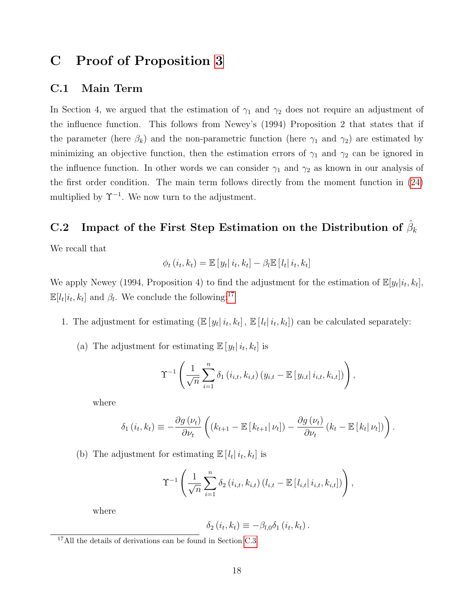## C Proof of Proposition [3](#page-12-2)

### C.1 Main Term

In Section 4, we argued that the estimation of  $\gamma_1$  and  $\gamma_2$  does not require an adjustment of the influence function. This follows from Newey's (1994) Proposition 2 that states that if the parameter (here  $\beta_k$ ) and the non-parametric function (here  $\gamma_1$  and  $\gamma_2$ ) are estimated by minimizing an objective function, then the estimation errors of  $\gamma_1$  and  $\gamma_2$  can be ignored in the influence function. In other words we can consider  $\gamma_1$  and  $\gamma_2$  as known in our analysis of the first order condition. The main term follows directly from the moment function in [\(24\)](#page-19-0) multiplied by  $\Upsilon^{-1}$ . We now turn to the adjustment.

## C.2 Impact of the First Step Estimation on the Distribution of  $\hat{\beta}_k$

We recall that

$$
\phi_t(i_t, k_t) = \mathbb{E}\left[y_t|i_t, k_t\right] - \beta_t \mathbb{E}\left[l_t|i_t, k_t\right]
$$

We apply Newey (1994, Proposition 4) to find the adjustment for the estimation of  $\mathbb{E}[y_t|i_t, k_t]$ ,  $\mathbb{E}[l_t|i_t, k_t]$  and  $\beta_l$ . We conclude the following:<sup>[17](#page-17-0)</sup>

- 1. The adjustment for estimating  $(\mathbb{E}[y_t | i_t, k_t], \mathbb{E}[l_t | i_t, k_t])$  can be calculated separately:
	- (a) The adjustment for estimating  $\mathbb{E}[y_t|i_t, k_t]$  is

$$
\Upsilon^{-1}\left(\frac{1}{\sqrt{n}}\sum_{i=1}^{n}\delta_{1}\left(i_{i,t},k_{i,t}\right)\left(y_{i,t}-\mathbb{E}\left[y_{i,t}\right|i_{i,t},k_{i,t}\right]\right)\right),\,
$$

where

$$
\delta_1(i_t, k_t) \equiv -\frac{\partial g(\nu_t)}{\partial \nu_t} \left( (k_{t+1} - \mathbb{E}[k_{t+1} | \nu_t]) - \frac{\partial g(\nu_t)}{\partial \nu_t} (k_t - \mathbb{E}[k_t | \nu_t]) \right).
$$

(b) The adjustment for estimating  $\mathbb{E}[l_t | i_t, k_t]$  is

$$
\Upsilon^{-1}\left(\frac{1}{\sqrt{n}}\sum_{i=1}^{n}\delta_{2}\left(i_{i,t},k_{i,t}\right)\left(l_{i,t}-\mathbb{E}\left[l_{i,t}\right|i_{i,t},k_{i,t}\right]\right)\right),\,
$$

where

$$
\delta_2(i_t, k_t) \equiv -\beta_{l,0}\delta_1(i_t, k_t).
$$

<span id="page-17-0"></span><sup>&</sup>lt;sup>17</sup>All the details of derivations can be found in Section [C.3.](#page-19-1)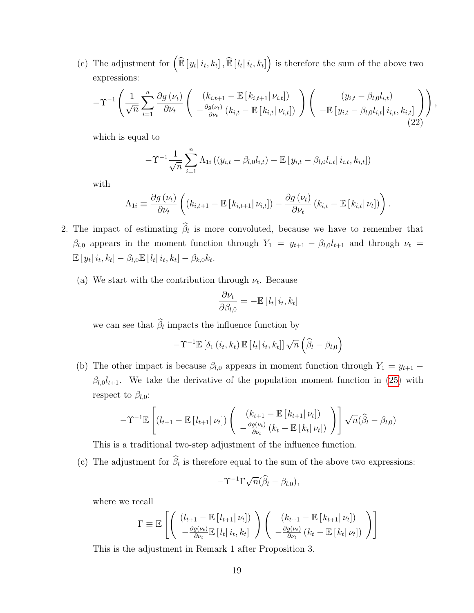(c) The adjustment for  $\left(\widehat{\mathbb{E}}\left[y_t|i_t,k_t\right],\widehat{\mathbb{E}}\left[l_t|i_t,k_t\right]\right)$  is therefore the sum of the above two expressions:

$$
-\Upsilon^{-1}\left(\frac{1}{\sqrt{n}}\sum_{i=1}^{n}\frac{\partial g\left(\nu_{t}\right)}{\partial\nu_{t}}\left(\begin{array}{c} \left(k_{i,t+1}-\mathbb{E}\left[k_{i,t+1}\right]\nu_{i,t}\right] \right) \\ -\frac{\partial g\left(\nu_{t}\right)}{\partial\nu_{t}}\left(k_{i,t}-\mathbb{E}\left[k_{i,t}\right]\nu_{i,t}\right] \end{array}\right)\right)\left(\begin{array}{c} (y_{i,t}-\beta_{l,0}l_{i,t}) \\ -\mathbb{E}\left[y_{i,t}-\beta_{l,0}l_{i,t}\right]i_{i,t},k_{i,t}\right] \end{array}\right)\right),\tag{22}
$$

which is equal to

$$
-\Upsilon^{-1}\frac{1}{\sqrt{n}}\sum_{i=1}^{n}\Lambda_{1i}\left((y_{i,t}-\beta_{l,0}l_{i,t})-\mathbb{E}\left[y_{i,t}-\beta_{l,0}l_{i,t}\right|i_{i,t},k_{i,t}\right])
$$

with

$$
\Lambda_{1i} \equiv \frac{\partial g(\nu_t)}{\partial \nu_t} \left( \left( k_{i,t+1} - \mathbb{E} \left[ k_{i,t+1} | \nu_{i,t} \right] \right) - \frac{\partial g(\nu_t)}{\partial \nu_t} \left( k_{i,t} - \mathbb{E} \left[ k_{i,t} | \nu_t \right] \right) \right).
$$

- 2. The impact of estimating  $\beta_l$  is more convoluted, because we have to remember that  $\beta_{l,0}$  appears in the moment function through  $Y_1 = y_{t+1} - \beta_{l,0}l_{t+1}$  and through  $\nu_t =$  $\mathbb{E}[y_t | i_t, k_t] - \beta_{l,0} \mathbb{E}[l_t | i_t, k_t] - \beta_{k,0} k_t.$ 
	- (a) We start with the contribution through  $\nu_t$ . Because

$$
\frac{\partial \nu_t}{\partial \beta_{l,0}} = -\mathbb{E}\left[l_t\right]i_t, k_t]
$$

we can see that  $\beta_l$  impacts the influence function by

$$
-\Upsilon^{-1}\mathbb{E}\left[\delta_{1}\left(i_{t},k_{t}\right)\mathbb{E}\left[\left.l_{t}\right|i_{t},k_{t}\right]\right]\sqrt{n}\left(\widehat{\beta}_{l}-\beta_{l,0}\right)
$$

(b) The other impact is because  $\beta_{l,0}$  appears in moment function through  $Y_1 = y_{t+1}$  –  $\beta_{l,0}l_{t+1}$ . We take the derivative of the population moment function in [\(25\)](#page-20-0) with respect to  $\beta_{l,0}$ :

$$
-\Upsilon^{-1}\mathbb{E}\left[\left(l_{t+1}-\mathbb{E}\left[l_{t+1}\right|\nu_{t}\right]\right)\left(\begin{array}{c} \left(k_{t+1}-\mathbb{E}\left[k_{t+1}\right|\nu_{t}\right])\\ -\frac{\partial g(\nu_{t})}{\partial \nu_{t}}\left(k_{t}-\mathbb{E}\left[k_{t}\right|\nu_{t}\right]\right)\end{array}\right]\sqrt{n}(\widehat{\beta}_{l}-\beta_{l,0})
$$

This is a traditional two-step adjustment of the influence function.

(c) The adjustment for  $\beta_l$  is therefore equal to the sum of the above two expressions:

$$
-\Upsilon^{-1}\Gamma\sqrt{n}(\widehat{\beta}_l-\beta_{l,0}),
$$

where we recall

$$
\Gamma \equiv \mathbb{E}\left[\left(\begin{array}{c} (l_{t+1} - \mathbb{E}\left[l_{t+1} | \nu_t\right]) \\ -\frac{\partial g(\nu_t)}{\partial \nu_t} \mathbb{E}\left[l_t | i_t, k_t\right] \end{array}\right) \left(\begin{array}{c} (k_{t+1} - \mathbb{E}\left[k_{t+1} | \nu_t\right]) \\ -\frac{\partial g(\nu_t)}{\partial \nu_t} \left(k_t - \mathbb{E}\left[k_t | \nu_t\right]\right) \end{array}\right)\right]
$$

This is the adjustment in Remark 1 after Proposition 3.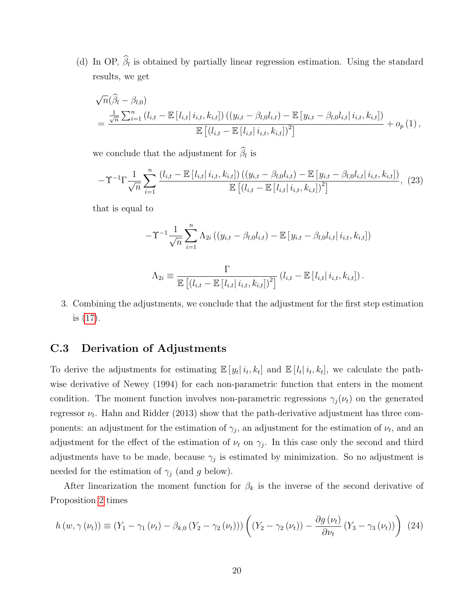(d) In OP,  $\beta_l$  is obtained by partially linear regression estimation. Using the standard results, we get

$$
\sqrt{n}(\widehat{\beta}_{l} - \beta_{l,0})
$$
\n
$$
= \frac{\frac{1}{\sqrt{n}} \sum_{i=1}^{n} (l_{i,t} - \mathbb{E}[l_{i,t} | i_{i,t}, k_{i,t}]) ((y_{i,t} - \beta_{l,0}l_{i,t}) - \mathbb{E}[y_{i,t} - \beta_{l,0}l_{i,t} | i_{i,t}, k_{i,t}])}{\mathbb{E}[(l_{i,t} - \mathbb{E}[l_{i,t} | i_{i,t}, k_{i,t}])^{2}]} + o_{p}(1),
$$

we conclude that the adjustment for  $\beta_l$  is

$$
-\Upsilon^{-1}\Gamma\frac{1}{\sqrt{n}}\sum_{i=1}^{n}\frac{(l_{i,t}-\mathbb{E}\left[l_{i,t}|i_{i,t},k_{i,t}\right])\left((y_{i,t}-\beta_{l,0}l_{i,t})-\mathbb{E}\left[y_{i,t}-\beta_{l,0}l_{i,t}|i_{i,t},k_{i,t}\right]\right)}{\mathbb{E}\left[\left(l_{i,t}-\mathbb{E}\left[l_{i,t}|i_{i,t},k_{i,t}\right]\right)^{2}\right]},\tag{23}
$$

that is equal to

$$
-\Upsilon^{-1}\frac{1}{\sqrt{n}}\sum_{i=1}^{n}\Lambda_{2i}\left((y_{i,t}-\beta_{l,0}l_{i,t})-\mathbb{E}\left[y_{i,t}-\beta_{l,0}l_{i,t}\right|i_{i,t},k_{i,t}\right])
$$

$$
\Lambda_{2i} \equiv \frac{\Gamma}{\mathbb{E}[(l_{i,t} - \mathbb{E}[l_{i,t} | i_{i,t}, k_{i,t}])^2]} (l_{i,t} - \mathbb{E}[l_{i,t} | i_{i,t}, k_{i,t}]).
$$

3. Combining the adjustments, we conclude that the adjustment for the first step estimation is [\(17\)](#page-12-1).

### <span id="page-19-1"></span>C.3 Derivation of Adjustments

To derive the adjustments for estimating  $\mathbb{E}[y_t|i_t,k_t]$  and  $\mathbb{E}[l_t|i_t,k_t]$ , we calculate the pathwise derivative of Newey (1994) for each non-parametric function that enters in the moment condition. The moment function involves non-parametric regressions  $\gamma_i(\nu_t)$  on the generated regressor  $\nu_t$ . Hahn and Ridder (2013) show that the path-derivative adjustment has three components: an adjustment for the estimation of  $\gamma_j$ , an adjustment for the estimation of  $\nu_t$ , and an adjustment for the effect of the estimation of  $\nu_t$  on  $\gamma_j$ . In this case only the second and third adjustments have to be made, because  $\gamma_j$  is estimated by minimization. So no adjustment is needed for the estimation of  $\gamma_j$  (and g below).

After linearization the moment function for  $\beta_k$  is the inverse of the second derivative of Proposition [2](#page-11-4) times

<span id="page-19-0"></span>
$$
h(w, \gamma(\nu_t)) \equiv (Y_1 - \gamma_1(\nu_t) - \beta_{k,0} (Y_2 - \gamma_2(\nu_t))) \left( (Y_2 - \gamma_2(\nu_t)) - \frac{\partial g(\nu_t)}{\partial \nu_t} (Y_3 - \gamma_3(\nu_t)) \right) (24)
$$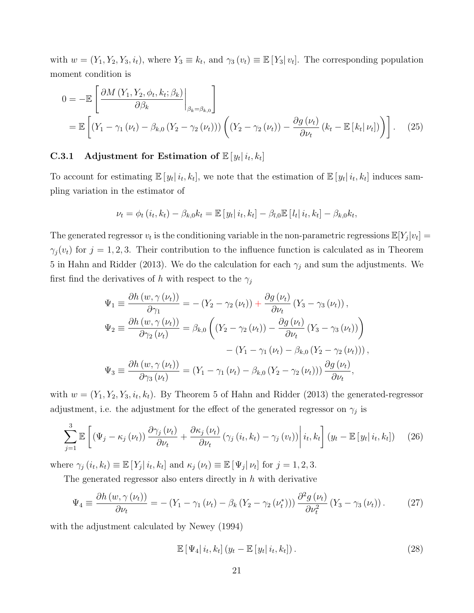with  $w = (Y_1, Y_2, Y_3, i_t)$ , where  $Y_3 \equiv k_t$ , and  $\gamma_3(v_t) \equiv \mathbb{E}[Y_3|v_t]$ . The corresponding population moment condition is

$$
0 = -\mathbb{E}\left[\frac{\partial M\left(Y_1, Y_2, \phi_t, k_t; \beta_k\right)}{\partial \beta_k}\bigg|_{\beta_k = \beta_{k,0}}\right]
$$
  
=  $\mathbb{E}\left[\left(Y_1 - \gamma_1\left(\nu_t\right) - \beta_{k,0}\left(Y_2 - \gamma_2\left(\nu_t\right)\right)\right)\left(\left(Y_2 - \gamma_2\left(\nu_t\right)\right) - \frac{\partial g\left(\nu_t\right)}{\partial \nu_t}\left(k_t - \mathbb{E}\left[k_t|\nu_t\right]\right)\right)\right].$  (25)

### C.3.1 Adjustment for Estimation of  $\mathbb{E}[y_t|i_t, k_t]$

To account for estimating  $\mathbb{E}[y_t|i_t, k_t]$ , we note that the estimation of  $\mathbb{E}[y_t|i_t, k_t]$  induces sampling variation in the estimator of

<span id="page-20-0"></span>
$$
\nu_{t}=\phi_{t}\left(i_{t},k_{t}\right)-\beta_{k,0}k_{t}=\mathbb{E}\left[\left.y_{t}\right|i_{t},k_{t}\right]-\beta_{l,0}\mathbb{E}\left[\left.l_{t}\right|i_{t},k_{t}\right]-\beta_{k,0}k_{t},
$$

The generated regressor  $v_t$  is the conditioning variable in the non-parametric regressions  $\mathbb{E}[Y_j|v_t] =$  $\gamma_j(v_t)$  for  $j = 1, 2, 3$ . Their contribution to the influence function is calculated as in Theorem 5 in Hahn and Ridder (2013). We do the calculation for each  $\gamma_j$  and sum the adjustments. We first find the derivatives of h with respect to the  $\gamma_j$ 

$$
\Psi_1 \equiv \frac{\partial h(w, \gamma(\nu_t))}{\partial \gamma_1} = -(Y_2 - \gamma_2(\nu_t)) + \frac{\partial g(\nu_t)}{\partial \nu_t} (Y_3 - \gamma_3(\nu_t)),
$$
  
\n
$$
\Psi_2 \equiv \frac{\partial h(w, \gamma(\nu_t))}{\partial \gamma_2(\nu_t)} = \beta_{k,0} \left( (Y_2 - \gamma_2(\nu_t)) - \frac{\partial g(\nu_t)}{\partial \nu_t} (Y_3 - \gamma_3(\nu_t)) \right)
$$
  
\n
$$
- (Y_1 - \gamma_1(\nu_t) - \beta_{k,0} (Y_2 - \gamma_2(\nu_t))),
$$
  
\n
$$
\Psi_3 \equiv \frac{\partial h(w, \gamma(\nu_t))}{\partial \gamma_3(\nu_t)} = (Y_1 - \gamma_1(\nu_t) - \beta_{k,0} (Y_2 - \gamma_2(\nu_t))) \frac{\partial g(\nu_t)}{\partial \nu_t},
$$

with  $w = (Y_1, Y_2, Y_3, i_t, k_t)$ . By Theorem 5 of Hahn and Ridder (2013) the generated-regressor adjustment, i.e. the adjustment for the effect of the generated regressor on  $\gamma_j$  is

<span id="page-20-1"></span>
$$
\sum_{j=1}^{3} \mathbb{E}\left[\left(\Psi_{j}-\kappa_{j}\left(\nu_{t}\right)\right) \frac{\partial \gamma_{j}\left(\nu_{t}\right)}{\partial \nu_{t}}+\frac{\partial \kappa_{j}\left(\nu_{t}\right)}{\partial \nu_{t}}\left(\gamma_{j}\left(i_{t}, k_{t}\right)-\gamma_{j}\left(v_{t}\right)\right)\middle|\ i_{t}, k_{t}\right] \left(y_{t}-\mathbb{E}\left[y_{t}|\ i_{t}, k_{t}\right]\right) \tag{26}
$$

where  $\gamma_j(i_t, k_t) \equiv \mathbb{E}[Y_j|i_t, k_t]$  and  $\kappa_j(\nu_t) \equiv \mathbb{E}[\Psi_j|\nu_t]$  for  $j = 1, 2, 3$ .

The generated regressor also enters directly in  $h$  with derivative

$$
\Psi_4 \equiv \frac{\partial h\left(w, \gamma\left(\nu_t\right)\right)}{\partial \nu_t} = -\left(Y_1 - \gamma_1\left(\nu_t\right) - \beta_k\left(Y_2 - \gamma_2\left(\nu_t^*\right)\right)\right) \frac{\partial^2 g\left(\nu_t\right)}{\partial \nu_t^2} \left(Y_3 - \gamma_3\left(\nu_t\right)\right). \tag{27}
$$

with the adjustment calculated by Newey (1994)

$$
\mathbb{E}\left[\Psi_4|i_t,k_t\right](y_t - \mathbb{E}\left[y_t|i_t,k_t\right]).\tag{28}
$$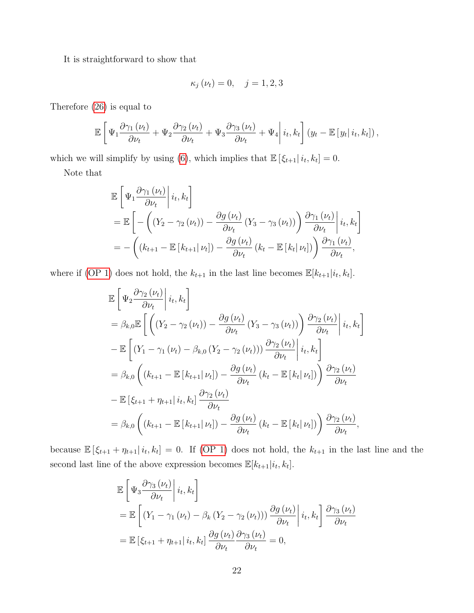It is straightforward to show that

$$
\kappa_j(\nu_t) = 0, \quad j = 1, 2, 3
$$

Therefore [\(26\)](#page-20-1) is equal to

$$
\mathbb{E}\left[\Psi_1\frac{\partial\gamma_1(\nu_t)}{\partial\nu_t} + \Psi_2\frac{\partial\gamma_2(\nu_t)}{\partial\nu_t} + \Psi_3\frac{\partial\gamma_3(\nu_t)}{\partial\nu_t} + \Psi_4\middle|\,i_t,k_t\right](y_t - \mathbb{E}\left[y_t\middle|\,i_t,k_t\right]),
$$

which we will simplify by using [\(6\)](#page-6-0), which implies that  $\mathbb{E} \left[ \xi_{t+1} | i_t, k_t \right] = 0$ .

Note that

$$
\mathbb{E}\left[\Psi_1 \frac{\partial \gamma_1(\nu_t)}{\partial \nu_t}\middle| i_t, k_t\right]
$$
\n
$$
= \mathbb{E}\left[-\left((Y_2 - \gamma_2(\nu_t)) - \frac{\partial g(\nu_t)}{\partial \nu_t}(Y_3 - \gamma_3(\nu_t))\right) \frac{\partial \gamma_1(\nu_t)}{\partial \nu_t}\middle| i_t, k_t\right]
$$
\n
$$
= -\left((k_{t+1} - \mathbb{E}\left[k_{t+1}|\nu_t\right]) - \frac{\partial g(\nu_t)}{\partial \nu_t}(k_t - \mathbb{E}\left[k_t|\nu_t\right])\right) \frac{\partial \gamma_1(\nu_t)}{\partial \nu_t},
$$

where if [\(OP 1\)](#page-3-6) does not hold, the  $k_{t+1}$  in the last line becomes  $\mathbb{E}[k_{t+1}|i_t, k_t]$ .

$$
\mathbb{E}\left[\Psi_{2}\frac{\partial\gamma_{2}(\nu_{t})}{\partial\nu_{t}}\middle|i_{t},k_{t}\right]
$$
\n
$$
= \beta_{k,0}\mathbb{E}\left[\left((Y_{2} - \gamma_{2}(\nu_{t})) - \frac{\partial g(\nu_{t})}{\partial\nu_{t}}(Y_{3} - \gamma_{3}(\nu_{t}))\right)\frac{\partial\gamma_{2}(\nu_{t})}{\partial\nu_{t}}\middle|i_{t},k_{t}\right]
$$
\n
$$
- \mathbb{E}\left[(Y_{1} - \gamma_{1}(\nu_{t}) - \beta_{k,0}(Y_{2} - \gamma_{2}(\nu_{t})))\frac{\partial\gamma_{2}(\nu_{t})}{\partial\nu_{t}}\middle|i_{t},k_{t}\right]
$$
\n
$$
= \beta_{k,0}\left((k_{t+1} - \mathbb{E}\left[k_{t+1}|\nu_{t}\right]) - \frac{\partial g(\nu_{t})}{\partial\nu_{t}}(k_{t} - \mathbb{E}\left[k_{t}|\nu_{t}\right])\right)\frac{\partial\gamma_{2}(\nu_{t})}{\partial\nu_{t}}
$$
\n
$$
- \mathbb{E}\left[\xi_{t+1} + \eta_{t+1}\middle|i_{t},k_{t}\right]\frac{\partial\gamma_{2}(\nu_{t})}{\partial\nu_{t}}
$$
\n
$$
= \beta_{k,0}\left((k_{t+1} - \mathbb{E}\left[k_{t+1}|\nu_{t}\right]) - \frac{\partial g(\nu_{t})}{\partial\nu_{t}}(k_{t} - \mathbb{E}\left[k_{t}|\nu_{t}\right])\right)\frac{\partial\gamma_{2}(\nu_{t})}{\partial\nu_{t}},
$$

because  $\mathbb{E} \left[ \xi_{t+1} + \eta_{t+1} | i_t, k_t \right] = 0$ . If [\(OP 1\)](#page-3-6) does not hold, the  $k_{t+1}$  in the last line and the second last line of the above expression becomes  $\mathbb{E}[k_{t+1}|i_t, k_t]$ .

$$
\mathbb{E}\left[\Psi_3 \frac{\partial \gamma_3(\nu_t)}{\partial \nu_t} \middle| i_t, k_t\right]
$$
\n
$$
= \mathbb{E}\left[\left(Y_1 - \gamma_1(\nu_t) - \beta_k\left(Y_2 - \gamma_2(\nu_t)\right)\right) \frac{\partial g(\nu_t)}{\partial \nu_t} \middle| i_t, k_t\right] \frac{\partial \gamma_3(\nu_t)}{\partial \nu_t}
$$
\n
$$
= \mathbb{E}\left[\xi_{t+1} + \eta_{t+1} | i_t, k_t\right] \frac{\partial g(\nu_t)}{\partial \nu_t} \frac{\partial \gamma_3(\nu_t)}{\partial \nu_t} = 0,
$$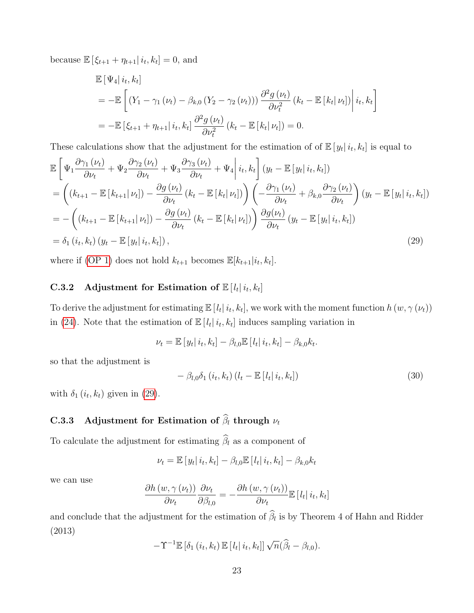because  $\mathbb{E} [\xi_{t+1} + \eta_{t+1} | i_t, k_t] = 0$ , and

$$
\mathbb{E} [\Psi_4 | i_t, k_t]
$$
\n
$$
= -\mathbb{E} \left[ (Y_1 - \gamma_1 (\nu_t) - \beta_{k,0} (Y_2 - \gamma_2 (\nu_t))) \frac{\partial^2 g(\nu_t)}{\partial \nu_t^2} (k_t - \mathbb{E} [k_t | \nu_t]) \right| i_t, k_t \right]
$$
\n
$$
= -\mathbb{E} [\xi_{t+1} + \eta_{t+1} | i_t, k_t] \frac{\partial^2 g(\nu_t)}{\partial \nu_t^2} (k_t - \mathbb{E} [k_t | \nu_t]) = 0.
$$

These calculations show that the adjustment for the estimation of of  $\mathbb{E}[y_t | i_t, k_t]$  is equal to

$$
\mathbb{E}\left[\Psi_{1}\frac{\partial\gamma_{1}\left(\nu_{t}\right)}{\partial\nu_{t}}+\Psi_{2}\frac{\partial\gamma_{2}\left(\nu_{t}\right)}{\partial\nu_{t}}+\Psi_{3}\frac{\partial\gamma_{3}\left(\nu_{t}\right)}{\partial\nu_{t}}+\Psi_{4}\middle|i_{t},k_{t}\right]\left(y_{t}-\mathbb{E}\left[y_{t}\middle|i_{t},k_{t}\right]\right)\right]
$$
\n
$$
=\left((k_{t+1}-\mathbb{E}\left[k_{t+1}\middle|\nu_{t}\right])-\frac{\partial g\left(\nu_{t}\right)}{\partial\nu_{t}}\left(k_{t}-\mathbb{E}\left[k_{t}\middle|\nu_{t}\right]\right)\right)\left(-\frac{\partial\gamma_{1}\left(\nu_{t}\right)}{\partial\nu_{t}}+\beta_{k,0}\frac{\partial\gamma_{2}\left(\nu_{t}\right)}{\partial\nu_{t}}\right)\left(y_{t}-\mathbb{E}\left[y_{t}\middle|i_{t},k_{t}\right]\right)
$$
\n
$$
=-\left((k_{t+1}-\mathbb{E}\left[k_{t+1}\middle|\nu_{t}\right])-\frac{\partial g\left(\nu_{t}\right)}{\partial\nu_{t}}\left(k_{t}-\mathbb{E}\left[k_{t}\middle|\nu_{t}\right]\right)\right)\frac{\partial g\left(\nu_{t}\right)}{\partial\nu_{t}}\left(y_{t}-\mathbb{E}\left[y_{t}\middle|i_{t},k_{t}\right]\right)
$$
\n
$$
=\delta_{1}\left(i_{t},k_{t}\right)\left(y_{t}-\mathbb{E}\left[y_{t}\middle|i_{t},k_{t}\right]\right),\tag{29}
$$

where if [\(OP 1\)](#page-3-6) does not hold  $k_{t+1}$  becomes  $\mathbb{E}[k_{t+1}|i_t, k_t]$ .

### C.3.2 Adjustment for Estimation of  $\mathbb{E}[l_t|i_t, k_t]$

To derive the adjustment for estimating  $\mathbb{E}[l_t | i_t, k_t]$ , we work with the moment function  $h(w, \gamma(w_t))$ in [\(24\)](#page-19-0). Note that the estimation of  $\mathbb{E}[l_t | i_t, k_t]$  induces sampling variation in

$$
\nu_{t}=\mathbb{E}\left[\left.y_{t}\right|i_{t},k_{t}\right]-\beta_{l,0}\mathbb{E}\left[\left.l_{t}\right|i_{t},k_{t}\right]-\beta_{k,0}k_{t}.
$$

so that the adjustment is

<span id="page-22-0"></span>
$$
-\beta_{l,0}\delta_1(i_t,k_t)(l_t - \mathbb{E}\left[l_t|i_t,k_t\right])\tag{30}
$$

with  $\delta_1(i_t, k_t)$  given in [\(29\)](#page-22-0).

## C.3.3 Adjustment for Estimation of  $\widehat{\beta}_l$  through  $\nu_t$

To calculate the adjustment for estimating  $\widehat{\beta}_l$  as a component of

$$
\nu_t = \mathbb{E}\left[y_t|i_t, k_t\right] - \beta_{l,0}\mathbb{E}\left[l_t|i_t, k_t\right] - \beta_{k,0}k_t
$$

we can use

$$
\frac{\partial h\left(w,\gamma\left(\nu_{t}\right)\right)}{\partial \nu_{t}}\frac{\partial \nu_{t}}{\partial \beta_{l,0}}=-\frac{\partial h\left(w,\gamma\left(\nu_{t}\right)\right)}{\partial \nu_{t}}\mathbb{E}\left[l_{t}\right| i_{t},k_{t}\right]
$$

and conclude that the adjustment for the estimation of  $\beta_l$  is by Theorem 4 of Hahn and Ridder (2013)

$$
-\Upsilon^{-1}\mathbb{E}\left[\delta_1(i_t,k_t)\,\mathbb{E}\left[l_t|i_t,k_t\right]\right]\sqrt{n}(\widehat{\beta}_l-\beta_{l,0}).
$$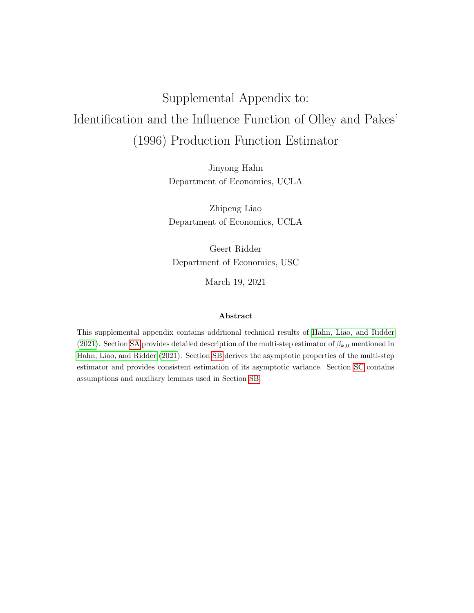# <span id="page-23-0"></span>Supplemental Appendix to: Identification and the Influence Function of Olley and Pakes' (1996) Production Function Estimator

Jinyong Hahn Department of Economics, UCLA

Zhipeng Liao Department of Economics, UCLA

Geert Ridder Department of Economics, USC

March 19, 2021

#### Abstract

This supplemental appendix contains additional technical results of [Hahn, Liao, and Ridder](#page-102-0) [\(2021\)](#page-102-0). Section [SA](#page-24-0) provides detailed description of the multi-step estimator of  $\beta_{k,0}$  mentioned in [Hahn, Liao, and Ridder \(2021\)](#page-102-0). Section [SB](#page-25-0) derives the asymptotic properties of the multi-step estimator and provides consistent estimation of its asymptotic variance. Section [SC](#page-33-0) contains assumptions and auxiliary lemmas used in Section [SB.](#page-25-0)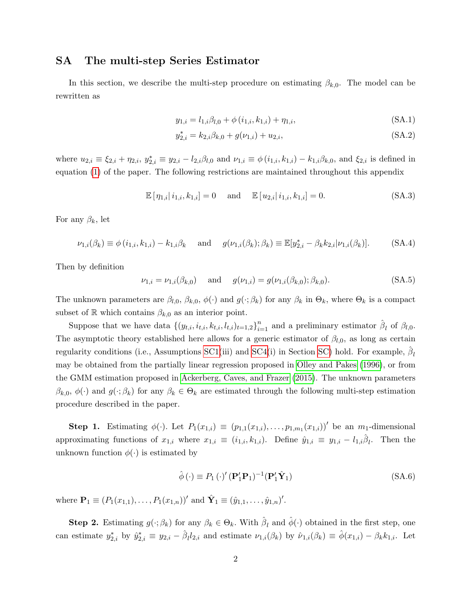#### <span id="page-24-0"></span>SA The multi-step Series Estimator

In this section, we describe the multi-step procedure on estimating  $\beta_{k,0}$ . The model can be rewritten as

$$
y_{1,i} = l_{1,i}\beta_{l,0} + \phi(i_{1,i}, k_{1,i}) + \eta_{1,i},
$$
\n(SA.1)

$$
y_{2,i}^* = k_{2,i}\beta_{k,0} + g(\nu_{1,i}) + u_{2,i},
$$
\n(SA.2)

where  $u_{2,i} \equiv \xi_{2,i} + \eta_{2,i}$ ,  $y_{2,i}^* \equiv y_{2,i} - l_{2,i}\beta_{l,0}$  and  $\nu_{1,i} \equiv \phi(i_{1,i}, k_{1,i}) - k_{1,i}\beta_{k,0}$ , and  $\xi_{2,i}$  is defined in equation [\(1\)](#page-23-0) of the paper. The following restrictions are maintained throughout this appendix

$$
\mathbb{E} [\eta_{1,i} | i_{1,i}, k_{1,i}] = 0 \quad \text{and} \quad \mathbb{E} [u_{2,i} | i_{1,i}, k_{1,i}] = 0.
$$
 (SA.3)

For any  $\beta_k$ , let

$$
\nu_{1,i}(\beta_k) \equiv \phi(i_{1,i}, k_{1,i}) - k_{1,i}\beta_k \quad \text{and} \quad g(\nu_{1,i}(\beta_k); \beta_k) \equiv \mathbb{E}[y_{2,i}^* - \beta_k k_{2,i} | \nu_{1,i}(\beta_k)]. \tag{SA.4}
$$

Then by definition

$$
\nu_{1,i} = \nu_{1,i}(\beta_{k,0}) \quad \text{and} \quad g(\nu_{1,i}) = g(\nu_{1,i}(\beta_{k,0}); \beta_{k,0}). \tag{SA.5}
$$

The unknown parameters are  $\beta_{l,0}, \beta_{k,0}, \phi(\cdot)$  and  $g(\cdot;\beta_k)$  for any  $\beta_k$  in  $\Theta_k$ , where  $\Theta_k$  is a compact subset of R which contains  $\beta_{k,0}$  as an interior point.

Suppose that we have data  $\{(y_{t,i}, i_{t,i}, k_{t,i}, l_{t,i})_{t=1,2}\}_{i=1}^n$  and a preliminary estimator  $\hat{\beta}_l$  of  $\beta_{l,0}$ . The asymptotic theory established here allows for a generic estimator of  $\beta_{l,0}$ , as long as certain regularity conditions (i.e., Assumptions [SC1\(](#page-33-1)iii) and [SC4\(](#page-80-0)i) in Section [SC\)](#page-33-0) hold. For example,  $\hat{\beta}_l$ may be obtained from the partially linear regression proposed in [Olley and Pakes \(1996\)](#page-102-1), or from the GMM estimation proposed in [Ackerberg, Caves, and Frazer \(2015\)](#page-102-2). The unknown parameters  $\beta_{k,0}, \phi(\cdot)$  and  $g(\cdot;\beta_k)$  for any  $\beta_k \in \Theta_k$  are estimated through the following multi-step estimation procedure described in the paper.

**Step 1.** Estimating  $\phi(\cdot)$ . Let  $P_1(x_{1,i}) \equiv (p_{1,1}(x_{1,i}), \ldots, p_{1,m_1}(x_{1,i}))'$  be an  $m_1$ -dimensional approximating functions of  $x_{1,i}$  where  $x_{1,i} \equiv (i_{1,i}, k_{1,i})$ . Define  $\hat{y}_{1,i} \equiv y_{1,i} - l_{1,i}\hat{\beta}_i$ . Then the unknown function  $\phi(\cdot)$  is estimated by

$$
\hat{\phi}(\cdot) \equiv P_1(\cdot)' (\mathbf{P}'_1 \mathbf{P}_1)^{-1} (\mathbf{P}'_1 \hat{\mathbf{Y}}_1)
$$
\n(SA.6)

where  $\mathbf{P}_1 \equiv (P_1(x_{1,1}), \ldots, P_1(x_{1,n}))'$  and  $\hat{\mathbf{Y}}_1 \equiv (\hat{y}_{1,1}, \ldots, \hat{y}_{1,n})'.$ 

**Step 2.** Estimating  $g(\cdot;\beta_k)$  for any  $\beta_k \in \Theta_k$ . With  $\hat{\beta}_l$  and  $\hat{\phi}(\cdot)$  obtained in the first step, one can estimate  $y_{2,i}^*$  by  $\hat{y}_{2,i}^* \equiv y_{2,i} - \hat{\beta}_l l_{2,i}$  and estimate  $\nu_{1,i}(\beta_k)$  by  $\hat{\nu}_{1,i}(\beta_k) \equiv \hat{\phi}(x_{1,i}) - \beta_k k_{1,i}$ . Let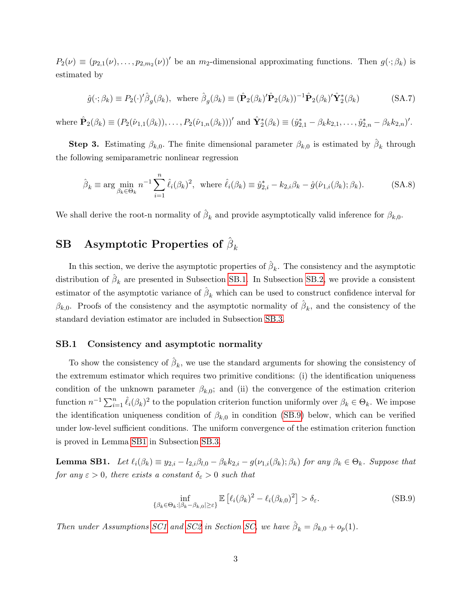$P_2(\nu) \equiv (p_{2,1}(\nu), \ldots, p_{2,m_2}(\nu))'$  be an  $m_2$ -dimensional approximating functions. Then  $g(\cdot; \beta_k)$  is estimated by

<span id="page-25-4"></span>
$$
\hat{g}(\cdot;\beta_k) \equiv P_2(\cdot)'\hat{\beta}_g(\beta_k), \text{ where } \hat{\beta}_g(\beta_k) \equiv (\hat{\mathbf{P}}_2(\beta_k)'\hat{\mathbf{P}}_2(\beta_k))^{-1}\hat{\mathbf{P}}_2(\beta_k)'\hat{\mathbf{Y}}_2^*(\beta_k)
$$
(SA.7)

where  $\hat{\mathbf{P}}_2(\beta_k) \equiv (P_2(\hat{\nu}_{1,1}(\beta_k)), \dots, P_2(\hat{\nu}_{1,n}(\beta_k)))'$  and  $\hat{\mathbf{Y}}_2^*(\beta_k) \equiv (\hat{y}_{2,1}^* - \beta_k k_{2,1}, \dots, \hat{y}_{2,n}^* - \beta_k k_{2,n})'.$ 

**Step 3.** Estimating  $\beta_{k,0}$ . The finite dimensional parameter  $\beta_{k,0}$  is estimated by  $\hat{\beta}_k$  through the following semiparametric nonlinear regression

<span id="page-25-5"></span>
$$
\hat{\beta}_k \equiv \arg \min_{\beta_k \in \Theta_k} n^{-1} \sum_{i=1}^n \hat{\ell}_i(\beta_k)^2, \text{ where } \hat{\ell}_i(\beta_k) \equiv \hat{y}_{2,i}^* - k_{2,i}\beta_k - \hat{g}(\hat{\nu}_{1,i}(\beta_k); \beta_k). \tag{SA.8}
$$

We shall derive the root-n normality of  $\hat{\beta}_k$  and provide asymptotically valid inference for  $\beta_{k,0}$ .

## <span id="page-25-0"></span> ${\bf SB}\quad {\bf Asymptotic\; Properties\; of}\ \hat{\beta}_k$

In this section, we derive the asymptotic properties of  $\hat{\beta}_k$ . The consistency and the asymptotic distribution of  $\hat{\beta}_k$  are presented in Subsection [SB.1.](#page-25-1) In Subsection [SB.2,](#page-28-0) we provide a consistent estimator of the asymptotic variance of  $\hat{\beta}_k$  which can be used to construct confidence interval for  $\beta_{k,0}$ . Proofs of the consistency and the asymptotic normality of  $\hat{\beta}_k$ , and the consistency of the standard deviation estimator are included in Subsection [SB.3.](#page-29-0)

#### <span id="page-25-1"></span>SB.1 Consistency and asymptotic normality

To show the consistency of  $\hat{\beta}_k$ , we use the standard arguments for showing the consistency of the extremum estimator which requires two primitive conditions: (i) the identification uniqueness condition of the unknown parameter  $\beta_{k,0}$ ; and (ii) the convergence of the estimation criterion function  $n^{-1} \sum_{i=1}^n \hat{\ell}_i(\beta_k)^2$  to the population criterion function uniformly over  $\beta_k \in \Theta_k$ . We impose the identification uniqueness condition of  $\beta_{k,0}$  in condition [\(SB.9\)](#page-25-2) below, which can be verified under low-level sufficient conditions. The uniform convergence of the estimation criterion function is proved in Lemma [SB1](#page-25-3) in Subsection [SB.3.](#page-29-0)

<span id="page-25-3"></span>**Lemma SB1.** Let  $\ell_i(\beta_k) \equiv y_{2,i} - l_{2,i}\beta_{l,0} - \beta_k k_{2,i} - g(\nu_{1,i}(\beta_k); \beta_k)$  for any  $\beta_k \in \Theta_k$ . Suppose that for any  $\varepsilon > 0$ , there exists a constant  $\delta_{\varepsilon} > 0$  such that

<span id="page-25-2"></span>
$$
\inf_{\{\beta_k \in \Theta_k : |\beta_k - \beta_{k,0}| \ge \varepsilon\}} \mathbb{E}\left[\ell_i(\beta_k)^2 - \ell_i(\beta_{k,0})^2\right] > \delta_{\varepsilon}.\tag{SB.9}
$$

Then under Assumptions [SC1](#page-33-1) and [SC2](#page-36-0) in Section [SC,](#page-33-0) we have  $\hat{\beta}_k = \beta_{k,0} + o_p(1)$ .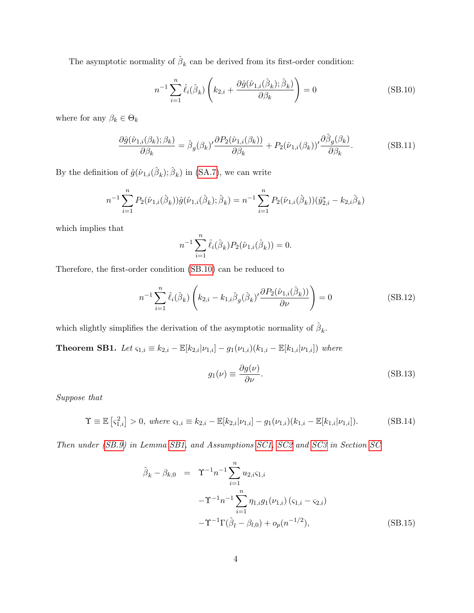The asymptotic normality of  $\hat{\beta}_k$  can be derived from its first-order condition:

<span id="page-26-0"></span>
$$
n^{-1} \sum_{i=1}^{n} \hat{\ell}_i(\hat{\beta}_k) \left( k_{2,i} + \frac{\partial \hat{g}(\hat{\nu}_{1,i}(\hat{\beta}_k); \hat{\beta}_k)}{\partial \beta_k} \right) = 0
$$
 (SB.10)

where for any  $\beta_k \in \Theta_k$ 

$$
\frac{\partial \hat{g}(\hat{\nu}_{1,i}(\beta_k); \beta_k)}{\partial \beta_k} = \hat{\beta}_g(\beta_k)' \frac{\partial P_2(\hat{\nu}_{1,i}(\beta_k))}{\partial \beta_k} + P_2(\hat{\nu}_{1,i}(\beta_k))' \frac{\partial \hat{\beta}_g(\beta_k)}{\partial \beta_k}.
$$
 (SB.11)

By the definition of  $\hat{g}(\hat{\nu}_{1,i}(\hat{\beta}_k); \hat{\beta}_k)$  in [\(SA.7\)](#page-25-4), we can write

$$
n^{-1} \sum_{i=1}^{n} P_2(\hat{\nu}_{1,i}(\hat{\beta}_k)) \hat{g}(\hat{\nu}_{1,i}(\hat{\beta}_k); \hat{\beta}_k) = n^{-1} \sum_{i=1}^{n} P_2(\hat{\nu}_{1,i}(\hat{\beta}_k)) (\hat{y}_{2,i}^* - k_{2,i} \hat{\beta}_k)
$$

which implies that

$$
n^{-1} \sum_{i=1}^{n} \hat{\ell}_i(\hat{\beta}_k) P_2(\hat{\nu}_{1,i}(\hat{\beta}_k)) = 0.
$$

Therefore, the first-order condition [\(SB.10\)](#page-26-0) can be reduced to

<span id="page-26-4"></span>
$$
n^{-1} \sum_{i=1}^{n} \hat{\ell}_i(\hat{\beta}_k) \left( k_{2,i} - k_{1,i} \hat{\beta}_g(\hat{\beta}_k)' \frac{\partial P_2(\hat{\nu}_{1,i}(\hat{\beta}_k))}{\partial \nu} \right) = 0
$$
 (SB.12)

which slightly simplifies the derivation of the asymptotic normality of  $\hat{\beta}_k$ .

<span id="page-26-3"></span>Theorem SB1. Let  $\varsigma_{1,i} \equiv k_{2,i} - \mathbb{E}[k_{2,i}|\nu_{1,i}] - g_1(\nu_{1,i})(k_{1,i} - \mathbb{E}[k_{1,i}|\nu_{1,i}])$  where

$$
g_1(\nu) \equiv \frac{\partial g(\nu)}{\partial \nu}.
$$
 (SB.13)

Suppose that

<span id="page-26-1"></span>
$$
\Upsilon \equiv \mathbb{E}\left[\zeta_{1,i}^2\right] > 0, \text{ where } \zeta_{1,i} \equiv k_{2,i} - \mathbb{E}[k_{2,i}|\nu_{1,i}] - g_1(\nu_{1,i})(k_{1,i} - \mathbb{E}[k_{1,i}|\nu_{1,i}]). \tag{SB.14}
$$

Then under [\(SB.9\)](#page-25-2) in Lemma [SB1,](#page-25-3) and Assumptions [SC1,](#page-33-1) [SC2](#page-36-0) and [SC3](#page-44-0) in Section [SC](#page-33-0)

<span id="page-26-2"></span>
$$
\hat{\beta}_k - \beta_{k,0} = \Upsilon^{-1} n^{-1} \sum_{i=1}^n u_{2,i} \varsigma_{1,i} \n- \Upsilon^{-1} n^{-1} \sum_{i=1}^n \eta_{1,i} g_1(\nu_{1,i}) (\varsigma_{1,i} - \varsigma_{2,i}) \n- \Upsilon^{-1} \Gamma(\hat{\beta}_l - \beta_{l,0}) + o_p(n^{-1/2}),
$$
\n(SB.15)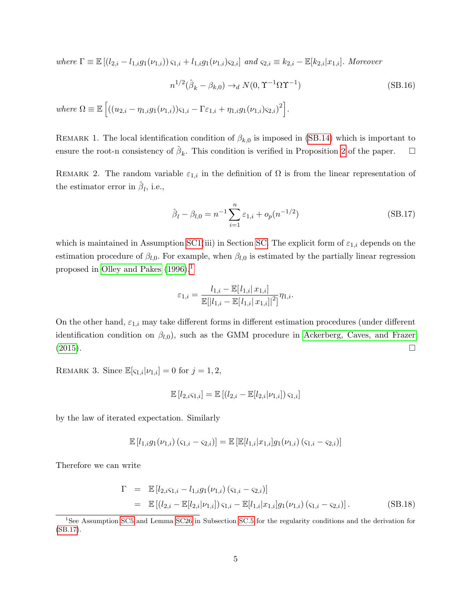where  $\Gamma \equiv \mathbb{E} \left[ (l_{2,i} - l_{1,i} g_1(\nu_{1,i})) \varsigma_{1,i} + l_{1,i} g_1(\nu_{1,i}) \varsigma_{2,i} \right]$  and  $\varsigma_{2,i} \equiv k_{2,i} - \mathbb{E} [k_{2,i}|x_{1,i}]$ . Moreover

<span id="page-27-2"></span>
$$
n^{1/2}(\hat{\beta}_k - \beta_{k,0}) \to_d N(0, \Upsilon^{-1} \Omega \Upsilon^{-1})
$$
\n(SB.16)  
\nwhere  $\Omega \equiv \mathbb{E}\left[((u_{2,i} - \eta_{1,i}g_1(\nu_{1,i}))_{\Omega,i} - \Gamma \varepsilon_{1,i} + \eta_{1,i}g_1(\nu_{1,i})_{\Omega,i})^2\right].$ 

REMARK 1. The local identification condition of  $\beta_{k,0}$  is imposed in [\(SB.14\)](#page-26-1) which is important to ensure the root-n consistency of  $\hat{\beta}_k$ . This condition is verified in Proposition [2](#page-23-0) of the paper.  $\Box$ 

REMARK 2. The random variable  $\varepsilon_{1,i}$  in the definition of  $\Omega$  is from the linear representation of the estimator error in  $\hat{\beta}_l$ , i.e.,

<span id="page-27-1"></span>
$$
\hat{\beta}_l - \beta_{l,0} = n^{-1} \sum_{i=1}^n \varepsilon_{1,i} + o_p(n^{-1/2})
$$
\n(SB.17)

which is maintained in Assumption [SC1\(](#page-33-1)iii) in Section [SC.](#page-33-0) The explicit form of  $\varepsilon_{1,i}$  depends on the estimation procedure of  $\beta_{l,0}$ . For example, when  $\beta_{l,0}$  is estimated by the partially linear regression proposed in Olley and Pakes  $(1996)$  $(1996)$  $(1996)$ ,<sup>1</sup>

$$
\varepsilon_{1,i} = \frac{l_{1,i} - \mathbb{E}[l_{1,i} | x_{1,i}]}{\mathbb{E}[|l_{1,i} - \mathbb{E}[l_{1,i} | x_{1,i}]|^2]} \eta_{1,i}.
$$

On the other hand,  $\varepsilon_{1,i}$  may take different forms in different estimation procedures (under different identification condition on  $\beta_{l,0}$ , such as the GMM procedure in [Ackerberg, Caves, and Frazer](#page-102-2)  $(2015).$  $(2015).$ 

REMARK 3. Since  $\mathbb{E}[\varsigma_{1,i}|\nu_{1,i}] = 0$  for  $j = 1, 2$ ,

$$
\mathbb{E}[l_{2,i} \varsigma_{1,i}] = \mathbb{E}[(l_{2,i} - \mathbb{E}[l_{2,i} | \nu_{1,i}]) \varsigma_{1,i}]
$$

by the law of iterated expectation. Similarly

$$
\mathbb{E}[l_{1,i}g_1(\nu_{1,i}) (\varsigma_{1,i} - \varsigma_{2,i})] = \mathbb{E}[\mathbb{E}[l_{1,i}|x_{1,i}]g_1(\nu_{1,i}) (\varsigma_{1,i} - \varsigma_{2,i})]
$$

Therefore we can write

$$
\Gamma = \mathbb{E} [l_{2,i} \varsigma_{1,i} - l_{1,i} g_1(\nu_{1,i}) (\varsigma_{1,i} - \varsigma_{2,i})]
$$
  
\n
$$
= \mathbb{E} [(l_{2,i} - \mathbb{E}[l_{2,i}|\nu_{1,i}]) \varsigma_{1,i} - \mathbb{E}[l_{1,i}|x_{1,i}] g_1(\nu_{1,i}) (\varsigma_{1,i} - \varsigma_{2,i})].
$$
 (SB.18)

<span id="page-27-0"></span><sup>&</sup>lt;sup>1</sup>See Assumption [SC5](#page-89-0) and Lemma [SC26](#page-90-0) in Subsection [SC.5](#page-89-1) for the regularity conditions and the derivation for [\(SB.17\)](#page-27-1).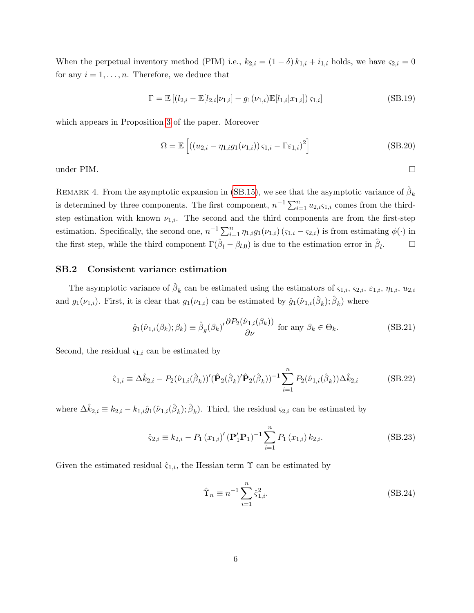When the perpetual inventory method (PIM) i.e.,  $k_{2,i} = (1 - \delta) k_{1,i} + i_{1,i}$  holds, we have  $\varsigma_{2,i} = 0$ for any  $i = 1, \ldots, n$ . Therefore, we deduce that

$$
\Gamma = \mathbb{E} \left[ (l_{2,i} - \mathbb{E}[l_{2,i}|\nu_{1,i}] - g_1(\nu_{1,i})\mathbb{E}[l_{1,i}|x_{1,i}])\,\varsigma_{1,i} \right] \tag{SB.19}
$$

which appears in Proposition [3](#page-23-0) of the paper. Moreover

$$
\Omega = \mathbb{E}\left[ \left( (u_{2,i} - \eta_{1,i} g_1(\nu_{1,i})) \varsigma_{1,i} - \Gamma \varepsilon_{1,i} \right)^2 \right]
$$
 (SB.20)

under PIM.  $\Box$ 

REMARK 4. From the asymptotic expansion in [\(SB.15\)](#page-26-2), we see that the asymptotic variance of  $\hat{\beta}_k$ is determined by three components. The first component,  $n^{-1} \sum_{i=1}^{n} u_{2,i} \varsigma_{1,i}$  comes from the thirdstep estimation with known  $\nu_{1,i}$ . The second and the third components are from the first-step estimation. Specifically, the second one,  $n^{-1} \sum_{i=1}^{n} \eta_{1,i} g_1(\nu_{1,i}) (\varsigma_{1,i} - \varsigma_{2,i})$  is from estimating  $\phi(\cdot)$  in the first step, while the third component  $\Gamma(\hat{\beta}_l - \beta_{l,0})$  is due to the estimation error in  $\hat{\beta}_l$  $\Box$ 

#### <span id="page-28-0"></span>SB.2 Consistent variance estimation

The asymptotic variance of  $\hat{\beta}_k$  can be estimated using the estimators of  $\varsigma_{1,i}$ ,  $\varsigma_{2,i}$ ,  $\varepsilon_{1,i}$ ,  $\eta_{1,i}$ ,  $u_{2,i}$ and  $g_1(\nu_{1,i})$ . First, it is clear that  $g_1(\nu_{1,i})$  can be estimated by  $\hat{g}_1(\hat{\nu}_{1,i}(\hat{\beta}_k);\hat{\beta}_k)$  where

<span id="page-28-1"></span>
$$
\hat{g}_1(\hat{\nu}_{1,i}(\beta_k); \beta_k) \equiv \hat{\beta}_g(\beta_k)' \frac{\partial P_2(\hat{\nu}_{1,i}(\beta_k))}{\partial \nu} \text{ for any } \beta_k \in \Theta_k.
$$
 (SB.21)

Second, the residual  $\varsigma_{1,i}$  can be estimated by

$$
\hat{\varsigma}_{1,i} \equiv \Delta \hat{k}_{2,i} - P_2(\hat{\nu}_{1,i}(\hat{\beta}_k))'(\hat{\mathbf{P}}_2(\hat{\beta}_k)'\hat{\mathbf{P}}_2(\hat{\beta}_k))^{-1} \sum_{i=1}^n P_2(\hat{\nu}_{1,i}(\hat{\beta}_k))\Delta \hat{k}_{2,i}
$$
(SB.22)

where  $\Delta \hat{k}_{2,i} \equiv k_{2,i} - k_{1,i} \hat{g}_1(\hat{\nu}_{1,i}(\hat{\beta}_k); \hat{\beta}_k)$ . Third, the residual  $\varsigma_{2,i}$  can be estimated by

$$
\hat{\varsigma}_{2,i} \equiv k_{2,i} - P_1 (x_{1,i})' (\mathbf{P}_1' \mathbf{P}_1)^{-1} \sum_{i=1}^n P_1 (x_{1,i}) k_{2,i}.
$$
 (SB.23)

Given the estimated residual  $\hat{\varsigma}_{1,i}$ , the Hessian term  $\Upsilon$  can be estimated by

$$
\hat{\Upsilon}_n \equiv n^{-1} \sum_{i=1}^n \hat{\varsigma}_{1,i}^2. \tag{SB.24}
$$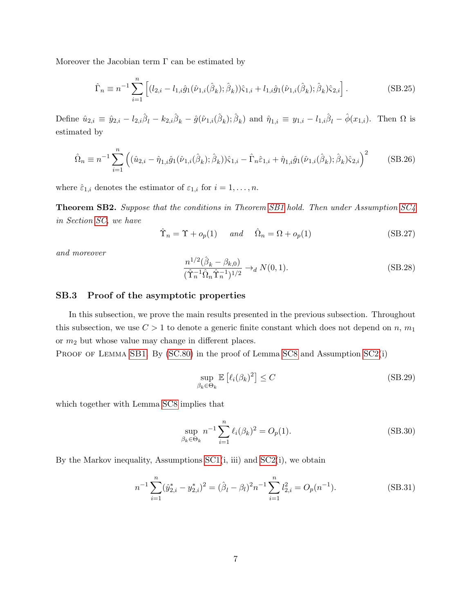Moreover the Jacobian term  $\Gamma$  can be estimated by

$$
\hat{\Gamma}_n \equiv n^{-1} \sum_{i=1}^n \left[ (l_{2,i} - l_{1,i} \hat{g}_1(\hat{\nu}_{1,i}(\hat{\beta}_k); \hat{\beta}_k)) \hat{\varsigma}_{1,i} + l_{1,i} \hat{g}_1(\hat{\nu}_{1,i}(\hat{\beta}_k); \hat{\beta}_k) \hat{\varsigma}_{2,i} \right].
$$
\n(SB.25)

Define  $\hat{u}_{2,i} \equiv \hat{y}_{2,i} - l_{2,i}\hat{\beta}_l - k_{2,i}\hat{\beta}_k - \hat{g}(\hat{\nu}_{1,i}(\hat{\beta}_k); \hat{\beta}_k)$  and  $\hat{\eta}_{1,i} \equiv y_{1,i} - l_{1,i}\hat{\beta}_l - \hat{\phi}(x_{1,i})$ . Then  $\Omega$  is estimated by

$$
\hat{\Omega}_n \equiv n^{-1} \sum_{i=1}^n \left( (\hat{u}_{2,i} - \hat{\eta}_{1,i}\hat{g}_1(\hat{\nu}_{1,i}(\hat{\beta}_k); \hat{\beta}_k))\hat{\varsigma}_{1,i} - \hat{\Gamma}_n \hat{\varepsilon}_{1,i} + \hat{\eta}_{1,i}\hat{g}_1(\hat{\nu}_{1,i}(\hat{\beta}_k); \hat{\beta}_k)\hat{\varsigma}_{2,i} \right)^2 \tag{SB.26}
$$

where  $\hat{\varepsilon}_{1,i}$  denotes the estimator of  $\varepsilon_{1,i}$  for  $i = 1, \ldots, n$ .

<span id="page-29-3"></span>**Theorem SB2.** Suppose that the conditions in Theorem [SB1](#page-26-3) hold. Then under Assumption [SC4](#page-80-0) in Section [SC,](#page-33-0) we have

<span id="page-29-4"></span>
$$
\hat{\Upsilon}_n = \Upsilon + o_p(1) \quad \text{and} \quad \hat{\Omega}_n = \Omega + o_p(1) \tag{SB.27}
$$

and moreover

<span id="page-29-5"></span>
$$
\frac{n^{1/2}(\hat{\beta}_k - \beta_{k,0})}{(\hat{\Upsilon}_n^{-1}\hat{\Omega}_n \hat{\Upsilon}_n^{-1})^{1/2}} \to_d N(0,1).
$$
 (SB.28)

#### <span id="page-29-0"></span>SB.3 Proof of the asymptotic properties

In this subsection, we prove the main results presented in the previous subsection. Throughout this subsection, we use  $C > 1$  to denote a generic finite constant which does not depend on n,  $m_1$ or  $m_2$  but whose value may change in different places.

PROOF OF LEMMA [SB1](#page-25-3). By [\(SC.80\)](#page-43-0) in the proof of Lemma [SC8](#page-43-1) and Assumption [SC2\(](#page-36-0)i)

$$
\sup_{\beta_k \in \Theta_k} \mathbb{E}\left[\ell_i(\beta_k)^2\right] \le C \tag{SB.29}
$$

which together with Lemma [SC8](#page-43-1) implies that

<span id="page-29-1"></span>
$$
\sup_{\beta_k \in \Theta_k} n^{-1} \sum_{i=1}^n \ell_i(\beta_k)^2 = O_p(1).
$$
 (SB.30)

By the Markov inequality, Assumptions  $SC1(i, iii)$  and  $SC2(i)$ , we obtain

<span id="page-29-2"></span>
$$
n^{-1} \sum_{i=1}^{n} (\hat{y}_{2,i}^{*} - y_{2,i}^{*})^{2} = (\hat{\beta}_{l} - \beta_{l})^{2} n^{-1} \sum_{i=1}^{n} l_{2,i}^{2} = O_{p}(n^{-1}).
$$
 (SB.31)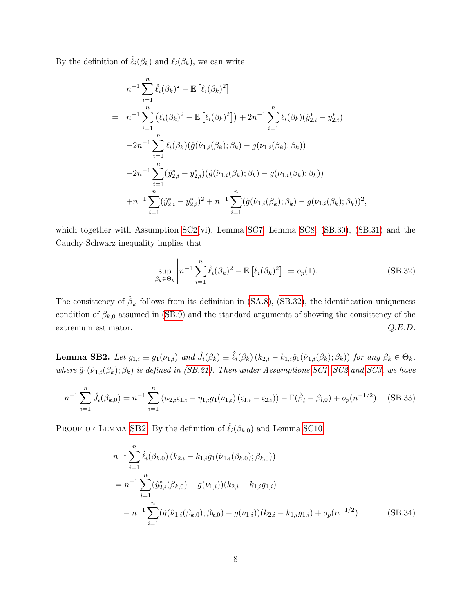By the definition of  $\hat{\ell}_i(\beta_k)$  and  $\ell_i(\beta_k)$ , we can write

$$
n^{-1} \sum_{i=1}^{n} \hat{\ell}_{i}(\beta_{k})^{2} - \mathbb{E} [\ell_{i}(\beta_{k})^{2}]
$$
  
\n
$$
= n^{-1} \sum_{i=1}^{n} (\ell_{i}(\beta_{k})^{2} - \mathbb{E} [\ell_{i}(\beta_{k})^{2}]) + 2n^{-1} \sum_{i=1}^{n} \ell_{i}(\beta_{k})(\hat{y}_{2,i}^{*} - y_{2,i}^{*})
$$
  
\n
$$
-2n^{-1} \sum_{i=1}^{n} \ell_{i}(\beta_{k})(\hat{g}(\hat{\nu}_{1,i}(\beta_{k}); \beta_{k}) - g(\nu_{1,i}(\beta_{k}); \beta_{k}))
$$
  
\n
$$
-2n^{-1} \sum_{i=1}^{n} (\hat{y}_{2,i}^{*} - y_{2,i}^{*})(\hat{g}(\hat{\nu}_{1,i}(\beta_{k}); \beta_{k}) - g(\nu_{1,i}(\beta_{k}); \beta_{k}))
$$
  
\n
$$
+n^{-1} \sum_{i=1}^{n} (\hat{y}_{2,i}^{*} - y_{2,i}^{*})^{2} + n^{-1} \sum_{i=1}^{n} (\hat{g}(\hat{\nu}_{1,i}(\beta_{k}); \beta_{k}) - g(\nu_{1,i}(\beta_{k}); \beta_{k}))^{2},
$$

which together with Assumption  $SC2(vi)$ , Lemma  $SC7$ , Lemma  $SC8$ ,  $(SB.30)$ ,  $(SB.31)$  and the Cauchy-Schwarz inequality implies that

<span id="page-30-0"></span>
$$
\sup_{\beta_k \in \Theta_k} \left| n^{-1} \sum_{i=1}^n \hat{\ell}_i (\beta_k)^2 - \mathbb{E} \left[ \ell_i (\beta_k)^2 \right] \right| = o_p(1). \tag{SB.32}
$$

The consistency of  $\hat{\beta}_k$  follows from its definition in [\(SA.8\)](#page-25-5), [\(SB.32\)](#page-30-0), the identification uniqueness condition of  $\beta_{k,0}$  assumed in [\(SB.9\)](#page-25-2) and the standard arguments of showing the consistency of the extremum estimator.  $Q.E.D.$ 

<span id="page-30-1"></span>**Lemma SB2.** Let  $g_{1,i} \equiv g_1(\nu_{1,i})$  and  $\hat{J}_i(\beta_k) \equiv \hat{\ell}_i(\beta_k) (k_{2,i} - k_{1,i} \hat{g}_1(\hat{\nu}_{1,i}(\beta_k); \beta_k))$  for any  $\beta_k \in \Theta_k$ , where  $\hat{g}_1(\hat{\nu}_{1,i}(\beta_k); \beta_k)$  is defined in [\(SB.21\)](#page-28-1). Then under Assumptions [SC1,](#page-33-1) [SC2](#page-36-0) and [SC3,](#page-44-0) we have

$$
n^{-1} \sum_{i=1}^{n} \hat{J}_i(\beta_{k,0}) = n^{-1} \sum_{i=1}^{n} (u_{2,i} \varsigma_{1,i} - \eta_{1,i} g_1(\nu_{1,i}) (\varsigma_{1,i} - \varsigma_{2,i})) - \Gamma(\hat{\beta}_l - \beta_{l,0}) + o_p(n^{-1/2}).
$$
 (SB.33)

PROOF OF LEMMA [SB2](#page-30-1). By the definition of  $\hat{\ell}_i(\beta_{k,0})$  and Lemma [SC10,](#page-47-0)

<span id="page-30-2"></span>
$$
n^{-1} \sum_{i=1}^{n} \hat{\ell}_{i}(\beta_{k,0}) (k_{2,i} - k_{1,i}\hat{g}_{1}(\hat{\nu}_{1,i}(\beta_{k,0}); \beta_{k,0}))
$$
  
=  $n^{-1} \sum_{i=1}^{n} (\hat{y}_{2,i}^{*}(\beta_{k,0}) - g(\nu_{1,i})) (k_{2,i} - k_{1,i}g_{1,i})$   
 $- n^{-1} \sum_{i=1}^{n} (\hat{g}(\hat{\nu}_{1,i}(\beta_{k,0}); \beta_{k,0}) - g(\nu_{1,i})) (k_{2,i} - k_{1,i}g_{1,i}) + o_{p}(n^{-1/2})$  (SB.34)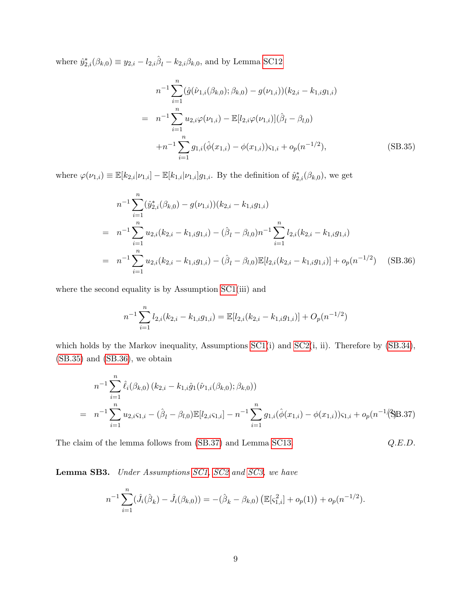where  $\hat{y}_{2,i}^*(\beta_{k,0}) \equiv y_{2,i} - l_{2,i}\hat{\beta}_l - k_{2,i}\beta_{k,0}$ , and by Lemma [SC12](#page-53-0)

<span id="page-31-0"></span>
$$
n^{-1} \sum_{i=1}^{n} (\hat{g}(\hat{\nu}_{1,i}(\beta_{k,0}); \beta_{k,0}) - g(\nu_{1,i})) (k_{2,i} - k_{1,i}g_{1,i})
$$
  
\n
$$
= n^{-1} \sum_{i=1}^{n} u_{2,i} \varphi(\nu_{1,i}) - \mathbb{E}[l_{2,i} \varphi(\nu_{1,i})](\hat{\beta}_l - \beta_{l,0})
$$
  
\n
$$
+ n^{-1} \sum_{i=1}^{n} g_{1,i} (\hat{\phi}(x_{1,i}) - \phi(x_{1,i})) \varsigma_{1,i} + o_p(n^{-1/2}),
$$
(SB.35)

where  $\varphi(\nu_{1,i}) \equiv \mathbb{E}[k_{2,i}|\nu_{1,i}] - \mathbb{E}[k_{1,i}|\nu_{1,i}]g_{1,i}$ . By the definition of  $\hat{y}_{2,i}^*(\beta_{k,0})$ , we get

<span id="page-31-1"></span>
$$
n^{-1} \sum_{i=1}^{n} (\hat{y}_{2,i}^{*}(\beta_{k,0}) - g(\nu_{1,i})) (k_{2,i} - k_{1,i}g_{1,i})
$$
  
\n
$$
= n^{-1} \sum_{i=1}^{n} u_{2,i} (k_{2,i} - k_{1,i}g_{1,i}) - (\hat{\beta}_l - \beta_{l,0})n^{-1} \sum_{i=1}^{n} l_{2,i} (k_{2,i} - k_{1,i}g_{1,i})
$$
  
\n
$$
= n^{-1} \sum_{i=1}^{n} u_{2,i} (k_{2,i} - k_{1,i}g_{1,i}) - (\hat{\beta}_l - \beta_{l,0}) \mathbb{E}[l_{2,i} (k_{2,i} - k_{1,i}g_{1,i})] + o_p(n^{-1/2})
$$
 (SB.36)

where the second equality is by Assumption  $SC1(iii)$  and

$$
n^{-1} \sum_{i=1}^{n} l_{2,i}(k_{2,i} - k_{1,i}g_{1,i}) = \mathbb{E}[l_{2,i}(k_{2,i} - k_{1,i}g_{1,i})] + O_p(n^{-1/2})
$$

which holds by the Markov inequality, Assumptions [SC1\(](#page-33-1)i) and [SC2\(](#page-36-0)i, ii). Therefore by  $(SB.34)$ , [\(SB.35\)](#page-31-0) and [\(SB.36\)](#page-31-1), we obtain

<span id="page-31-2"></span>
$$
n^{-1} \sum_{i=1}^{n} \hat{\ell}_{i}(\beta_{k,0}) (k_{2,i} - k_{1,i} \hat{g}_{1}(\hat{\nu}_{1,i}(\beta_{k,0}); \beta_{k,0}))
$$
  
= 
$$
n^{-1} \sum_{i=1}^{n} u_{2,i} \varsigma_{1,i} - (\hat{\beta}_{l} - \beta_{l,0}) \mathbb{E}[l_{2,i} \varsigma_{1,i}] - n^{-1} \sum_{i=1}^{n} g_{1,i}(\hat{\phi}(x_{1,i}) - \phi(x_{1,i})) \varsigma_{1,i} + o_{p}(n^{-1}(\beta)B.37)
$$

The claim of the lemma follows from [\(SB.37\)](#page-31-2) and Lemma [SC13.](#page-56-0)  $Q.E.D.$ 

<span id="page-31-3"></span>Lemma SB3. Under Assumptions [SC1,](#page-33-1) [SC2](#page-36-0) and [SC3,](#page-44-0) we have

$$
n^{-1} \sum_{i=1}^{n} (\hat{J}_i(\hat{\beta}_k) - \hat{J}_i(\beta_{k,0})) = -(\hat{\beta}_k - \beta_{k,0}) \left( \mathbb{E}[\varsigma_{1,i}^2] + o_p(1) \right) + o_p(n^{-1/2}).
$$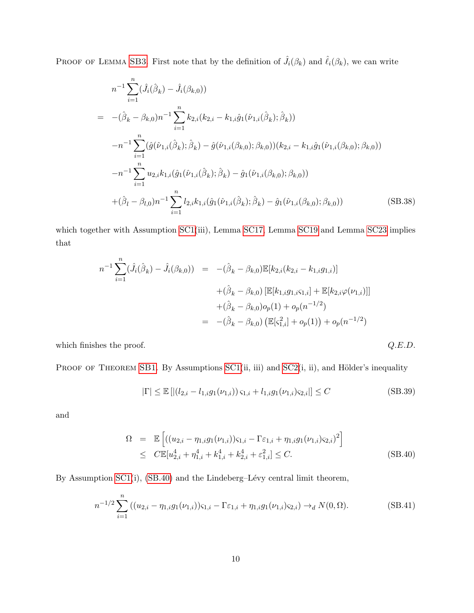PROOF OF LEMMA [SB3](#page-31-3). First note that by the definition of  $\hat{J}_i(\beta_k)$  and  $\hat{\ell}_i(\beta_k)$ , we can write

$$
n^{-1} \sum_{i=1}^{n} (\hat{J}_i(\hat{\beta}_k) - \hat{J}_i(\beta_{k,0}))
$$
  
\n
$$
= -(\hat{\beta}_k - \beta_{k,0})n^{-1} \sum_{i=1}^{n} k_{2,i}(k_{2,i} - k_{1,i}\hat{g}_1(\hat{\nu}_{1,i}(\hat{\beta}_k); \hat{\beta}_k))
$$
  
\n
$$
-n^{-1} \sum_{i=1}^{n} (\hat{g}(\hat{\nu}_{1,i}(\hat{\beta}_k); \hat{\beta}_k) - \hat{g}(\hat{\nu}_{1,i}(\beta_{k,0}); \beta_{k,0})) (k_{2,i} - k_{1,i}\hat{g}_1(\hat{\nu}_{1,i}(\beta_{k,0}); \beta_{k,0}))
$$
  
\n
$$
-n^{-1} \sum_{i=1}^{n} u_{2,i}k_{1,i}(\hat{g}_1(\hat{\nu}_{1,i}(\hat{\beta}_k); \hat{\beta}_k) - \hat{g}_1(\hat{\nu}_{1,i}(\beta_{k,0}); \beta_{k,0}))
$$
  
\n
$$
+(\hat{\beta}_l - \beta_{l,0})n^{-1} \sum_{i=1}^{n} l_{2,i}k_{1,i}(\hat{g}_1(\hat{\nu}_{1,i}(\hat{\beta}_k); \hat{\beta}_k) - \hat{g}_1(\hat{\nu}_{1,i}(\beta_{k,0}); \beta_{k,0}))
$$
 (SB.38)

which together with Assumption [SC1\(](#page-33-1)iii), Lemma [SC17,](#page-61-0) Lemma [SC19](#page-63-0) and Lemma [SC23](#page-71-0) implies that

$$
n^{-1} \sum_{i=1}^{n} (\hat{J}_i(\hat{\beta}_k) - \hat{J}_i(\beta_{k,0})) = -(\hat{\beta}_k - \beta_{k,0}) \mathbb{E}[k_{2,i}(k_{2,i} - k_{1,i}g_{1,i})]
$$
  
+  $(\hat{\beta}_k - \beta_{k,0}) [\mathbb{E}[k_{1,i}g_{1,i}\varsigma_{1,i}] + \mathbb{E}[k_{2,i}\varphi(\nu_{1,i})]]$   
+  $(\hat{\beta}_k - \beta_{k,0})o_p(1) + o_p(n^{-1/2})$   
=  $-(\hat{\beta}_k - \beta_{k,0}) (\mathbb{E}[\varsigma_{1,i}^2] + o_p(1)) + o_p(n^{-1/2})$ 

which finishes the proof.  $Q.E.D.$ 

PROOF OF THEOREM [SB1](#page-26-3). By Assumptions  $SC1(i, ii)$  and  $SC2(i, ii)$ , and Hölder's inequality

$$
|\Gamma| \le \mathbb{E}\left[|(l_{2,i} - l_{1,i}g_1(\nu_{1,i}))\,\varsigma_{1,i} + l_{1,i}g_1(\nu_{1,i})\varsigma_{2,i}|\right] \le C
$$
\n(SB.39)

and

<span id="page-32-0"></span>
$$
\Omega = \mathbb{E}\left[ ((u_{2,i} - \eta_{1,i}g_1(\nu_{1,i}))\varsigma_{1,i} - \Gamma \varepsilon_{1,i} + \eta_{1,i}g_1(\nu_{1,i})\varsigma_{2,i})^2 \right]
$$
\n
$$
\leq C \mathbb{E}[u_{2,i}^4 + \eta_{1,i}^4 + k_{1,i}^4 + k_{2,i}^4 + \varepsilon_{1,i}^2] \leq C. \tag{SB.40}
$$

By Assumption  $SC1(i)$ ,  $(SB.40)$  and the Lindeberg–Lévy central limit theorem,

<span id="page-32-1"></span>
$$
n^{-1/2} \sum_{i=1}^{n} \left( (u_{2,i} - \eta_{1,i} g_1(\nu_{1,i})) \varsigma_{1,i} - \Gamma \varepsilon_{1,i} + \eta_{1,i} g_1(\nu_{1,i}) \varsigma_{2,i} \right) \to_d N(0, \Omega). \tag{SB.41}
$$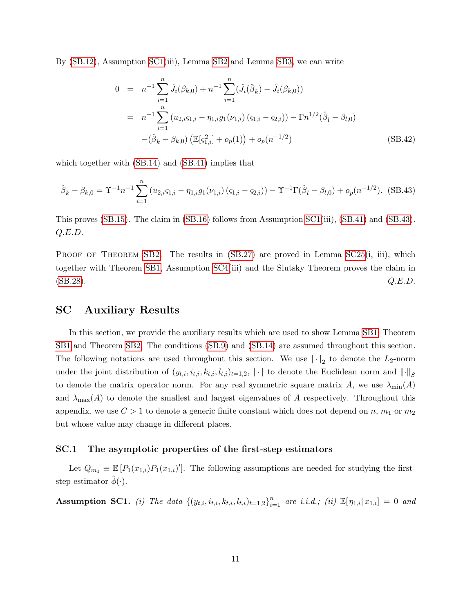By [\(SB.12\)](#page-26-4), Assumption [SC1\(](#page-33-1)iii), Lemma [SB2](#page-30-1) and Lemma [SB3,](#page-31-3) we can write

$$
0 = n^{-1} \sum_{i=1}^{n} \hat{J}_i(\beta_{k,0}) + n^{-1} \sum_{i=1}^{n} (\hat{J}_i(\hat{\beta}_k) - \hat{J}_i(\beta_{k,0}))
$$
  
\n
$$
= n^{-1} \sum_{i=1}^{n} (u_{2,i} \varsigma_{1,i} - \eta_{1,i} g_1(\nu_{1,i}) (\varsigma_{1,i} - \varsigma_{2,i})) - \Gamma n^{1/2} (\hat{\beta}_l - \beta_{l,0})
$$
  
\n
$$
-(\hat{\beta}_k - \beta_{k,0}) (\mathbb{E}[\varsigma_{1,i}^2] + o_p(1)) + o_p(n^{-1/2})
$$
 (SB.42)

which together with [\(SB.14\)](#page-26-1) and [\(SB.41\)](#page-32-1) implies that

<span id="page-33-2"></span>
$$
\hat{\beta}_k - \beta_{k,0} = \Upsilon^{-1} n^{-1} \sum_{i=1}^n (u_{2,i} \varsigma_{1,i} - \eta_{1,i} g_1(\nu_{1,i}) (\varsigma_{1,i} - \varsigma_{2,i})) - \Upsilon^{-1} \Gamma(\hat{\beta}_l - \beta_{l,0}) + o_p(n^{-1/2}).
$$
 (SB.43)

This proves [\(SB.15\)](#page-26-2). The claim in [\(SB.16\)](#page-27-2) follows from Assumption [SC1\(](#page-33-1)iii), [\(SB.41\)](#page-32-1) and [\(SB.43\)](#page-33-2). Q.E.D.

PROOF OF THEOREM [SB2](#page-29-3). The results in  $(SB.27)$  are proved in Lemma [SC25\(](#page-86-0)i, iii), which together with Theorem [SB1,](#page-26-3) Assumption [SC4\(](#page-80-0)iii) and the Slutsky Theorem proves the claim in  $(SB.28).$  $(SB.28).$   $Q.E.D.$ 

#### <span id="page-33-0"></span>SC Auxiliary Results

In this section, we provide the auxiliary results which are used to show Lemma [SB1,](#page-25-3) Theorem [SB1](#page-26-3) and Theorem [SB2.](#page-29-3) The conditions [\(SB.9\)](#page-25-2) and [\(SB.14\)](#page-26-1) are assumed throughout this section. The following notations are used throughout this section. We use  $\lVert \cdot \rVert_2$  to denote the  $L_2$ -norm under the joint distribution of  $(y_{t,i}, i_{t,i}, k_{t,i}, l_{t,i})_{t=1,2}$ ,  $\|\cdot\|$  to denote the Euclidean norm and  $\|\cdot\|_S$ to denote the matrix operator norm. For any real symmetric square matrix A, we use  $\lambda_{\min}(A)$ and  $\lambda_{\max}(A)$  to denote the smallest and largest eigenvalues of A respectively. Throughout this appendix, we use  $C > 1$  to denote a generic finite constant which does not depend on n,  $m_1$  or  $m_2$ but whose value may change in different places.

#### SC.1 The asymptotic properties of the first-step estimators

Let  $Q_{m_1} \equiv \mathbb{E}\left[P_1(x_{1,i})P_1(x_{1,i})\right]$ . The following assumptions are needed for studying the firststep estimator  $\hat{\phi}(\cdot)$ .

<span id="page-33-1"></span>**Assumption SC1.** (i) The data  $\{(y_{t,i}, i_{t,i}, k_{t,i}, l_{t,i})_{t=1,2}\}_{i=1}^n$  are i.i.d.; (ii)  $\mathbb{E}[\eta_{1,i}|x_{1,i}] = 0$  and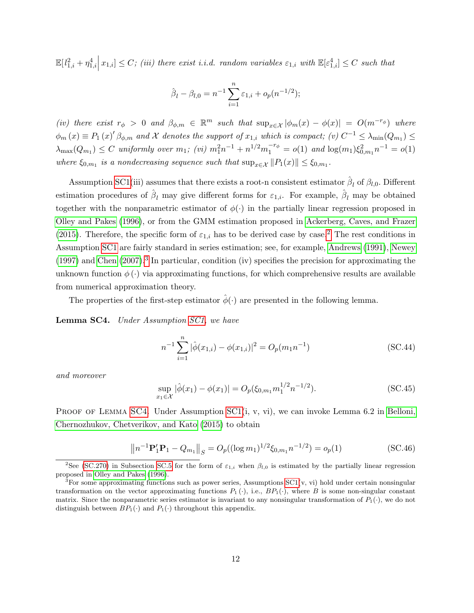$\mathbb{E}[l_{1,i}^2 + \eta_{1,i}^4 \nvert x_{1,i}] \leq C$ ; (iii) there exist i.i.d. random variables  $\varepsilon_{1,i}$  with  $\mathbb{E}[\varepsilon_{1,i}^4] \leq C$  such that

$$
\hat{\beta}_l - \beta_{l,0} = n^{-1} \sum_{i=1}^n \varepsilon_{1,i} + o_p(n^{-1/2});
$$

(iv) there exist  $r_{\phi} > 0$  and  $\beta_{\phi,m} \in \mathbb{R}^m$  such that  $\sup_{x \in \mathcal{X}} |\phi_m(x) - \phi(x)| = O(m^{-r_{\phi}})$  where  $\phi_m(x) \equiv P_1(x)'\beta_{\phi,m}$  and X denotes the support of  $x_{1,i}$  which is compact; (v)  $C^{-1} \leq \lambda_{\min}(Q_{m_1}) \leq$  $\lambda_{\max}(Q_{m_1}) \leq C$  uniformly over  $m_1$ ; (vi)  $m_1^2 n^{-1} + n^{1/2} m_1^{-r_{\phi}} = o(1)$  and  $\log(m_1) \xi_{0,m_1}^2 n^{-1} = o(1)$ where  $\xi_{0,m_1}$  is a nondecreasing sequence such that  $\sup_{x \in \mathcal{X}} ||P_1(x)|| \leq \xi_{0,m_1}$ .

Assumption [SC1\(](#page-33-1)iii) assumes that there exists a root-n consistent estimator  $\hat{\beta}_l$  of  $\beta_{l,0}$ . Different estimation procedures of  $\hat{\beta}_l$  may give different forms for  $\varepsilon_{1,i}$ . For example,  $\hat{\beta}_l$  may be obtained together with the nonparametric estimator of  $\phi(\cdot)$  in the partially linear regression proposed in [Olley and Pakes \(1996\)](#page-102-1), or from the GMM estimation proposed in [Ackerberg, Caves, and Frazer](#page-102-2) [\(2015\)](#page-102-2). Therefore, the specific form of  $\varepsilon_{1,i}$  has to be derived case by case.<sup>[2](#page-34-0)</sup> The rest conditions in Assumption [SC1](#page-33-1) are fairly standard in series estimation; see, for example, [Andrews \(1991\)](#page-102-3), [Newey](#page-102-4)  $(1997)$  and Chen  $(2007)$ .<sup>[3](#page-34-1)</sup> In particular, condition (iv) specifies the precision for approximating the unknown function  $\phi(\cdot)$  via approximating functions, for which comprehensive results are available from numerical approximation theory.

The properties of the first-step estimator  $\hat{\phi}(\cdot)$  are presented in the following lemma.

<span id="page-34-2"></span>Lemma SC4. Under Assumption [SC1,](#page-33-1) we have

$$
n^{-1} \sum_{i=1}^{n} |\hat{\phi}(x_{1,i}) - \phi(x_{1,i})|^2 = O_p(m_1 n^{-1})
$$
 (SC.44)

and moreover

$$
\sup_{x_1 \in \mathcal{X}} |\hat{\phi}(x_1) - \phi(x_1)| = O_p(\xi_{0,m_1} m_1^{1/2} n^{-1/2}).
$$
\n(SC.45)

PROOF OF LEMMA [SC4](#page-34-2). Under Assumption  $SC1(i, v, vi)$ , we can invoke Lemma 6.2 in [Belloni,](#page-102-6) [Chernozhukov, Chetverikov, and Kato \(2015\)](#page-102-6) to obtain

<span id="page-34-3"></span>
$$
\left\|n^{-1}\mathbf{P}_1'\mathbf{P}_1 - Q_{m_1}\right\|_S = O_p((\log m_1)^{1/2}\xi_{0,m_1}n^{-1/2}) = o_p(1)
$$
\n(SC.46)

<span id="page-34-0"></span><sup>&</sup>lt;sup>2</sup>See [\(SC.270\)](#page-90-1) in Subsection [SC.5](#page-89-1) for the form of  $\varepsilon_{1,i}$  when  $\beta_{l,0}$  is estimated by the partially linear regression proposed in [Olley and Pakes](#page-102-1) [\(1996\)](#page-102-1).

<span id="page-34-1"></span><sup>&</sup>lt;sup>3</sup>For some approximating functions such as power series, Assumptions  $SC1(v, vi)$  hold under certain nonsingular transformation on the vector approximating functions  $P_1(\cdot)$ , i.e.,  $BP_1(\cdot)$ , where B is some non-singular constant matrix. Since the nonparametric series estimator is invariant to any nonsingular transformation of  $P_1(\cdot)$ , we do not distinguish between  $BP_1(\cdot)$  and  $P_1(\cdot)$  throughout this appendix.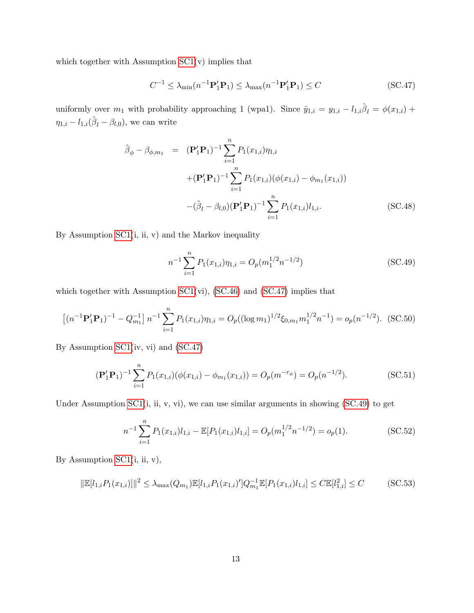which together with Assumption  $SC1(v)$  implies that

<span id="page-35-0"></span>
$$
C^{-1} \le \lambda_{\min}(n^{-1} \mathbf{P}'_1 \mathbf{P}_1) \le \lambda_{\max}(n^{-1} \mathbf{P}'_1 \mathbf{P}_1) \le C \tag{SC.47}
$$

uniformly over  $m_1$  with probability approaching 1 (wpa1). Since  $\hat{y}_{1,i} = y_{1,i} - l_{1,i}\hat{\beta}_l = \phi(x_{1,i}) +$  $\eta_{1,i} - l_{1,i}(\hat{\beta}_l - \beta_{l,0}),$  we can write

$$
\hat{\beta}_{\phi} - \beta_{\phi,m_1} = (\mathbf{P}'_1 \mathbf{P}_1)^{-1} \sum_{i=1}^n P_1(x_{1,i}) \eta_{1,i} \n+ (\mathbf{P}'_1 \mathbf{P}_1)^{-1} \sum_{i=1}^n P_1(x_{1,i}) (\phi(x_{1,i}) - \phi_{m_1}(x_{1,i})) \n- (\hat{\beta}_l - \beta_{l,0}) (\mathbf{P}'_1 \mathbf{P}_1)^{-1} \sum_{i=1}^n P_1(x_{1,i}) l_{1,i}.
$$
\n(SC.48)

By Assumption [SC1\(](#page-33-1)i, ii, v) and the Markov inequality

<span id="page-35-1"></span>
$$
n^{-1} \sum_{i=1}^{n} P_1(x_{1,i}) \eta_{1,i} = O_p(m_1^{1/2} n^{-1/2})
$$
\n(SC.49)

which together with Assumption [SC1\(](#page-33-1)vi), [\(SC.46\)](#page-34-3) and [\(SC.47\)](#page-35-0) implies that

$$
\left[ (n^{-1} \mathbf{P}'_1 \mathbf{P}_1)^{-1} - Q_{m_1}^{-1} \right] n^{-1} \sum_{i=1}^n P_1(x_{1,i}) \eta_{1,i} = O_p((\log m_1)^{1/2} \xi_{0,m_1} m_1^{1/2} n^{-1}) = o_p(n^{-1/2}).
$$
 (SC.50)

By Assumption [SC1\(](#page-33-1)iv, vi) and [\(SC.47\)](#page-35-0)

$$
(\mathbf{P}'_1 \mathbf{P}_1)^{-1} \sum_{i=1}^n P_1(x_{1,i}) (\phi(x_{1,i}) - \phi_{m_1}(x_{1,i})) = O_p(m^{-r_\phi}) = O_p(n^{-1/2}).
$$
\n(SC.51)

Under Assumption [SC1\(](#page-33-1)i, ii, v, vi), we can use similar arguments in showing [\(SC.49\)](#page-35-1) to get

$$
n^{-1} \sum_{i=1}^{n} P_1(x_{1,i}) l_{1,i} - \mathbb{E}[P_1(x_{1,i}) l_{1,i}] = O_p(m_1^{1/2} n^{-1/2}) = o_p(1).
$$
 (SC.52)

By Assumption  $SC1(i, ii, v)$ ,

$$
\|\mathbb{E}[l_{1,i}P_1(x_{1,i})]\|^2 \le \lambda_{\max}(Q_{m_1})\mathbb{E}[l_{1,i}P_1(x_{1,i})']Q_{m_1}^{-1}\mathbb{E}[P_1(x_{1,i})l_{1,i}] \le C\mathbb{E}[l_{1,i}^2] \le C \tag{SC.53}
$$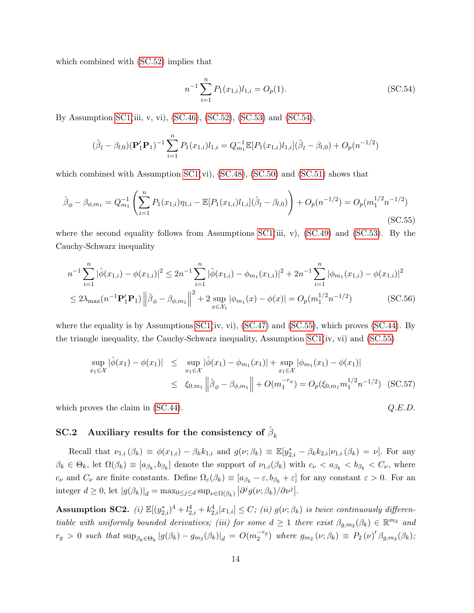which combined with [\(SC.52\)](#page-35-0) implies that

<span id="page-36-0"></span>
$$
n^{-1} \sum_{i=1}^{n} P_1(x_{1,i}) l_{1,i} = O_p(1).
$$
 (SC.54)

By Assumption [SC1\(](#page-33-0)iii, v, vi), [\(SC.46\)](#page-34-0), [\(SC.52\)](#page-35-0), [\(SC.53\)](#page-35-1) and [\(SC.54\)](#page-36-0),

$$
(\hat{\beta}_l - \beta_{l,0})(\mathbf{P}_1'\mathbf{P}_1)^{-1} \sum_{i=1}^n P_1(x_{1,i})l_{1,i} = Q_{m_1}^{-1} \mathbb{E}[P_1(x_{1,i})l_{1,i}](\hat{\beta}_l - \beta_{l,0}) + O_p(n^{-1/2})
$$

which combined with Assumption  $SC1(vi)$ ,  $(SC.48)$ ,  $(SC.50)$  and  $(SC.51)$  shows that

<span id="page-36-1"></span>
$$
\hat{\beta}_{\phi} - \beta_{\phi, m_1} = Q_{m_1}^{-1} \left( \sum_{i=1}^n P_1(x_{1,i}) \eta_{1,i} - \mathbb{E}[P_1(x_{1,i}) l_{1,i}] (\hat{\beta}_l - \beta_{l,0}) \right) + O_p(n^{-1/2}) = O_p(m_1^{1/2} n^{-1/2})
$$
\n(SC.55)

where the second equality follows from Assumptions  $SC1(iii, v)$ ,  $SC.49$  and  $SC.53$ . By the Cauchy-Schwarz inequality

$$
n^{-1} \sum_{i=1}^{n} |\hat{\phi}(x_{1,i}) - \phi(x_{1,i})|^2 \le 2n^{-1} \sum_{i=1}^{n} |\hat{\phi}(x_{1,i}) - \phi_{m_1}(x_{1,i})|^2 + 2n^{-1} \sum_{i=1}^{n} |\phi_{m_1}(x_{1,i}) - \phi(x_{1,i})|^2
$$
  
\n
$$
\le 2\lambda_{\max}(n^{-1} \mathbf{P}_1' \mathbf{P}_1) \left\| \hat{\beta}_{\phi} - \beta_{\phi, m_1} \right\|^2 + 2 \sup_{x \in \mathcal{X}_1} |\phi_{m_1}(x) - \phi(x)| = O_p(m_1^{1/2} n^{-1/2})
$$
 (SC.56)

where the equality is by Assumptions  $SC1(iv, vi)$ ,  $(SC.47)$  and  $(SC.55)$ , which proves  $(SC.44)$ . By the triangle inequality, the Cauchy-Schwarz inequality, Assumption [SC1\(](#page-33-0)iv, vi) and [\(SC.55\)](#page-36-1)

$$
\sup_{x_1 \in \mathcal{X}} |\hat{\phi}(x_1) - \phi(x_1)| \leq \sup_{x_1 \in \mathcal{X}} |\hat{\phi}(x_1) - \phi_{m_1}(x_1)| + \sup_{x_1 \in \mathcal{X}} |\phi_{m_1}(x_1) - \phi(x_1)|
$$
  

$$
\leq \xi_{0,m_1} ||\hat{\beta}_{\phi} - \beta_{\phi,m_1}|| + O(m_1^{-r_{\phi}}) = O_p(\xi_{0,m_1} m_1^{1/2} n^{-1/2}) \quad (SC.57)
$$

which proves the claim in  $(SC.44)$ .  $Q.E.D.$ 

## $\text{SC.2} \quad \text{Auxiliary results for the consistency of } \hat{\beta}_k$

Recall that  $\nu_{1,i}(\beta_k) \equiv \phi(x_{1,i}) - \beta_k k_{1,i}$  and  $g(\nu;\beta_k) \equiv \mathbb{E}[y_{2,i}^* - \beta_k k_{2,i} | \nu_{1,i}(\beta_k) = \nu]$ . For any  $\beta_k \in \Theta_k$ , let  $\Omega(\beta_k) \equiv [a_{\beta_k}, b_{\beta_k}]$  denote the support of  $\nu_{1,i}(\beta_k)$  with  $c_{\nu} < a_{\beta_k} < b_{\beta_k} < C_{\nu}$ , where  $c_{\nu}$  and  $C_{\nu}$  are finite constants. Define  $\Omega_{\varepsilon}(\beta_k) \equiv [a_{\beta_k} - \varepsilon, b_{\beta_k} + \varepsilon]$  for any constant  $\varepsilon > 0$ . For an integer  $d \geq 0$ , let  $|g(\beta_k)|_d = \max_{0 \leq j \leq d} \sup_{\nu \in \Omega(\beta_k)} |\partial^j g(\nu; \beta_k)/\partial \nu^j|$ .

<span id="page-36-2"></span>Assumption SC2. (i)  $\mathbb{E}[(y_{2,i}^*)^4 + l_{2,i}^4 + k_{2,i}^4 | x_{1,i}] \leq C$ ; (ii)  $g(\nu;\beta_k)$  is twice continuously differentiable with uniformly bounded derivatives; (iii) for some  $d \geq 1$  there exist  $\beta_{g,m_2}(\beta_k) \in \mathbb{R}^{m_2}$  and  $r_g > 0$  such that  $\sup_{\beta_k \in \Theta_k} |g(\beta_k) - g_{m_2}(\beta_k)|_d = O(m_2^{-r_g})$  $\binom{-r_g}{2}$  where  $g_{m_2}(\nu;\beta_k) \equiv P_2(\nu)' \beta_{g,m_2}(\beta_k);$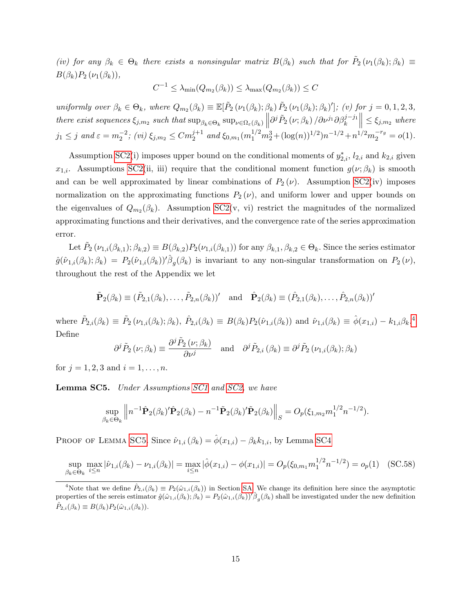(iv) for any  $\beta_k \in \Theta_k$  there exists a nonsingular matrix  $B(\beta_k)$  such that for  $\tilde{P}_2(\nu_1(\beta_k); \beta_k) \equiv$  $B(\beta_k)P_2(\nu_1(\beta_k)),$ 

$$
C^{-1} \leq \lambda_{\min}(Q_{m_2}(\beta_k)) \leq \lambda_{\max}(Q_{m_2}(\beta_k)) \leq C
$$

uniformly over  $\beta_k \in \Theta_k$ , where  $Q_{m_2}(\beta_k) \equiv \mathbb{E}[\tilde{P}_2(\nu_1(\beta_k); \beta_k) \tilde{P}_2(\nu_1(\beta_k); \beta_k)']$ ; (v) for  $j = 0, 1, 2, 3$ , there exist sequences  $\xi_{j,m_2}$  such that  $\sup_{\beta_k \in \Theta_k} \sup_{\nu \in \Omega_{\varepsilon}(\beta_k)} \left\| \partial^j \tilde{P}_2(\nu; \beta_k) / \partial \nu^{j_1} \partial \beta_k^{j-j_1} \right\| \leq \xi_{j,m_2}$  where  $\frac{1}{2}$  $j_1 \leq j$  and  $\varepsilon = m_2^{-2}$ ; (vi)  $\xi_{j,m_2} \leq C m_2^{j+1}$  and  $\xi_{0,m_1}(m_1^{1/2}m_2^3 + (\log(n))^{1/2})n^{-1/2} + n^{1/2}m_2^{-r_g} = o(1)$ .

Assumption [SC2\(](#page-36-2)i) imposes upper bound on the conditional moments of  $y_{2,i}^*$ ,  $l_{2,i}$  and  $k_{2,i}$  given  $x_{1,i}$ . Assumptions [SC2\(](#page-36-2)ii, iii) require that the conditional moment function  $g(\nu;\beta_k)$  is smooth and can be well approximated by linear combinations of  $P_2(\nu)$ . Assumption [SC2\(](#page-36-2)iv) imposes normalization on the approximating functions  $P_2(\nu)$ , and uniform lower and upper bounds on the eigenvalues of  $Q_{m_2}(\beta_k)$ . Assumption [SC2\(](#page-36-2)v, vi) restrict the magnitudes of the normalized approximating functions and their derivatives, and the convergence rate of the series approximation error.

Let  $\tilde{P}_2(\nu_{1,i}(\beta_{k,1});\beta_{k,2}) \equiv B(\beta_{k,2})P_2(\nu_{1,i}(\beta_{k,1}))$  for any  $\beta_{k,1},\beta_{k,2} \in \Theta_k$ . Since the series estimator  $\hat{g}(\hat{\nu}_{1,i}(\beta_k); \beta_k) = P_2(\hat{\nu}_{1,i}(\beta_k))'\hat{\beta}_g(\beta_k)$  is invariant to any non-singular transformation on  $P_2(\nu)$ , throughout the rest of the Appendix we let

$$
\tilde{\mathbf{P}}_2(\beta_k) \equiv (\tilde{P}_{2,1}(\beta_k), \dots, \tilde{P}_{2,n}(\beta_k))'
$$
 and 
$$
\hat{\mathbf{P}}_2(\beta_k) \equiv (\hat{P}_{2,1}(\beta_k), \dots, \hat{P}_{2,n}(\beta_k))'
$$

where  $\tilde{P}_{2,i}(\beta_k) \equiv \tilde{P}_2(\nu_{1,i}(\beta_k); \beta_k), \ \hat{P}_{2,i}(\beta_k) \equiv B(\beta_k)P_2(\hat{\nu}_{1,i}(\beta_k))$  and  $\hat{\nu}_{1,i}(\beta_k) \equiv \hat{\phi}(x_{1,i}) - k_{1,i}\beta_k$ . Define

$$
\partial^j \tilde{P}_2(\nu;\beta_k) \equiv \frac{\partial^j \tilde{P}_2(\nu;\beta_k)}{\partial \nu^j} \quad \text{and} \quad \partial^j \tilde{P}_{2,i}(\beta_k) \equiv \partial^j \tilde{P}_2(\nu_{1,i}(\beta_k); \beta_k)
$$

for  $j = 1, 2, 3$  and  $i = 1, ..., n$ .

<span id="page-37-1"></span>**Lemma SC5.** Under Assumptions [SC1](#page-33-0) and [SC2,](#page-36-2) we have

$$
\sup_{\beta_k \in \Theta_k} \left\| n^{-1} \hat{\mathbf{P}}_2(\beta_k)' \hat{\mathbf{P}}_2(\beta_k) - n^{-1} \tilde{\mathbf{P}}_2(\beta_k)' \tilde{\mathbf{P}}_2(\beta_k) \right\|_S = O_p(\xi_{1,m_2} m_1^{1/2} n^{-1/2}).
$$

PROOF OF LEMMA [SC5](#page-37-1). Since  $\hat{\nu}_{1,i}(\beta_k) = \hat{\phi}(x_{1,i}) - \beta_k k_{1,i}$ , by Lemma [SC4](#page-34-2)

$$
\sup_{\beta_k \in \Theta_k} \max_{i \le n} |\hat{\nu}_{1,i}(\beta_k) - \nu_{1,i}(\beta_k)| = \max_{i \le n} |\hat{\phi}(x_{1,i}) - \phi(x_{1,i})| = O_p(\xi_{0,m_1} m_1^{1/2} n^{-1/2}) = o_p(1) \quad \text{(SC.58)}
$$

<span id="page-37-0"></span><sup>&</sup>lt;sup>4</sup>Note that we define  $\tilde{P}_{2,i}(\beta_k) \equiv P_2(\hat{\omega}_{1,i}(\beta_k))$  in Section [SA.](#page-24-0) We change its definition here since the asymptotic properties of the sereis estimator  $\hat{g}(\hat{\omega}_{1,i}(\beta_k); \hat{\beta}_k) = P_2(\hat{\omega}_{1,i}(\beta_k))'\hat{\beta}_g(\beta_k)$  shall be investigated under the new definition  $\hat{P}_{2,i}(\beta_k) \equiv B(\beta_k) P_2(\hat{\omega}_{1,i}(\beta_k)).$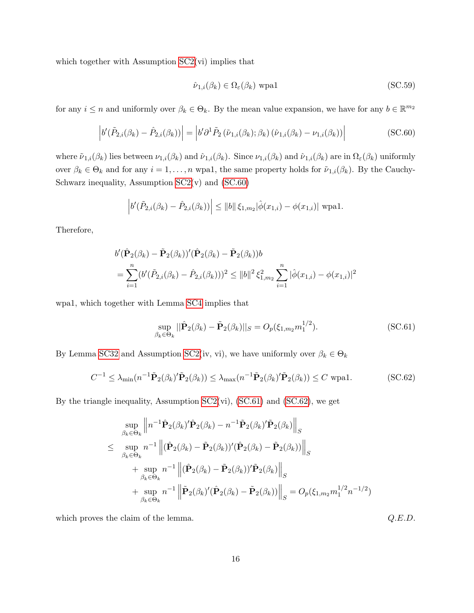which together with Assumption [SC2\(](#page-36-2)vi) implies that

<span id="page-38-3"></span>
$$
\hat{\nu}_{1,i}(\beta_k) \in \Omega_{\varepsilon}(\beta_k) \text{ wpa1} \tag{SC.59}
$$

for any  $i \leq n$  and uniformly over  $\beta_k \in \Theta_k$ . By the mean value expansion, we have for any  $b \in \mathbb{R}^{m_2}$ 

<span id="page-38-0"></span>
$$
\left| b'(\tilde{P}_{2,i}(\beta_k) - \hat{P}_{2,i}(\beta_k)) \right| = \left| b'\partial^1 \tilde{P}_2(\tilde{\nu}_{1,i}(\beta_k); \beta_k) (\hat{\nu}_{1,i}(\beta_k) - \nu_{1,i}(\beta_k)) \right| \tag{SC.60}
$$

where  $\tilde{\nu}_{1,i}(\beta_k)$  lies between  $\nu_{1,i}(\beta_k)$  and  $\tilde{\nu}_{1,i}(\beta_k)$ . Since  $\nu_{1,i}(\beta_k)$  and  $\tilde{\nu}_{1,i}(\beta_k)$  are in  $\Omega_{\varepsilon}(\beta_k)$  uniformly over  $\beta_k \in \Theta_k$  and for any  $i = 1, \ldots, n$  wpa1, the same property holds for  $\tilde{\nu}_{1,i}(\beta_k)$ . By the Cauchy-Schwarz inequality, Assumption  $SC2(v)$  and  $(SC.60)$ 

$$
\left| b'(\tilde{P}_{2,i}(\beta_k) - \hat{P}_{2,i}(\beta_k)) \right| \leq ||b|| \xi_{1,m_2}|\hat{\phi}(x_{1,i}) - \phi(x_{1,i})| \text{ wpa1.}
$$

Therefore,

$$
b'(\hat{\mathbf{P}}_2(\beta_k) - \tilde{\mathbf{P}}_2(\beta_k))'(\hat{\mathbf{P}}_2(\beta_k) - \tilde{\mathbf{P}}_2(\beta_k))b
$$
  
= 
$$
\sum_{i=1}^n (b'(\tilde{P}_{2,i}(\beta_k) - \hat{P}_{2,i}(\beta_k)))^2 \le ||b||^2 \xi_{1,m_2}^2 \sum_{i=1}^n |\hat{\phi}(x_{1,i}) - \phi(x_{1,i})|^2
$$

wpa1, which together with Lemma [SC4](#page-34-2) implies that

<span id="page-38-1"></span>
$$
\sup_{\beta_k \in \Theta_k} ||\hat{\mathbf{P}}_2(\beta_k) - \tilde{\mathbf{P}}_2(\beta_k)||_S = O_p(\xi_{1,m_2} m_1^{1/2}).
$$
\n(SC.61)

By Lemma [SC32](#page-95-0) and Assumption [SC2\(](#page-36-2)iv, vi), we have uniformly over  $\beta_k \in \Theta_k$ 

<span id="page-38-2"></span>
$$
C^{-1} \leq \lambda_{\min}(n^{-1}\tilde{\mathbf{P}}_2(\beta_k)'\tilde{\mathbf{P}}_2(\beta_k)) \leq \lambda_{\max}(n^{-1}\tilde{\mathbf{P}}_2(\beta_k)'\tilde{\mathbf{P}}_2(\beta_k)) \leq C \text{ wpa1.}
$$
 (SC.62)

By the triangle inequality, Assumption  $SC2(vi)$ ,  $(SC.61)$  and  $(SC.62)$ , we get

$$
\sup_{\beta_k \in \Theta_k} \left\| n^{-1} \hat{\mathbf{P}}_2(\beta_k)' \hat{\mathbf{P}}_2(\beta_k) - n^{-1} \tilde{\mathbf{P}}_2(\beta_k)' \tilde{\mathbf{P}}_2(\beta_k) \right\|_S
$$
\n
$$
\leq \sup_{\beta_k \in \Theta_k} n^{-1} \left\| (\hat{\mathbf{P}}_2(\beta_k) - \tilde{\mathbf{P}}_2(\beta_k))' (\hat{\mathbf{P}}_2(\beta_k) - \tilde{\mathbf{P}}_2(\beta_k)) \right\|_S
$$
\n
$$
+ \sup_{\beta_k \in \Theta_k} n^{-1} \left\| (\hat{\mathbf{P}}_2(\beta_k) - \tilde{\mathbf{P}}_2(\beta_k))' \tilde{\mathbf{P}}_2(\beta_k) \right\|_S
$$
\n
$$
+ \sup_{\beta_k \in \Theta_k} n^{-1} \left\| \tilde{\mathbf{P}}_2(\beta_k)' (\hat{\mathbf{P}}_2(\beta_k) - \tilde{\mathbf{P}}_2(\beta_k)) \right\|_S = O_p(\xi_{1,m_2} m_1^{1/2} n^{-1/2})
$$

which proves the claim of the lemma.  $Q.E.D.$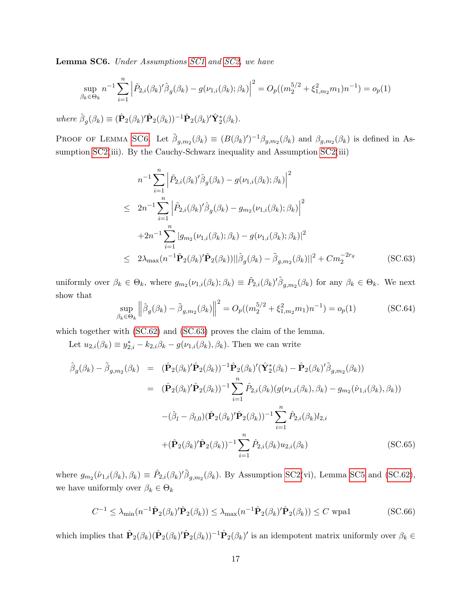<span id="page-39-0"></span>Lemma SC6. Under Assumptions [SC1](#page-33-0) and [SC2,](#page-36-2) we have

$$
\sup_{\beta_k \in \Theta_k} n^{-1} \sum_{i=1}^n \left| \tilde{P}_{2,i}(\beta_k)' \hat{\beta}_g(\beta_k) - g(\nu_{1,i}(\beta_k); \beta_k) \right|^2 = O_p((m_2^{5/2} + \xi_{1,m_2}^2 m_1) n^{-1}) = o_p(1)
$$

where  $\hat{\beta}_g(\beta_k) \equiv (\hat{\mathbf{P}}_2(\beta_k)'\hat{\mathbf{P}}_2(\beta_k))^{-1}\hat{\mathbf{P}}_2(\beta_k)'\hat{\mathbf{Y}}_2^*(\beta_k).$ 

PROOF OF LEMMA [SC6](#page-39-0). Let  $\tilde{\beta}_{g,m_2}(\beta_k) \equiv (B(\beta_k)')^{-1} \beta_{g,m_2}(\beta_k)$  and  $\beta_{g,m_2}(\beta_k)$  is defined in As-sumption [SC2\(](#page-36-2)iii). By the Cauchy-Schwarz inequality and Assumption SC2(iii)

<span id="page-39-1"></span>
$$
n^{-1} \sum_{i=1}^{n} \left| \tilde{P}_{2,i}(\beta_k)' \hat{\beta}_g(\beta_k) - g(\nu_{1,i}(\beta_k); \beta_k) \right|^2
$$
  
\n
$$
\leq 2n^{-1} \sum_{i=1}^{n} \left| \tilde{P}_{2,i}(\beta_k)' \hat{\beta}_g(\beta_k) - g_{m_2}(\nu_{1,i}(\beta_k); \beta_k) \right|^2
$$
  
\n
$$
+ 2n^{-1} \sum_{i=1}^{n} |g_{m_2}(\nu_{1,i}(\beta_k); \beta_k) - g(\nu_{1,i}(\beta_k); \beta_k)|^2
$$
  
\n
$$
\leq 2\lambda_{\max}(n^{-1}\tilde{P}_2(\beta_k)'\tilde{P}_2(\beta_k)) ||\hat{\beta}_g(\beta_k) - \tilde{\beta}_{g,m_2}(\beta_k)||^2 + Cm_2^{-2r_g}
$$
 (SC.63)

uniformly over  $\beta_k \in \Theta_k$ , where  $g_{m_2}(\nu_{1,i}(\beta_k); \beta_k) \equiv \tilde{P}_{2,i}(\beta_k)'\tilde{\beta}_{g,m_2}(\beta_k)$  for any  $\beta_k \in \Theta_k$ . We next show that

<span id="page-39-3"></span>
$$
\sup_{\beta_k \in \Theta_k} \left\| \hat{\beta}_g(\beta_k) - \tilde{\beta}_{g,m_2}(\beta_k) \right\|^2 = O_p((m_2^{5/2} + \xi_{1,m_2}^2 m_1) n^{-1}) = o_p(1)
$$
\n(SC.64)

which together with [\(SC.62\)](#page-38-2) and [\(SC.63\)](#page-39-1) proves the claim of the lemma.

Let  $u_{2,i}(\beta_k) \equiv y_{2,i}^* - k_{2,i}\beta_k - g(\nu_{1,i}(\beta_k), \beta_k)$ . Then we can write

<span id="page-39-4"></span>
$$
\hat{\beta}_{g}(\beta_{k}) - \tilde{\beta}_{g,m_{2}}(\beta_{k}) = (\hat{\mathbf{P}}_{2}(\beta_{k})'\hat{\mathbf{P}}_{2}(\beta_{k}))^{-1}\hat{\mathbf{P}}_{2}(\beta_{k})'(\hat{\mathbf{Y}}_{2}^{*}(\beta_{k}) - \hat{\mathbf{P}}_{2}(\beta_{k})'\tilde{\beta}_{g,m_{2}}(\beta_{k}))
$$
\n
$$
= (\hat{\mathbf{P}}_{2}(\beta_{k})'\hat{\mathbf{P}}_{2}(\beta_{k}))^{-1}\sum_{i=1}^{n}\hat{P}_{2,i}(\beta_{k})(g(\nu_{1,i}(\beta_{k}),\beta_{k}) - g_{m_{2}}(\hat{\nu}_{1,i}(\beta_{k}),\beta_{k}))
$$
\n
$$
-(\hat{\beta}_{l} - \beta_{l,0})(\hat{\mathbf{P}}_{2}(\beta_{k})'\hat{\mathbf{P}}_{2}(\beta_{k}))^{-1}\sum_{i=1}^{n}\hat{P}_{2,i}(\beta_{k})l_{2,i}
$$
\n
$$
+(\hat{\mathbf{P}}_{2}(\beta_{k})'\hat{\mathbf{P}}_{2}(\beta_{k}))^{-1}\sum_{i=1}^{n}\hat{P}_{2,i}(\beta_{k})u_{2,i}(\beta_{k}) \qquad (SC.65)
$$

where  $g_{m_2}(\hat{\nu}_{1,i}(\beta_k), \beta_k) \equiv \hat{P}_{2,i}(\beta_k)'\tilde{\beta}_{g,m_2}(\beta_k)$ . By Assumption [SC2\(](#page-36-2)vi), Lemma [SC5](#page-37-1) and [\(SC.62\)](#page-38-2), we have uniformly over  $\beta_k \in \Theta_k$ 

<span id="page-39-2"></span>
$$
C^{-1} \leq \lambda_{\min}(n^{-1}\hat{\mathbf{P}}_2(\beta_k)'\hat{\mathbf{P}}_2(\beta_k)) \leq \lambda_{\max}(n^{-1}\hat{\mathbf{P}}_2(\beta_k)'\hat{\mathbf{P}}_2(\beta_k)) \leq C \text{ wpa1}
$$
 (SC.66)

which implies that  $\hat{P}_2(\beta_k)(\hat{P}_2(\beta_k)'\hat{P}_2(\beta_k))^{-1}\hat{P}_2(\beta_k)'$  is an idempotent matrix uniformly over  $\beta_k \in$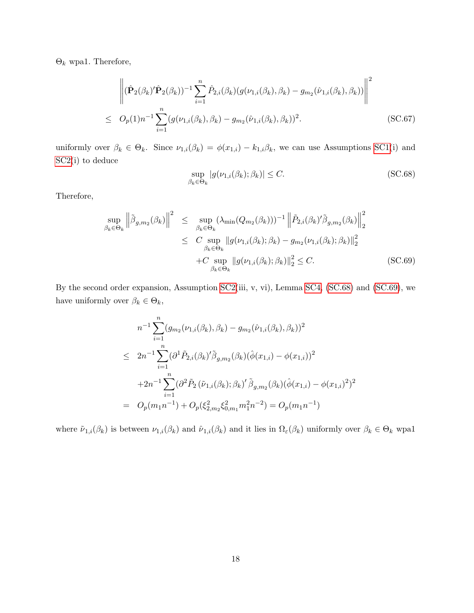$Θ_k$  wpa1. Therefore,

<span id="page-40-2"></span>
$$
\left\| (\hat{\mathbf{P}}_2(\beta_k)'\hat{\mathbf{P}}_2(\beta_k))^{-1} \sum_{i=1}^n \hat{P}_{2,i}(\beta_k) (g(\nu_{1,i}(\beta_k), \beta_k) - g_{m_2}(\hat{\nu}_{1,i}(\beta_k), \beta_k)) \right\|^2
$$
  
 
$$
\leq O_p(1)n^{-1} \sum_{i=1}^n (g(\nu_{1,i}(\beta_k), \beta_k) - g_{m_2}(\hat{\nu}_{1,i}(\beta_k), \beta_k))^2.
$$
 (SC.67)

uniformly over  $\beta_k \in \Theta_k$ . Since  $\nu_{1,i}(\beta_k) = \phi(x_{1,i}) - k_{1,i}\beta_k$ , we can use Assumptions [SC1\(](#page-33-0)i) and [SC2\(](#page-36-2)i) to deduce

<span id="page-40-0"></span>
$$
\sup_{\beta_k \in \Theta_k} |g(\nu_{1,i}(\beta_k); \beta_k)| \le C. \tag{SC.68}
$$

Therefore,

<span id="page-40-1"></span>
$$
\sup_{\beta_k \in \Theta_k} \left\| \tilde{\beta}_{g,m_2}(\beta_k) \right\|^2 \leq \sup_{\beta_k \in \Theta_k} (\lambda_{\min}(Q_{m_2}(\beta_k)))^{-1} \left\| \tilde{P}_{2,i}(\beta_k)' \tilde{\beta}_{g,m_2}(\beta_k) \right\|_2^2
$$
  

$$
\leq C \sup_{\beta_k \in \Theta_k} \|g(\nu_{1,i}(\beta_k); \beta_k) - g_{m_2}(\nu_{1,i}(\beta_k); \beta_k)\|_2^2
$$
  
+
$$
C \sup_{\beta_k \in \Theta_k} \|g(\nu_{1,i}(\beta_k); \beta_k)\|_2^2 \leq C. \qquad (SC.69)
$$

By the second order expansion, Assumption [SC2\(](#page-36-2)iii, v, vi), Lemma [SC4,](#page-34-2) [\(SC.68\)](#page-40-0) and [\(SC.69\)](#page-40-1), we have uniformly over  $\beta_k \in \Theta_k,$ 

$$
n^{-1} \sum_{i=1}^{n} (g_{m_2}(\nu_{1,i}(\beta_k), \beta_k) - g_{m_2}(\hat{\nu}_{1,i}(\beta_k), \beta_k))^2
$$
  
\n
$$
\leq 2n^{-1} \sum_{i=1}^{n} (\partial^1 \tilde{P}_{2,i}(\beta_k)'\tilde{\beta}_{g,m_2}(\beta_k)(\hat{\phi}(x_{1,i}) - \phi(x_{1,i}))^2
$$
  
\n
$$
+ 2n^{-1} \sum_{i=1}^{n} (\partial^2 \tilde{P}_2(\tilde{\nu}_{1,i}(\beta_k); \beta_k)'\tilde{\beta}_{g,m_2}(\beta_k)(\hat{\phi}(x_{1,i}) - \phi(x_{1,i})^2)^2
$$
  
\n
$$
= O_p(m_1 n^{-1}) + O_p(\xi_{2,m_2}^2 \xi_{0,m_1}^2 m_1^2 n^{-2}) = O_p(m_1 n^{-1})
$$

where  $\tilde{\nu}_{1,i}(\beta_k)$  is between  $\nu_{1,i}(\beta_k)$  and  $\hat{\nu}_{1,i}(\beta_k)$  and it lies in  $\Omega_{\varepsilon}(\beta_k)$  uniformly over  $\beta_k \in \Theta_k$  wpa1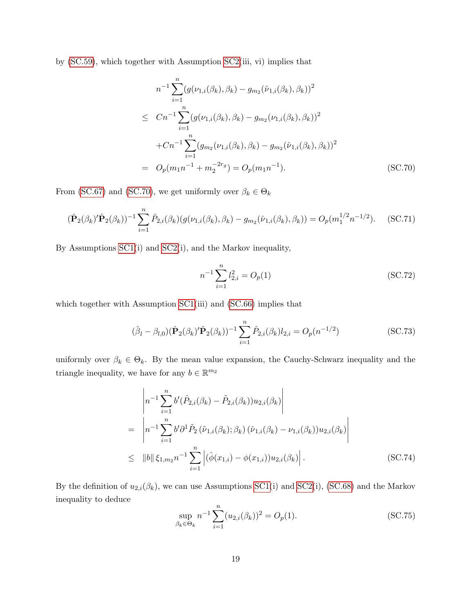by [\(SC.59\)](#page-38-3), which together with Assumption [SC2\(](#page-36-2)iii, vi) implies that

<span id="page-41-0"></span>
$$
n^{-1} \sum_{i=1}^{n} (g(\nu_{1,i}(\beta_k), \beta_k) - g_{m_2}(\hat{\nu}_{1,i}(\beta_k), \beta_k))^2
$$
  
\n
$$
\leq Cn^{-1} \sum_{i=1}^{n} (g(\nu_{1,i}(\beta_k), \beta_k) - g_{m_2}(\nu_{1,i}(\beta_k), \beta_k))^2
$$
  
\n
$$
+Cn^{-1} \sum_{i=1}^{n} (g_{m_2}(\nu_{1,i}(\beta_k), \beta_k) - g_{m_2}(\hat{\nu}_{1,i}(\beta_k), \beta_k))^2
$$
  
\n
$$
= O_p(m_1 n^{-1} + m_2^{-2r_g}) = O_p(m_1 n^{-1}).
$$
 (SC.70)

From [\(SC.67\)](#page-40-2) and [\(SC.70\)](#page-41-0), we get uniformly over  $\beta_k \in \Theta_k$ 

<span id="page-41-3"></span>
$$
(\hat{\mathbf{P}}_2(\beta_k)'\hat{\mathbf{P}}_2(\beta_k))^{-1}\sum_{i=1}^n \hat{P}_{2,i}(\beta_k)(g(\nu_{1,i}(\beta_k),\beta_k) - g_{m_2}(\hat{\nu}_{1,i}(\beta_k),\beta_k)) = O_p(m_1^{1/2}n^{-1/2}).
$$
 (SC.71)

By Assumptions [SC1\(](#page-33-0)i) and [SC2\(](#page-36-2)i), and the Markov inequality,

<span id="page-41-5"></span>
$$
n^{-1} \sum_{i=1}^{n} l_{2,i}^{2} = O_p(1)
$$
 (SC.72)

which together with Assumption [SC1\(](#page-33-0)iii) and [\(SC.66\)](#page-39-2) implies that

<span id="page-41-4"></span>
$$
(\hat{\beta}_l - \beta_{l,0})(\hat{\mathbf{P}}_2(\beta_k)'\hat{\mathbf{P}}_2(\beta_k))^{-1} \sum_{i=1}^n \hat{P}_{2,i}(\beta_k)l_{2,i} = O_p(n^{-1/2})
$$
\n(SC.73)

uniformly over  $\beta_k \in \Theta_k$ . By the mean value expansion, the Cauchy-Schwarz inequality and the triangle inequality, we have for any  $b \in \mathbb{R}^{m_2}$ 

<span id="page-41-2"></span>
$$
\begin{split}\n&= \left| n^{-1} \sum_{i=1}^{n} b' (\hat{P}_{2,i}(\beta_k) - \tilde{P}_{2,i}(\beta_k)) u_{2,i}(\beta_k) \right| \\
&= \left| n^{-1} \sum_{i=1}^{n} b' \partial^1 \tilde{P}_2 (\tilde{\nu}_{1,i}(\beta_k); \beta_k) (\hat{\nu}_{1,i}(\beta_k) - \nu_{1,i}(\beta_k)) u_{2,i}(\beta_k) \right| \\
&\leq \|b\| \xi_{1,m_2} n^{-1} \sum_{i=1}^{n} \left| (\hat{\phi}(x_{1,i}) - \phi(x_{1,i})) u_{2,i}(\beta_k) \right|. \tag{SC.74}\n\end{split}
$$

By the definition of  $u_{2,i}(\beta_k)$ , we can use Assumptions [SC1\(](#page-33-0)i) and [SC2\(](#page-36-2)i), [\(SC.68\)](#page-40-0) and the Markov inequality to deduce

<span id="page-41-1"></span>
$$
\sup_{\beta_k \in \Theta_k} n^{-1} \sum_{i=1}^n (u_{2,i}(\beta_k))^2 = O_p(1).
$$
 (SC.75)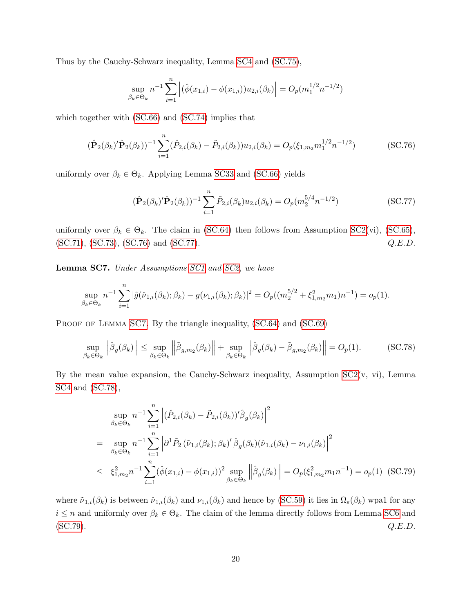Thus by the Cauchy-Schwarz inequality, Lemma [SC4](#page-34-2) and [\(SC.75\)](#page-41-1),

$$
\sup_{\beta_k \in \Theta_k} n^{-1} \sum_{i=1}^n \left| (\hat{\phi}(x_{1,i}) - \phi(x_{1,i})) u_{2,i}(\beta_k) \right| = O_p(m_1^{1/2} n^{-1/2})
$$

which together with [\(SC.66\)](#page-39-2) and [\(SC.74\)](#page-41-2) implies that

<span id="page-42-0"></span>
$$
(\hat{\mathbf{P}}_2(\beta_k)'\hat{\mathbf{P}}_2(\beta_k))^{-1}\sum_{i=1}^n(\hat{P}_{2,i}(\beta_k)-\tilde{P}_{2,i}(\beta_k))u_{2,i}(\beta_k)=O_p(\xi_{1,m_2}m_1^{1/2}n^{-1/2})
$$
(SC.76)

uniformly over  $\beta_k \in \Theta_k$ . Applying Lemma [SC33](#page-97-0) and [\(SC.66\)](#page-39-2) yields

<span id="page-42-1"></span>
$$
(\hat{\mathbf{P}}_2(\beta_k)'\hat{\mathbf{P}}_2(\beta_k))^{-1}\sum_{i=1}^n \tilde{P}_{2,i}(\beta_k)u_{2,i}(\beta_k) = O_p(m_2^{5/4}n^{-1/2})
$$
\n(SC.77)

uniformly over  $\beta_k \in \Theta_k$ . The claim in [\(SC.64\)](#page-39-3) then follows from Assumption [SC2\(](#page-36-2)vi), [\(SC.65\)](#page-39-4),  $(C_1, (SC.71), (SC.73), (SC.76) \text{ and } (SC.77).$  $(C_1, (SC.71), (SC.73), (SC.76) \text{ and } (SC.77).$  $(C_1, (SC.71), (SC.73), (SC.76) \text{ and } (SC.77).$  $(C_1, (SC.71), (SC.73), (SC.76) \text{ and } (SC.77).$  $(C_1, (SC.71), (SC.73), (SC.76) \text{ and } (SC.77).$  $(C_1, (SC.71), (SC.73), (SC.76) \text{ and } (SC.77).$  $(C_1, (SC.71), (SC.73), (SC.76) \text{ and } (SC.77).$  $(C_1, (SC.71), (SC.73), (SC.76) \text{ and } (SC.77).$  $(C_1, (SC.71), (SC.73), (SC.76) \text{ and } (SC.77).$   $Q.E.D.$ 

<span id="page-42-2"></span>Lemma SC7. Under Assumptions [SC1](#page-33-0) and [SC2,](#page-36-2) we have

$$
\sup_{\beta_k \in \Theta_k} n^{-1} \sum_{i=1}^n |\hat{g}(\hat{\nu}_{1,i}(\beta_k); \beta_k) - g(\nu_{1,i}(\beta_k); \beta_k)|^2 = O_p((m_2^{5/2} + \xi_{1,m_2}^2 m_1) n^{-1}) = o_p(1).
$$

PROOF OF LEMMA [SC7](#page-42-2). By the triangle inequality, [\(SC.64\)](#page-39-3) and [\(SC.69\)](#page-40-1)

<span id="page-42-3"></span>
$$
\sup_{\beta_k \in \Theta_k} \left\| \hat{\beta}_g(\beta_k) \right\| \le \sup_{\beta_k \in \Theta_k} \left\| \tilde{\beta}_{g,m_2}(\beta_k) \right\| + \sup_{\beta_k \in \Theta_k} \left\| \hat{\beta}_g(\beta_k) - \tilde{\beta}_{g,m_2}(\beta_k) \right\| = O_p(1). \tag{SC.78}
$$

By the mean value expansion, the Cauchy-Schwarz inequality, Assumption  $SC2(v, vi)$ , Lemma [SC4](#page-34-2) and [\(SC.78\)](#page-42-3),

<span id="page-42-4"></span>
$$
\sup_{\beta_k \in \Theta_k} n^{-1} \sum_{i=1}^n \left| (\hat{P}_{2,i}(\beta_k) - \tilde{P}_{2,i}(\beta_k))' \hat{\beta}_g(\beta_k) \right|^2
$$
\n
$$
= \sup_{\beta_k \in \Theta_k} n^{-1} \sum_{i=1}^n \left| \partial^1 \tilde{P}_2 (\tilde{\nu}_{1,i}(\beta_k); \beta_k)' \hat{\beta}_g(\beta_k) (\hat{\nu}_{1,i}(\beta_k) - \nu_{1,i}(\beta_k)) \right|^2
$$
\n
$$
\leq \xi_{1,m_2}^2 n^{-1} \sum_{i=1}^n (\hat{\phi}(x_{1,i}) - \phi(x_{1,i}))^2 \sup_{\beta_k \in \Theta_k} \left\| \hat{\beta}_g(\beta_k) \right\| = O_p(\xi_{1,m_2}^2 m_1 n^{-1}) = o_p(1) \quad \text{(SC.79)}
$$

where  $\tilde{\nu}_{1,i}(\beta_k)$  is between  $\hat{\nu}_{1,i}(\beta_k)$  and  $\nu_{1,i}(\beta_k)$  and hence by [\(SC.59\)](#page-38-3) it lies in  $\Omega_{\varepsilon}(\beta_k)$  wpa1 for any  $i \leq n$  and uniformly over  $\beta_k \in \Theta_k$ . The claim of the lemma directly follows from Lemma [SC6](#page-39-0) and [\(SC.79\)](#page-42-4).  $Q.E.D.$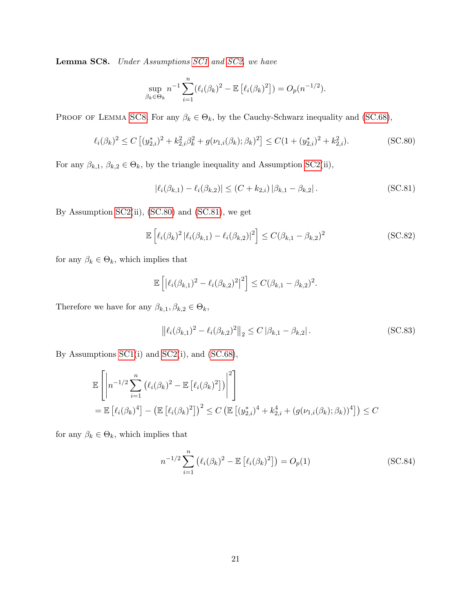<span id="page-43-0"></span>Lemma SC8. Under Assumptions [SC1](#page-33-0) and [SC2,](#page-36-2) we have

$$
\sup_{\beta_k \in \Theta_k} n^{-1} \sum_{i=1}^n (\ell_i(\beta_k)^2 - \mathbb{E} [\ell_i(\beta_k)^2]) = O_p(n^{-1/2}).
$$

PROOF OF LEMMA [SC8](#page-43-0). For any  $\beta_k \in \Theta_k$ , by the Cauchy-Schwarz inequality and [\(SC.68\)](#page-40-0),

<span id="page-43-1"></span>
$$
\ell_i(\beta_k)^2 \le C \left[ (y_{2,i}^*)^2 + k_{2,i}^2 \beta_k^2 + g(\nu_{1,i}(\beta_k); \beta_k)^2 \right] \le C(1 + (y_{2,i}^*)^2 + k_{2,i}^2). \tag{SC.80}
$$

For any  $\beta_{k,1}, \beta_{k,2} \in \Theta_k$ , by the triangle inequality and Assumption [SC2\(](#page-36-2)ii),

<span id="page-43-2"></span>
$$
|\ell_i(\beta_{k,1}) - \ell_i(\beta_{k,2})| \le (C + k_{2,i}) |\beta_{k,1} - \beta_{k,2}|.
$$
 (SC.81)

By Assumption [SC2\(](#page-36-2)ii), [\(SC.80\)](#page-43-1) and [\(SC.81\)](#page-43-2), we get

$$
\mathbb{E}\left[\ell_i(\beta_k)^2 \left|\ell_i(\beta_{k,1}) - \ell_i(\beta_{k,2})\right|^2\right] \le C(\beta_{k,1} - \beta_{k,2})^2
$$
\n(SC.82)

for any  $\beta_k \in \Theta_k,$  which implies that

$$
\mathbb{E}\left[ \left| \ell_i(\beta_{k,1})^2 - \ell_i(\beta_{k,2})^2 \right|^2 \right] \le C(\beta_{k,1} - \beta_{k,2})^2.
$$

Therefore we have for any  $\beta_{k,1}, \beta_{k,2} \in \Theta_k,$ 

<span id="page-43-3"></span>
$$
\left\| \ell_i(\beta_{k,1})^2 - \ell_i(\beta_{k,2})^2 \right\|_2 \le C \left| \beta_{k,1} - \beta_{k,2} \right|.
$$
 (SC.83)

By Assumptions [SC1\(](#page-33-0)i) and [SC2\(](#page-36-2)i), and [\(SC.68\)](#page-40-0),

$$
\mathbb{E}\left[\left|n^{-1/2}\sum_{i=1}^{n}\left(\ell_{i}(\beta_{k})^{2}-\mathbb{E}\left[\ell_{i}(\beta_{k})^{2}\right]\right)\right|^{2}\right] \n= \mathbb{E}\left[\ell_{i}(\beta_{k})^{4}\right] - \left(\mathbb{E}\left[\ell_{i}(\beta_{k})^{2}\right]\right)^{2} \leq C \left(\mathbb{E}\left[(y_{2,i}^{*})^{4}+k_{2,i}^{4}+(g(\nu_{1,i}(\beta_{k});\beta_{k}))^{4}\right]\right) \leq C
$$

for any  $\beta_k \in \Theta_k,$  which implies that

<span id="page-43-4"></span>
$$
n^{-1/2} \sum_{i=1}^{n} \left( \ell_i (\beta_k)^2 - \mathbb{E} \left[ \ell_i (\beta_k)^2 \right] \right) = O_p(1)
$$
 (SC.84)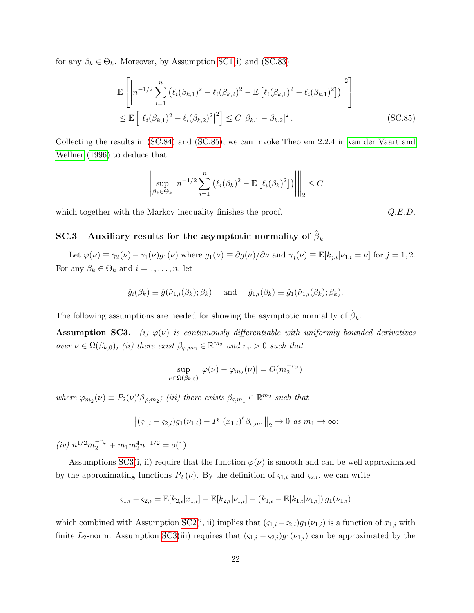for any  $\beta_k \in \Theta_k$ . Moreover, by Assumption [SC1\(](#page-33-0)i) and [\(SC.83\)](#page-43-3)

$$
\mathbb{E}\left[\left|n^{-1/2}\sum_{i=1}^{n}\left(\ell_i(\beta_{k,1})^2-\ell_i(\beta_{k,2})^2-\mathbb{E}\left[\ell_i(\beta_{k,1})^2-\ell_i(\beta_{k,1})^2\right]\right)\right|^2\right] \n\leq \mathbb{E}\left[\left|\ell_i(\beta_{k,1})^2-\ell_i(\beta_{k,2})^2\right|^2\right] \leq C\left|\beta_{k,1}-\beta_{k,2}\right|^2.
$$
\n(SC.85)

Collecting the results in [\(SC.84\)](#page-43-4) and [\(SC.85\)](#page-44-0), we can invoke Theorem 2.2.4 in [van der Vaart and](#page-102-0) [Wellner \(1996\)](#page-102-0) to deduce that

$$
\left\| \sup_{\beta_k \in \Theta_k} \left| n^{-1/2} \sum_{i=1}^n \left( \ell_i(\beta_k)^2 - \mathbb{E} \left[ \ell_i(\beta_k)^2 \right] \right) \right| \right\|_2 \leq C
$$

which together with the Markov inequality finishes the proof.  $Q.E.D.$ 

<span id="page-44-0"></span>

## $\text{SC.3} \quad \text{Auxiliary results for the asymptotic normality of } \hat{\beta}_k$

Let  $\varphi(\nu) \equiv \gamma_2(\nu) - \gamma_1(\nu)g_1(\nu)$  where  $g_1(\nu) \equiv \partial g(\nu)/\partial \nu$  and  $\gamma_j(\nu) \equiv \mathbb{E}[k_{j,i}|\nu_{1,i} = \nu]$  for  $j = 1, 2$ . For any  $\beta_k \in \Theta_k$  and  $i = 1, \ldots, n$ , let

$$
\hat{g}_i(\beta_k) \equiv \hat{g}(\hat{\nu}_{1,i}(\beta_k); \beta_k)
$$
 and  $\hat{g}_{1,i}(\beta_k) \equiv \hat{g}_1(\hat{\nu}_{1,i}(\beta_k); \beta_k).$ 

The following assumptions are needed for showing the asymptotic normality of  $\hat{\beta}_k$ .

<span id="page-44-1"></span>**Assumption SC3.** (i)  $\varphi(\nu)$  is continuously differentiable with uniformly bounded derivatives over  $\nu \in \Omega(\beta_{k,0})$ ; (ii) there exist  $\beta_{\varphi,m_2} \in \mathbb{R}^{m_2}$  and  $r_\varphi > 0$  such that

$$
\sup_{\nu \in \Omega(\beta_{k,0})} |\varphi(\nu) - \varphi_{m_2}(\nu)| = O(m_2^{-r_{\varphi}})
$$

where  $\varphi_{m_2}(\nu) \equiv P_2(\nu)'\beta_{\varphi,m_2}$ ; (iii) there exists  $\beta_{\varsigma,m_1} \in \mathbb{R}^{m_2}$  such that

$$
\left\| (s_{1,i} - s_{2,i}) g_1(\nu_{1,i}) - P_1(x_{1,i})' \beta_{s,m_1} \right\|_2 \to 0 \text{ as } m_1 \to \infty;
$$

 $\label{eq:2} (iv)\ n^{1/2}m_2^{-r_\varphi}+m_1m_2^4n^{-1/2}=o(1).$ 

Assumptions [SC3\(](#page-44-1)i, ii) require that the function  $\varphi(\nu)$  is smooth and can be well approximated by the approximating functions  $P_2(\nu)$ . By the definition of  $\zeta_{1,i}$  and  $\zeta_{2,i}$ , we can write

$$
\varsigma_{1,i} - \varsigma_{2,i} = \mathbb{E}[k_{2,i}|x_{1,i}] - \mathbb{E}[k_{2,i}|\nu_{1,i}] - (k_{1,i} - \mathbb{E}[k_{1,i}|\nu_{1,i}]) g_1(\nu_{1,i})
$$

which combined with Assumption [SC2\(](#page-36-2)i, ii) implies that  $(\varsigma_{1,i}-\varsigma_{2,i})g_1(\nu_{1,i})$  is a function of  $x_{1,i}$  with finite L<sub>2</sub>-norm. Assumption [SC3\(](#page-44-1)iii) requires that  $(\varsigma_{1,i} - \varsigma_{2,i})g_1(\nu_{1,i})$  can be approximated by the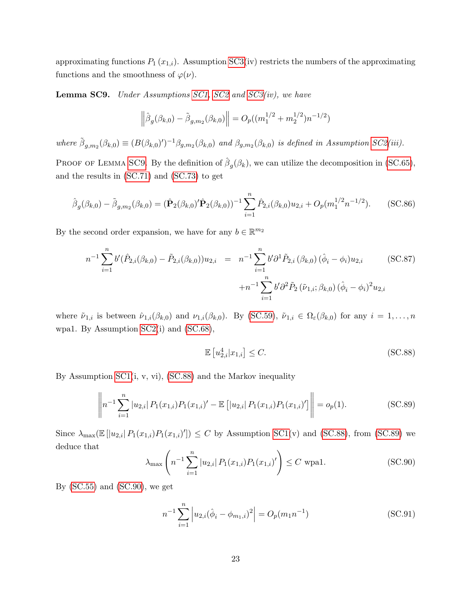approximating functions  $P_1(x_{1,i})$ . Assumption [SC3\(](#page-44-1)iv) restricts the numbers of the approximating functions and the smoothness of  $\varphi(\nu)$ .

<span id="page-45-0"></span>Lemma SC9. Under Assumptions [SC1,](#page-33-0) [SC2](#page-36-2) and [SC3\(](#page-44-1)iv), we have

$$
\left\|\hat{\beta}_g(\beta_{k,0}) - \tilde{\beta}_{g,m_2}(\beta_{k,0})\right\| = O_p((m_1^{1/2} + m_2^{1/2})n^{-1/2})
$$

where  $\tilde{\beta}_{g,m_2}(\beta_{k,0}) \equiv (B(\beta_{k,0})')^{-1} \beta_{g,m_2}(\beta_{k,0})$  and  $\beta_{g,m_2}(\beta_{k,0})$  is defined in Assumption [SC2\(](#page-36-2)iii).

PROOF OF LEMMA [SC9](#page-45-0). By the definition of  $\hat{\beta}_g(\beta_k)$ , we can utilize the decomposition in [\(SC.65\)](#page-39-4), and the results in [\(SC.71\)](#page-41-3) and [\(SC.73\)](#page-41-4) to get

<span id="page-45-6"></span>
$$
\hat{\beta}_g(\beta_{k,0}) - \tilde{\beta}_{g,m_2}(\beta_{k,0}) = (\hat{\mathbf{P}}_2(\beta_{k,0})'\hat{\mathbf{P}}_2(\beta_{k,0}))^{-1} \sum_{i=1}^n \hat{P}_{2,i}(\beta_{k,0})u_{2,i} + O_p(m_1^{1/2}n^{-1/2}).
$$
 (SC.86)

By the second order expansion, we have for any  $b \in \mathbb{R}^{m_2}$ 

<span id="page-45-5"></span>
$$
n^{-1} \sum_{i=1}^{n} b'(\hat{P}_{2,i}(\beta_{k,0}) - \tilde{P}_{2,i}(\beta_{k,0})) u_{2,i} = n^{-1} \sum_{i=1}^{n} b' \partial^{1} \tilde{P}_{2,i}(\beta_{k,0}) (\hat{\phi}_{i} - \phi_{i}) u_{2,i}
$$
 (SC.87)  

$$
+ n^{-1} \sum_{i=1}^{n} b' \partial^{2} \tilde{P}_{2} (\tilde{\nu}_{1,i}; \beta_{k,0}) (\hat{\phi}_{i} - \phi_{i})^{2} u_{2,i}
$$

where  $\tilde{\nu}_{1,i}$  is between  $\hat{\nu}_{1,i}(\beta_{k,0})$  and  $\nu_{1,i}(\beta_{k,0})$ . By [\(SC.59\)](#page-38-3),  $\tilde{\nu}_{1,i} \in \Omega_{\varepsilon}(\beta_{k,0})$  for any  $i = 1, \ldots, n$ wpa1. By Assumption [SC2\(](#page-36-2)i) and [\(SC.68\)](#page-40-0),

<span id="page-45-1"></span>
$$
\mathbb{E}\left[u_{2,i}^4|x_{1,i}\right] \le C. \tag{SC.88}
$$

By Assumption [SC1\(](#page-33-0)i, v, vi), [\(SC.88\)](#page-45-1) and the Markov inequality

<span id="page-45-2"></span>
$$
\left\| n^{-1} \sum_{i=1}^{n} |u_{2,i}| P_1(x_{1,i}) P_1(x_{1,i})' - \mathbb{E} \left[ |u_{2,i}| P_1(x_{1,i}) P_1(x_{1,i})' \right] \right\| = o_p(1).
$$
 (SC.89)

Since  $\lambda_{\max}(\mathbb{E}[|u_{2,i}| P_1(x_{1,i}) P_1(x_{1,i})']) \leq C$  by Assumption [SC1\(](#page-33-0)v) and [\(SC.88\)](#page-45-1), from [\(SC.89\)](#page-45-2) we deduce that

<span id="page-45-3"></span>
$$
\lambda_{\max} \left( n^{-1} \sum_{i=1}^{n} |u_{2,i}| P_1(x_{1,i}) P_1(x_{1,i})' \right) \le C \text{ wpa1.}
$$
 (SC.90)

By  $(SC.55)$  and  $(SC.90)$ , we get

<span id="page-45-4"></span>
$$
n^{-1} \sum_{i=1}^{n} \left| u_{2,i} (\hat{\phi}_i - \phi_{m_1,i})^2 \right| = O_p(m_1 n^{-1})
$$
 (SC.91)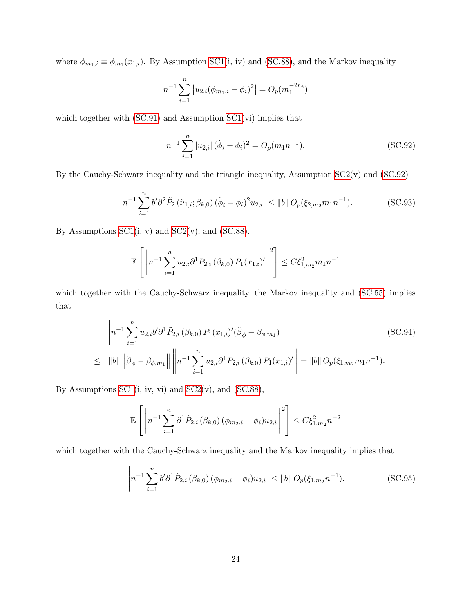where  $\phi_{m_1,i} \equiv \phi_{m_1}(x_{1,i})$ . By Assumption [SC1\(](#page-33-0)i, iv) and [\(SC.88\)](#page-45-1), and the Markov inequality

$$
n^{-1} \sum_{i=1}^{n} |u_{2,i}(\phi_{m_1,i} - \phi_i)^2| = O_p(m_1^{-2r_{\phi}})
$$

which together with  $(SC.91)$  and Assumption  $SC1(vi)$  implies that

<span id="page-46-0"></span>
$$
n^{-1} \sum_{i=1}^{n} |u_{2,i}| (\hat{\phi}_i - \phi_i)^2 = O_p(m_1 n^{-1}).
$$
 (SC.92)

By the Cauchy-Schwarz inequality and the triangle inequality, Assumption  $SC2(v)$  and  $(SC.92)$ 

<span id="page-46-3"></span>
$$
\left| n^{-1} \sum_{i=1}^{n} b' \partial^{2} \tilde{P}_{2} \left( \tilde{\nu}_{1,i}; \beta_{k,0} \right) (\hat{\phi}_{i} - \phi_{i})^{2} u_{2,i} \right| \leq ||b|| D_{p}(\xi_{2,m_{2}} m_{1} n^{-1}). \tag{SC.93}
$$

By Assumptions  $SC1(i, v)$  and  $SC2(v)$ , and  $(SC.88)$ ,

$$
\mathbb{E}\left[\left\|n^{-1}\sum_{i=1}^n u_{2,i}\partial^1 \tilde{P}_{2,i}\left(\beta_{k,0}\right)P_1(x_{1,i})'\right\|^2\right] \leq C\xi_{1,m_2}^2 m_1 n^{-1}
$$

which together with the Cauchy-Schwarz inequality, the Markov inequality and  $(SC.55)$  implies that

<span id="page-46-1"></span>
$$
\left| n^{-1} \sum_{i=1}^{n} u_{2,i} b' \partial^{1} \tilde{P}_{2,i} (\beta_{k,0}) P_{1}(x_{1,i})' (\hat{\beta}_{\phi} - \beta_{\phi,m_1}) \right|
$$
 (SC.94)  
\n
$$
\leq ||b|| \left\| \hat{\beta}_{\phi} - \beta_{\phi,m_1} \right\| \left\| n^{-1} \sum_{i=1}^{n} u_{2,i} \partial^{1} \tilde{P}_{2,i} (\beta_{k,0}) P_{1}(x_{1,i})' \right\| = ||b|| D_{p}(\xi_{1,m_2} m_1 n^{-1}).
$$

By Assumptions  $SC1(i, iv, vi)$  and  $SC2(v)$ , and  $(SC.88)$ ,

$$
\mathbb{E}\left[\left\|n^{-1}\sum_{i=1}^n \partial^1 \tilde{P}_{2,i}(\beta_{k,0})\left(\phi_{m_2,i}-\phi_i\right)u_{2,i}\right\|^2\right] \leq C\xi_{1,m_2}^2 n^{-2}
$$

which together with the Cauchy-Schwarz inequality and the Markov inequality implies that

<span id="page-46-2"></span>
$$
\left| n^{-1} \sum_{i=1}^{n} b' \partial^{1} \tilde{P}_{2,i} \left( \beta_{k,0} \right) \left( \phi_{m_{2},i} - \phi_{i} \right) u_{2,i} \right| \leq \|b\| O_{p}(\xi_{1,m_{2}} n^{-1}). \tag{SC.95}
$$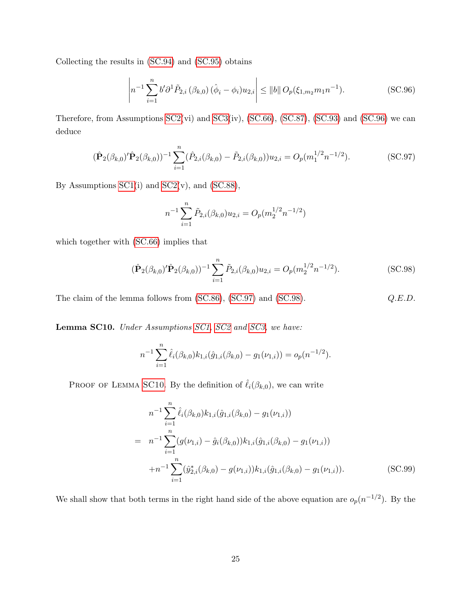Collecting the results in [\(SC.94\)](#page-46-1) and [\(SC.95\)](#page-46-2) obtains

<span id="page-47-0"></span>
$$
\left| n^{-1} \sum_{i=1}^{n} b' \partial^{1} \tilde{P}_{2,i} \left( \beta_{k,0} \right) (\hat{\phi}_{i} - \phi_{i}) u_{2,i} \right| \leq ||b|| D_{p}(\xi_{1,m_{2}} m_{1} n^{-1}). \tag{SC.96}
$$

Therefore, from Assumptions [SC2\(](#page-36-2)vi) and [SC3\(](#page-44-1)iv), [\(SC.66\)](#page-39-2), [\(SC.87\)](#page-45-5), [\(SC.93\)](#page-46-3) and [\(SC.96\)](#page-47-0) we can deduce

<span id="page-47-1"></span>
$$
(\hat{\mathbf{P}}_2(\beta_{k,0})'\hat{\mathbf{P}}_2(\beta_{k,0}))^{-1}\sum_{i=1}^n(\hat{P}_{2,i}(\beta_{k,0})-\tilde{P}_{2,i}(\beta_{k,0}))u_{2,i}=O_p(m_1^{1/2}n^{-1/2}).
$$
\n(SC.97)

By Assumptions  $SC1(i)$  and  $SC2(v)$ , and  $(SC.88)$ ,

$$
n^{-1} \sum_{i=1}^{n} \tilde{P}_{2,i}(\beta_{k,0}) u_{2,i} = O_p(m_2^{1/2} n^{-1/2})
$$

which together with [\(SC.66\)](#page-39-2) implies that

<span id="page-47-2"></span>
$$
(\hat{\mathbf{P}}_2(\beta_{k,0})'\hat{\mathbf{P}}_2(\beta_{k,0}))^{-1}\sum_{i=1}^n \tilde{P}_{2,i}(\beta_{k,0})u_{2,i} = O_p(m_2^{1/2}n^{-1/2}).
$$
\n(SC.98)

The claim of the lemma follows from  $(SC.86)$ ,  $(SC.97)$  and  $(SC.98)$ .  $Q.E.D.$ 

<span id="page-47-3"></span>Lemma SC10. Under Assumptions [SC1,](#page-33-0) [SC2](#page-36-2) and [SC3,](#page-44-1) we have:

$$
n^{-1} \sum_{i=1}^{n} \hat{\ell}_i(\beta_{k,0}) k_{1,i}(\hat{g}_{1,i}(\beta_{k,0}) - g_1(\nu_{1,i})) = o_p(n^{-1/2}).
$$

PROOF OF LEMMA [SC10](#page-47-3). By the definition of  $\hat{\ell}_i(\beta_{k,0})$ , we can write

<span id="page-47-4"></span>
$$
n^{-1} \sum_{i=1}^{n} \hat{\ell}_{i}(\beta_{k,0}) k_{1,i}(\hat{g}_{1,i}(\beta_{k,0}) - g_{1}(\nu_{1,i}))
$$
  
= 
$$
n^{-1} \sum_{i=1}^{n} (g(\nu_{1,i}) - \hat{g}_{i}(\beta_{k,0})) k_{1,i}(\hat{g}_{1,i}(\beta_{k,0}) - g_{1}(\nu_{1,i}))
$$
  
+
$$
n^{-1} \sum_{i=1}^{n} (\hat{y}_{2,i}^{*}(\beta_{k,0}) - g(\nu_{1,i})) k_{1,i}(\hat{g}_{1,i}(\beta_{k,0}) - g_{1}(\nu_{1,i})).
$$
 (SC.99)

We shall show that both terms in the right hand side of the above equation are  $o_p(n^{-1/2})$ . By the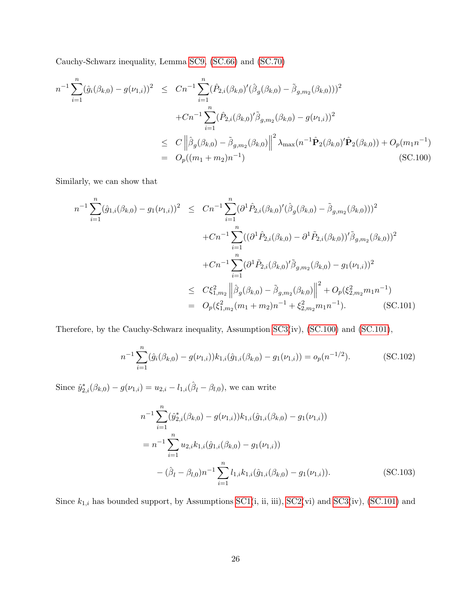Cauchy-Schwarz inequality, Lemma [SC9,](#page-45-0) [\(SC.66\)](#page-39-2) and [\(SC.70\)](#page-41-0)

<span id="page-48-0"></span>
$$
n^{-1} \sum_{i=1}^{n} (\hat{g}_i(\beta_{k,0}) - g(\nu_{1,i}))^2 \le Cn^{-1} \sum_{i=1}^{n} (\hat{P}_{2,i}(\beta_{k,0})'(\hat{\beta}_g(\beta_{k,0}) - \tilde{\beta}_{g,m_2}(\beta_{k,0})))^2 + Cn^{-1} \sum_{i=1}^{n} (\hat{P}_{2,i}(\beta_{k,0})' \tilde{\beta}_{g,m_2}(\beta_{k,0}) - g(\nu_{1,i}))^2 \le C \left\| \hat{\beta}_g(\beta_{k,0}) - \tilde{\beta}_{g,m_2}(\beta_{k,0}) \right\|^2 \lambda_{\max}(n^{-1} \hat{\mathbf{P}}_2(\beta_{k,0})' \hat{\mathbf{P}}_2(\beta_{k,0})) + O_p(m_1 n^{-1}) = O_p((m_1 + m_2)n^{-1})
$$
(SC.100)

Similarly, we can show that

<span id="page-48-1"></span>
$$
n^{-1} \sum_{i=1}^{n} (\hat{g}_{1,i}(\beta_{k,0}) - g_1(\nu_{1,i}))^2 \le Cn^{-1} \sum_{i=1}^{n} (\partial^1 \hat{P}_{2,i}(\beta_{k,0})'(\hat{\beta}_g(\beta_{k,0}) - \tilde{\beta}_{g,m_2}(\beta_{k,0})))^2 + Cn^{-1} \sum_{i=1}^{n} ((\partial^1 \hat{P}_{2,i}(\beta_{k,0}) - \partial^1 \tilde{P}_{2,i}(\beta_{k,0}))' \tilde{\beta}_{g,m_2}(\beta_{k,0}))^2 + Cn^{-1} \sum_{i=1}^{n} (\partial^1 \tilde{P}_{2,i}(\beta_{k,0})' \tilde{\beta}_{g,m_2}(\beta_{k,0}) - g_1(\nu_{1,i}))^2 \le C\xi_{1,m_2}^2 \left\| \hat{\beta}_g(\beta_{k,0}) - \tilde{\beta}_{g,m_2}(\beta_{k,0}) \right\|^2 + O_p(\xi_{2,m_2}^2 m_1 n^{-1}) = O_p(\xi_{1,m_2}^2 (m_1 + m_2) n^{-1} + \xi_{2,m_2}^2 m_1 n^{-1}).
$$
 (SC.101)

Therefore, by the Cauchy-Schwarz inequality, Assumption [SC3\(](#page-44-1)iv), [\(SC.100\)](#page-48-0) and [\(SC.101\)](#page-48-1),

<span id="page-48-3"></span>
$$
n^{-1} \sum_{i=1}^{n} (\hat{g}_i(\beta_{k,0}) - g(\nu_{1,i})) k_{1,i}(\hat{g}_{1,i}(\beta_{k,0}) - g_1(\nu_{1,i})) = o_p(n^{-1/2}).
$$
 (SC.102)

Since  $\hat{y}_{2,i}^*(\beta_{k,0}) - g(\nu_{1,i}) = u_{2,i} - l_{1,i}(\hat{\beta}_l - \beta_{l,0}),$  we can write

<span id="page-48-2"></span>
$$
n^{-1} \sum_{i=1}^{n} (\hat{y}_{2,i}^{*}(\beta_{k,0}) - g(\nu_{1,i})) k_{1,i}(\hat{g}_{1,i}(\beta_{k,0}) - g_1(\nu_{1,i}))
$$
  
= 
$$
n^{-1} \sum_{i=1}^{n} u_{2,i} k_{1,i}(\hat{g}_{1,i}(\beta_{k,0}) - g_1(\nu_{1,i}))
$$

$$
- (\hat{\beta}_l - \beta_{l,0}) n^{-1} \sum_{i=1}^{n} l_{1,i} k_{1,i}(\hat{g}_{1,i}(\beta_{k,0}) - g_1(\nu_{1,i})).
$$
(SC.103)

Since  $k_{1,i}$  has bounded support, by Assumptions [SC1\(](#page-33-0)i, ii, iii), [SC2\(](#page-36-2)vi) and [SC3\(](#page-44-1)iv), [\(SC.101\)](#page-48-1) and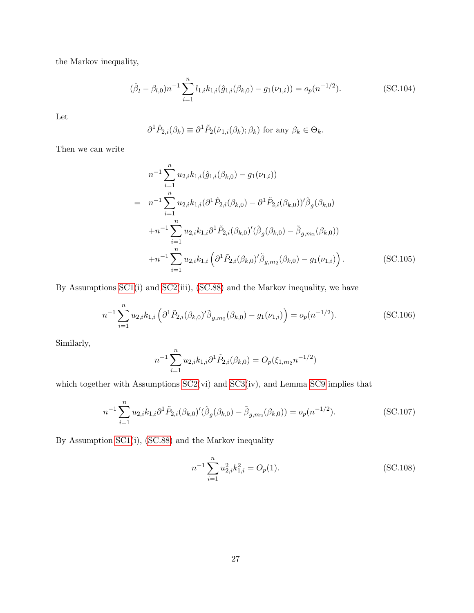the Markov inequality,

<span id="page-49-0"></span>
$$
(\hat{\beta}_l - \beta_{l,0})n^{-1} \sum_{i=1}^n l_{1,i} k_{1,i}(\hat{g}_{1,i}(\beta_{k,0}) - g_1(\nu_{1,i})) = o_p(n^{-1/2}).
$$
 (SC.104)

Let

$$
\partial^1 \hat{P}_{2,i}(\beta_k) \equiv \partial^1 \tilde{P}_2(\hat{\nu}_{1,i}(\beta_k); \beta_k) \text{ for any } \beta_k \in \Theta_k.
$$

Then we can write

<span id="page-49-1"></span>
$$
n^{-1} \sum_{i=1}^{n} u_{2,i} k_{1,i}(\hat{g}_{1,i}(\beta_{k,0}) - g_1(\nu_{1,i}))
$$
  
\n
$$
= n^{-1} \sum_{i=1}^{n} u_{2,i} k_{1,i} (\partial^1 \hat{P}_{2,i}(\beta_{k,0}) - \partial^1 \tilde{P}_{2,i}(\beta_{k,0}))' \hat{\beta}_g(\beta_{k,0})
$$
  
\n
$$
+ n^{-1} \sum_{i=1}^{n} u_{2,i} k_{1,i} \partial^1 \tilde{P}_{2,i}(\beta_{k,0})' (\hat{\beta}_g(\beta_{k,0}) - \tilde{\beta}_{g,m_2}(\beta_{k,0}))
$$
  
\n
$$
+ n^{-1} \sum_{i=1}^{n} u_{2,i} k_{1,i} \left( \partial^1 \tilde{P}_{2,i}(\beta_{k,0})' \tilde{\beta}_{g,m_2}(\beta_{k,0}) - g_1(\nu_{1,i}) \right).
$$
 (SC.105)

By Assumptions [SC1\(](#page-33-0)i) and [SC2\(](#page-36-2)iii), [\(SC.88\)](#page-45-1) and the Markov inequality, we have

<span id="page-49-2"></span>
$$
n^{-1} \sum_{i=1}^{n} u_{2,i} k_{1,i} \left( \partial^1 \tilde{P}_{2,i} (\beta_{k,0})' \tilde{\beta}_{g,m_2} (\beta_{k,0}) - g_1(\nu_{1,i}) \right) = o_p(n^{-1/2}). \tag{SC.106}
$$

Similarly,

$$
n^{-1} \sum_{i=1}^{n} u_{2,i} k_{1,i} \partial^1 \tilde{P}_{2,i}(\beta_{k,0}) = O_p(\xi_{1,m_2} n^{-1/2})
$$

which together with Assumptions  $SC2(vi)$  and  $SC3(iv)$ , and Lemma [SC9](#page-45-0) implies that

<span id="page-49-3"></span>
$$
n^{-1} \sum_{i=1}^{n} u_{2,i} k_{1,i} \partial^1 \tilde{P}_{2,i} (\beta_{k,0})' (\hat{\beta}_g (\beta_{k,0}) - \tilde{\beta}_{g,m_2} (\beta_{k,0})) = o_p(n^{-1/2}).
$$
 (SC.107)

By Assumption [SC1\(](#page-33-0)i), [\(SC.88\)](#page-45-1) and the Markov inequality

<span id="page-49-4"></span>
$$
n^{-1} \sum_{i=1}^{n} u_{2,i}^2 k_{1,i}^2 = O_p(1).
$$
 (SC.108)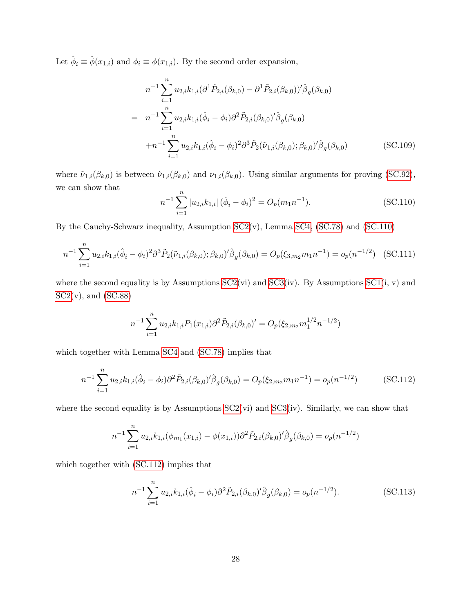Let  $\hat{\phi}_i \equiv \hat{\phi}(x_{1,i})$  and  $\phi_i \equiv \phi(x_{1,i})$ . By the second order expansion,

<span id="page-50-2"></span>
$$
n^{-1} \sum_{i=1}^{n} u_{2,i} k_{1,i} (\partial^1 \hat{P}_{2,i}(\beta_{k,0}) - \partial^1 \tilde{P}_{2,i}(\beta_{k,0}))' \hat{\beta}_g(\beta_{k,0})
$$
  
\n
$$
= n^{-1} \sum_{i=1}^{n} u_{2,i} k_{1,i} (\hat{\phi}_i - \phi_i) \partial^2 \tilde{P}_{2,i}(\beta_{k,0})' \hat{\beta}_g(\beta_{k,0})
$$
  
\n
$$
+ n^{-1} \sum_{i=1}^{n} u_{2,i} k_{1,i} (\hat{\phi}_i - \phi_i)^2 \partial^3 \tilde{P}_2(\tilde{\nu}_{1,i}(\beta_{k,0}); \beta_{k,0})' \hat{\beta}_g(\beta_{k,0})
$$
(SC.109)

where  $\tilde{\nu}_{1,i}(\beta_{k,0})$  is between  $\hat{\nu}_{1,i}(\beta_{k,0})$  and  $\nu_{1,i}(\beta_{k,0})$ . Using similar arguments for proving [\(SC.92\)](#page-46-0), we can show that

<span id="page-50-0"></span>
$$
n^{-1} \sum_{i=1}^{n} |u_{2,i}k_{1,i}| (\hat{\phi}_i - \phi_i)^2 = O_p(m_1 n^{-1}).
$$
 (SC.110)

By the Cauchy-Schwarz inequality, Assumption [SC2\(](#page-36-2)v), Lemma [SC4,](#page-34-2) [\(SC.78\)](#page-42-3) and [\(SC.110\)](#page-50-0)

<span id="page-50-3"></span>
$$
n^{-1} \sum_{i=1}^{n} u_{2,i} k_{1,i} (\hat{\phi}_i - \phi_i)^2 \partial^3 \tilde{P}_2(\tilde{\nu}_{1,i}(\beta_{k,0}); \beta_{k,0})' \hat{\beta}_g(\beta_{k,0}) = O_p(\xi_{3,m_2} m_1 n^{-1}) = o_p(n^{-1/2}) \quad \text{(SC.111)}
$$

where the second equality is by Assumptions  $SC2(vi)$  and  $SC3(iv)$ . By Assumptions  $SC1(i, v)$  and  $SC2(v)$  $SC2(v)$ , and  $(SC.88)$ 

$$
n^{-1} \sum_{i=1}^{n} u_{2,i} k_{1,i} P_1(x_{1,i}) \partial^2 \tilde{P}_{2,i}(\beta_{k,0})' = O_p(\xi_{2,m_2} m_1^{1/2} n^{-1/2})
$$

which together with Lemma [SC4](#page-34-2) and [\(SC.78\)](#page-42-3) implies that

<span id="page-50-1"></span>
$$
n^{-1} \sum_{i=1}^{n} u_{2,i} k_{1,i} (\hat{\phi}_i - \phi_i) \partial^2 \tilde{P}_{2,i} (\beta_{k,0})' \hat{\beta}_g (\beta_{k,0}) = O_p(\xi_{2,m_2} m_1 n^{-1}) = o_p(n^{-1/2})
$$
 (SC.112)

where the second equality is by Assumptions  $SC2(vi)$  and  $SC3(iv)$ . Similarly, we can show that

$$
n^{-1} \sum_{i=1}^{n} u_{2,i} k_{1,i} (\phi_{m_1}(x_{1,i}) - \phi(x_{1,i})) \partial^2 \tilde{P}_{2,i}(\beta_{k,0})' \hat{\beta}_g(\beta_{k,0}) = o_p(n^{-1/2})
$$

which together with  $(SC.112)$  implies that

<span id="page-50-4"></span>
$$
n^{-1} \sum_{i=1}^{n} u_{2,i} k_{1,i} (\hat{\phi}_i - \phi_i) \partial^2 \tilde{P}_{2,i} (\beta_{k,0})' \hat{\beta}_g (\beta_{k,0}) = o_p(n^{-1/2}).
$$
 (SC.113)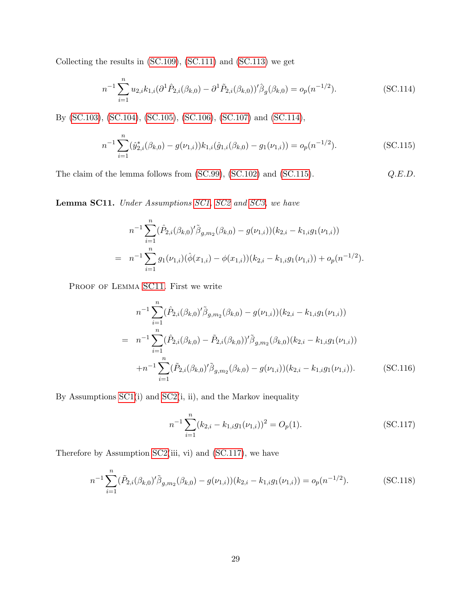Collecting the results in [\(SC.109\)](#page-50-2), [\(SC.111\)](#page-50-3) and [\(SC.113\)](#page-50-4) we get

<span id="page-51-0"></span>
$$
n^{-1} \sum_{i=1}^{n} u_{2,i} k_{1,i} (\partial^1 \hat{P}_{2,i}(\beta_{k,0}) - \partial^1 \tilde{P}_{2,i}(\beta_{k,0}))' \hat{\beta}_g(\beta_{k,0}) = o_p(n^{-1/2}).
$$
 (SC.114)

By [\(SC.103\)](#page-48-2), [\(SC.104\)](#page-49-0), [\(SC.105\)](#page-49-1), [\(SC.106\)](#page-49-2), [\(SC.107\)](#page-49-3) and [\(SC.114\)](#page-51-0),

<span id="page-51-1"></span>
$$
n^{-1} \sum_{i=1}^{n} (\hat{y}_{2,i}^{*}(\beta_{k,0}) - g(\nu_{1,i})) k_{1,i}(\hat{g}_{1,i}(\beta_{k,0}) - g_1(\nu_{1,i})) = o_p(n^{-1/2}).
$$
\n(SC.115)

The claim of the lemma follows from  $(SC.99)$ ,  $(SC.102)$  and  $(SC.115)$ .  $Q.E.D.$ 

<span id="page-51-2"></span>Lemma SC11. Under Assumptions [SC1,](#page-33-0) [SC2](#page-36-2) and [SC3,](#page-44-1) we have

$$
n^{-1} \sum_{i=1}^{n} (\hat{P}_{2,i}(\beta_{k,0})' \tilde{\beta}_{g,m_2}(\beta_{k,0}) - g(\nu_{1,i})) (k_{2,i} - k_{1,i} g_1(\nu_{1,i}))
$$
  
= 
$$
n^{-1} \sum_{i=1}^{n} g_1(\nu_{1,i}) (\hat{\phi}(x_{1,i}) - \phi(x_{1,i})) (k_{2,i} - k_{1,i} g_1(\nu_{1,i})) + o_p(n^{-1/2}).
$$

PROOF OF LEMMA [SC11](#page-51-2). First we write

<span id="page-51-4"></span>
$$
n^{-1} \sum_{i=1}^{n} (\hat{P}_{2,i}(\beta_{k,0})' \tilde{\beta}_{g,m_2}(\beta_{k,0}) - g(\nu_{1,i})) (k_{2,i} - k_{1,i}g_1(\nu_{1,i}))
$$
  
\n
$$
= n^{-1} \sum_{i=1}^{n} (\hat{P}_{2,i}(\beta_{k,0}) - \tilde{P}_{2,i}(\beta_{k,0}))' \tilde{\beta}_{g,m_2}(\beta_{k,0}) (k_{2,i} - k_{1,i}g_1(\nu_{1,i}))
$$
  
\n
$$
+ n^{-1} \sum_{i=1}^{n} (\tilde{P}_{2,i}(\beta_{k,0})' \tilde{\beta}_{g,m_2}(\beta_{k,0}) - g(\nu_{1,i})) (k_{2,i} - k_{1,i}g_1(\nu_{1,i})).
$$
 (SC.116)

By Assumptions [SC1\(](#page-33-0)i) and [SC2\(](#page-36-2)i, ii), and the Markov inequality

<span id="page-51-3"></span>
$$
n^{-1} \sum_{i=1}^{n} (k_{2,i} - k_{1,i} g_1(\nu_{1,i}))^2 = O_p(1).
$$
 (SC.117)

Therefore by Assumption [SC2\(](#page-36-2)iii, vi) and [\(SC.117\)](#page-51-3), we have

<span id="page-51-5"></span>
$$
n^{-1} \sum_{i=1}^{n} (\tilde{P}_{2,i}(\beta_{k,0})' \tilde{\beta}_{g,m_2}(\beta_{k,0}) - g(\nu_{1,i})) (k_{2,i} - k_{1,i} g_1(\nu_{1,i})) = o_p(n^{-1/2}).
$$
 (SC.118)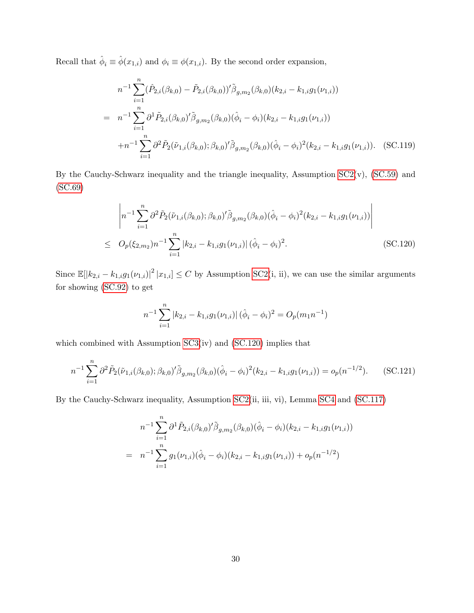Recall that  $\hat{\phi}_i \equiv \hat{\phi}(x_{1,i})$  and  $\phi_i \equiv \phi(x_{1,i})$ . By the second order expansion,

<span id="page-52-1"></span>
$$
n^{-1} \sum_{i=1}^{n} (\hat{P}_{2,i}(\beta_{k,0}) - \tilde{P}_{2,i}(\beta_{k,0}))' \tilde{\beta}_{g,m_2}(\beta_{k,0})(k_{2,i} - k_{1,i}g_1(\nu_{1,i}))
$$
  
\n
$$
= n^{-1} \sum_{i=1}^{n} \partial^1 \tilde{P}_{2,i}(\beta_{k,0})' \tilde{\beta}_{g,m_2}(\beta_{k,0})(\hat{\phi}_i - \phi_i)(k_{2,i} - k_{1,i}g_1(\nu_{1,i}))
$$
  
\n
$$
+ n^{-1} \sum_{i=1}^{n} \partial^2 \tilde{P}_2(\tilde{\nu}_{1,i}(\beta_{k,0}); \beta_{k,0})' \tilde{\beta}_{g,m_2}(\beta_{k,0})(\hat{\phi}_i - \phi_i)^2(k_{2,i} - k_{1,i}g_1(\nu_{1,i})).
$$
 (SC.119)

By the Cauchy-Schwarz inequality and the triangle inequality, Assumption  $SC2(v)$ ,  $(SC.59)$  and [\(SC.69\)](#page-40-1)

<span id="page-52-0"></span>
$$
\left| n^{-1} \sum_{i=1}^{n} \partial^{2} \tilde{P}_{2}(\tilde{\nu}_{1,i}(\beta_{k,0}); \beta_{k,0})' \tilde{\beta}_{g,m_{2}}(\beta_{k,0}) (\hat{\phi}_{i} - \phi_{i})^{2} (k_{2,i} - k_{1,i} g_{1}(\nu_{1,i})) \right|
$$
  
\n
$$
\leq O_{p}(\xi_{2,m_{2}}) n^{-1} \sum_{i=1}^{n} |k_{2,i} - k_{1,i} g_{1}(\nu_{1,i})| (\hat{\phi}_{i} - \phi_{i})^{2}.
$$
 (SC.120)

Since  $\mathbb{E}[|k_{2,i} - k_{1,i}g_1(\nu_{1,i})|^2 | x_{1,i}] \leq C$  by Assumption [SC2\(](#page-36-2)i, ii), we can use the similar arguments for showing [\(SC.92\)](#page-46-0) to get

$$
n^{-1} \sum_{i=1}^{n} |k_{2,i} - k_{1,i}g_1(\nu_{1,i})| (\hat{\phi}_i - \phi_i)^2 = O_p(m_1 n^{-1})
$$

which combined with Assumption  $SC3(iv)$  and  $(SC.120)$  implies that

<span id="page-52-2"></span>
$$
n^{-1} \sum_{i=1}^{n} \partial^{2} \tilde{P}_{2}(\tilde{\nu}_{1,i}(\beta_{k,0});\beta_{k,0})' \tilde{\beta}_{g,m_{2}}(\beta_{k,0})(\hat{\phi}_{i} - \phi_{i})^{2}(k_{2,i} - k_{1,i}g_{1}(\nu_{1,i})) = o_{p}(n^{-1/2}).
$$
 (SC.121)

By the Cauchy-Schwarz inequality, Assumption [SC2\(](#page-36-2)ii, iii, vi), Lemma [SC4](#page-34-2) and [\(SC.117\)](#page-51-3)

$$
n^{-1} \sum_{i=1}^{n} \partial^{1} \tilde{P}_{2,i}(\beta_{k,0})' \tilde{\beta}_{g,m_{2}}(\beta_{k,0}) (\hat{\phi}_{i} - \phi_{i}) (k_{2,i} - k_{1,i} g_{1}(\nu_{1,i}))
$$
  
= 
$$
n^{-1} \sum_{i=1}^{n} g_{1}(\nu_{1,i}) (\hat{\phi}_{i} - \phi_{i}) (k_{2,i} - k_{1,i} g_{1}(\nu_{1,i})) + o_{p}(n^{-1/2})
$$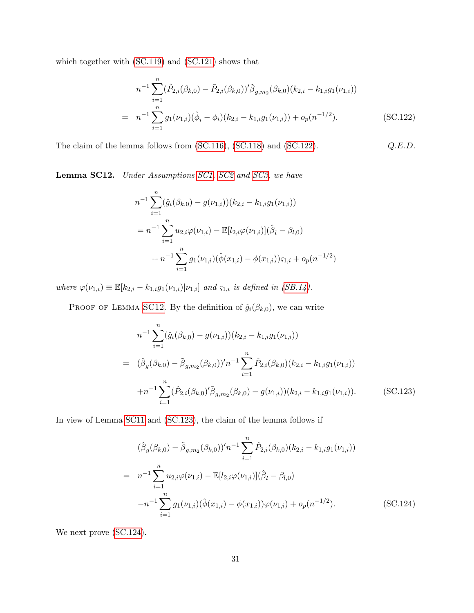which together with [\(SC.119\)](#page-52-1) and [\(SC.121\)](#page-52-2) shows that

<span id="page-53-0"></span>
$$
n^{-1} \sum_{i=1}^{n} (\hat{P}_{2,i}(\beta_{k,0}) - \tilde{P}_{2,i}(\beta_{k,0}))' \tilde{\beta}_{g,m_2}(\beta_{k,0})(k_{2,i} - k_{1,i}g_1(\nu_{1,i}))
$$
  
= 
$$
n^{-1} \sum_{i=1}^{n} g_1(\nu_{1,i})(\hat{\phi}_i - \phi_i)(k_{2,i} - k_{1,i}g_1(\nu_{1,i})) + o_p(n^{-1/2}).
$$
 (SC.122)

The claim of the lemma follows from  $(SC.116)$ ,  $(SC.118)$  and  $(SC.122)$ .  $Q.E.D.$ 

<span id="page-53-1"></span>Lemma SC12. Under Assumptions [SC1,](#page-33-0) [SC2](#page-36-2) and [SC3,](#page-44-1) we have

$$
n^{-1} \sum_{i=1}^{n} (\hat{g}_i(\beta_{k,0}) - g(\nu_{1,i})) (k_{2,i} - k_{1,i}g_1(\nu_{1,i}))
$$
  
=  $n^{-1} \sum_{i=1}^{n} u_{2,i} \varphi(\nu_{1,i}) - \mathbb{E}[l_{2,i} \varphi(\nu_{1,i})](\hat{\beta}_l - \beta_{l,0})$   
+  $n^{-1} \sum_{i=1}^{n} g_1(\nu_{1,i})(\hat{\phi}(x_{1,i}) - \phi(x_{1,i})) \varsigma_{1,i} + o_p(n^{-1/2})$ 

where  $\varphi(\nu_{1,i}) \equiv \mathbb{E}[k_{2,i} - k_{1,i}g_1(\nu_{1,i}) | \nu_{1,i}]$  and  $\varsigma_{1,i}$  is defined in [\(SB.14\)](#page-26-0).

PROOF OF LEMMA [SC12](#page-53-1). By the definition of  $\hat{g}_i(\beta_{k,0})$ , we can write

<span id="page-53-2"></span>
$$
n^{-1} \sum_{i=1}^{n} (\hat{g}_i(\beta_{k,0}) - g(\nu_{1,i})) (k_{2,i} - k_{1,i}g_1(\nu_{1,i}))
$$
  
\n
$$
= (\hat{\beta}_g(\beta_{k,0}) - \tilde{\beta}_{g,m_2}(\beta_{k,0}))' n^{-1} \sum_{i=1}^{n} \hat{P}_{2,i}(\beta_{k,0})(k_{2,i} - k_{1,i}g_1(\nu_{1,i}))
$$
  
\n
$$
+ n^{-1} \sum_{i=1}^{n} (\hat{P}_{2,i}(\beta_{k,0})' \tilde{\beta}_{g,m_2}(\beta_{k,0}) - g(\nu_{1,i})) (k_{2,i} - k_{1,i}g_1(\nu_{1,i})).
$$
 (SC.123)

In view of Lemma [SC11](#page-51-2) and [\(SC.123\)](#page-53-2), the claim of the lemma follows if

<span id="page-53-3"></span>
$$
(\hat{\beta}_g(\beta_{k,0}) - \tilde{\beta}_{g,m_2}(\beta_{k,0}))'n^{-1} \sum_{i=1}^n \hat{P}_{2,i}(\beta_{k,0})(k_{2,i} - k_{1,i}g_1(\nu_{1,i}))
$$
  
\n
$$
= n^{-1} \sum_{i=1}^n u_{2,i}\varphi(\nu_{1,i}) - \mathbb{E}[l_{2,i}\varphi(\nu_{1,i})](\hat{\beta}_l - \beta_{l,0})
$$
  
\n
$$
-n^{-1} \sum_{i=1}^n g_1(\nu_{1,i})(\hat{\phi}(x_{1,i}) - \phi(x_{1,i}))\varphi(\nu_{1,i}) + o_p(n^{-1/2}).
$$
 (SC.124)

We next prove  $(SC.124)$ .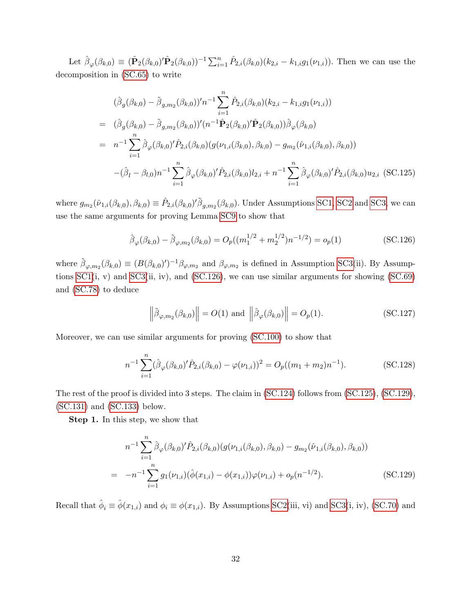Let  $\hat{\beta}_{\varphi}(\beta_{k,0}) \equiv (\hat{\mathbf{P}}_2(\beta_{k,0})' \hat{\mathbf{P}}_2(\beta_{k,0}))^{-1} \sum_{i=1}^n \hat{P}_{2,i}(\beta_{k,0}) (k_{2,i} - k_{1,i} g_1(\nu_{1,i}))$ . Then we can use the decomposition in [\(SC.65\)](#page-39-4) to write

<span id="page-54-1"></span>
$$
(\hat{\beta}_g(\beta_{k,0}) - \tilde{\beta}_{g,m_2}(\beta_{k,0}))' n^{-1} \sum_{i=1}^n \hat{P}_{2,i}(\beta_{k,0})(k_{2,i} - k_{1,i}g_1(\nu_{1,i}))
$$
  
\n
$$
= (\hat{\beta}_g(\beta_{k,0}) - \tilde{\beta}_{g,m_2}(\beta_{k,0}))'(n^{-1}\hat{\mathbf{P}}_2(\beta_{k,0})'\hat{\mathbf{P}}_2(\beta_{k,0}))\hat{\beta}_{\varphi}(\beta_{k,0})
$$
  
\n
$$
= n^{-1} \sum_{i=1}^n \hat{\beta}_{\varphi}(\beta_{k,0})'\hat{P}_{2,i}(\beta_{k,0})(g(\nu_{1,i}(\beta_{k,0}), \beta_{k,0}) - g_{m_2}(\hat{\nu}_{1,i}(\beta_{k,0}), \beta_{k,0}))
$$
  
\n
$$
-(\hat{\beta}_l - \beta_{l,0})n^{-1} \sum_{i=1}^n \hat{\beta}_{\varphi}(\beta_{k,0})'\hat{P}_{2,i}(\beta_{k,0})l_{2,i} + n^{-1} \sum_{i=1}^n \hat{\beta}_{\varphi}(\beta_{k,0})'\hat{P}_{2,i}(\beta_{k,0})u_{2,i} \text{ (SC.125)}
$$

where  $g_{m_2}(\hat{\nu}_{1,i}(\beta_{k,0}), \beta_{k,0}) \equiv \hat{P}_{2,i}(\beta_{k,0})' \tilde{\beta}_{g,m_2}(\beta_{k,0})$ . Under Assumptions [SC1,](#page-33-0) [SC2](#page-36-2) and [SC3,](#page-44-1) we can use the same arguments for proving Lemma [SC9](#page-45-0) to show that

<span id="page-54-0"></span>
$$
\hat{\beta}_{\varphi}(\beta_{k,0}) - \tilde{\beta}_{\varphi,m_2}(\beta_{k,0}) = O_p((m_1^{1/2} + m_2^{1/2})n^{-1/2}) = o_p(1)
$$
\n(SC.126)

where  $\tilde{\beta}_{\varphi,m_2}(\beta_{k,0}) \equiv (B(\beta_{k,0})')^{-1}\beta_{\varphi,m_2}$  and  $\beta_{\varphi,m_2}$  is defined in Assumption [SC3\(](#page-44-1)ii). By Assumptions  $SC1(i, v)$  and  $SC3(ii, iv)$ , and  $(SC.126)$ , we can use similar arguments for showing  $(SC.69)$ and [\(SC.78\)](#page-42-3) to deduce

<span id="page-54-4"></span>
$$
\left\|\tilde{\beta}_{\varphi,m_2}(\beta_{k,0})\right\| = O(1) \text{ and } \left\|\hat{\beta}_{\varphi}(\beta_{k,0})\right\| = O_p(1). \tag{SC.127}
$$

Moreover, we can use similar arguments for proving [\(SC.100\)](#page-48-0) to show that

<span id="page-54-3"></span>
$$
n^{-1} \sum_{i=1}^{n} (\hat{\beta}_{\varphi}(\beta_{k,0})' \hat{P}_{2,i}(\beta_{k,0}) - \varphi(\nu_{1,i}))^2 = O_p((m_1 + m_2)n^{-1}).
$$
 (SC.128)

The rest of the proof is divided into 3 steps. The claim in [\(SC.124\)](#page-53-3) follows from [\(SC.125\)](#page-54-1), [\(SC.129\)](#page-54-2), [\(SC.131\)](#page-55-0) and [\(SC.133\)](#page-55-1) below.

Step 1. In this step, we show that

<span id="page-54-2"></span>
$$
n^{-1} \sum_{i=1}^{n} \hat{\beta}_{\varphi}(\beta_{k,0})' \hat{P}_{2,i}(\beta_{k,0}) (g(\nu_{1,i}(\beta_{k,0}), \beta_{k,0}) - g_{m_2}(\hat{\nu}_{1,i}(\beta_{k,0}), \beta_{k,0}))
$$
  
= 
$$
-n^{-1} \sum_{i=1}^{n} g_1(\nu_{1,i}) (\hat{\phi}(x_{1,i}) - \phi(x_{1,i})) \varphi(\nu_{1,i}) + o_p(n^{-1/2}).
$$
 (SC.129)

Recall that  $\hat{\phi}_i \equiv \hat{\phi}(x_{1,i})$  and  $\phi_i \equiv \phi(x_{1,i})$ . By Assumptions [SC2\(](#page-36-2)iii, vi) and [SC3\(](#page-44-1)i, iv), [\(SC.70\)](#page-41-0) and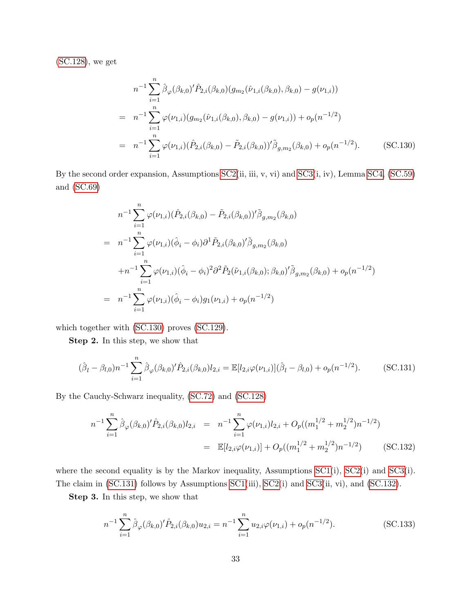[\(SC.128\)](#page-54-3), we get

<span id="page-55-2"></span>
$$
n^{-1} \sum_{i=1}^{n} \hat{\beta}_{\varphi}(\beta_{k,0})' \hat{P}_{2,i}(\beta_{k,0}) (g_{m_2}(\hat{\nu}_{1,i}(\beta_{k,0}), \beta_{k,0}) - g(\nu_{1,i}))
$$
  
\n
$$
= n^{-1} \sum_{i=1}^{n} \varphi(\nu_{1,i}) (g_{m_2}(\hat{\nu}_{1,i}(\beta_{k,0}), \beta_{k,0}) - g(\nu_{1,i})) + o_p(n^{-1/2})
$$
  
\n
$$
= n^{-1} \sum_{i=1}^{n} \varphi(\nu_{1,i}) (\hat{P}_{2,i}(\beta_{k,0}) - \tilde{P}_{2,i}(\beta_{k,0}))' \tilde{\beta}_{g,m_2}(\beta_{k,0}) + o_p(n^{-1/2}).
$$
 (SC.130)

By the second order expansion, Assumptions [SC2\(](#page-36-2)ii, iii, v, vi) and [SC3\(](#page-44-1)i, iv), Lemma [SC4,](#page-34-2) [\(SC.59\)](#page-38-3) and [\(SC.69\)](#page-40-1)

$$
n^{-1} \sum_{i=1}^{n} \varphi(\nu_{1,i}) (\hat{P}_{2,i}(\beta_{k,0}) - \tilde{P}_{2,i}(\beta_{k,0}))' \tilde{\beta}_{g,m_2}(\beta_{k,0})
$$
  
\n
$$
= n^{-1} \sum_{i=1}^{n} \varphi(\nu_{1,i}) (\hat{\phi}_i - \phi_i) \partial^1 \tilde{P}_{2,i}(\beta_{k,0})' \tilde{\beta}_{g,m_2}(\beta_{k,0})
$$
  
\n
$$
+ n^{-1} \sum_{i=1}^{n} \varphi(\nu_{1,i}) (\hat{\phi}_i - \phi_i)^2 \partial^2 \tilde{P}_2(\tilde{\nu}_{1,i}(\beta_{k,0}); \beta_{k,0})' \tilde{\beta}_{g,m_2}(\beta_{k,0}) + o_p(n^{-1/2})
$$
  
\n
$$
= n^{-1} \sum_{i=1}^{n} \varphi(\nu_{1,i}) (\hat{\phi}_i - \phi_i) g_1(\nu_{1,i}) + o_p(n^{-1/2})
$$

which together with [\(SC.130\)](#page-55-2) proves [\(SC.129\)](#page-54-2).

Step 2. In this step, we show that

<span id="page-55-0"></span>
$$
(\hat{\beta}_l - \beta_{l,0})n^{-1} \sum_{i=1}^n \hat{\beta}_{\varphi}(\beta_{k,0})' \hat{P}_{2,i}(\beta_{k,0}) l_{2,i} = \mathbb{E}[l_{2,i} \varphi(\nu_{1,i})](\hat{\beta}_l - \beta_{l,0}) + o_p(n^{-1/2}).
$$
 (SC.131)

By the Cauchy-Schwarz inequality, [\(SC.72\)](#page-41-5) and [\(SC.128\)](#page-54-3)

<span id="page-55-3"></span>
$$
n^{-1} \sum_{i=1}^{n} \hat{\beta}_{\varphi}(\beta_{k,0})' \hat{P}_{2,i}(\beta_{k,0}) l_{2,i} = n^{-1} \sum_{i=1}^{n} \varphi(\nu_{1,i}) l_{2,i} + O_p((m_1^{1/2} + m_2^{1/2}) n^{-1/2})
$$
  
=  $\mathbb{E}[l_{2,i} \varphi(\nu_{1,i})] + O_p((m_1^{1/2} + m_2^{1/2}) n^{-1/2})$  (SC.132)

where the second equality is by the Markov inequality, Assumptions [SC1\(](#page-33-0)i), [SC2\(](#page-36-2)i) and [SC3\(](#page-44-1)i). The claim in [\(SC.131\)](#page-55-0) follows by Assumptions [SC1\(](#page-33-0)iii), [SC2\(](#page-36-2)i) and [SC3\(](#page-44-1)ii, vi), and [\(SC.132\)](#page-55-3).

Step 3. In this step, we show that

<span id="page-55-1"></span>
$$
n^{-1} \sum_{i=1}^{n} \hat{\beta}_{\varphi}(\beta_{k,0})' \hat{P}_{2,i}(\beta_{k,0}) u_{2,i} = n^{-1} \sum_{i=1}^{n} u_{2,i} \varphi(\nu_{1,i}) + o_p(n^{-1/2}).
$$
 (SC.133)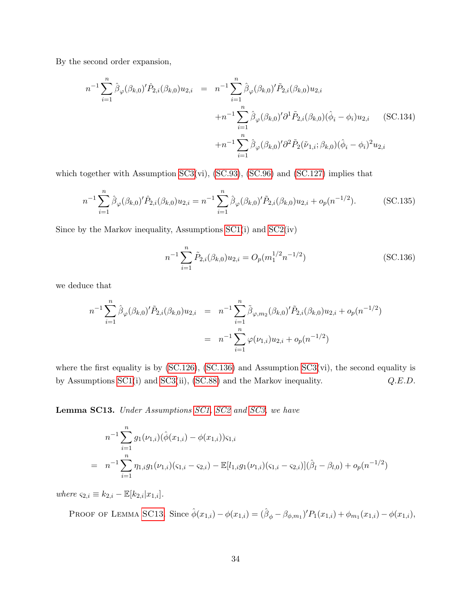By the second order expansion,

$$
n^{-1} \sum_{i=1}^{n} \hat{\beta}_{\varphi}(\beta_{k,0})' \hat{P}_{2,i}(\beta_{k,0}) u_{2,i} = n^{-1} \sum_{i=1}^{n} \hat{\beta}_{\varphi}(\beta_{k,0})' \tilde{P}_{2,i}(\beta_{k,0}) u_{2,i} + n^{-1} \sum_{i=1}^{n} \hat{\beta}_{\varphi}(\beta_{k,0})' \partial^{1} \tilde{P}_{2,i}(\beta_{k,0}) (\hat{\phi}_{i} - \phi_{i}) u_{2,i} \qquad (SC.134)+ n^{-1} \sum_{i=1}^{n} \hat{\beta}_{\varphi}(\beta_{k,0})' \partial^{2} \tilde{P}_{2}(\tilde{\nu}_{1,i}; \beta_{k,0}) (\hat{\phi}_{i} - \phi_{i})^{2} u_{2,i}
$$

which together with Assumption [SC3\(](#page-44-1)vi), [\(SC.93\)](#page-46-3), [\(SC.96\)](#page-47-0) and [\(SC.127\)](#page-54-4) implies that

$$
n^{-1} \sum_{i=1}^{n} \hat{\beta}_{\varphi}(\beta_{k,0})' \hat{P}_{2,i}(\beta_{k,0}) u_{2,i} = n^{-1} \sum_{i=1}^{n} \hat{\beta}_{\varphi}(\beta_{k,0})' \tilde{P}_{2,i}(\beta_{k,0}) u_{2,i} + o_p(n^{-1/2}).
$$
 (SC.135)

Since by the Markov inequality, Assumptions [SC1\(](#page-33-0)i) and [SC2\(](#page-36-2)iv)

<span id="page-56-0"></span>
$$
n^{-1} \sum_{i=1}^{n} \tilde{P}_{2,i}(\beta_{k,0}) u_{2,i} = O_p(m_1^{1/2} n^{-1/2})
$$
 (SC.136)

we deduce that

$$
n^{-1} \sum_{i=1}^{n} \hat{\beta}_{\varphi}(\beta_{k,0})' \tilde{P}_{2,i}(\beta_{k,0}) u_{2,i} = n^{-1} \sum_{i=1}^{n} \tilde{\beta}_{\varphi,m_2}(\beta_{k,0})' \tilde{P}_{2,i}(\beta_{k,0}) u_{2,i} + o_p(n^{-1/2})
$$
  
= 
$$
n^{-1} \sum_{i=1}^{n} \varphi(\nu_{1,i}) u_{2,i} + o_p(n^{-1/2})
$$

where the first equality is by [\(SC.126\)](#page-54-0), [\(SC.136\)](#page-56-0) and Assumption [SC3\(](#page-44-1)vi), the second equality is by Assumptions [SC1\(](#page-33-0)i) and [SC3\(](#page-44-1)ii), [\(SC.88\)](#page-45-1) and the Markov inequality.  $Q.E.D.$ 

<span id="page-56-1"></span>Lemma SC13. Under Assumptions [SC1,](#page-33-0) [SC2](#page-36-2) and [SC3,](#page-44-1) we have

$$
n^{-1} \sum_{i=1}^{n} g_1(\nu_{1,i}) (\hat{\phi}(x_{1,i}) - \phi(x_{1,i})) \varsigma_{1,i}
$$
  
= 
$$
n^{-1} \sum_{i=1}^{n} \eta_{1,i} g_1(\nu_{1,i}) (\varsigma_{1,i} - \varsigma_{2,i}) - \mathbb{E}[l_{1,i} g_1(\nu_{1,i}) (\varsigma_{1,i} - \varsigma_{2,i})] (\hat{\beta}_l - \beta_{l,0}) + o_p(n^{-1/2})
$$

where  $\varsigma_{2,i} \equiv k_{2,i} - \mathbb{E}[k_{2,i}|x_{1,i}].$ 

PROOF OF LEMMA [SC13](#page-56-1). Since  $\hat{\phi}(x_{1,i}) - \phi(x_{1,i}) = (\hat{\beta}_{\phi} - \beta_{\phi,m_1})'P_1(x_{1,i}) + \phi_{m_1}(x_{1,i}) - \phi(x_{1,i}),$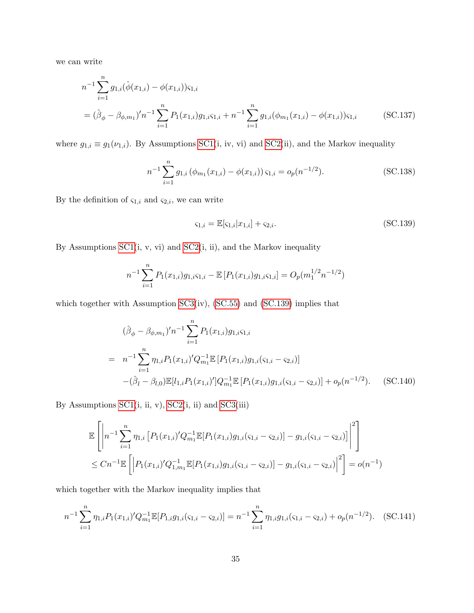we can write

$$
n^{-1} \sum_{i=1}^{n} g_{1,i}(\hat{\phi}(x_{1,i}) - \phi(x_{1,i})) \varsigma_{1,i}
$$
  
=  $(\hat{\beta}_{\phi} - \beta_{\phi,m_1})' n^{-1} \sum_{i=1}^{n} P_1(x_{1,i}) g_{1,i} \varsigma_{1,i} + n^{-1} \sum_{i=1}^{n} g_{1,i}(\phi_{m_1}(x_{1,i}) - \phi(x_{1,i})) \varsigma_{1,i}$  (SC.137)

where  $g_{1,i} \equiv g_1(\nu_{1,i})$ . By Assumptions [SC1\(](#page-33-0)i, iv, vi) and [SC2\(](#page-36-2)ii), and the Markov inequality

<span id="page-57-2"></span>
$$
n^{-1} \sum_{i=1}^{n} g_{1,i} \left( \phi_{m_1}(x_{1,i}) - \phi(x_{1,i}) \right) \varsigma_{1,i} = o_p(n^{-1/2}). \tag{SC.138}
$$

By the definition of  $\varsigma_{1,i}$  and  $\varsigma_{2,i}$ , we can write

<span id="page-57-1"></span><span id="page-57-0"></span>
$$
\varsigma_{1,i} = \mathbb{E}[\varsigma_{1,i}|x_{1,i}] + \varsigma_{2,i}.\tag{SC.139}
$$

By Assumptions  $SC1(i, v, vi)$  and  $SC2(i, ii)$ , and the Markov inequality

$$
n^{-1} \sum_{i=1}^{n} P_1(x_{1,i}) g_{1,i} \varsigma_{1,i} - \mathbb{E} \left[ P_1(x_{1,i}) g_{1,i} \varsigma_{1,i} \right] = O_p(m_1^{1/2} n^{-1/2})
$$

which together with Assumption [SC3\(](#page-44-1)iv), [\(SC.55\)](#page-36-1) and [\(SC.139\)](#page-57-0) implies that

<span id="page-57-3"></span>
$$
(\hat{\beta}_{\phi} - \beta_{\phi,m_1})' n^{-1} \sum_{i=1}^n P_1(x_{1,i}) g_{1,i} \varsigma_{1,i}
$$
  
= 
$$
n^{-1} \sum_{i=1}^n \eta_{1,i} P_1(x_{1,i})' Q_{m_1}^{-1} \mathbb{E} [P_1(x_{1,i}) g_{1,i}(\varsigma_{1,i} - \varsigma_{2,i})]
$$

$$
-(\hat{\beta}_l - \beta_{l,0}) \mathbb{E} [l_{1,i} P_1(x_{1,i})'] Q_{m_1}^{-1} \mathbb{E} [P_1(x_{1,i}) g_{1,i}(\varsigma_{1,i} - \varsigma_{2,i})] + o_p(n^{-1/2}). \quad (SC.140)
$$

By Assumptions  $SC1(i, ii, v)$ ,  $SC2(i, ii)$  and  $SC3(iii)$ 

$$
\mathbb{E}\left[\left|n^{-1}\sum_{i=1}^{n}\eta_{1,i}\left[P_1(x_{1,i})'Q_{m_1}^{-1}\mathbb{E}[P_1(x_{1,i})g_{1,i}(\zeta_{1,i}-\zeta_{2,i})] - g_{1,i}(\zeta_{1,i}-\zeta_{2,i})\right]\right|^2\right] \n\leq Cn^{-1}\mathbb{E}\left[\left|P_1(x_{1,i})'Q_{1,m_1}^{-1}\mathbb{E}[P_1(x_{1,i})g_{1,i}(\zeta_{1,i}-\zeta_{2,i})] - g_{1,i}(\zeta_{1,i}-\zeta_{2,i})\right|^2\right] = o(n^{-1})
$$

which together with the Markov inequality implies that

<span id="page-57-4"></span>
$$
n^{-1} \sum_{i=1}^{n} \eta_{1,i} P_1(x_{1,i})' Q_{m_1}^{-1} \mathbb{E}[P_{1,i} g_{1,i}(\varsigma_{1,i} - \varsigma_{2,i})] = n^{-1} \sum_{i=1}^{n} \eta_{1,i} g_{1,i}(\varsigma_{1,i} - \varsigma_{2,i}) + o_p(n^{-1/2}). \quad \text{(SC.141)}
$$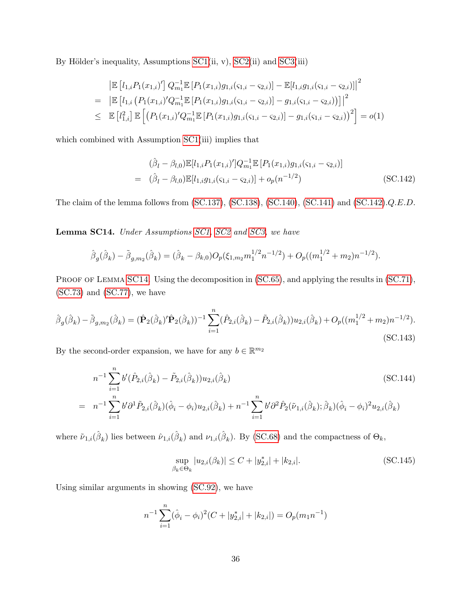By Hölder's inequality, Assumptions  $SC1(ii, v)$ ,  $SC2(ii)$  and  $SC3(iii)$ 

$$
\begin{split}\n& \left| \mathbb{E} \left[ l_{1,i} P_1(x_{1,i})' \right] Q_{m_1}^{-1} \mathbb{E} \left[ P_1(x_{1,i}) g_{1,i}(\varsigma_{1,i} - \varsigma_{2,i}) \right] - \mathbb{E} [l_{1,i} g_{1,i}(\varsigma_{1,i} - \varsigma_{2,i})] \right|^2 \\
& = \left| \mathbb{E} \left[ l_{1,i} \left( P_1(x_{1,i})' Q_{m_1}^{-1} \mathbb{E} \left[ P_1(x_{1,i}) g_{1,i}(\varsigma_{1,i} - \varsigma_{2,i}) \right] - g_{1,i}(\varsigma_{1,i} - \varsigma_{2,i}) \right] \right|^2 \\
& \leq \left| \mathbb{E} \left[ l_{1,i}^2 \right] \mathbb{E} \left[ \left( P_1(x_{1,i})' Q_{m_1}^{-1} \mathbb{E} \left[ P_1(x_{1,i}) g_{1,i}(\varsigma_{1,i} - \varsigma_{2,i}) \right] - g_{1,i}(\varsigma_{1,i} - \varsigma_{2,i}) \right)^2 \right] = o(1)\n\end{split}
$$

which combined with Assumption [SC1\(](#page-33-0)iii) implies that

<span id="page-58-0"></span>
$$
(\hat{\beta}_l - \beta_{l,0}) \mathbb{E}[l_{1,i} P_1(x_{1,i})'] Q_{m_1}^{-1} \mathbb{E}[P_1(x_{1,i}) g_{1,i}(\varsigma_{1,i} - \varsigma_{2,i})]
$$
  
=  $(\hat{\beta}_l - \beta_{l,0}) \mathbb{E}[l_{1,i} g_{1,i}(\varsigma_{1,i} - \varsigma_{2,i})] + o_p(n^{-1/2})$  (SC.142)

The claim of the lemma follows from [\(SC.137\)](#page-57-1), [\(SC.138\)](#page-57-2), [\(SC.140\)](#page-57-3), [\(SC.141\)](#page-57-4) and [\(SC.142\)](#page-58-0).Q.E.D.

<span id="page-58-1"></span>Lemma SC14. Under Assumptions [SC1,](#page-33-0) [SC2](#page-36-2) and [SC3,](#page-44-1) we have

$$
\hat{\beta}_g(\hat{\beta}_k) - \tilde{\beta}_{g,m_2}(\hat{\beta}_k) = (\hat{\beta}_k - \beta_{k,0})O_p(\xi_{1,m_2}m_1^{1/2}n^{-1/2}) + O_p((m_1^{1/2} + m_2)n^{-1/2}).
$$

PROOF OF LEMMA [SC14](#page-58-1). Using the decomposition in [\(SC.65\)](#page-39-4), and applying the results in [\(SC.71\)](#page-41-3),  $SC.73)$  and  $(SC.77)$ , we have

<span id="page-58-4"></span>
$$
\hat{\beta}_g(\hat{\beta}_k) - \tilde{\beta}_{g,m_2}(\hat{\beta}_k) = (\hat{\mathbf{P}}_2(\hat{\beta}_k)'\hat{\mathbf{P}}_2(\hat{\beta}_k))^{-1} \sum_{i=1}^n (\hat{P}_{2,i}(\hat{\beta}_k) - \tilde{P}_{2,i}(\hat{\beta}_k))u_{2,i}(\hat{\beta}_k) + O_p((m_1^{1/2} + m_2)n^{-1/2}).
$$
\n(SC.143)

By the second-order expansion, we have for any  $b \in \mathbb{R}^{m_2}$ 

<span id="page-58-3"></span>
$$
n^{-1} \sum_{i=1}^{n} b'(\hat{P}_{2,i}(\hat{\beta}_k) - \tilde{P}_{2,i}(\hat{\beta}_k)) u_{2,i}(\hat{\beta}_k)
$$
\n
$$
= n^{-1} \sum_{i=1}^{n} b' \partial^1 \tilde{P}_{2,i}(\hat{\beta}_k) (\hat{\phi}_i - \phi_i) u_{2,i}(\hat{\beta}_k) + n^{-1} \sum_{i=1}^{n} b' \partial^2 \hat{P}_2(\tilde{\nu}_{1,i}(\hat{\beta}_k); \hat{\beta}_k) (\hat{\phi}_i - \phi_i)^2 u_{2,i}(\hat{\beta}_k)
$$
\n(SC.144)

where  $\tilde{\nu}_{1,i}(\hat{\beta}_k)$  lies between  $\hat{\nu}_{1,i}(\hat{\beta}_k)$  and  $\nu_{1,i}(\hat{\beta}_k)$ . By [\(SC.68\)](#page-40-0) and the compactness of  $\Theta_k$ ,

<span id="page-58-2"></span>
$$
\sup_{\beta_k \in \Theta_k} |u_{2,i}(\beta_k)| \le C + |y_{2,i}^*| + |k_{2,i}|.
$$
\n(SC.145)

Using similar arguments in showing [\(SC.92\)](#page-46-0), we have

$$
n^{-1} \sum_{i=1}^{n} (\hat{\phi}_i - \phi_i)^2 (C + |y_{2,i}^*| + |k_{2,i}|) = O_p(m_1 n^{-1})
$$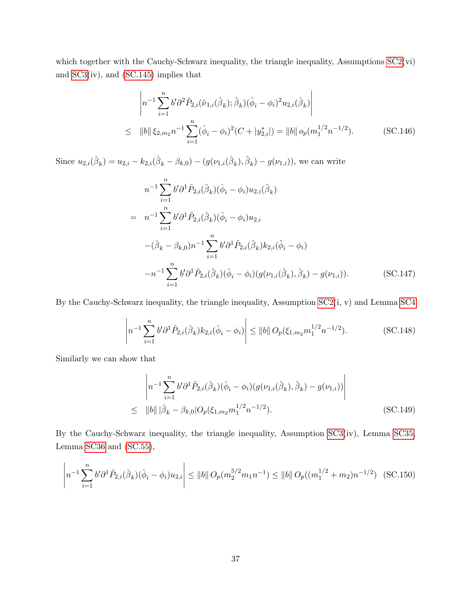which together with the Cauchy-Schwarz inequality, the triangle inequality, Assumptions  $SC2(vi)$ and [SC3\(](#page-44-1)iv), and [\(SC.145\)](#page-58-2) implies that

<span id="page-59-0"></span>
$$
\left| n^{-1} \sum_{i=1}^{n} b' \partial^{2} \hat{P}_{2,i}(\tilde{\nu}_{1,i}(\hat{\beta}_{k}); \hat{\beta}_{k})(\hat{\phi}_{i} - \phi_{i})^{2} u_{2,i}(\hat{\beta}_{k}) \right|
$$
  
\n
$$
\leq ||b|| \xi_{2,m_{2}} n^{-1} \sum_{i=1}^{n} (\hat{\phi}_{i} - \phi_{i})^{2} (C + |y_{2,i}^{*}|) = ||b|| o_{p}(m_{1}^{1/2} n^{-1/2}). \qquad (SC.146)
$$

Since  $u_{2,i}(\hat{\beta}_k) = u_{2,i} - k_{2,i}(\hat{\beta}_k - \beta_{k,0}) - (g(\nu_{1,i}(\hat{\beta}_k), \hat{\beta}_k) - g(\nu_{1,i}))$ , we can write

<span id="page-59-1"></span>
$$
n^{-1} \sum_{i=1}^{n} b' \partial^{1} \tilde{P}_{2,i}(\hat{\beta}_{k})(\hat{\phi}_{i} - \phi_{i}) u_{2,i}(\hat{\beta}_{k})
$$
  
\n
$$
= n^{-1} \sum_{i=1}^{n} b' \partial^{1} \tilde{P}_{2,i}(\hat{\beta}_{k})(\hat{\phi}_{i} - \phi_{i}) u_{2,i}
$$
  
\n
$$
-(\hat{\beta}_{k} - \beta_{k,0}) n^{-1} \sum_{i=1}^{n} b' \partial^{1} \tilde{P}_{2,i}(\hat{\beta}_{k}) k_{2,i}(\hat{\phi}_{i} - \phi_{i})
$$
  
\n
$$
-n^{-1} \sum_{i=1}^{n} b' \partial^{1} \tilde{P}_{2,i}(\hat{\beta}_{k})(\hat{\phi}_{i} - \phi_{i})(g(\nu_{1,i}(\hat{\beta}_{k}), \hat{\beta}_{k}) - g(\nu_{1,i})).
$$
 (SC.147)

By the Cauchy-Schwarz inequality, the triangle inequality, Assumption [SC2\(](#page-36-2)i, v) and Lemma [SC4](#page-34-2)

<span id="page-59-2"></span>
$$
\left| n^{-1} \sum_{i=1}^{n} b' \partial^1 \tilde{P}_{2,i}(\hat{\beta}_k) k_{2,i}(\hat{\phi}_i - \phi_i) \right| \le ||b|| \ O_p(\xi_{1,m_2} m_1^{1/2} n^{-1/2}). \tag{SC.148}
$$

Similarly we can show that

<span id="page-59-3"></span>
$$
\left| n^{-1} \sum_{i=1}^{n} b' \partial^{1} \tilde{P}_{2,i}(\hat{\beta}_{k})(\hat{\phi}_{i} - \phi_{i})(g(\nu_{1,i}(\hat{\beta}_{k}), \hat{\beta}_{k}) - g(\nu_{1,i})) \right|
$$
  
\n
$$
\leq ||b|| |\hat{\beta}_{k} - \beta_{k,0}| O_{p}(\xi_{1,m_{2}} m_{1}^{1/2} n^{-1/2}). \qquad (SC.149)
$$

By the Cauchy-Schwarz inequality, the triangle inequality, Assumption [SC3\(](#page-44-1)iv), Lemma [SC35,](#page-100-0) Lemma [SC36](#page-101-0) and [\(SC.55\)](#page-36-1),

<span id="page-59-4"></span>
$$
\left| n^{-1} \sum_{i=1}^{n} b' \partial^{1} \tilde{P}_{2,i}(\hat{\beta}_{k})(\hat{\phi}_{i} - \phi_{i}) u_{2,i} \right| \leq ||b|| O_{p}(m_{2}^{5/2} m_{1} n^{-1}) \leq ||b|| O_{p}((m_{1}^{1/2} + m_{2}) n^{-1/2}) \quad \text{(SC.150)}
$$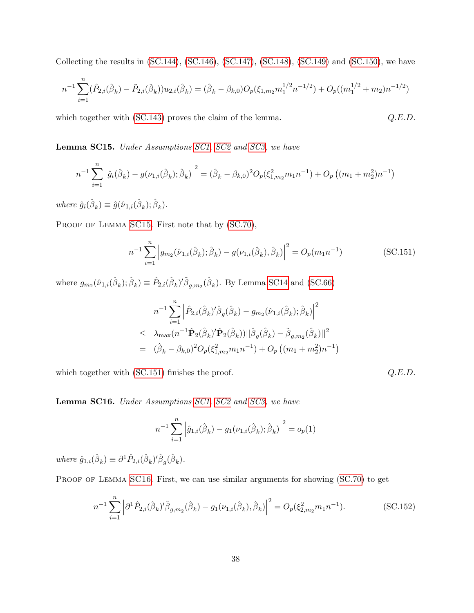Collecting the results in [\(SC.144\)](#page-58-3), [\(SC.146\)](#page-59-0), [\(SC.147\)](#page-59-1), [\(SC.148\)](#page-59-2), [\(SC.149\)](#page-59-3) and [\(SC.150\)](#page-59-4), we have

$$
n^{-1} \sum_{i=1}^{n} (\hat{P}_{2,i}(\hat{\beta}_k) - \tilde{P}_{2,i}(\hat{\beta}_k)) u_{2,i}(\hat{\beta}_k) = (\hat{\beta}_k - \beta_{k,0}) O_p(\xi_{1,m_2} m_1^{1/2} n^{-1/2}) + O_p((m_1^{1/2} + m_2) n^{-1/2})
$$

which together with [\(SC.143\)](#page-58-4) proves the claim of the lemma.  $Q.E.D.$ 

<span id="page-60-0"></span>Lemma SC15. Under Assumptions [SC1,](#page-33-0) [SC2](#page-36-2) and [SC3,](#page-44-1) we have

$$
n^{-1} \sum_{i=1}^{n} \left| \hat{g}_i(\hat{\beta}_k) - g(\nu_{1,i}(\hat{\beta}_k); \hat{\beta}_k) \right|^2 = (\hat{\beta}_k - \beta_{k,0})^2 O_p(\xi_{1,m_2}^2 m_1 n^{-1}) + O_p((m_1 + m_2^2) n^{-1})
$$

where  $\hat{g}_i(\hat{\beta}_k) \equiv \hat{g}(\hat{\nu}_{1,i}(\hat{\beta}_k); \hat{\beta}_k)$ .

PROOF OF LEMMA [SC15](#page-60-0). First note that by  $(SC.70)$ ,

<span id="page-60-1"></span>
$$
n^{-1} \sum_{i=1}^{n} \left| g_{m_2}(\hat{\nu}_{1,i}(\hat{\beta}_k); \hat{\beta}_k) - g(\nu_{1,i}(\hat{\beta}_k), \hat{\beta}_k) \right|^2 = O_p(m_1 n^{-1})
$$
 (SC.151)

where  $g_{m_2}(\hat{\nu}_{1,i}(\hat{\beta}_k); \hat{\beta}_k) \equiv \hat{P}_{2,i}(\hat{\beta}_k)' \tilde{\beta}_{g,m_2}(\hat{\beta}_k)$ . By Lemma [SC14](#page-58-1) and [\(SC.66\)](#page-39-2)

$$
n^{-1} \sum_{i=1}^{n} \left| \hat{P}_{2,i}(\hat{\beta}_k)' \hat{\beta}_g(\hat{\beta}_k) - g_{m_2}(\hat{\nu}_{1,i}(\hat{\beta}_k); \hat{\beta}_k) \right|^2
$$
  
\n
$$
\leq \lambda_{\max}(n^{-1} \hat{\mathbf{P}}_2(\hat{\beta}_k)' \hat{\mathbf{P}}_2(\hat{\beta}_k)) || \hat{\beta}_g(\hat{\beta}_k) - \tilde{\beta}_{g,m_2}(\hat{\beta}_k) ||^2
$$
  
\n
$$
= (\hat{\beta}_k - \beta_{k,0})^2 O_p(\xi_{1,m_2}^2 m_1 n^{-1}) + O_p((m_1 + m_2^2) n^{-1})
$$

which together with  $(SC.151)$  finishes the proof.  $Q.E.D.$ 

<span id="page-60-2"></span>Lemma SC16. Under Assumptions [SC1,](#page-33-0) [SC2](#page-36-2) and [SC3,](#page-44-1) we have

$$
n^{-1} \sum_{i=1}^{n} \left| \hat{g}_{1,i}(\hat{\beta}_k) - g_1(\nu_{1,i}(\hat{\beta}_k); \hat{\beta}_k) \right|^2 = o_p(1)
$$

where  $\hat{g}_{1,i}(\hat{\beta}_k) \equiv \partial^1 \hat{P}_{2,i}(\hat{\beta}_k)' \hat{\beta}_g(\hat{\beta}_k)$ .

PROOF OF LEMMA [SC16](#page-60-2). First, we can use similar arguments for showing [\(SC.70\)](#page-41-0) to get

<span id="page-60-3"></span>
$$
n^{-1} \sum_{i=1}^{n} \left| \partial^{1} \hat{P}_{2,i}(\hat{\beta}_{k})' \tilde{\beta}_{g,m_{2}}(\hat{\beta}_{k}) - g_{1}(\nu_{1,i}(\hat{\beta}_{k}), \hat{\beta}_{k}) \right|^{2} = O_{p}(\xi_{2,m_{2}}^{2} m_{1} n^{-1}).
$$
\n(SC.152)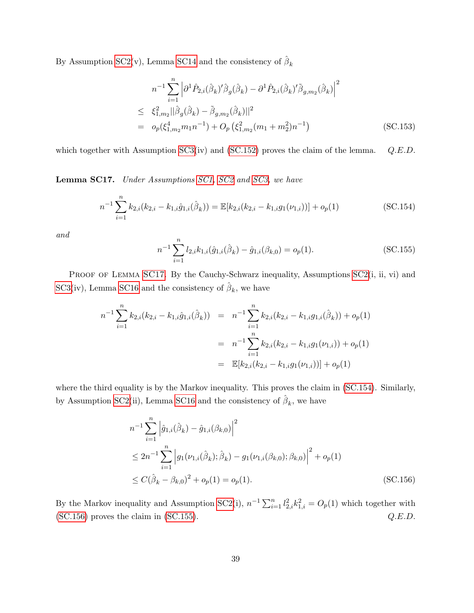By Assumption [SC2\(](#page-36-2)v), Lemma [SC14](#page-58-1) and the consistency of  $\hat{\beta}_k$ 

$$
n^{-1} \sum_{i=1}^{n} \left| \partial^{1} \hat{P}_{2,i} (\hat{\beta}_{k})' \hat{\beta}_{g} (\hat{\beta}_{k}) - \partial^{1} \hat{P}_{2,i} (\hat{\beta}_{k})' \tilde{\beta}_{g,m_{2}} (\hat{\beta}_{k}) \right|^{2}
$$
  
\n
$$
\leq \xi_{1,m_{2}}^{2} || \hat{\beta}_{g} (\hat{\beta}_{k}) - \tilde{\beta}_{g,m_{2}} (\hat{\beta}_{k}) ||^{2}
$$
  
\n
$$
= o_{p} (\xi_{1,m_{2}}^{4} m_{1} n^{-1}) + O_{p} (\xi_{1,m_{2}}^{2} (m_{1} + m_{2}^{2}) n^{-1})
$$
(SC.153)

which together with Assumption  $SC3(iv)$  and  $(SC.152)$  proves the claim of the lemma.  $Q.E.D.$ 

<span id="page-61-0"></span>Lemma SC17. Under Assumptions [SC1,](#page-33-0) [SC2](#page-36-2) and [SC3,](#page-44-1) we have

<span id="page-61-1"></span>
$$
n^{-1} \sum_{i=1}^{n} k_{2,i} (k_{2,i} - k_{1,i} \hat{g}_{1,i}(\hat{\beta}_k)) = \mathbb{E}[k_{2,i} (k_{2,i} - k_{1,i} g_1(\nu_{1,i}))] + o_p(1)
$$
 (SC.154)

and

<span id="page-61-3"></span>
$$
n^{-1} \sum_{i=1}^{n} l_{2,i} k_{1,i}(\hat{g}_{1,i}(\hat{\beta}_k) - \hat{g}_{1,i}(\beta_{k,0}) = o_p(1).
$$
 (SC.155)

PROOF OF LEMMA [SC17](#page-61-0). By the Cauchy-Schwarz inequality, Assumptions [SC2\(](#page-36-2)i, ii, vi) and [SC3\(](#page-44-1)iv), Lemma [SC16](#page-60-2) and the consistency of  $\hat{\beta}_k$ , we have

$$
n^{-1} \sum_{i=1}^{n} k_{2,i}(k_{2,i} - k_{1,i}\hat{g}_{1,i}(\hat{\beta}_k)) = n^{-1} \sum_{i=1}^{n} k_{2,i}(k_{2,i} - k_{1,i}g_{1,i}(\hat{\beta}_k)) + o_p(1)
$$
  
= 
$$
n^{-1} \sum_{i=1}^{n} k_{2,i}(k_{2,i} - k_{1,i}g_1(\nu_{1,i})) + o_p(1)
$$
  
= 
$$
\mathbb{E}[k_{2,i}(k_{2,i} - k_{1,i}g_1(\nu_{1,i}))] + o_p(1)
$$

where the third equality is by the Markov inequality. This proves the claim in [\(SC.154\)](#page-61-1). Similarly, by Assumption [SC2\(](#page-36-2)ii), Lemma [SC16](#page-60-2) and the consistency of  $\hat{\beta}_k$ , we have

<span id="page-61-2"></span>
$$
n^{-1} \sum_{i=1}^{n} \left| \hat{g}_{1,i}(\hat{\beta}_k) - \hat{g}_{1,i}(\beta_{k,0}) \right|^2
$$
  
\n
$$
\leq 2n^{-1} \sum_{i=1}^{n} \left| g_1(\nu_{1,i}(\hat{\beta}_k); \hat{\beta}_k) - g_1(\nu_{1,i}(\beta_{k,0}); \beta_{k,0}) \right|^2 + o_p(1)
$$
  
\n
$$
\leq C(\hat{\beta}_k - \beta_{k,0})^2 + o_p(1) = o_p(1).
$$
 (SC.156)

By the Markov inequality and Assumption [SC2\(](#page-36-2)i),  $n^{-1} \sum_{i=1}^{n} l_{2,i}^2 k_{1,i}^2 = O_p(1)$  which together with  $(C.156)$  proves the claim in  $(SC.155)$ .  $Q.E.D.$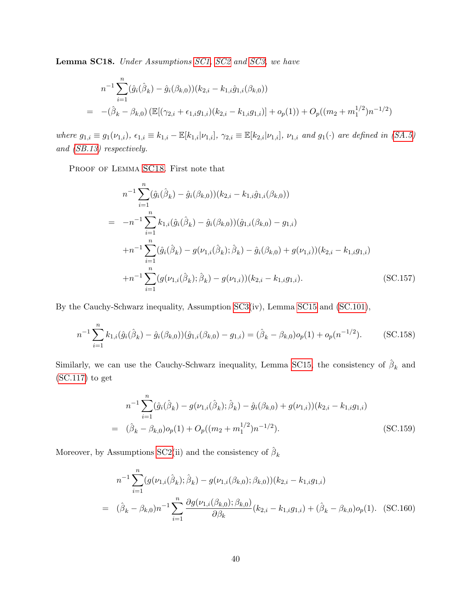<span id="page-62-0"></span>Lemma SC18. Under Assumptions [SC1,](#page-33-0) [SC2](#page-36-2) and [SC3,](#page-44-1) we have

$$
n^{-1} \sum_{i=1}^{n} (\hat{g}_i(\hat{\beta}_k) - \hat{g}_i(\beta_{k,0})) (k_{2,i} - k_{1,i}\hat{g}_{1,i}(\beta_{k,0}))
$$
  
= 
$$
-(\hat{\beta}_k - \beta_{k,0}) \left( \mathbb{E}[(\gamma_{2,i} + \epsilon_{1,i}g_{1,i})(k_{2,i} - k_{1,i}g_{1,i})] + o_p(1) \right) + O_p((m_2 + m_1^{1/2})n^{-1/2})
$$

where  $g_{1,i} \equiv g_1(\nu_{1,i}), \epsilon_{1,i} \equiv k_{1,i} - \mathbb{E}[k_{1,i}|\nu_{1,i}], \gamma_{2,i} \equiv \mathbb{E}[k_{2,i}|\nu_{1,i}], \nu_{1,i}$  and  $g_1(\cdot)$  are defined in [\(SA.5\)](#page-24-1) and [\(SB.13\)](#page-26-1) respectively.

PROOF OF LEMMA [SC18](#page-62-0). First note that

<span id="page-62-2"></span>
$$
n^{-1} \sum_{i=1}^{n} (\hat{g}_i(\hat{\beta}_k) - \hat{g}_i(\beta_{k,0})) (k_{2,i} - k_{1,i}\hat{g}_{1,i}(\beta_{k,0}))
$$
  
\n
$$
= -n^{-1} \sum_{i=1}^{n} k_{1,i} (\hat{g}_i(\hat{\beta}_k) - \hat{g}_i(\beta_{k,0})) (\hat{g}_{1,i}(\beta_{k,0}) - g_{1,i})
$$
  
\n
$$
+n^{-1} \sum_{i=1}^{n} (\hat{g}_i(\hat{\beta}_k) - g(\nu_{1,i}(\hat{\beta}_k); \hat{\beta}_k) - \hat{g}_i(\beta_{k,0}) + g(\nu_{1,i})) (k_{2,i} - k_{1,i}g_{1,i})
$$
  
\n
$$
+n^{-1} \sum_{i=1}^{n} (g(\nu_{1,i}(\hat{\beta}_k); \hat{\beta}_k) - g(\nu_{1,i})) (k_{2,i} - k_{1,i}g_{1,i}).
$$
 (SC.157)

By the Cauchy-Schwarz inequality, Assumption [SC3\(](#page-44-1)iv), Lemma [SC15](#page-60-0) and [\(SC.101\)](#page-48-1),

<span id="page-62-3"></span>
$$
n^{-1} \sum_{i=1}^{n} k_{1,i}(\hat{g}_i(\hat{\beta}_k) - \hat{g}_i(\beta_{k,0}))(\hat{g}_{1,i}(\beta_{k,0}) - g_{1,i}) = (\hat{\beta}_k - \beta_{k,0})o_p(1) + o_p(n^{-1/2}).
$$
 (SC.158)

Similarly, we can use the Cauchy-Schwarz inequality, Lemma [SC15,](#page-60-0) the consistency of  $\hat{\beta}_k$  and [\(SC.117\)](#page-51-3) to get

<span id="page-62-4"></span>
$$
n^{-1} \sum_{i=1}^{n} (\hat{g}_i(\hat{\beta}_k) - g(\nu_{1,i}(\hat{\beta}_k); \hat{\beta}_k) - \hat{g}_i(\beta_{k,0}) + g(\nu_{1,i})) (k_{2,i} - k_{1,i}g_{1,i})
$$
  
=  $(\hat{\beta}_k - \beta_{k,0})o_p(1) + O_p((m_2 + m_1^{1/2})n^{-1/2}).$  (SC.159)

Moreover, by Assumptions [SC2\(](#page-36-2)ii) and the consistency of  $\hat{\beta}_k$ 

<span id="page-62-1"></span>
$$
n^{-1} \sum_{i=1}^{n} (g(\nu_{1,i}(\hat{\beta}_k); \hat{\beta}_k) - g(\nu_{1,i}(\beta_{k,0}); \beta_{k,0})) (k_{2,i} - k_{1,i}g_{1,i})
$$
  
=  $(\hat{\beta}_k - \beta_{k,0})n^{-1} \sum_{i=1}^{n} \frac{\partial g(\nu_{1,i}(\beta_{k,0}); \beta_{k,0})}{\partial \beta_k} (k_{2,i} - k_{1,i}g_{1,i}) + (\hat{\beta}_k - \beta_{k,0})o_p(1).$  (SC.160)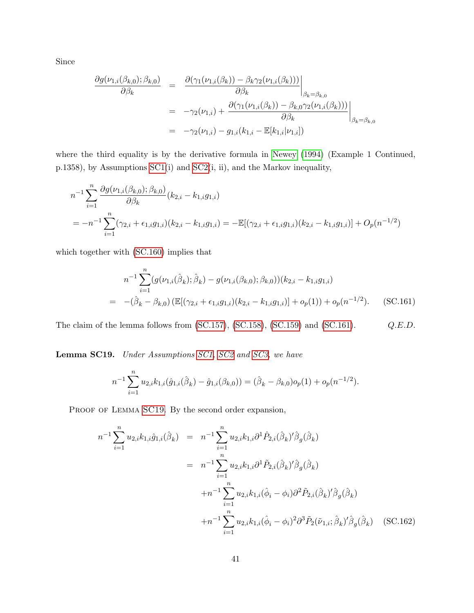Since

$$
\frac{\partial g(\nu_{1,i}(\beta_{k,0});\beta_{k,0})}{\partial \beta_k} = \frac{\partial (\gamma_1(\nu_{1,i}(\beta_k)) - \beta_k \gamma_2(\nu_{1,i}(\beta_k)))}{\partial \beta_k}\Big|_{\beta_k = \beta_{k,0}}
$$
  
\n
$$
= -\gamma_2(\nu_{1,i}) + \frac{\partial (\gamma_1(\nu_{1,i}(\beta_k)) - \beta_{k,0} \gamma_2(\nu_{1,i}(\beta_k)))}{\partial \beta_k}\Big|_{\beta_k = \beta_{k,0}}
$$
  
\n
$$
= -\gamma_2(\nu_{1,i}) - g_{1,i}(k_{1,i} - \mathbb{E}[k_{1,i}|\nu_{1,i}])
$$

where the third equality is by the derivative formula in [Newey \(1994\)](#page-102-1) (Example 1 Continued, p.1358), by Assumptions [SC1\(](#page-33-0)i) and [SC2\(](#page-36-2)i, ii), and the Markov inequality,

$$
n^{-1} \sum_{i=1}^{n} \frac{\partial g(\nu_{1,i}(\beta_{k,0}); \beta_{k,0})}{\partial \beta_k} (k_{2,i} - k_{1,i}g_{1,i})
$$
  
= 
$$
-n^{-1} \sum_{i=1}^{n} (\gamma_{2,i} + \epsilon_{1,i}g_{1,i})(k_{2,i} - k_{1,i}g_{1,i}) = -\mathbb{E}[(\gamma_{2,i} + \epsilon_{1,i}g_{1,i})(k_{2,i} - k_{1,i}g_{1,i})] + O_p(n^{-1/2})
$$

which together with [\(SC.160\)](#page-62-1) implies that

<span id="page-63-0"></span>
$$
n^{-1} \sum_{i=1}^{n} (g(\nu_{1,i}(\hat{\beta}_k); \hat{\beta}_k) - g(\nu_{1,i}(\beta_{k,0}); \beta_{k,0})) (k_{2,i} - k_{1,i}g_{1,i})
$$
  
= 
$$
-(\hat{\beta}_k - \beta_{k,0}) \left( \mathbb{E}[(\gamma_{2,i} + \epsilon_{1,i}g_{1,i})(k_{2,i} - k_{1,i}g_{1,i})] + o_p(1) \right) + o_p(n^{-1/2}).
$$
 (SC.161)

The claim of the lemma follows from [\(SC.157\)](#page-62-2), [\(SC.158\)](#page-62-3), [\(SC.159\)](#page-62-4) and [\(SC.161\)](#page-63-0).  $Q.E.D.$ 

<span id="page-63-1"></span>Lemma SC19. Under Assumptions [SC1,](#page-33-0) [SC2](#page-36-2) and [SC3,](#page-44-1) we have

$$
n^{-1} \sum_{i=1}^{n} u_{2,i} k_{1,i}(\hat{g}_{1,i}(\hat{\beta}_k) - \hat{g}_{1,i}(\beta_{k,0})) = (\hat{\beta}_k - \beta_{k,0})o_p(1) + o_p(n^{-1/2}).
$$

PROOF OF LEMMA [SC19](#page-63-1). By the second order expansion,

<span id="page-63-2"></span>
$$
n^{-1} \sum_{i=1}^{n} u_{2,i} k_{1,i} \hat{g}_{1,i}(\hat{\beta}_{k}) = n^{-1} \sum_{i=1}^{n} u_{2,i} k_{1,i} \partial^{1} \hat{P}_{2,i}(\hat{\beta}_{k})' \hat{\beta}_{g}(\hat{\beta}_{k})
$$
  
\n
$$
= n^{-1} \sum_{i=1}^{n} u_{2,i} k_{1,i} \partial^{1} \tilde{P}_{2,i}(\hat{\beta}_{k})' \hat{\beta}_{g}(\hat{\beta}_{k})
$$
  
\n
$$
+ n^{-1} \sum_{i=1}^{n} u_{2,i} k_{1,i} (\hat{\phi}_{i} - \phi_{i}) \partial^{2} \tilde{P}_{2,i}(\hat{\beta}_{k})' \hat{\beta}_{g}(\hat{\beta}_{k})
$$
  
\n
$$
+ n^{-1} \sum_{i=1}^{n} u_{2,i} k_{1,i} (\hat{\phi}_{i} - \phi_{i})^{2} \partial^{3} \tilde{P}_{2}(\tilde{\nu}_{1,i}; \hat{\beta}_{k})' \hat{\beta}_{g}(\hat{\beta}_{k})
$$
(SC.162)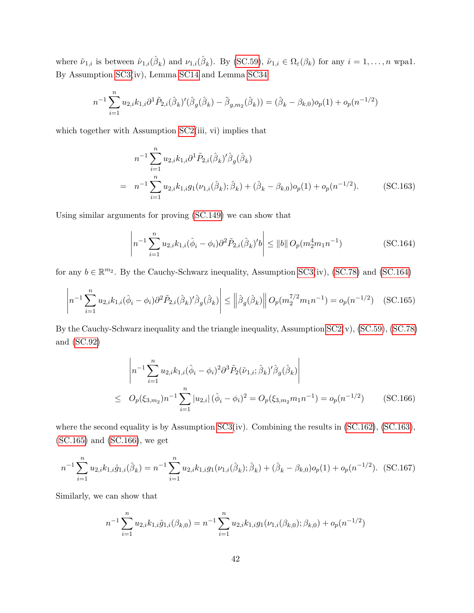where  $\tilde{\nu}_{1,i}$  is between  $\hat{\nu}_{1,i}(\hat{\beta}_k)$  and  $\nu_{1,i}(\hat{\beta}_k)$ . By [\(SC.59\)](#page-38-3),  $\tilde{\nu}_{1,i} \in \Omega_{\varepsilon}(\beta_k)$  for any  $i = 1, \ldots, n$  wpa1. By Assumption [SC3\(](#page-44-1)iv), Lemma [SC14](#page-58-1) and Lemma [SC34](#page-99-0)

$$
n^{-1} \sum_{i=1}^{n} u_{2,i} k_{1,i} \partial^1 \tilde{P}_{2,i} (\hat{\beta}_k)' (\hat{\beta}_g (\hat{\beta}_k) - \tilde{\beta}_{g,m_2} (\hat{\beta}_k)) = (\hat{\beta}_k - \beta_{k,0}) o_p(1) + o_p(n^{-1/2})
$$

which together with Assumption [SC2\(](#page-36-2)iii, vi) implies that

<span id="page-64-1"></span>
$$
n^{-1} \sum_{i=1}^{n} u_{2,i} k_{1,i} \partial^1 \tilde{P}_{2,i} (\hat{\beta}_k)' \hat{\beta}_g (\hat{\beta}_k)
$$
  
= 
$$
n^{-1} \sum_{i=1}^{n} u_{2,i} k_{1,i} g_1(\nu_{1,i}(\hat{\beta}_k); \hat{\beta}_k) + (\hat{\beta}_k - \beta_{k,0}) o_p(1) + o_p(n^{-1/2}).
$$
 (SC.163)

Using similar arguments for proving [\(SC.149\)](#page-59-3) we can show that

<span id="page-64-0"></span>
$$
\left| n^{-1} \sum_{i=1}^{n} u_{2,i} k_{1,i} (\hat{\phi}_i - \phi_i) \partial^2 \tilde{P}_{2,i} (\hat{\beta}_k)' b \right| \le ||b|| \ O_p(m_2^4 m_1 n^{-1}) \tag{SC.164}
$$

for any  $b \in \mathbb{R}^{m_2}$ . By the Cauchy-Schwarz inequality, Assumption [SC3\(](#page-44-1)iv), [\(SC.78\)](#page-42-3) and [\(SC.164\)](#page-64-0)

<span id="page-64-2"></span>
$$
\left| n^{-1} \sum_{i=1}^{n} u_{2,i} k_{1,i} (\hat{\phi}_i - \phi_i) \partial^2 \tilde{P}_{2,i} (\hat{\beta}_k)' \hat{\beta}_g (\hat{\beta}_k) \right| \leq \left\| \hat{\beta}_g (\hat{\beta}_k) \right\| O_p(m_2^{7/2} m_1 n^{-1}) = o_p(n^{-1/2}) \quad \text{(SC.165)}
$$

By the Cauchy-Schwarz inequality and the triangle inequality, Assumption [SC2\(](#page-36-2)v), [\(SC.59\)](#page-38-3), [\(SC.78\)](#page-42-3) and [\(SC.92\)](#page-46-0)

<span id="page-64-3"></span>
$$
\left| n^{-1} \sum_{i=1}^{n} u_{2,i} k_{1,i} (\hat{\phi}_i - \phi_i)^2 \partial^3 \tilde{P}_2(\tilde{\nu}_{1,i}; \hat{\beta}_k)' \hat{\beta}_g(\hat{\beta}_k) \right|
$$
  
\n
$$
\leq O_p(\xi_{3,m_2}) n^{-1} \sum_{i=1}^{n} |u_{2,i}| (\hat{\phi}_i - \phi_i)^2 = O_p(\xi_{3,m_2} m_1 n^{-1}) = o_p(n^{-1/2}) \qquad \text{(SC.166)}
$$

where the second equality is by Assumption [SC3\(](#page-44-1)iv). Combining the results in [\(SC.162\)](#page-63-2), [\(SC.163\)](#page-64-1), [\(SC.165\)](#page-64-2) and [\(SC.166\)](#page-64-3), we get

<span id="page-64-4"></span>
$$
n^{-1} \sum_{i=1}^{n} u_{2,i} k_{1,i} \hat{g}_{1,i}(\hat{\beta}_k) = n^{-1} \sum_{i=1}^{n} u_{2,i} k_{1,i} g_1(\nu_{1,i}(\hat{\beta}_k); \hat{\beta}_k) + (\hat{\beta}_k - \beta_{k,0}) o_p(1) + o_p(n^{-1/2}).
$$
 (SC.167)

Similarly, we can show that

$$
n^{-1} \sum_{i=1}^{n} u_{2,i} k_{1,i} \hat{g}_{1,i}(\beta_{k,0}) = n^{-1} \sum_{i=1}^{n} u_{2,i} k_{1,i} g_1(\nu_{1,i}(\beta_{k,0}); \beta_{k,0}) + o_p(n^{-1/2})
$$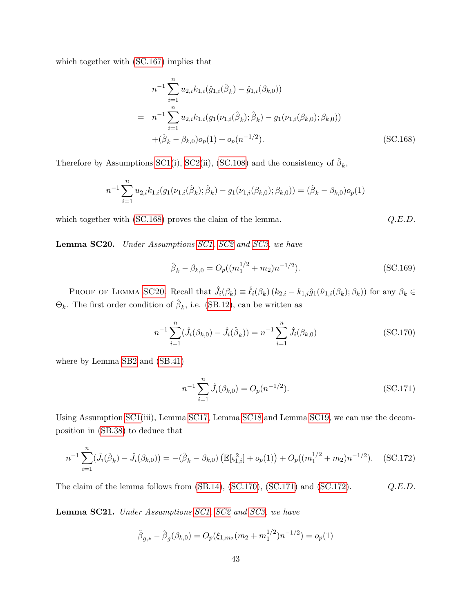which together with [\(SC.167\)](#page-64-4) implies that

<span id="page-65-0"></span>
$$
n^{-1} \sum_{i=1}^{n} u_{2,i} k_{1,i}(\hat{g}_{1,i}(\hat{\beta}_k) - \hat{g}_{1,i}(\beta_{k,0}))
$$
  
\n
$$
= n^{-1} \sum_{i=1}^{n} u_{2,i} k_{1,i} (g_1(\nu_{1,i}(\hat{\beta}_k); \hat{\beta}_k) - g_1(\nu_{1,i}(\beta_{k,0}); \beta_{k,0}))
$$
  
\n
$$
+ (\hat{\beta}_k - \beta_{k,0}) o_p(1) + o_p(n^{-1/2}).
$$
\n(SC.168)

Therefore by Assumptions [SC1\(](#page-33-0)i), [SC2\(](#page-36-2)ii), [\(SC.108\)](#page-49-4) and the consistency of  $\hat{\beta}_k$ ,

$$
n^{-1} \sum_{i=1}^{n} u_{2,i} k_{1,i} (g_1(\nu_{1,i}(\hat{\beta}_k); \hat{\beta}_k) - g_1(\nu_{1,i}(\beta_{k,0}); \beta_{k,0})) = (\hat{\beta}_k - \beta_{k,0}) o_p(1)
$$

which together with [\(SC.168\)](#page-65-0) proves the claim of the lemma.  $Q.E.D.$ 

<span id="page-65-1"></span>Lemma SC20. Under Assumptions [SC1,](#page-33-0) [SC2](#page-36-2) and [SC3,](#page-44-1) we have

$$
\hat{\beta}_k - \beta_{k,0} = O_p((m_1^{1/2} + m_2)n^{-1/2}).
$$
\n(SC.169)

PROOF OF LEMMA [SC20](#page-65-1). Recall that  $\hat{J}_i(\beta_k) \equiv \hat{\ell}_i(\beta_k) (k_{2,i} - k_{1,i} \hat{g}_1(\hat{\nu}_{1,i}(\beta_k); \beta_k))$  for any  $\beta_k \in$  $\Theta_k$ . The first order condition of  $\hat{\beta}_k$ , i.e. [\(SB.12\)](#page-26-2), can be written as

<span id="page-65-2"></span>
$$
n^{-1} \sum_{i=1}^{n} (\hat{J}_i(\beta_{k,0}) - \hat{J}_i(\hat{\beta}_k)) = n^{-1} \sum_{i=1}^{n} \hat{J}_i(\beta_{k,0})
$$
 (SC.170)

where by Lemma [SB2](#page-30-0) and [\(SB.41\)](#page-32-0)

<span id="page-65-3"></span>
$$
n^{-1} \sum_{i=1}^{n} \hat{J}_i(\beta_{k,0}) = O_p(n^{-1/2}).
$$
 (SC.171)

Using Assumption [SC1\(](#page-33-0)iii), Lemma [SC17,](#page-61-0) Lemma [SC18](#page-62-0) and Lemma [SC19,](#page-63-1) we can use the decomposition in [\(SB.38\)](#page-32-1) to deduce that

<span id="page-65-4"></span>
$$
n^{-1} \sum_{i=1}^{n} (\hat{J}_i(\hat{\beta}_k) - \hat{J}_i(\beta_{k,0})) = -(\hat{\beta}_k - \beta_{k,0}) \left( \mathbb{E}[\varsigma_{1,i}^2] + o_p(1) \right) + O_p((m_1^{1/2} + m_2)n^{-1/2}). \quad \text{(SC.172)}
$$

The claim of the lemma follows from  $(SB.14)$ ,  $(SC.170)$ ,  $(SC.171)$  and  $(SC.172)$ .  $Q.E.D.$ 

<span id="page-65-5"></span>Lemma SC21. Under Assumptions [SC1,](#page-33-0) [SC2](#page-36-2) and [SC3,](#page-44-1) we have

$$
\tilde{\beta}_{g,*} - \hat{\beta}_g(\beta_{k,0}) = O_p(\xi_{1,m_2}(m_2 + m_1^{1/2})n^{-1/2}) = o_p(1)
$$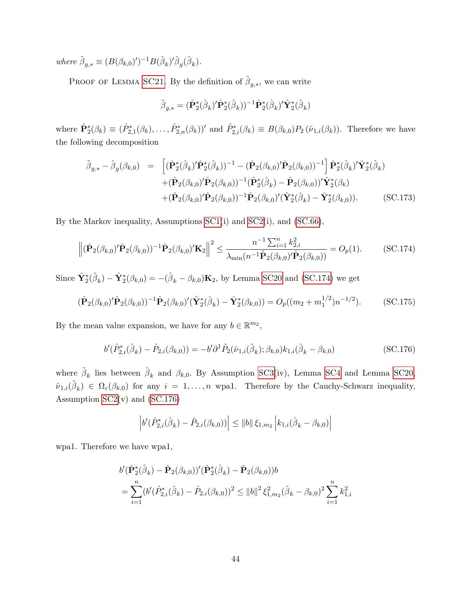where  $\tilde{\beta}_{g,*} \equiv (B(\beta_{k,0})')^{-1}B(\hat{\beta}_k)'\hat{\beta}_g(\hat{\beta}_k).$ 

PROOF OF LEMMA [SC21](#page-65-5). By the definition of  $\tilde{\beta}_{g,*}$ , we can write

$$
\tilde{\boldsymbol{\beta}}_{g,*}=(\hat{\mathbf{P}}_2^*(\hat{\boldsymbol{\beta}}_k)'\hat{\mathbf{P}}_2^*(\hat{\boldsymbol{\beta}}_k))^{-1}\hat{\mathbf{P}}_2^*(\hat{\boldsymbol{\beta}}_k)'\hat{\mathbf{Y}}_2^*(\hat{\boldsymbol{\beta}}_k)
$$

where  $\hat{\mathbf{P}}_2^*(\beta_k) \equiv (\hat{P}_{2,1}^*(\beta_k), \ldots, \hat{P}_{2,n}^*(\beta_k))'$  and  $\hat{P}_{2,i}^*(\beta_k) \equiv B(\beta_{k,0})P_2(\hat{\nu}_{1,i}(\beta_k))$ . Therefore we have the following decomposition

<span id="page-66-2"></span>
$$
\tilde{\beta}_{g,*} - \hat{\beta}_g(\beta_{k,0}) = \left[ (\hat{\mathbf{P}}_2^*(\hat{\beta}_k)' \hat{\mathbf{P}}_2^*(\hat{\beta}_k))^{-1} - (\hat{\mathbf{P}}_2(\beta_{k,0})' \hat{\mathbf{P}}_2(\beta_{k,0}))^{-1} \right] \hat{\mathbf{P}}_2^*(\hat{\beta}_k)' \hat{\mathbf{Y}}_2^*(\hat{\beta}_k) \n+ (\hat{\mathbf{P}}_2(\beta_{k,0})' \hat{\mathbf{P}}_2(\beta_{k,0}))^{-1} (\hat{\mathbf{P}}_2^*(\hat{\beta}_k) - \hat{\mathbf{P}}_2(\beta_{k,0}))' \hat{\mathbf{Y}}_2^*(\beta_k) \n+ (\hat{\mathbf{P}}_2(\beta_{k,0})' \hat{\mathbf{P}}_2(\beta_{k,0}))^{-1} \hat{\mathbf{P}}_2(\beta_{k,0})' (\hat{\mathbf{Y}}_2^*(\hat{\beta}_k) - \hat{\mathbf{Y}}_2^*(\beta_{k,0})).
$$
\n(SC.173)

By the Markov inequality, Assumptions [SC1\(](#page-33-0)i) and [SC2\(](#page-36-2)i), and [\(SC.66\)](#page-39-2),

<span id="page-66-0"></span>
$$
\left\| (\hat{\mathbf{P}}_2(\beta_{k,0})' \hat{\mathbf{P}}_2(\beta_{k,0}))^{-1} \hat{\mathbf{P}}_2(\beta_{k,0})' \mathbf{K}_2 \right\|^2 \le \frac{n^{-1} \sum_{i=1}^n k_{2,i}^2}{\lambda_{\min}(n^{-1} \hat{\mathbf{P}}_2(\beta_{k,0})' \hat{\mathbf{P}}_2(\beta_{k,0}))} = O_p(1). \tag{SC.174}
$$

Since  $\hat{\mathbf{Y}}_2^*(\hat{\beta}_k) - \hat{\mathbf{Y}}_2^*(\beta_{k,0}) = -(\hat{\beta}_k - \beta_{k,0})\mathbf{K}_2$ , by Lemma [SC20](#page-65-1) and [\(SC.174\)](#page-66-0) we get

<span id="page-66-3"></span>
$$
(\hat{\mathbf{P}}_2(\beta_{k,0})'\hat{\mathbf{P}}_2(\beta_{k,0}))^{-1}\hat{\mathbf{P}}_2(\beta_{k,0})'(\hat{\mathbf{Y}}_2^*(\hat{\beta}_k) - \hat{\mathbf{Y}}_2^*(\beta_{k,0})) = O_p((m_2 + m_1^{1/2})n^{-1/2}).
$$
 (SC.175)

By the mean value expansion, we have for any  $b \in \mathbb{R}^{m_2}$ ,

<span id="page-66-1"></span>
$$
b'(\hat{P}_{2,i}^*(\hat{\beta}_k) - \hat{P}_{2,i}(\beta_{k,0})) = -b'\partial^1 \tilde{P}_2(\hat{\nu}_{1,i}(\tilde{\beta}_k); \beta_{k,0})k_{1,i}(\hat{\beta}_k - \beta_{k,0})
$$
(SC.176)

where  $\tilde{\beta}_k$  lies between  $\hat{\beta}_k$  and  $\beta_{k,0}$ . By Assumption [SC3\(](#page-44-1)iv), Lemma [SC4](#page-34-2) and Lemma [SC20,](#page-65-1)  $\hat{\nu}_{1,i}(\tilde{\beta}_k) \in \Omega_{\varepsilon}(\beta_{k,0})$  for any  $i = 1,\ldots,n$  wpa1. Therefore by the Cauchy-Schwarz inequality, Assumption  $SC2(v)$  and  $(SC.176)$ 

$$
\left| b'(\hat{P}_{2,i}^*(\hat{\beta}_k) - \hat{P}_{2,i}(\beta_{k,0})) \right| \le ||b|| \xi_{1,m_2} | k_{1,i}(\hat{\beta}_k - \beta_{k,0}) \right|
$$

wpa1. Therefore we have wpa1,

$$
b'(\hat{\mathbf{P}}_2^*(\hat{\beta}_k) - \hat{\mathbf{P}}_2(\beta_{k,0}))'(\hat{\mathbf{P}}_2^*(\hat{\beta}_k) - \hat{\mathbf{P}}_2(\beta_{k,0}))b
$$
  
= 
$$
\sum_{i=1}^n (b'(\hat{P}_{2,i}^*(\hat{\beta}_k) - \hat{P}_{2,i}(\beta_{k,0}))^2 \le ||b||^2 \xi_{1,m_2}^2(\hat{\beta}_k - \beta_{k,0})^2 \sum_{i=1}^n k_{1,i}^2
$$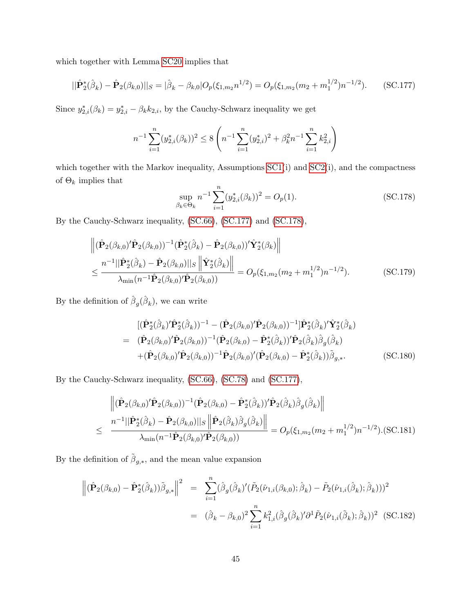which together with Lemma [SC20](#page-65-1) implies that

<span id="page-67-0"></span>
$$
||\hat{\mathbf{P}}_2^*(\hat{\beta}_k) - \hat{\mathbf{P}}_2(\beta_{k,0})||_S = |\hat{\beta}_k - \beta_{k,0}|O_p(\xi_{1,m_2}n^{1/2}) = O_p(\xi_{1,m_2}(m_2 + m_1^{1/2})n^{-1/2}).
$$
 (SC.177)

Since  $y_{2,i}^*(\beta_k) = y_{2,i}^* - \beta_k k_{2,i}$ , by the Cauchy-Schwarz inequality we get

$$
n^{-1} \sum_{i=1}^{n} (y_{2,i}^*(\beta_k))^2 \le 8 \left( n^{-1} \sum_{i=1}^{n} (y_{2,i}^*)^2 + \beta_k^2 n^{-1} \sum_{i=1}^{n} k_{2,i}^2 \right)
$$

which together with the Markov inequality, Assumptions [SC1\(](#page-33-0)i) and [SC2\(](#page-36-2)i), and the compactness of  $\Theta_k$  implies that

<span id="page-67-5"></span><span id="page-67-1"></span>
$$
\sup_{\beta_k \in \Theta_k} n^{-1} \sum_{i=1}^n (y_{2,i}^*(\beta_k))^2 = O_p(1). \tag{SC.178}
$$

By the Cauchy-Schwarz inequality, [\(SC.66\)](#page-39-2), [\(SC.177\)](#page-67-0) and [\(SC.178\)](#page-67-1),

$$
\left\| (\hat{\mathbf{P}}_{2}(\beta_{k,0})' \hat{\mathbf{P}}_{2}(\beta_{k,0}))^{-1} (\hat{\mathbf{P}}_{2}^{*}(\hat{\beta}_{k}) - \hat{\mathbf{P}}_{2}(\beta_{k,0}))' \hat{\mathbf{Y}}_{2}^{*}(\beta_{k}) \right\|
$$
  
\n
$$
\leq \frac{n^{-1} || \hat{\mathbf{P}}_{2}^{*}(\hat{\beta}_{k}) - \hat{\mathbf{P}}_{2}(\beta_{k,0}) ||_{S} \left\| \hat{\mathbf{Y}}_{2}^{*}(\hat{\beta}_{k}) \right\|}{\lambda_{\min}(n^{-1} \hat{\mathbf{P}}_{2}(\beta_{k,0})' \hat{\mathbf{P}}_{2}(\beta_{k,0}))} = O_{p}(\xi_{1,m_{2}}(m_{2} + m_{1}^{1/2})n^{-1/2}).
$$
 (SC.179)

By the definition of  $\hat{\beta}_g(\hat{\beta}_k)$ , we can write

<span id="page-67-3"></span>
$$
[(\hat{\mathbf{P}}_{2}^{*}(\hat{\beta}_{k})'\hat{\mathbf{P}}_{2}^{*}(\hat{\beta}_{k}))^{-1} - (\hat{\mathbf{P}}_{2}(\beta_{k,0})'\hat{\mathbf{P}}_{2}(\beta_{k,0}))^{-1}]\hat{\mathbf{P}}_{2}^{*}(\hat{\beta}_{k})'\hat{\mathbf{Y}}_{2}^{*}(\hat{\beta}_{k})
$$
\n
$$
= (\hat{\mathbf{P}}_{2}(\beta_{k,0})'\hat{\mathbf{P}}_{2}(\beta_{k,0}))^{-1}(\hat{\mathbf{P}}_{2}(\beta_{k,0}) - \hat{\mathbf{P}}_{2}^{*}(\hat{\beta}_{k}))'\hat{\mathbf{P}}_{2}(\hat{\beta}_{k})\hat{\beta}_{g}(\hat{\beta}_{k})
$$
\n
$$
+(\hat{\mathbf{P}}_{2}(\beta_{k,0})'\hat{\mathbf{P}}_{2}(\beta_{k,0}))^{-1}\hat{\mathbf{P}}_{2}(\beta_{k,0})'(\hat{\mathbf{P}}_{2}(\beta_{k,0}) - \hat{\mathbf{P}}_{2}^{*}(\hat{\beta}_{k}))\tilde{\beta}_{g,*}.
$$
\n(SC.180)

By the Cauchy-Schwarz inequality, [\(SC.66\)](#page-39-2), [\(SC.78\)](#page-42-3) and [\(SC.177\)](#page-67-0),

<span id="page-67-4"></span>
$$
\begin{aligned}\n&\left\| (\hat{\mathbf{P}}_{2}(\beta_{k,0})' \hat{\mathbf{P}}_{2}(\beta_{k,0}))^{-1} (\hat{\mathbf{P}}_{2}(\beta_{k,0}) - \hat{\mathbf{P}}_{2}^{*}(\hat{\beta}_{k}))' \hat{\mathbf{P}}_{2}(\hat{\beta}_{k}) \hat{\beta}_{g}(\hat{\beta}_{k}) \right\| \\
&\leq \frac{n^{-1}||\hat{\mathbf{P}}_{2}^{*}(\hat{\beta}_{k}) - \hat{\mathbf{P}}_{2}(\beta_{k,0})||_{S} \left\| \hat{\mathbf{P}}_{2}(\hat{\beta}_{k}) \hat{\beta}_{g}(\hat{\beta}_{k}) \right\|}{\lambda_{\min}(n^{-1} \hat{\mathbf{P}}_{2}(\beta_{k,0})' \hat{\mathbf{P}}_{2}(\beta_{k,0}))} = O_{p}(\xi_{1,m_{2}}(m_{2}+m_{1}^{1/2})n^{-1/2}).\text{(SC.181)}\n\end{aligned}
$$

By the definition of  $\tilde{\beta}_{g,*}$ , and the mean value expansion

<span id="page-67-2"></span>
$$
\left\| (\hat{\mathbf{P}}_2(\beta_{k,0}) - \hat{\mathbf{P}}_2^*(\hat{\beta}_k)) \tilde{\beta}_{g,*} \right\|^2 = \sum_{i=1}^n (\hat{\beta}_g(\hat{\beta}_k)'(\tilde{P}_2(\hat{\nu}_{1,i}(\beta_{k,0}); \hat{\beta}_k) - \tilde{P}_2(\hat{\nu}_{1,i}(\hat{\beta}_k); \hat{\beta}_k)))^2
$$
  

$$
= (\hat{\beta}_k - \beta_{k,0})^2 \sum_{i=1}^n k_{1,i}^2(\hat{\beta}_g(\hat{\beta}_k)' \partial^1 \tilde{P}_2(\hat{\nu}_{1,i}(\tilde{\beta}_k); \hat{\beta}_k))^2
$$
(SC.182)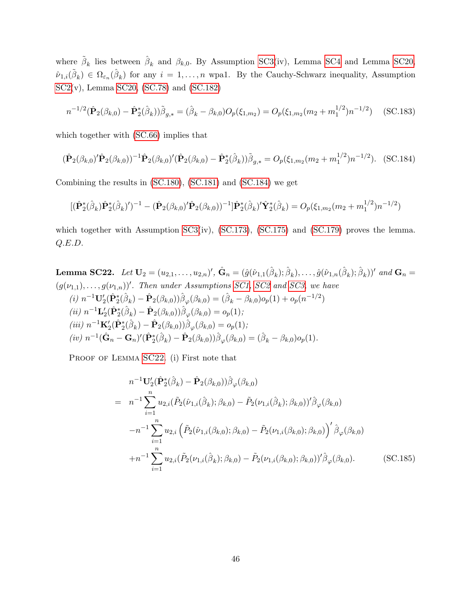where  $\tilde{\beta}_k$  lies between  $\hat{\beta}_k$  and  $\beta_{k,0}$ . By Assumption [SC3\(](#page-44-1)iv), Lemma [SC4](#page-34-2) and Lemma [SC20,](#page-65-1)  $\hat{\nu}_{1,i}(\tilde{\beta}_k) \in \Omega_{\varepsilon_n}(\hat{\beta}_k)$  for any  $i = 1,\ldots,n$  wpal. By the Cauchy-Schwarz inequality, Assumption [SC2\(](#page-36-2)v), Lemma [SC20,](#page-65-1) [\(SC.78\)](#page-42-3) and [\(SC.182\)](#page-67-2)

$$
n^{-1/2}(\hat{\mathbf{P}}_2(\beta_{k,0}) - \hat{\mathbf{P}}_2^*(\hat{\beta}_k))\tilde{\beta}_{g,*} = (\hat{\beta}_k - \beta_{k,0})O_p(\xi_{1,m_2}) = O_p(\xi_{1,m_2}(m_2 + m_1^{1/2})n^{-1/2})
$$
(SC.183)

which together with [\(SC.66\)](#page-39-2) implies that

<span id="page-68-0"></span>
$$
(\hat{\mathbf{P}}_2(\beta_{k,0})'\hat{\mathbf{P}}_2(\beta_{k,0}))^{-1}\hat{\mathbf{P}}_2(\beta_{k,0})'(\hat{\mathbf{P}}_2(\beta_{k,0}) - \hat{\mathbf{P}}_2^*(\hat{\beta}_k))\tilde{\beta}_{g,*} = O_p(\xi_{1,m_2}(m_2 + m_1^{1/2})n^{-1/2}).
$$
 (SC.184)

Combining the results in [\(SC.180\)](#page-67-3), [\(SC.181\)](#page-67-4) and [\(SC.184\)](#page-68-0) we get

$$
[(\hat{\mathbf{P}}_2^*(\hat{\beta}_k)\hat{\mathbf{P}}_2^*(\hat{\beta}_k)')^{-1} - (\hat{\mathbf{P}}_2(\beta_{k,0})'\hat{\mathbf{P}}_2(\beta_{k,0}))^{-1}]\hat{\mathbf{P}}_2^*(\hat{\beta}_k)'\hat{\mathbf{Y}}_2^*(\hat{\beta}_k) = O_p(\xi_{1,m_2}(m_2 + m_1^{1/2})n^{-1/2})
$$

which together with Assumption [SC3\(](#page-44-1)iv), [\(SC.173\)](#page-66-2), [\(SC.175\)](#page-66-3) and [\(SC.179\)](#page-67-5) proves the lemma. Q.E.D.

<span id="page-68-1"></span>**Lemma SC22.** Let 
$$
U_2 = (u_{2,1}, \ldots, u_{2,n})'
$$
,  $\hat{G}_n = (\hat{g}(\hat{\nu}_{1,1}(\hat{\beta}_k); \hat{\beta}_k), \ldots, \hat{g}(\hat{\nu}_{1,n}(\hat{\beta}_k); \hat{\beta}_k))'$  and  $G_n = (g(\nu_{1,1}), \ldots, g(\nu_{1,n}))'$ . Then under Assumptions  $SC1$ ,  $SC2$  and  $SC3$ , we have  
\n(i)  $n^{-1}U_2'(\hat{P}_2^*(\hat{\beta}_k) - \hat{P}_2(\beta_{k,0}))\hat{\beta}_{\varphi}(\beta_{k,0}) = (\hat{\beta}_k - \beta_{k,0})o_p(1) + o_p(n^{-1/2})$   
\n(ii)  $n^{-1}L_2'(\hat{P}_2^*(\hat{\beta}_k) - \hat{P}_2(\beta_{k,0}))\hat{\beta}_{\varphi}(\beta_{k,0}) = o_p(1)$ ;  
\n(iii)  $n^{-1}K_2'(\hat{P}_2^*(\hat{\beta}_k) - \hat{P}_2(\beta_{k,0}))\hat{\beta}_{\varphi}(\beta_{k,0}) = o_p(1)$ ;  
\n(iv)  $n^{-1}(\hat{G}_n - G_n)'(\hat{P}_2^*(\hat{\beta}_k) - \hat{P}_2(\beta_{k,0}))\hat{\beta}_{\varphi}(\beta_{k,0}) = (\hat{\beta}_k - \beta_{k,0})o_p(1)$ .

PROOF OF LEMMA [SC22](#page-68-1). (i) First note that

<span id="page-68-2"></span>
$$
n^{-1} \mathbf{U}_{2}'(\hat{\mathbf{P}}_{2}^{*}(\hat{\beta}_{k}) - \hat{\mathbf{P}}_{2}(\beta_{k,0})) \hat{\beta}_{\varphi}(\beta_{k,0})
$$
  
\n
$$
= n^{-1} \sum_{i=1}^{n} u_{2,i}(\tilde{P}_{2}(\hat{\nu}_{1,i}(\hat{\beta}_{k});\beta_{k,0}) - \tilde{P}_{2}(\nu_{1,i}(\hat{\beta}_{k});\beta_{k,0}))' \hat{\beta}_{\varphi}(\beta_{k,0})
$$
  
\n
$$
-n^{-1} \sum_{i=1}^{n} u_{2,i}(\tilde{P}_{2}(\hat{\nu}_{1,i}(\beta_{k,0});\beta_{k,0}) - \tilde{P}_{2}(\nu_{1,i}(\beta_{k,0});\beta_{k,0}))' \hat{\beta}_{\varphi}(\beta_{k,0})
$$
  
\n
$$
+n^{-1} \sum_{i=1}^{n} u_{2,i}(\tilde{P}_{2}(\nu_{1,i}(\hat{\beta}_{k});\beta_{k,0}) - \tilde{P}_{2}(\nu_{1,i}(\beta_{k,0});\beta_{k,0}))' \hat{\beta}_{\varphi}(\beta_{k,0}).
$$
 (SC.185)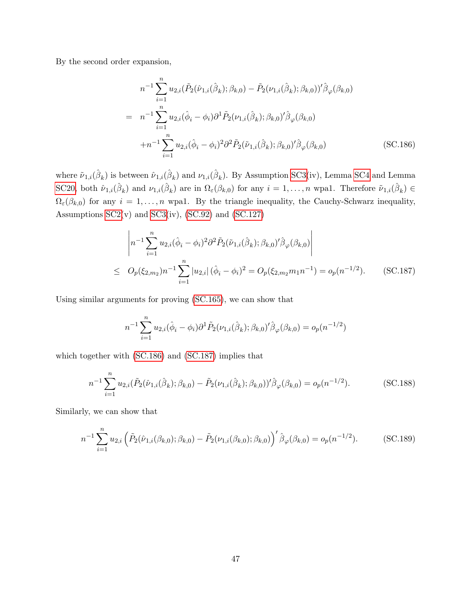By the second order expansion,

<span id="page-69-0"></span>
$$
n^{-1} \sum_{i=1}^{n} u_{2,i} (\tilde{P}_2(\hat{\nu}_{1,i}(\hat{\beta}_k); \beta_{k,0}) - \tilde{P}_2(\nu_{1,i}(\hat{\beta}_k); \beta_{k,0}))' \hat{\beta}_{\varphi}(\beta_{k,0})
$$
  
\n
$$
= n^{-1} \sum_{i=1}^{n} u_{2,i} (\hat{\phi}_i - \phi_i) \partial^1 \tilde{P}_2(\nu_{1,i}(\hat{\beta}_k); \beta_{k,0})' \hat{\beta}_{\varphi}(\beta_{k,0})
$$
  
\n
$$
+ n^{-1} \sum_{i=1}^{n} u_{2,i} (\hat{\phi}_i - \phi_i)^2 \partial^2 \tilde{P}_2(\tilde{\nu}_{1,i}(\hat{\beta}_k); \beta_{k,0})' \hat{\beta}_{\varphi}(\beta_{k,0})
$$
(SC.186)

where  $\tilde{\nu}_{1,i}(\hat{\beta}_k)$  is between  $\hat{\nu}_{1,i}(\hat{\beta}_k)$  and  $\nu_{1,i}(\hat{\beta}_k)$ . By Assumption [SC3\(](#page-44-1)iv), Lemma [SC4](#page-34-2) and Lemma [SC20,](#page-65-1) both  $\hat{\nu}_{1,i}(\hat{\beta}_k)$  and  $\nu_{1,i}(\hat{\beta}_k)$  are in  $\Omega_{\varepsilon}(\beta_{k,0})$  for any  $i=1,\ldots,n$  wpa1. Therefore  $\tilde{\nu}_{1,i}(\hat{\beta}_k) \in$  $\Omega_{\varepsilon}(\beta_{k,0})$  for any  $i=1,\ldots,n$  wpa1. By the triangle inequality, the Cauchy-Schwarz inequality, Assumptions  $SC2(v)$  and  $SC3(iv)$ ,  $(SC.92)$  and  $(SC.127)$ 

<span id="page-69-1"></span>
$$
\left| n^{-1} \sum_{i=1}^{n} u_{2,i} (\hat{\phi}_i - \phi_i)^2 \partial^2 \tilde{P}_2(\tilde{\nu}_{1,i}(\hat{\beta}_k); \beta_{k,0})' \hat{\beta}_{\varphi}(\beta_{k,0}) \right|
$$
  
 
$$
\leq O_p(\xi_{2,m_2}) n^{-1} \sum_{i=1}^{n} |u_{2,i}| (\hat{\phi}_i - \phi_i)^2 = O_p(\xi_{2,m_2} m_1 n^{-1}) = o_p(n^{-1/2}). \qquad (SC.187)
$$

Using similar arguments for proving [\(SC.165\)](#page-64-2), we can show that

$$
n^{-1} \sum_{i=1}^{n} u_{2,i}(\hat{\phi}_i - \phi_i) \partial^1 \tilde{P}_2(\nu_{1,i}(\hat{\beta}_k); \beta_{k,0})' \hat{\beta}_{\varphi}(\beta_{k,0}) = o_p(n^{-1/2})
$$

which together with [\(SC.186\)](#page-69-0) and [\(SC.187\)](#page-69-1) implies that

<span id="page-69-2"></span>
$$
n^{-1} \sum_{i=1}^{n} u_{2,i}(\tilde{P}_2(\hat{\nu}_{1,i}(\hat{\beta}_k); \beta_{k,0}) - \tilde{P}_2(\nu_{1,i}(\hat{\beta}_k); \beta_{k,0}))' \hat{\beta}_{\varphi}(\beta_{k,0}) = o_p(n^{-1/2}).
$$
 (SC.188)

Similarly, we can show that

<span id="page-69-3"></span>
$$
n^{-1} \sum_{i=1}^{n} u_{2,i} \left( \tilde{P}_2(\hat{\nu}_{1,i}(\beta_{k,0}); \beta_{k,0}) - \tilde{P}_2(\nu_{1,i}(\beta_{k,0}); \beta_{k,0}) \right)^{\prime} \hat{\beta}_{\varphi}(\beta_{k,0}) = o_p(n^{-1/2}). \tag{SC.189}
$$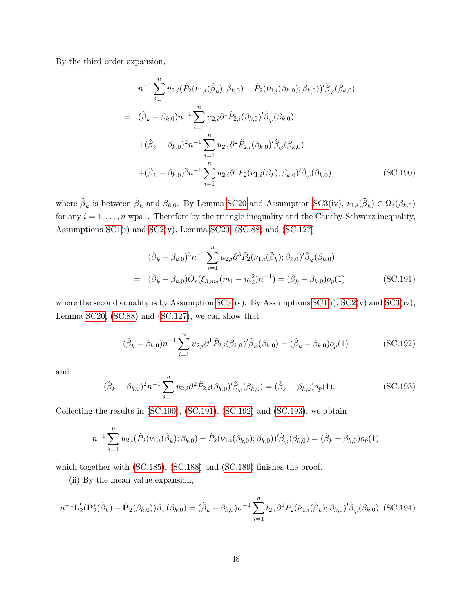By the third order expansion,

<span id="page-70-0"></span>
$$
n^{-1} \sum_{i=1}^{n} u_{2,i}(\tilde{P}_2(\nu_{1,i}(\hat{\beta}_k); \beta_{k,0}) - \tilde{P}_2(\nu_{1,i}(\beta_{k,0}); \beta_{k,0}))' \hat{\beta}_{\varphi}(\beta_{k,0})
$$
  
\n
$$
= (\hat{\beta}_k - \beta_{k,0})n^{-1} \sum_{i=1}^{n} u_{2,i} \partial^1 \tilde{P}_{2,i}(\beta_{k,0})' \hat{\beta}_{\varphi}(\beta_{k,0})
$$
  
\n
$$
+ (\hat{\beta}_k - \beta_{k,0})^2 n^{-1} \sum_{i=1}^{n} u_{2,i} \partial^2 \tilde{P}_{2,i}(\beta_{k,0})' \hat{\beta}_{\varphi}(\beta_{k,0})
$$
  
\n
$$
+ (\hat{\beta}_k - \beta_{k,0})^3 n^{-1} \sum_{i=1}^{n} u_{2,i} \partial^3 \tilde{P}_2(\nu_{1,i}(\tilde{\beta}_k); \beta_{k,0})' \hat{\beta}_{\varphi}(\beta_{k,0})
$$
(SC.190)

where  $\tilde{\beta}_k$  is between  $\hat{\beta}_k$  and  $\beta_{k,0}$ . By Lemma [SC20](#page-65-1) and Assumption [SC3\(](#page-44-1)iv),  $\nu_{1,i}(\tilde{\beta}_k) \in \Omega_{\varepsilon}(\beta_{k,0})$ for any  $i = 1, \ldots, n$  wpa1. Therefore by the triangle inequality and the Cauchy-Schwarz inequality, Assumptions [SC1\(](#page-33-0)i) and [SC2\(](#page-36-2)v), Lemma [SC20,](#page-65-1) [\(SC.88\)](#page-45-1) and [\(SC.127\)](#page-54-4)

<span id="page-70-1"></span>
$$
(\hat{\beta}_k - \beta_{k,0})^3 n^{-1} \sum_{i=1}^n u_{2,i} \partial^3 \tilde{P}_2(\nu_{1,i}(\tilde{\beta}_k); \beta_{k,0})' \hat{\beta}_{\varphi}(\beta_{k,0})
$$
  
=  $(\hat{\beta}_k - \beta_{k,0}) O_p(\xi_{3,m_2}(m_1 + m_2^2)n^{-1}) = (\hat{\beta}_k - \beta_{k,0}) o_p(1)$  (SC.191)

where the second equality is by Assumption  $SC3(iv)$ . By Assumptions  $SC1(i)$ ,  $SC2(v)$  and  $SC3(iv)$ , Lemma [SC20,](#page-65-1) [\(SC.88\)](#page-45-1) and [\(SC.127\)](#page-54-4), we can show that

<span id="page-70-2"></span>
$$
(\hat{\beta}_k - \beta_{k,0})n^{-1} \sum_{i=1}^n u_{2,i} \partial^1 \tilde{P}_{2,i}(\beta_{k,0})' \hat{\beta}_{\varphi}(\beta_{k,0}) = (\hat{\beta}_k - \beta_{k,0})o_p(1)
$$
 (SC.192)

and

<span id="page-70-3"></span>
$$
(\hat{\beta}_k - \beta_{k,0})^2 n^{-1} \sum_{i=1}^n u_{2,i} \partial^2 \tilde{P}_{2,i}(\beta_{k,0})' \hat{\beta}_{\varphi}(\beta_{k,0}) = (\hat{\beta}_k - \beta_{k,0}) o_p(1).
$$
 (SC.193)

Collecting the results in [\(SC.190\)](#page-70-0), [\(SC.191\)](#page-70-1), [\(SC.192\)](#page-70-2) and [\(SC.193\)](#page-70-3), we obtain

$$
n^{-1} \sum_{i=1}^{n} u_{2,i}(\tilde{P}_2(\nu_{1,i}(\hat{\beta}_k); \beta_{k,0}) - \tilde{P}_2(\nu_{1,i}(\beta_{k,0}); \beta_{k,0}))' \hat{\beta}_{\varphi}(\beta_{k,0}) = (\hat{\beta}_k - \beta_{k,0})o_p(1)
$$

which together with [\(SC.185\)](#page-68-2), [\(SC.188\)](#page-69-2) and [\(SC.189\)](#page-69-3) finishes the proof.

(ii) By the mean value expansion,

$$
n^{-1} \mathbf{L}_{2}'(\hat{\mathbf{P}}_{2}^{*}(\hat{\beta}_{k}) - \hat{\mathbf{P}}_{2}(\beta_{k,0})) \hat{\beta}_{\varphi}(\beta_{k,0}) = (\hat{\beta}_{k} - \beta_{k,0}) n^{-1} \sum_{i=1}^{n} l_{2,i} \partial^{1} \tilde{P}_{2}(\hat{\nu}_{1,i}(\tilde{\beta}_{k}); \beta_{k,0})' \hat{\beta}_{\varphi}(\beta_{k,0})
$$
(SC.194)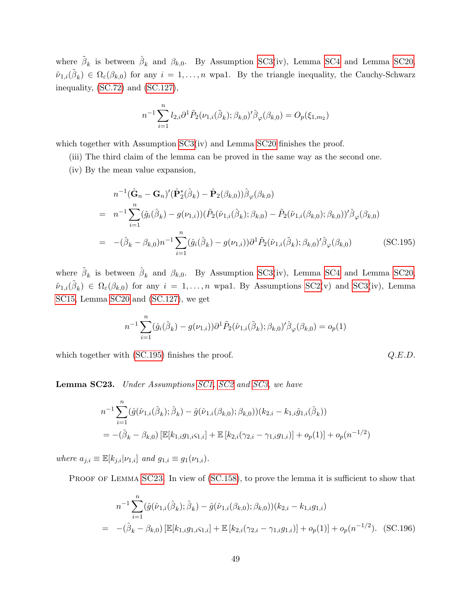where  $\tilde{\beta}_k$  is between  $\hat{\beta}_k$  and  $\beta_{k,0}$ . By Assumption [SC3\(](#page-44-1)iv), Lemma [SC4](#page-34-2) and Lemma [SC20,](#page-65-1)  $\hat{\nu}_{1,i}(\tilde{\beta}_k) \in \Omega_{\varepsilon}(\beta_{k,0})$  for any  $i=1,\ldots,n$  wpal. By the triangle inequality, the Cauchy-Schwarz inequality, [\(SC.72\)](#page-41-5) and [\(SC.127\)](#page-54-4),

$$
n^{-1} \sum_{i=1}^{n} l_{2,i} \partial^{1} \tilde{P}_{2}(\nu_{1,i}(\tilde{\beta}_{k});\beta_{k,0})' \hat{\beta}_{\varphi}(\beta_{k,0}) = O_{p}(\xi_{1,m_{2}})
$$

which together with Assumption [SC3\(](#page-44-1)iv) and Lemma [SC20](#page-65-1) finishes the proof.

(iii) The third claim of the lemma can be proved in the same way as the second one.

(iv) By the mean value expansion,

<span id="page-71-0"></span>
$$
n^{-1}(\hat{\mathbf{G}}_n - \mathbf{G}_n)'(\hat{\mathbf{P}}_2^*(\hat{\beta}_k) - \hat{\mathbf{P}}_2(\beta_{k,0}))\hat{\beta}_{\varphi}(\beta_{k,0})
$$
  
\n
$$
= n^{-1}\sum_{i=1}^n(\hat{g}_i(\hat{\beta}_k) - g(\nu_{1,i}))(\tilde{P}_2(\hat{\nu}_{1,i}(\hat{\beta}_k); \beta_{k,0}) - \tilde{P}_2(\hat{\nu}_{1,i}(\beta_{k,0}); \beta_{k,0}))'\hat{\beta}_{\varphi}(\beta_{k,0})
$$
  
\n
$$
= -(\hat{\beta}_k - \beta_{k,0})n^{-1}\sum_{i=1}^n(\hat{g}_i(\hat{\beta}_k) - g(\nu_{1,i}))\partial^1\tilde{P}_2(\hat{\nu}_{1,i}(\tilde{\beta}_k); \beta_{k,0})'\hat{\beta}_{\varphi}(\beta_{k,0})
$$
(SC.195)

where  $\tilde{\beta}_k$  is between  $\hat{\beta}_k$  and  $\beta_{k,0}$ . By Assumption [SC3\(](#page-44-1)iv), Lemma [SC4](#page-34-2) and Lemma [SC20,](#page-65-1)  $\hat{\nu}_{1,i}(\tilde{\beta}_k) \in \Omega_{\varepsilon}(\beta_{k,0})$  for any  $i = 1,\ldots,n$  wpa1. By Assumptions [SC2\(](#page-36-2)v) and [SC3\(](#page-44-1)iv), Lemma [SC15,](#page-60-0) Lemma [SC20](#page-65-1) and [\(SC.127\)](#page-54-4), we get

$$
n^{-1} \sum_{i=1}^{n} (\hat{g}_i(\hat{\beta}_k) - g(\nu_{1,i})) \partial^1 \tilde{P}_2(\hat{\nu}_{1,i}(\tilde{\beta}_k); \beta_{k,0})' \hat{\beta}_{\varphi}(\beta_{k,0}) = o_p(1)
$$

which together with  $(SC.195)$  finishes the proof.  $Q.E.D.$ 

<span id="page-71-1"></span>Lemma SC23. Under Assumptions [SC1,](#page-33-0) [SC2](#page-36-2) and [SC3,](#page-44-1) we have

$$
n^{-1} \sum_{i=1}^{n} (\hat{g}(\hat{\nu}_{1,i}(\hat{\beta}_k); \hat{\beta}_k) - \hat{g}(\hat{\nu}_{1,i}(\beta_{k,0}); \beta_{k,0})) (k_{2,i} - k_{1,i}\hat{g}_{1,i}(\hat{\beta}_k))
$$
  
= -(\hat{\beta}\_k - \beta\_{k,0}) [\mathbb{E}[k\_{1,i}g\_{1,i}\varsigma\_{1,i}] + \mathbb{E}[k\_{2,i}(\gamma\_{2,i} - \gamma\_{1,i}g\_{1,i})] + o\_p(1)] + o\_p(n^{-1/2})

where  $a_{j,i} \equiv \mathbb{E}[k_{j,i} | \nu_{1,i}]$  and  $g_{1,i} \equiv g_1(\nu_{1,i})$ .

PROOF OF LEMMA [SC23](#page-71-1). In view of [\(SC.158\)](#page-62-3), to prove the lemma it is sufficient to show that

$$
n^{-1} \sum_{i=1}^{n} (\hat{g}(\hat{\nu}_{1,i}(\hat{\beta}_k); \hat{\beta}_k) - \hat{g}(\hat{\nu}_{1,i}(\beta_{k,0}); \beta_{k,0})) (k_{2,i} - k_{1,i} g_{1,i})
$$
  
= 
$$
-(\hat{\beta}_k - \beta_{k,0}) \left[ \mathbb{E}[k_{1,i} g_{1,i} \varsigma_{1,i}] + \mathbb{E}[k_{2,i} (\gamma_{2,i} - \gamma_{1,i} g_{1,i})] + o_p(1) \right] + o_p(n^{-1/2}).
$$
 (SC.196)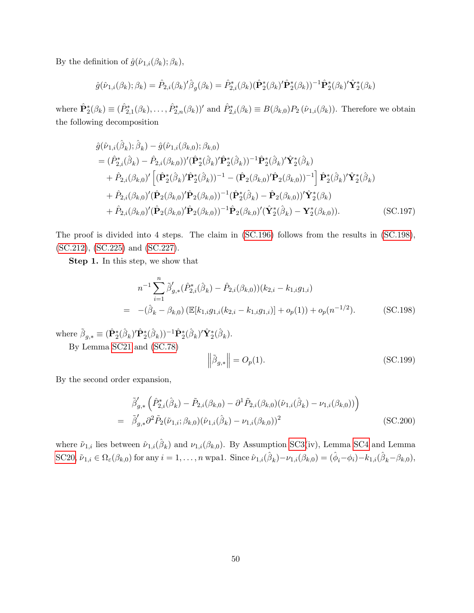By the definition of  $\hat{g}(\hat{\nu}_{1,i}(\beta_k); \beta_k)$ ,

$$
\hat{g}(\hat{\nu}_{1,i}(\beta_k); \beta_k) = \hat{P}_{2,i}(\beta_k)'\hat{\beta}_g(\beta_k) = \hat{P}_{2,i}^*(\beta_k)(\hat{\mathbf{P}}_2^*(\beta_k)'\hat{\mathbf{P}}_2^*(\beta_k))^{-1}\hat{\mathbf{P}}_2^*(\beta_k)'\hat{\mathbf{Y}}_2^*(\beta_k)
$$

where  $\hat{\mathbf{P}}_2^*(\beta_k) \equiv (\hat{P}_{2,1}^*(\beta_k), \ldots, \hat{P}_{2,n}^*(\beta_k))^{\prime}$  and  $\hat{P}_{2,i}^*(\beta_k) \equiv B(\beta_{k,0})P_2(\hat{\nu}_{1,i}(\beta_k))$ . Therefore we obtain the following decomposition

$$
\hat{g}(\hat{\nu}_{1,i}(\hat{\beta}_{k});\hat{\beta}_{k}) - \hat{g}(\hat{\nu}_{1,i}(\beta_{k,0});\beta_{k,0}) \n= (\hat{P}_{2,i}^{*}(\hat{\beta}_{k}) - \hat{P}_{2,i}(\beta_{k,0}))'(\hat{\mathbf{P}}_{2}^{*}(\hat{\beta}_{k})'\hat{\mathbf{P}}_{2}^{*}(\hat{\beta}_{k}))^{-1}\hat{\mathbf{P}}_{2}^{*}(\hat{\beta}_{k})'\hat{\mathbf{Y}}_{2}^{*}(\hat{\beta}_{k}) \n+ \hat{P}_{2,i}(\beta_{k,0})'[(\hat{\mathbf{P}}_{2}^{*}(\hat{\beta}_{k})'\hat{\mathbf{P}}_{2}^{*}(\hat{\beta}_{k}))^{-1} - (\hat{\mathbf{P}}_{2}(\beta_{k,0})'\hat{\mathbf{P}}_{2}(\beta_{k,0}))^{-1}]\hat{\mathbf{P}}_{2}^{*}(\hat{\beta}_{k})'\hat{\mathbf{Y}}_{2}^{*}(\hat{\beta}_{k}) \n+ \hat{P}_{2,i}(\beta_{k,0})'(\hat{\mathbf{P}}_{2}(\beta_{k,0})'\hat{\mathbf{P}}_{2}(\beta_{k,0}))^{-1}(\hat{\mathbf{P}}_{2}^{*}(\hat{\beta}_{k}) - \hat{\mathbf{P}}_{2}(\beta_{k,0}))'\hat{\mathbf{Y}}_{2}^{*}(\beta_{k}) \n+ \hat{P}_{2,i}(\beta_{k,0})'(\hat{\mathbf{P}}_{2}(\beta_{k,0})'\hat{\mathbf{P}}_{2}(\beta_{k,0}))^{-1}\hat{\mathbf{P}}_{2}(\beta_{k,0})'(\hat{\mathbf{Y}}_{2}^{*}(\hat{\beta}_{k}) - \mathbf{Y}_{2}^{*}(\beta_{k,0})).
$$
\n(SC.197)

The proof is divided into 4 steps. The claim in [\(SC.196\)](#page-71-0) follows from the results in [\(SC.198\)](#page-72-0), [\(SC.212\)](#page-75-0), [\(SC.225\)](#page-78-0) and [\(SC.227\)](#page-79-0).

Step 1. In this step, we show that

<span id="page-72-0"></span>
$$
n^{-1} \sum_{i=1}^{n} \tilde{\beta}'_{g,*} (\hat{P}_{2,i}^*(\hat{\beta}_k) - \hat{P}_{2,i}(\beta_{k,0})) (k_{2,i} - k_{1,i}g_{1,i})
$$
  
= 
$$
-(\hat{\beta}_k - \beta_{k,0}) \left( \mathbb{E}[k_{1,i}g_{1,i}(k_{2,i} - k_{1,i}g_{1,i})] + o_p(1) \right) + o_p(n^{-1/2}).
$$
 (SC.198)

where  $\tilde{\beta}_{g,*} \equiv (\hat{P}_2^*(\hat{\beta}_k)' \hat{P}_2^*(\hat{\beta}_k))^{-1} \hat{P}_2^*(\hat{\beta}_k)' \hat{Y}_2^*(\hat{\beta}_k).$ 

By Lemma [SC21](#page-65-0) and [\(SC.78\)](#page-42-0)

<span id="page-72-1"></span>
$$
\left\|\tilde{\beta}_{g,*}\right\| = O_p(1). \tag{SC.199}
$$

By the second order expansion,

<span id="page-72-2"></span>
$$
\tilde{\beta}'_{g,*} \left( \hat{P}_{2,i}^*(\hat{\beta}_k) - \tilde{P}_{2,i}(\beta_{k,0}) - \partial^1 \tilde{P}_{2,i}(\beta_{k,0}) (\hat{\nu}_{1,i}(\hat{\beta}_k) - \nu_{1,i}(\beta_{k,0})) \right) \n= \tilde{\beta}'_{g,*} \partial^2 \tilde{P}_2(\tilde{\nu}_{1,i}; \beta_{k,0}) (\hat{\nu}_{1,i}(\hat{\beta}_k) - \nu_{1,i}(\beta_{k,0}))^2
$$
\n(SC.200)

where  $\tilde{\nu}_{1,i}$  lies between  $\hat{\nu}_{1,i}(\hat{\beta}_k)$  and  $\nu_{1,i}(\beta_{k,0})$ . By Assumption [SC3\(](#page-44-0)iv), Lemma [SC4](#page-34-0) and Lemma [SC20,](#page-65-1)  $\tilde{\nu}_{1,i} \in \Omega_{\varepsilon}(\beta_{k,0})$  for any  $i = 1, \ldots, n$  wpa1. Since  $\hat{\nu}_{1,i}(\hat{\beta}_k) - \nu_{1,i}(\beta_{k,0}) = (\hat{\phi}_i - \phi_i) - k_{1,i}(\hat{\beta}_k - \beta_{k,0}),$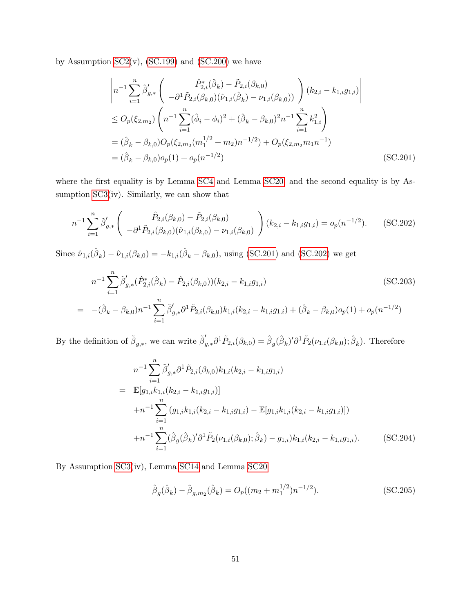by Assumption  $SC2(v)$ ,  $(SC.199)$  and  $(SC.200)$  we have

<span id="page-73-0"></span>
$$
\begin{aligned}\n\left| n^{-1} \sum_{i=1}^{n} \tilde{\beta}'_{g,*} \left( \frac{\hat{P}_{2,i}^{*}(\hat{\beta}_{k}) - \tilde{P}_{2,i}(\beta_{k,0})}{-\partial^{1} \tilde{P}_{2,i}(\beta_{k,0})(\hat{\nu}_{1,i}(\hat{\beta}_{k}) - \nu_{1,i}(\beta_{k,0}))} \right) (k_{2,i} - k_{1,i}g_{1,i}) \right| \\
&\leq O_{p}(\xi_{2,m_{2}}) \left( n^{-1} \sum_{i=1}^{n} (\hat{\phi}_{i} - \phi_{i})^{2} + (\hat{\beta}_{k} - \beta_{k,0})^{2} n^{-1} \sum_{i=1}^{n} k_{1,i}^{2} \right) \\
&= (\hat{\beta}_{k} - \beta_{k,0}) O_{p}(\xi_{2,m_{2}}(m_{1}^{1/2} + m_{2}) n^{-1/2}) + O_{p}(\xi_{2,m_{2}}m_{1}n^{-1}) \\
&= (\hat{\beta}_{k} - \beta_{k,0}) o_{p}(1) + o_{p}(n^{-1/2})\n\end{aligned} \tag{SC.201}
$$

where the first equality is by Lemma [SC4](#page-34-0) and Lemma [SC20,](#page-65-1) and the second equality is by Assumption [SC3\(](#page-44-0)iv). Similarly, we can show that

<span id="page-73-1"></span>
$$
n^{-1} \sum_{i=1}^{n} \tilde{\beta}'_{g,*} \left( \frac{\hat{P}_{2,i}(\beta_{k,0}) - \tilde{P}_{2,i}(\beta_{k,0})}{-\partial^1 \tilde{P}_{2,i}(\beta_{k,0})(\hat{\nu}_{1,i}(\beta_{k,0}) - \nu_{1,i}(\beta_{k,0})} \right) (k_{2,i} - k_{1,i}g_{1,i}) = o_p(n^{-1/2}).
$$
 (SC.202)

Since  $\hat{\nu}_{1,i}(\hat{\beta}_k) - \hat{\nu}_{1,i}(\beta_{k,0}) = -k_{1,i}(\hat{\beta}_k - \beta_{k,0}),$  using [\(SC.201\)](#page-73-0) and [\(SC.202\)](#page-73-1) we get

<span id="page-73-4"></span>
$$
n^{-1} \sum_{i=1}^{n} \tilde{\beta}'_{g,*} (\hat{P}_{2,i}^*(\hat{\beta}_k) - \hat{P}_{2,i}(\beta_{k,0})) (k_{2,i} - k_{1,i}g_{1,i})
$$
\n
$$
= -(\hat{\beta}_k - \beta_{k,0}) n^{-1} \sum_{i=1}^{n} \tilde{\beta}'_{g,*} \partial^1 \tilde{P}_{2,i}(\beta_{k,0}) k_{1,i} (k_{2,i} - k_{1,i}g_{1,i}) + (\hat{\beta}_k - \beta_{k,0}) o_p(1) + o_p(n^{-1/2})
$$
\n(SC.203)

By the definition of  $\tilde{\beta}_{g,*}$ , we can write  $\tilde{\beta}'_{g,*}\partial^1 \tilde{P}_{2,i}(\beta_{k,0}) = \hat{\beta}_g(\hat{\beta}_k)' \partial^1 \tilde{P}_2(\nu_{1,i}(\beta_{k,0});\hat{\beta}_k)$ . Therefore

<span id="page-73-3"></span>
$$
n^{-1} \sum_{i=1}^{n} \tilde{\beta}'_{g,*} \partial^{1} \tilde{P}_{2,i}(\beta_{k,0}) k_{1,i}(k_{2,i} - k_{1,i}g_{1,i})
$$
  
\n
$$
= \mathbb{E}[g_{1,i}k_{1,i}(k_{2,i} - k_{1,i}g_{1,i})]
$$
  
\n
$$
+ n^{-1} \sum_{i=1}^{n} (g_{1,i}k_{1,i}(k_{2,i} - k_{1,i}g_{1,i}) - \mathbb{E}[g_{1,i}k_{1,i}(k_{2,i} - k_{1,i}g_{1,i})])
$$
  
\n
$$
+ n^{-1} \sum_{i=1}^{n} (\hat{\beta}_{g}(\hat{\beta}_{k})' \partial^{1} \tilde{P}_{2}(\nu_{1,i}(\beta_{k,0}); \hat{\beta}_{k}) - g_{1,i})k_{1,i}(k_{2,i} - k_{1,i}g_{1,i}).
$$
 (SC.204)

By Assumption [SC3\(](#page-44-0)iv), Lemma [SC14](#page-58-0) and Lemma [SC20](#page-65-1)

<span id="page-73-2"></span>
$$
\hat{\beta}_g(\hat{\beta}_k) - \tilde{\beta}_{g,m_2}(\hat{\beta}_k) = O_p((m_2 + m_1^{1/2})n^{-1/2}).
$$
\n(SC.205)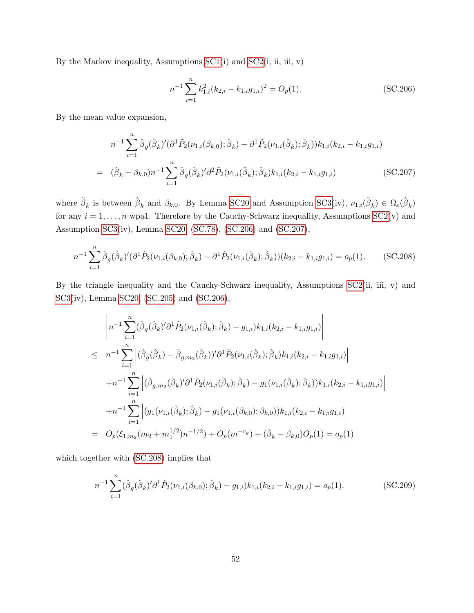By the Markov inequality, Assumptions  $SC1(i)$  and  $SC2(i, ii, iii, v)$ 

<span id="page-74-0"></span>
$$
n^{-1} \sum_{i=1}^{n} k_{1,i}^{2} (k_{2,i} - k_{1,i} g_{1,i})^{2} = O_{p}(1).
$$
 (SC.206)

By the mean value expansion,

<span id="page-74-1"></span>
$$
n^{-1} \sum_{i=1}^{n} \hat{\beta}_{g}(\hat{\beta}_{k})' (\partial^{1} \tilde{P}_{2}(\nu_{1,i}(\beta_{k,0}); \hat{\beta}_{k}) - \partial^{1} \tilde{P}_{2}(\nu_{1,i}(\hat{\beta}_{k}); \hat{\beta}_{k})) k_{1,i}(k_{2,i} - k_{1,i}g_{1,i})
$$
  
=  $(\hat{\beta}_{k} - \beta_{k,0})n^{-1} \sum_{i=1}^{n} \hat{\beta}_{g}(\hat{\beta}_{k})' \partial^{2} \tilde{P}_{2}(\nu_{1,i}(\tilde{\beta}_{k}); \hat{\beta}_{k}) k_{1,i}(k_{2,i} - k_{1,i}g_{1,i})$  (SC.207)

where  $\tilde{\beta}_k$  is between  $\hat{\beta}_k$  and  $\beta_{k,0}$ . By Lemma [SC20](#page-65-1) and Assumption [SC3\(](#page-44-0)iv),  $\nu_{1,i}(\tilde{\beta}_k) \in \Omega_{\varepsilon}(\hat{\beta}_k)$ for any  $i = 1, \ldots, n$  wpa1. Therefore by the Cauchy-Schwarz inequality, Assumptions [SC2\(](#page-36-0)v) and Assumption [SC3\(](#page-44-0)iv), Lemma [SC20,](#page-65-1) [\(SC.78\)](#page-42-0), [\(SC.206\)](#page-74-0) and [\(SC.207\)](#page-74-1),

<span id="page-74-2"></span>
$$
n^{-1} \sum_{i=1}^{n} \hat{\beta}_{g}(\hat{\beta}_{k})' (\partial^{1} \tilde{P}_{2}(\nu_{1,i}(\beta_{k,0});\hat{\beta}_{k}) - \partial^{1} \tilde{P}_{2}(\nu_{1,i}(\hat{\beta}_{k});\hat{\beta}_{k})) (k_{2,i} - k_{1,i}g_{1,i}) = o_{p}(1).
$$
 (SC.208)

By the triangle inequality and the Cauchy-Schwarz inequality, Assumptions  $SC2(i, ii, v)$  and [SC3\(](#page-44-0)iv), Lemma [SC20,](#page-65-1) [\(SC.205\)](#page-73-2) and [\(SC.206\)](#page-74-0),

$$
\begin{split}\n&\left|n^{-1}\sum_{i=1}^{n}(\hat{\beta}_{g}(\hat{\beta}_{k})'\partial^{1}\tilde{P}_{2}(\nu_{1,i}(\hat{\beta}_{k});\hat{\beta}_{k})-g_{1,i})k_{1,i}(k_{2,i}-k_{1,i}g_{1,i})\right| \\
&\leq n^{-1}\sum_{i=1}^{n}\left|(\hat{\beta}_{g}(\hat{\beta}_{k})-\tilde{\beta}_{g,m_{2}}(\hat{\beta}_{k}))'\partial^{1}\tilde{P}_{2}(\nu_{1,i}(\hat{\beta}_{k});\hat{\beta}_{k})k_{1,i}(k_{2,i}-k_{1,i}g_{1,i})\right| \\
&+n^{-1}\sum_{i=1}^{n}\left|(\tilde{\beta}_{g,m_{2}}(\hat{\beta}_{k})'\partial^{1}\tilde{P}_{2}(\nu_{1,i}(\hat{\beta}_{k});\hat{\beta}_{k})-g_{1}(\nu_{1,i}(\hat{\beta}_{k});\hat{\beta}_{k}))k_{1,i}(k_{2,i}-k_{1,i}g_{1,i})\right| \\
&+n^{-1}\sum_{i=1}^{n}\left|g_{1}(\nu_{1,i}(\hat{\beta}_{k});\hat{\beta}_{k})-g_{1}(\nu_{1,i}(\beta_{k,0});\beta_{k,0}))k_{1,i}(k_{2,i}-k_{1,i}g_{1,i})\right| \\
&=O_{p}(\xi_{1,m_{2}}(m_{2}+m_{1}^{1/2})n^{-1/2})+O_{p}(m^{-r_{g}})+(\hat{\beta}_{k}-\beta_{k,0})O_{p}(1)=o_{p}(1)\n\end{split}
$$

which together with [\(SC.208\)](#page-74-2) implies that

<span id="page-74-3"></span>
$$
n^{-1} \sum_{i=1}^{n} (\hat{\beta}_g(\hat{\beta}_k)' \partial^1 \tilde{P}_2(\nu_{1,i}(\beta_{k,0}); \hat{\beta}_k) - g_{1,i}) k_{1,i}(k_{2,i} - k_{1,i} g_{1,i}) = o_p(1).
$$
 (SC.209)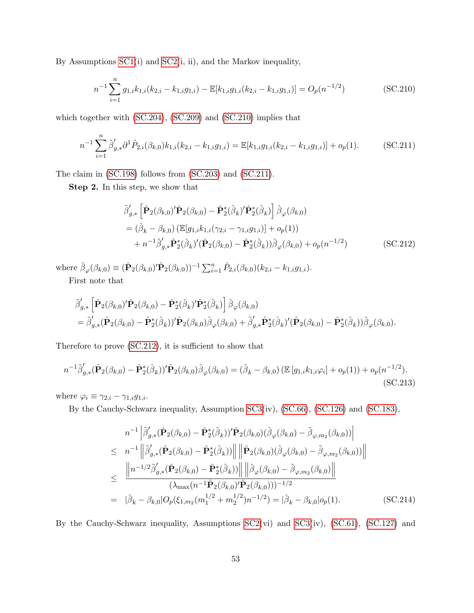By Assumptions [SC1\(](#page-33-0)i) and [SC2\(](#page-36-0)i, ii), and the Markov inequality,

<span id="page-75-1"></span>
$$
n^{-1} \sum_{i=1}^{n} g_{1,i} k_{1,i} (k_{2,i} - k_{1,i} g_{1,i}) - \mathbb{E}[k_{1,i} g_{1,i} (k_{2,i} - k_{1,i} g_{1,i})] = O_p(n^{-1/2})
$$
 (SC.210)

which together with [\(SC.204\)](#page-73-3), [\(SC.209\)](#page-74-3) and [\(SC.210\)](#page-75-1) implies that

<span id="page-75-2"></span>
$$
n^{-1} \sum_{i=1}^{n} \tilde{\beta}'_{g,*} \partial^1 \tilde{P}_{2,i}(\beta_{k,0}) k_{1,i}(k_{2,i} - k_{1,i}g_{1,i}) = \mathbb{E}[k_{1,i}g_{1,i}(k_{2,i} - k_{1,i}g_{1,i})] + o_p(1).
$$
 (SC.211)

The claim in [\(SC.198\)](#page-72-0) follows from [\(SC.203\)](#page-73-4) and [\(SC.211\)](#page-75-2).

Step 2. In this step, we show that

<span id="page-75-0"></span>
$$
\tilde{\beta}'_{g,*} \left[ \hat{\mathbf{P}}_2(\beta_{k,0})' \hat{\mathbf{P}}_2(\beta_{k,0}) - \hat{\mathbf{P}}_2^*(\hat{\beta}_k)' \hat{\mathbf{P}}_2^*(\hat{\beta}_k) \right] \hat{\beta}_{\varphi}(\beta_{k,0}) \n= (\hat{\beta}_k - \beta_{k,0}) \left( \mathbb{E}[g_{1,i}k_{1,i}(\gamma_{2,i} - \gamma_{1,i}g_{1,i})] + o_p(1) \right) \n+ n^{-1} \tilde{\beta}'_{g,*} \hat{\mathbf{P}}_2^*(\hat{\beta}_k)' (\hat{\mathbf{P}}_2(\beta_{k,0}) - \hat{\mathbf{P}}_2^*(\hat{\beta}_k)) \hat{\beta}_{\varphi}(\beta_{k,0}) + o_p(n^{-1/2})
$$
\n(SC.212)

where  $\hat{\beta}_{\varphi}(\beta_{k,0}) \equiv (\hat{\mathbf{P}}_2(\beta_{k,0})' \hat{\mathbf{P}}_2(\beta_{k,0}))^{-1} \sum_{i=1}^n \hat{P}_{2,i}(\beta_{k,0}) (k_{2,i} - k_{1,i}g_{1,i}).$ First note that

$$
\tilde{\boldsymbol{\beta}}'_{g,*}\left[\hat{\mathbf{P}}_2(\beta_{k,0})'\hat{\mathbf{P}}_2(\beta_{k,0}) - \hat{\mathbf{P}}_2^*(\hat{\beta}_k)'\hat{\mathbf{P}}_2^*(\hat{\beta}_k)\right]\hat{\boldsymbol{\beta}}_{\varphi}(\beta_{k,0}) \n= \tilde{\boldsymbol{\beta}}'_{g,*}(\hat{\mathbf{P}}_2(\beta_{k,0}) - \hat{\mathbf{P}}_2^*(\hat{\beta}_k))'\hat{\mathbf{P}}_2(\beta_{k,0})\hat{\boldsymbol{\beta}}_{\varphi}(\beta_{k,0}) + \tilde{\boldsymbol{\beta}}'_{g,*}\hat{\mathbf{P}}_2^*(\hat{\beta}_k)'\hat{(\mathbf{P}}_2(\beta_{k,0}) - \hat{\mathbf{P}}_2^*(\hat{\beta}_k))\hat{\boldsymbol{\beta}}_{\varphi}(\beta_{k,0}).
$$

Therefore to prove [\(SC.212\)](#page-75-0), it is sufficient to show that

<span id="page-75-4"></span>
$$
n^{-1}\tilde{\beta}'_{g,*}(\hat{\mathbf{P}}_2(\beta_{k,0}) - \hat{\mathbf{P}}_2^*(\hat{\beta}_k))'\hat{\mathbf{P}}_2(\beta_{k,0})\hat{\beta}_{\varphi}(\beta_{k,0}) = (\hat{\beta}_k - \beta_{k,0})\left(\mathbb{E}\left[g_{1,i}k_{1,i}\varphi_i\right] + o_p(1)\right) + o_p(n^{-1/2}).
$$
\n(SC.213)

where  $\varphi_i \equiv \gamma_{2,i} - \gamma_{1,i} g_{1,i}$ .

By the Cauchy-Schwarz inequality, Assumption [SC3\(](#page-44-0)iv), [\(SC.66\)](#page-39-0), [\(SC.126\)](#page-54-0) and [\(SC.183\)](#page-68-0),

<span id="page-75-3"></span>
$$
n^{-1} \left| \tilde{\beta}'_{g,*} (\hat{\mathbf{P}}_2(\beta_{k,0}) - \hat{\mathbf{P}}_2^*(\hat{\beta}_k))' \hat{\mathbf{P}}_2(\beta_{k,0}) (\hat{\beta}_{\varphi}(\beta_{k,0}) - \tilde{\beta}_{\varphi,m_2}(\beta_{k,0})) \right|
$$
  
\n
$$
\leq n^{-1} \left\| \tilde{\beta}'_{g,*} (\hat{\mathbf{P}}_2(\beta_{k,0}) - \hat{\mathbf{P}}_2^*(\hat{\beta}_k)) \right\| \left\| \hat{\mathbf{P}}_2(\beta_{k,0}) (\hat{\beta}_{\varphi}(\beta_{k,0}) - \tilde{\beta}_{\varphi,m_2}(\beta_{k,0})) \right\|
$$
  
\n
$$
\leq \frac{\left\| n^{-1/2} \tilde{\beta}'_{g,*} (\hat{\mathbf{P}}_2(\beta_{k,0}) - \hat{\mathbf{P}}_2^*(\hat{\beta}_k)) \right\| \left\| \hat{\beta}_{\varphi}(\beta_{k,0}) - \tilde{\beta}_{\varphi,m_2}(\beta_{k,0}) \right\|}{(\lambda_{\max}(n^{-1}\hat{\mathbf{P}}_2(\beta_{k,0})')\hat{\mathbf{P}}_2(\beta_{k,0}))^{-1/2}
$$
  
\n
$$
= |\hat{\beta}_k - \beta_{k,0}| O_p(\xi_{1,m_2}(m_1^{1/2} + m_2^{1/2})n^{-1/2}) = |\hat{\beta}_k - \beta_{k,0}| o_p(1). \qquad (SC.214)
$$

By the Cauchy-Schwarz inequality, Assumptions [SC2\(](#page-36-0)vi) and [SC3\(](#page-44-0)iv), [\(SC.61\)](#page-38-0), [\(SC.127\)](#page-54-1) and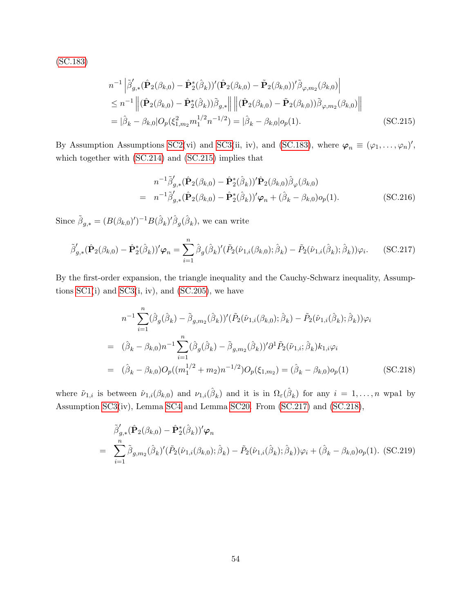[\(SC.183\)](#page-68-0)

$$
n^{-1} \left| \tilde{\beta}'_{g,*} (\hat{\mathbf{P}}_2(\beta_{k,0}) - \hat{\mathbf{P}}_2^*(\hat{\beta}_k))' (\hat{\mathbf{P}}_2(\beta_{k,0}) - \tilde{\mathbf{P}}_2(\beta_{k,0}))' \tilde{\beta}_{\varphi,m_2}(\beta_{k,0}) \right|
$$
  
\n
$$
\leq n^{-1} \left\| (\hat{\mathbf{P}}_2(\beta_{k,0}) - \hat{\mathbf{P}}_2^*(\hat{\beta}_k)) \tilde{\beta}_{g,*} \right\| \left\| (\hat{\mathbf{P}}_2(\beta_{k,0}) - \tilde{\mathbf{P}}_2(\beta_{k,0})) \tilde{\beta}_{\varphi,m_2}(\beta_{k,0}) \right\|
$$
  
\n
$$
= |\hat{\beta}_k - \beta_{k,0}| O_p(\xi_{1,m_2}^2 m_1^{1/2} n^{-1/2}) = |\hat{\beta}_k - \beta_{k,0}| o_p(1).
$$
 (SC.215)

By Assumption Assumptions [SC2\(](#page-36-0)vi) and [SC3\(](#page-44-0)ii, iv), and [\(SC.183\)](#page-68-0), where  $\varphi_n \equiv (\varphi_1, \ldots, \varphi_n)'$ , which together with [\(SC.214\)](#page-75-3) and [\(SC.215\)](#page-76-0) implies that

<span id="page-76-0"></span>
$$
n^{-1}\tilde{\beta}'_{g,*}(\hat{\mathbf{P}}_2(\beta_{k,0}) - \hat{\mathbf{P}}_2^*(\hat{\beta}_k))'\hat{\mathbf{P}}_2(\beta_{k,0})\hat{\beta}_{\varphi}(\beta_{k,0})
$$
  
=  $n^{-1}\tilde{\beta}'_{g,*}(\hat{\mathbf{P}}_2(\beta_{k,0}) - \hat{\mathbf{P}}_2^*(\hat{\beta}_k))'\varphi_n + (\hat{\beta}_k - \beta_{k,0})o_p(1).$  (SC.216)

Since  $\tilde{\beta}_{g,*} = (B(\beta_{k,0})')^{-1}B(\hat{\beta}_k)'\hat{\beta}_g(\hat{\beta}_k)$ , we can write

<span id="page-76-1"></span>
$$
\tilde{\beta}'_{g,*}(\hat{\mathbf{P}}_2(\beta_{k,0}) - \hat{\mathbf{P}}_2^*(\hat{\beta}_k))'\varphi_n = \sum_{i=1}^n \hat{\beta}_g(\hat{\beta}_k)'(\tilde{P}_2(\hat{\nu}_{1,i}(\beta_{k,0});\hat{\beta}_k) - \tilde{P}_2(\hat{\nu}_{1,i}(\hat{\beta}_k);\hat{\beta}_k))\varphi_i.
$$
 (SC.217)

By the first-order expansion, the triangle inequality and the Cauchy-Schwarz inequality, Assumptions  $SC1(i)$  and  $SC3(i, iv)$ , and  $(SC.205)$ , we have

<span id="page-76-2"></span>
$$
n^{-1} \sum_{i=1}^{n} (\hat{\beta}_{g}(\hat{\beta}_{k}) - \tilde{\beta}_{g,m_{2}}(\hat{\beta}_{k}))' (\tilde{P}_{2}(\hat{\nu}_{1,i}(\beta_{k,0}); \hat{\beta}_{k}) - \tilde{P}_{2}(\hat{\nu}_{1,i}(\hat{\beta}_{k}); \hat{\beta}_{k})) \varphi_{i}
$$
  
\n
$$
= (\hat{\beta}_{k} - \beta_{k,0}) n^{-1} \sum_{i=1}^{n} (\hat{\beta}_{g}(\hat{\beta}_{k}) - \tilde{\beta}_{g,m_{2}}(\hat{\beta}_{k}))' \partial^{1} \tilde{P}_{2}(\tilde{\nu}_{1,i}; \hat{\beta}_{k}) k_{1,i} \varphi_{i}
$$
  
\n
$$
= (\hat{\beta}_{k} - \beta_{k,0}) O_{p}((m_{1}^{1/2} + m_{2}) n^{-1/2}) O_{p}(\xi_{1,m_{2}}) = (\hat{\beta}_{k} - \beta_{k,0}) o_{p}(1)
$$
 (SC.218)

where  $\tilde{\nu}_{1,i}$  is between  $\hat{\nu}_{1,i}(\beta_{k,0})$  and  $\nu_{1,i}(\hat{\beta}_k)$  and it is in  $\Omega_{\varepsilon}(\hat{\beta}_k)$  for any  $i=1,\ldots,n$  wpal by Assumption [SC3\(](#page-44-0)iv), Lemma [SC4](#page-34-0) and Lemma [SC20.](#page-65-1) From [\(SC.217\)](#page-76-1) and [\(SC.218\)](#page-76-2),

<span id="page-76-3"></span>
$$
\tilde{\beta}'_{g,*}(\hat{\mathbf{P}}_2(\beta_{k,0}) - \hat{\mathbf{P}}_2^*(\hat{\beta}_k))'\varphi_n \n= \sum_{i=1}^n \tilde{\beta}_{g,m_2}(\hat{\beta}_k)'(\tilde{P}_2(\hat{\nu}_{1,i}(\beta_{k,0});\hat{\beta}_k) - \tilde{P}_2(\hat{\nu}_{1,i}(\hat{\beta}_k);\hat{\beta}_k))\varphi_i + (\hat{\beta}_k - \beta_{k,0})o_p(1).
$$
 (SC.219)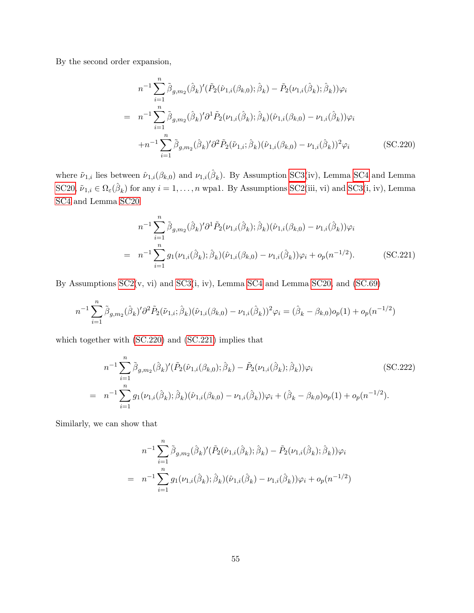By the second order expansion,

<span id="page-77-0"></span>
$$
n^{-1} \sum_{i=1}^{n} \tilde{\beta}_{g,m_2}(\hat{\beta}_k)'(\tilde{P}_2(\hat{\nu}_{1,i}(\beta_{k,0});\hat{\beta}_k) - \tilde{P}_2(\nu_{1,i}(\hat{\beta}_k);\hat{\beta}_k))\varphi_i
$$
  
\n
$$
= n^{-1} \sum_{i=1}^{n} \tilde{\beta}_{g,m_2}(\hat{\beta}_k)' \partial^1 \tilde{P}_2(\nu_{1,i}(\hat{\beta}_k); \hat{\beta}_k)(\hat{\nu}_{1,i}(\beta_{k,0}) - \nu_{1,i}(\hat{\beta}_k))\varphi_i
$$
  
\n
$$
+ n^{-1} \sum_{i=1}^{n} \tilde{\beta}_{g,m_2}(\hat{\beta}_k)' \partial^2 \tilde{P}_2(\tilde{\nu}_{1,i};\hat{\beta}_k)(\hat{\nu}_{1,i}(\beta_{k,0}) - \nu_{1,i}(\hat{\beta}_k))^2 \varphi_i
$$
 (SC.220)

where  $\tilde{\nu}_{1,i}$  lies between  $\hat{\nu}_{1,i}(\beta_{k,0})$  and  $\nu_{1,i}(\hat{\beta}_k)$ . By Assumption [SC3\(](#page-44-0)iv), Lemma [SC4](#page-34-0) and Lemma [SC20,](#page-65-1)  $\tilde{\nu}_{1,i} \in \Omega_{\varepsilon}(\hat{\beta}_k)$  for any  $i = 1, \ldots, n$  wpa1. By Assumptions [SC2\(](#page-36-0)iii, vi) and [SC3\(](#page-44-0)i, iv), Lemma [SC4](#page-34-0) and Lemma [SC20](#page-65-1)

<span id="page-77-1"></span>
$$
n^{-1} \sum_{i=1}^{n} \tilde{\beta}_{g,m_2}(\hat{\beta}_k)' \partial^1 \tilde{P}_2(\nu_{1,i}(\hat{\beta}_k); \hat{\beta}_k) (\hat{\nu}_{1,i}(\beta_{k,0}) - \nu_{1,i}(\hat{\beta}_k)) \varphi_i
$$
  
= 
$$
n^{-1} \sum_{i=1}^{n} g_1(\nu_{1,i}(\hat{\beta}_k); \hat{\beta}_k) (\hat{\nu}_{1,i}(\beta_{k,0}) - \nu_{1,i}(\hat{\beta}_k)) \varphi_i + o_p(n^{-1/2}).
$$
 (SC.221)

By Assumptions [SC2\(](#page-36-0)v, vi) and [SC3\(](#page-44-0)i, iv), Lemma [SC4](#page-34-0) and Lemma [SC20,](#page-65-1) and [\(SC.69\)](#page-40-0)

$$
n^{-1} \sum_{i=1}^{n} \tilde{\beta}_{g,m_2}(\hat{\beta}_k)' \partial^2 \tilde{P}_2(\tilde{\nu}_{1,i};\hat{\beta}_k) (\hat{\nu}_{1,i}(\beta_{k,0}) - \nu_{1,i}(\hat{\beta}_k))^2 \varphi_i = (\hat{\beta}_k - \beta_{k,0}) o_p(1) + o_p(n^{-1/2})
$$

which together with [\(SC.220\)](#page-77-0) and [\(SC.221\)](#page-77-1) implies that

<span id="page-77-2"></span>
$$
n^{-1} \sum_{i=1}^{n} \tilde{\beta}_{g,m_2}(\hat{\beta}_k)'(\tilde{P}_2(\hat{\nu}_{1,i}(\beta_{k,0});\hat{\beta}_k) - \tilde{P}_2(\nu_{1,i}(\hat{\beta}_k);\hat{\beta}_k))\varphi_i
$$
\n(SC.222)  
\n
$$
= n^{-1} \sum_{i=1}^{n} g_1(\nu_{1,i}(\hat{\beta}_k); \hat{\beta}_k)(\hat{\nu}_{1,i}(\beta_{k,0}) - \nu_{1,i}(\hat{\beta}_k))\varphi_i + (\hat{\beta}_k - \beta_{k,0})o_p(1) + o_p(n^{-1/2}).
$$

Similarly, we can show that

$$
n^{-1} \sum_{i=1}^{n} \tilde{\beta}_{g,m_2}(\hat{\beta}_k)'(\tilde{P}_2(\hat{\nu}_{1,i}(\hat{\beta}_k); \hat{\beta}_k) - \tilde{P}_2(\nu_{1,i}(\hat{\beta}_k); \hat{\beta}_k))\varphi_i
$$
  
= 
$$
n^{-1} \sum_{i=1}^{n} g_1(\nu_{1,i}(\hat{\beta}_k); \hat{\beta}_k)(\hat{\nu}_{1,i}(\hat{\beta}_k) - \nu_{1,i}(\hat{\beta}_k))\varphi_i + o_p(n^{-1/2})
$$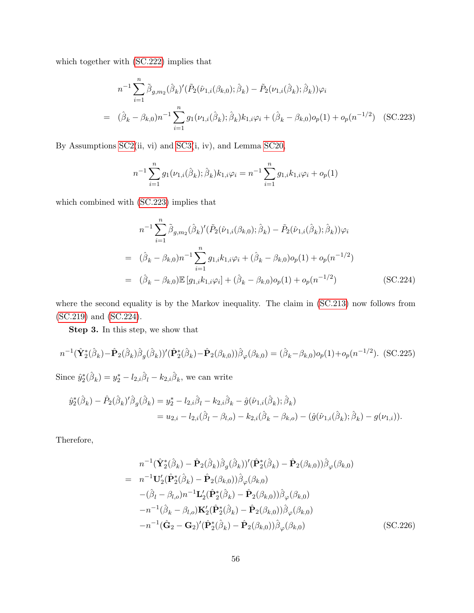which together with [\(SC.222\)](#page-77-2) implies that

<span id="page-78-1"></span>
$$
n^{-1} \sum_{i=1}^{n} \tilde{\beta}_{g,m_2}(\hat{\beta}_k)'(\tilde{P}_2(\hat{\nu}_{1,i}(\beta_{k,0});\hat{\beta}_k) - \tilde{P}_2(\nu_{1,i}(\hat{\beta}_k);\hat{\beta}_k))\varphi_i
$$
  
=  $(\hat{\beta}_k - \beta_{k,0})n^{-1} \sum_{i=1}^{n} g_1(\nu_{1,i}(\hat{\beta}_k);\hat{\beta}_k)k_{1,i}\varphi_i + (\hat{\beta}_k - \beta_{k,0})o_p(1) + o_p(n^{-1/2})$  (SC.223)

By Assumptions [SC2\(](#page-36-0)ii, vi) and [SC3\(](#page-44-0)i, iv), and Lemma [SC20,](#page-65-1)

$$
n^{-1} \sum_{i=1}^{n} g_1(\nu_{1,i}(\hat{\beta}_k); \hat{\beta}_k) k_{1,i} \varphi_i = n^{-1} \sum_{i=1}^{n} g_{1,i} k_{1,i} \varphi_i + o_p(1)
$$

which combined with [\(SC.223\)](#page-78-1) implies that

<span id="page-78-2"></span>
$$
n^{-1} \sum_{i=1}^{n} \tilde{\beta}_{g,m_2}(\hat{\beta}_k)'(\tilde{P}_2(\hat{\nu}_{1,i}(\beta_{k,0});\hat{\beta}_k) - \tilde{P}_2(\hat{\nu}_{1,i}(\hat{\beta}_k);\hat{\beta}_k))\varphi_i
$$
  
\n
$$
= (\hat{\beta}_k - \beta_{k,0})n^{-1} \sum_{i=1}^{n} g_{1,i}k_{1,i}\varphi_i + (\hat{\beta}_k - \beta_{k,0})o_p(1) + o_p(n^{-1/2})
$$
  
\n
$$
= (\hat{\beta}_k - \beta_{k,0})\mathbb{E}[g_{1,i}k_{1,i}\varphi_i] + (\hat{\beta}_k - \beta_{k,0})o_p(1) + o_p(n^{-1/2})
$$
(SC.224)

where the second equality is by the Markov inequality. The claim in [\(SC.213\)](#page-75-4) now follows from [\(SC.219\)](#page-76-3) and [\(SC.224\)](#page-78-2).

Step 3. In this step, we show that

<span id="page-78-0"></span>
$$
n^{-1}(\hat{\mathbf{Y}}_{2}^{*}(\hat{\beta}_{k}) - \hat{\mathbf{P}}_{2}(\hat{\beta}_{k})\hat{\beta}_{g}(\hat{\beta}_{k}))'(\hat{\mathbf{P}}_{2}^{*}(\hat{\beta}_{k}) - \hat{\mathbf{P}}_{2}(\beta_{k,0}))\hat{\beta}_{\varphi}(\beta_{k,0}) = (\hat{\beta}_{k} - \beta_{k,0})o_{p}(1) + o_{p}(n^{-1/2}).
$$
 (SC.225)  
Since  $\hat{y}_{2}^{*}(\hat{\beta}_{k}) = y_{2}^{*} - l_{2,i}\hat{\beta}_{l} - k_{2,i}\hat{\beta}_{k}$ , we can write

$$
\hat{y}_{2}^{*}(\hat{\beta}_{k}) - \hat{P}_{2}(\hat{\beta}_{k})' \hat{\beta}_{g}(\hat{\beta}_{k}) = y_{2}^{*} - l_{2,i} \hat{\beta}_{l} - k_{2,i} \hat{\beta}_{k} - \hat{g}(\hat{\nu}_{1,i}(\hat{\beta}_{k}); \hat{\beta}_{k}) \n= u_{2,i} - l_{2,i}(\hat{\beta}_{l} - \beta_{l,o}) - k_{2,i}(\hat{\beta}_{k} - \beta_{k,o}) - (\hat{g}(\hat{\nu}_{1,i}(\hat{\beta}_{k}); \hat{\beta}_{k}) - g(\nu_{1,i})).
$$

Therefore,

$$
n^{-1}(\hat{\mathbf{Y}}_{2}^{*}(\hat{\beta}_{k}) - \hat{\mathbf{P}}_{2}(\hat{\beta}_{k})\hat{\beta}_{g}(\hat{\beta}_{k}))'(\hat{\mathbf{P}}_{2}^{*}(\hat{\beta}_{k}) - \hat{\mathbf{P}}_{2}(\beta_{k,0}))\hat{\beta}_{\varphi}(\beta_{k,0})
$$
  
\n
$$
= n^{-1}\mathbf{U}_{2}'(\hat{\mathbf{P}}_{2}^{*}(\hat{\beta}_{k}) - \hat{\mathbf{P}}_{2}(\beta_{k,0}))\hat{\beta}_{\varphi}(\beta_{k,0})
$$
  
\n
$$
-(\hat{\beta}_{l} - \beta_{l,o})n^{-1}\mathbf{L}_{2}'(\hat{\mathbf{P}}_{2}^{*}(\hat{\beta}_{k}) - \hat{\mathbf{P}}_{2}(\beta_{k,0}))\hat{\beta}_{\varphi}(\beta_{k,0})
$$
  
\n
$$
-n^{-1}(\hat{\beta}_{k} - \beta_{l,o})\mathbf{K}_{2}'(\hat{\mathbf{P}}_{2}^{*}(\hat{\beta}_{k}) - \hat{\mathbf{P}}_{2}(\beta_{k,0}))\hat{\beta}_{\varphi}(\beta_{k,0})
$$
  
\n
$$
-n^{-1}(\hat{\mathbf{G}}_{2} - \mathbf{G}_{2})'(\hat{\mathbf{P}}_{2}^{*}(\hat{\beta}_{k}) - \hat{\mathbf{P}}_{2}(\beta_{k,0}))\hat{\beta}_{\varphi}(\beta_{k,0})
$$
 (SC.226)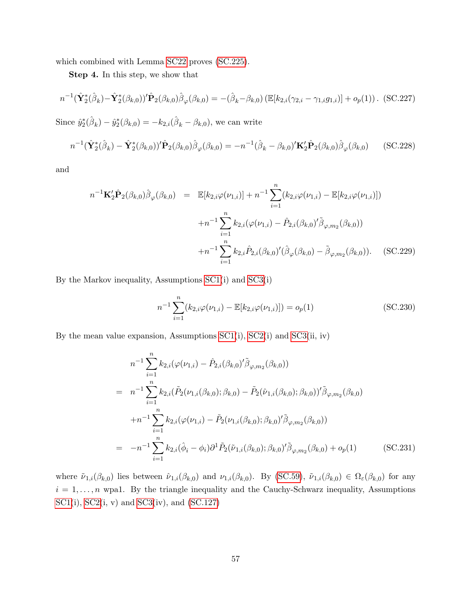which combined with Lemma [SC22](#page-68-1) proves [\(SC.225\)](#page-78-0).

Step 4. In this step, we show that

<span id="page-79-0"></span>
$$
n^{-1}(\hat{\mathbf{Y}}_{2}^{*}(\hat{\beta}_{k}) - \hat{\mathbf{Y}}_{2}^{*}(\beta_{k,0}))'\hat{\mathbf{P}}_{2}(\beta_{k,0})\hat{\beta}_{\varphi}(\beta_{k,0}) = -(\hat{\beta}_{k} - \beta_{k,0})\left(\mathbb{E}[k_{2,i}(\gamma_{2,i} - \gamma_{1,i}g_{1,i})] + o_{p}(1)\right). \tag{SC.227}
$$

Since  $\hat{y}_2^*(\hat{\beta}_k) - \hat{y}_2^*(\beta_{k,0}) = -k_{2,i}(\hat{\beta}_k - \beta_{k,0}),$  we can write

<span id="page-79-2"></span>
$$
n^{-1}(\hat{\mathbf{Y}}_{2}^{*}(\hat{\beta}_{k}) - \hat{\mathbf{Y}}_{2}^{*}(\beta_{k,0}))'\hat{\mathbf{P}}_{2}(\beta_{k,0})\hat{\beta}_{\varphi}(\beta_{k,0}) = -n^{-1}(\hat{\beta}_{k} - \beta_{k,0})'\mathbf{K}_{2}'\hat{\mathbf{P}}_{2}(\beta_{k,0})\hat{\beta}_{\varphi}(\beta_{k,0})
$$
(SC.228)

and

<span id="page-79-3"></span>
$$
n^{-1}\mathbf{K}_{2}'\hat{\mathbf{P}}_{2}(\beta_{k,0})\hat{\beta}_{\varphi}(\beta_{k,0}) = \mathbb{E}[k_{2,i}\varphi(\nu_{1,i})] + n^{-1}\sum_{i=1}^{n} (k_{2,i}\varphi(\nu_{1,i}) - \mathbb{E}[k_{2,i}\varphi(\nu_{1,i})])
$$

$$
+ n^{-1}\sum_{i=1}^{n} k_{2,i}(\varphi(\nu_{1,i}) - \hat{P}_{2,i}(\beta_{k,0})'\tilde{\beta}_{\varphi,m_{2}}(\beta_{k,0}))
$$

$$
+ n^{-1}\sum_{i=1}^{n} k_{2,i}\hat{P}_{2,i}(\beta_{k,0})'(\hat{\beta}_{\varphi}(\beta_{k,0}) - \tilde{\beta}_{\varphi,m_{2}}(\beta_{k,0})).
$$
 (SC.229)

By the Markov inequality, Assumptions [SC1\(](#page-33-0)i) and [SC3\(](#page-44-0)i)

<span id="page-79-4"></span>
$$
n^{-1} \sum_{i=1}^{n} (k_{2,i} \varphi(\nu_{1,i}) - \mathbb{E}[k_{2,i} \varphi(\nu_{1,i})]) = o_p(1)
$$
 (SC.230)

By the mean value expansion, Assumptions [SC1\(](#page-33-0)i), [SC2\(](#page-36-0)i) and [SC3\(](#page-44-0)ii, iv)

<span id="page-79-1"></span>
$$
n^{-1} \sum_{i=1}^{n} k_{2,i} (\varphi(\nu_{1,i}) - \hat{P}_{2,i}(\beta_{k,0})' \tilde{\beta}_{\varphi,m_2}(\beta_{k,0}))
$$
  
\n
$$
= n^{-1} \sum_{i=1}^{n} k_{2,i} (\tilde{P}_2(\nu_{1,i}(\beta_{k,0}); \beta_{k,0}) - \tilde{P}_2(\hat{\nu}_{1,i}(\beta_{k,0}); \beta_{k,0})' \tilde{\beta}_{\varphi,m_2}(\beta_{k,0})
$$
  
\n
$$
+ n^{-1} \sum_{i=1}^{n} k_{2,i} (\varphi(\nu_{1,i}) - \tilde{P}_2(\nu_{1,i}(\beta_{k,0}); \beta_{k,0})' \tilde{\beta}_{\varphi,m_2}(\beta_{k,0}))
$$
  
\n
$$
= -n^{-1} \sum_{i=1}^{n} k_{2,i} (\hat{\phi}_i - \phi_i) \partial^1 \tilde{P}_2(\tilde{\nu}_{1,i}(\beta_{k,0}); \beta_{k,0})' \tilde{\beta}_{\varphi,m_2}(\beta_{k,0}) + o_p(1)
$$
 (SC.231)

where  $\tilde{\nu}_{1,i}(\beta_{k,0})$  lies between  $\hat{\nu}_{1,i}(\beta_{k,0})$  and  $\nu_{1,i}(\beta_{k,0})$ . By [\(SC.59\)](#page-38-1),  $\tilde{\nu}_{1,i}(\beta_{k,0}) \in \Omega_{\varepsilon}(\beta_{k,0})$  for any  $i = 1, \ldots, n$  wpa1. By the triangle inequality and the Cauchy-Schwarz inequality, Assumptions  $SC1(i)$  $SC1(i)$ ,  $SC2(i, v)$  and  $SC3(iv)$ , and  $(SC.127)$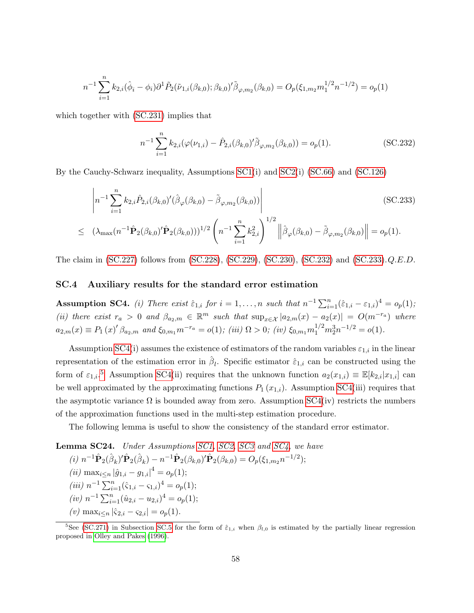$$
n^{-1} \sum_{i=1}^{n} k_{2,i}(\hat{\phi}_i - \phi_i) \partial^1 \tilde{P}_2(\tilde{\nu}_{1,i}(\beta_{k,0}); \beta_{k,0})' \tilde{\beta}_{\varphi, m_2}(\beta_{k,0}) = O_p(\xi_{1,m_2} m_1^{1/2} n^{-1/2}) = o_p(1)
$$

which together with  $(SC.231)$  implies that

<span id="page-80-0"></span>
$$
n^{-1} \sum_{i=1}^{n} k_{2,i} (\varphi(\nu_{1,i}) - \hat{P}_{2,i}(\beta_{k,0})' \tilde{\beta}_{\varphi,m_2}(\beta_{k,0})) = o_p(1).
$$
 (SC.232)

By the Cauchy-Schwarz inequality, Assumptions [SC1\(](#page-33-0)i) and [SC2\(](#page-36-0)i) [\(SC.66\)](#page-39-0) and [\(SC.126\)](#page-54-0)

<span id="page-80-1"></span>
$$
\left| n^{-1} \sum_{i=1}^{n} k_{2,i} \hat{P}_{2,i} (\beta_{k,0})' (\hat{\beta}_{\varphi} (\beta_{k,0}) - \tilde{\beta}_{\varphi,m_2} (\beta_{k,0})) \right| \tag{SC.233}
$$

$$
\leq (\lambda_{\max}(n^{-1}\hat{\mathbf{P}}_2(\beta_{k,0})'\hat{\mathbf{P}}_2(\beta_{k,0})))^{1/2} \left(n^{-1}\sum_{i=1}^n k_{2,i}^2\right)^{1/2} \left\|\hat{\beta}_{\varphi}(\beta_{k,0}) - \tilde{\beta}_{\varphi,m_2}(\beta_{k,0})\right\| = o_p(1).
$$

The claim in [\(SC.227\)](#page-79-0) follows from [\(SC.228\)](#page-79-2), [\(SC.229\)](#page-79-3), [\(SC.230\)](#page-79-4), [\(SC.232\)](#page-80-0) and [\(SC.233\)](#page-80-1).Q.E.D.

## SC.4 Auxiliary results for the standard error estimation

<span id="page-80-2"></span>**Assumption SC4.** (i) There exist  $\hat{\epsilon}_{1,i}$  for  $i = 1, ..., n$  such that  $n^{-1} \sum_{i=1}^{n} (\hat{\epsilon}_{1,i} - \epsilon_{1,i})^4 = o_p(1);$ (ii) there exist  $r_a > 0$  and  $\beta_{a_2,m} \in \mathbb{R}^m$  such that  $\sup_{x \in \mathcal{X}} |a_{2,m}(x) - a_2(x)| = O(m^{-r_a})$  where  $a_{2,m}(x) \equiv P_1(x)'\beta_{a_2,m}$  and  $\xi_{0,m_1}m^{-r_a} = o(1)$ ; (iii)  $\Omega > 0$ ; (iv)  $\xi_{0,m_1}m_1^{1/2}m_2^3n^{-1/2} = o(1)$ .

Assumption [SC4\(](#page-80-2)i) assumes the existence of estimators of the random variables  $\varepsilon_{1,i}$  in the linear representation of the estimation error in  $\hat{\beta}_l$ . Specific estimator  $\hat{\varepsilon}_{1,i}$  can be constructed using the form of  $\varepsilon_{1,i}$ <sup>[5](#page-80-3)</sup> Assumption [SC4\(](#page-80-2)ii) requires that the unknown function  $a_2(x_{1,i}) \equiv \mathbb{E}[k_{2,i}|x_{1,i}]$  can be well approximated by the approximating functions  $P_1(x_{1,i})$ . Assumption [SC4\(](#page-80-2)iii) requires that the asymptotic variance  $\Omega$  is bounded away from zero. Assumption [SC4\(](#page-80-2)iv) restricts the numbers of the approximation functions used in the multi-step estimation procedure.

The following lemma is useful to show the consistency of the standard error estimator.

<span id="page-80-4"></span>Lemma SC24. Under Assumptions [SC1,](#page-33-0) [SC2,](#page-36-0) [SC3](#page-44-0) and [SC4,](#page-80-2) we have (i)  $n^{-1}\hat{\mathbf{P}}_2(\hat{\beta}_k)' \hat{\mathbf{P}}_2(\hat{\beta}_k) - n^{-1}\hat{\mathbf{P}}_2(\beta_{k,0})' \hat{\mathbf{P}}_2(\beta_{k,0}) = O_p(\xi_{1,m_2}n^{-1/2});$ (*ii*) max<sub>i $\leq n |\hat{g}_{1,i} - g_{1,i}|^4 = o_p(1);$ </sub>  $(iii)$   $n^{-1} \sum_{i=1}^{n} (\hat{\varsigma}_{1,i} - \varsigma_{1,i})^4 = o_p(1);$  $(iv)$   $n^{-1} \sum_{i=1}^{n} (\hat{u}_{2,i} - u_{2,i})^4 = o_p(1);$ (v) max<sub>i</sub> $\langle n \rangle$  has  $|\hat{\varsigma}_{2,i} - \varsigma_{2,i}| = o_p(1)$ .

<span id="page-80-3"></span><sup>&</sup>lt;sup>5</sup>See [\(SC.271\)](#page-90-0) in Subsection [SC.5](#page-89-0) for the form of  $\hat{\epsilon}_{1,i}$  when  $\beta_{l,0}$  is estimated by the partially linear regression proposed in [Olley and Pakes](#page-102-0) [\(1996\)](#page-102-0).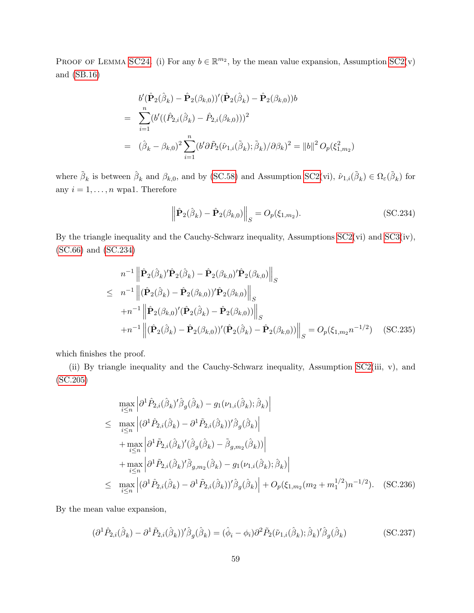PROOF OF LEMMA [SC24](#page-80-4). (i) For any  $b \in \mathbb{R}^{m_2}$ , by the mean value expansion, Assumption [SC2\(](#page-36-0)v) and [\(SB.16\)](#page-27-0)

$$
b'(\hat{\mathbf{P}}_2(\hat{\beta}_k) - \hat{\mathbf{P}}_2(\beta_{k,0}))'(\hat{\mathbf{P}}_2(\hat{\beta}_k) - \hat{\mathbf{P}}_2(\beta_{k,0}))b
$$
  
= 
$$
\sum_{i=1}^n (b'((\hat{P}_{2,i}(\hat{\beta}_k) - \hat{P}_{2,i}(\beta_{k,0})))^2
$$
  
= 
$$
(\hat{\beta}_k - \beta_{k,0})^2 \sum_{i=1}^n (b' \partial \tilde{P}_2(\hat{\nu}_{1,i}(\tilde{\beta}_k); \tilde{\beta}_k) / \partial \beta_k)^2 = ||b||^2 O_p(\xi_{1,m_2}^2)
$$

where  $\tilde{\beta}_k$  is between  $\hat{\beta}_k$  and  $\beta_{k,0}$ , and by [\(SC.58\)](#page-37-0) and Assumption [SC2\(](#page-36-0)vi),  $\hat{\nu}_{1,i}(\tilde{\beta}_k) \in \Omega_{\varepsilon}(\tilde{\beta}_k)$  for any  $i = 1, \ldots, n$  wpa1. Therefore

<span id="page-81-0"></span>
$$
\left\|\hat{\mathbf{P}}_2(\hat{\boldsymbol{\beta}}_k) - \hat{\mathbf{P}}_2(\boldsymbol{\beta}_{k,0})\right\|_S = O_p(\xi_{1,m_2}).\tag{SC.234}
$$

By the triangle inequality and the Cauchy-Schwarz inequality, Assumptions [SC2\(](#page-36-0)vi) and [SC3\(](#page-44-0)iv), [\(SC.66\)](#page-39-0) and [\(SC.234\)](#page-81-0)

$$
n^{-1} \left\| \hat{\mathbf{P}}_{2}(\hat{\beta}_{k})' \hat{\mathbf{P}}_{2}(\hat{\beta}_{k}) - \hat{\mathbf{P}}_{2}(\beta_{k,0})' \hat{\mathbf{P}}_{2}(\beta_{k,0}) \right\|_{S}
$$
  
\n
$$
\leq n^{-1} \left\| (\hat{\mathbf{P}}_{2}(\hat{\beta}_{k}) - \hat{\mathbf{P}}_{2}(\beta_{k,0}))' \hat{\mathbf{P}}_{2}(\beta_{k,0}) \right\|_{S}
$$
  
\n
$$
+ n^{-1} \left\| \hat{\mathbf{P}}_{2}(\beta_{k,0})' (\hat{\mathbf{P}}_{2}(\hat{\beta}_{k}) - \hat{\mathbf{P}}_{2}(\beta_{k,0})) \right\|_{S}
$$
  
\n
$$
+ n^{-1} \left\| (\hat{\mathbf{P}}_{2}(\hat{\beta}_{k}) - \hat{\mathbf{P}}_{2}(\beta_{k,0}))' (\hat{\mathbf{P}}_{2}(\hat{\beta}_{k}) - \hat{\mathbf{P}}_{2}(\beta_{k,0})) \right\|_{S} = O_{p}(\xi_{1,m_{2}} n^{-1/2}) \quad (\text{SC.235})
$$

which finishes the proof.

(ii) By triangle inequality and the Cauchy-Schwarz inequality, Assumption [SC2\(](#page-36-0)iii, v), and [\(SC.205\)](#page-73-2)

<span id="page-81-1"></span>
$$
\max_{i \leq n} \left| \partial^1 \hat{P}_{2,i} (\hat{\beta}_k)' \hat{\beta}_g (\hat{\beta}_k) - g_1(\nu_{1,i}(\hat{\beta}_k); \hat{\beta}_k) \right|
$$
\n
$$
\leq \max_{i \leq n} \left| (\partial^1 \hat{P}_{2,i} (\hat{\beta}_k) - \partial^1 \tilde{P}_{2,i} (\hat{\beta}_k))' \hat{\beta}_g (\hat{\beta}_k) \right|
$$
\n
$$
+ \max_{i \leq n} \left| \partial^1 \tilde{P}_{2,i} (\hat{\beta}_k)' (\hat{\beta}_g (\hat{\beta}_k) - \tilde{\beta}_{g,m_2} (\hat{\beta}_k)) \right|
$$
\n
$$
+ \max_{i \leq n} \left| \partial^1 \tilde{P}_{2,i} (\hat{\beta}_k)' \tilde{\beta}_{g,m_2} (\hat{\beta}_k) - g_1(\nu_{1,i}(\hat{\beta}_k); \hat{\beta}_k) \right|
$$
\n
$$
\leq \max_{i \leq n} \left| (\partial^1 \hat{P}_{2,i} (\hat{\beta}_k) - \partial^1 \tilde{P}_{2,i} (\hat{\beta}_k))' \hat{\beta}_g (\hat{\beta}_k) \right| + O_p(\xi_{1,m_2}(m_2 + m_1^{1/2})n^{-1/2}). \quad (SC.236)
$$

By the mean value expansion,

<span id="page-81-2"></span>
$$
(\partial^1 \hat{P}_{2,i}(\hat{\beta}_k) - \partial^1 \tilde{P}_{2,i}(\hat{\beta}_k))'\hat{\beta}_g(\hat{\beta}_k) = (\hat{\phi}_i - \phi_i)\partial^2 \tilde{P}_2(\tilde{\nu}_{1,i}(\hat{\beta}_k); \hat{\beta}_k)'\hat{\beta}_g(\hat{\beta}_k)
$$
(SC.237)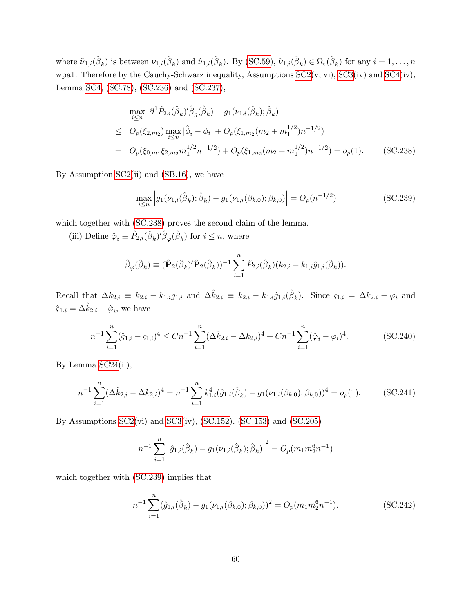where  $\tilde{\nu}_{1,i}(\hat{\beta}_k)$  is between  $\nu_{1,i}(\hat{\beta}_k)$  and  $\hat{\nu}_{1,i}(\hat{\beta}_k)$ . By [\(SC.59\)](#page-38-1),  $\tilde{\nu}_{1,i}(\hat{\beta}_k) \in \Omega_{\varepsilon}(\hat{\beta}_k)$  for any  $i = 1, \ldots, n$ wpa1. Therefore by the Cauchy-Schwarz inequality, Assumptions [SC2\(](#page-36-0)v, vi), [SC3\(](#page-44-0)iv) and [SC4\(](#page-80-2)iv), Lemma [SC4,](#page-34-0) [\(SC.78\)](#page-42-0), [\(SC.236\)](#page-81-1) and [\(SC.237\)](#page-81-2),

<span id="page-82-0"></span>
$$
\max_{i \le n} \left| \partial^1 \hat{P}_{2,i} (\hat{\beta}_k)' \hat{\beta}_g (\hat{\beta}_k) - g_1(\nu_{1,i} (\hat{\beta}_k); \hat{\beta}_k) \right|
$$
\n
$$
\le O_p(\xi_{2,m_2}) \max_{i \le n} |\hat{\phi}_i - \phi_i| + O_p(\xi_{1,m_2}(m_2 + m_1^{1/2})n^{-1/2})
$$
\n
$$
= O_p(\xi_{0,m_1} \xi_{2,m_2} m_1^{1/2} n^{-1/2}) + O_p(\xi_{1,m_2}(m_2 + m_1^{1/2})n^{-1/2}) = o_p(1). \quad (SC.238)
$$

By Assumption  $SC2(i)$  and  $(SB.16)$ , we have

<span id="page-82-1"></span>
$$
\max_{i \le n} \left| g_1(\nu_{1,i}(\hat{\beta}_k); \hat{\beta}_k) - g_1(\nu_{1,i}(\beta_{k,0}); \beta_{k,0}) \right| = O_p(n^{-1/2})
$$
\n(SC.239)

which together with [\(SC.238\)](#page-82-0) proves the second claim of the lemma.

(iii) Define  $\hat{\varphi}_i \equiv \hat{P}_{2,i}(\hat{\beta}_k)' \hat{\beta}_{\varphi}(\hat{\beta}_k)$  for  $i \leq n$ , where

$$
\hat{\beta}_{\varphi}(\hat{\beta}_k) \equiv (\hat{\mathbf{P}}_2(\hat{\beta}_k)'\hat{\mathbf{P}}_2(\hat{\beta}_k))^{-1} \sum_{i=1}^n \hat{P}_{2,i}(\hat{\beta}_k)(k_{2,i} - k_{1,i}\hat{g}_{1,i}(\hat{\beta}_k)).
$$

Recall that  $\Delta k_{2,i} \equiv k_{2,i} - k_{1,i} g_{1,i}$  and  $\Delta \hat{k}_{2,i} \equiv k_{2,i} - k_{1,i} \hat{g}_{1,i} (\hat{\beta}_k)$ . Since  $\varsigma_{1,i} = \Delta k_{2,i} - \varphi_i$  and  $\hat{\varsigma}_{1,i} = \Delta \hat{k}_{2,i} - \hat{\varphi}_i$ , we have

<span id="page-82-2"></span>
$$
n^{-1} \sum_{i=1}^{n} (\hat{\varsigma}_{1,i} - \varsigma_{1,i})^4 \le Cn^{-1} \sum_{i=1}^{n} (\Delta \hat{k}_{2,i} - \Delta k_{2,i})^4 + Cn^{-1} \sum_{i=1}^{n} (\hat{\varphi}_i - \varphi_i)^4.
$$
 (SC.240)

By Lemma [SC24\(](#page-80-4)ii),

<span id="page-82-3"></span>
$$
n^{-1} \sum_{i=1}^{n} (\Delta \hat{k}_{2,i} - \Delta k_{2,i})^4 = n^{-1} \sum_{i=1}^{n} k_{1,i}^4(\hat{g}_{1,i}(\hat{\beta}_k) - g_1(\nu_{1,i}(\beta_{k,0}); \beta_{k,0}))^4 = o_p(1).
$$
 (SC.241)

By Assumptions [SC2\(](#page-36-0)vi) and [SC3\(](#page-44-0)iv), [\(SC.152\)](#page-60-0), [\(SC.153\)](#page-61-0) and [\(SC.205\)](#page-73-2)

$$
n^{-1} \sum_{i=1}^{n} \left| \hat{g}_{1,i}(\hat{\beta}_k) - g_1(\nu_{1,i}(\hat{\beta}_k); \hat{\beta}_k) \right|^2 = O_p(m_1 m_2^6 n^{-1})
$$

which together with [\(SC.239\)](#page-82-1) implies that

$$
n^{-1} \sum_{i=1}^{n} (\hat{g}_{1,i}(\hat{\beta}_k) - g_1(\nu_{1,i}(\beta_{k,0}); \beta_{k,0}))^2 = O_p(m_1 m_2^6 n^{-1}).
$$
 (SC.242)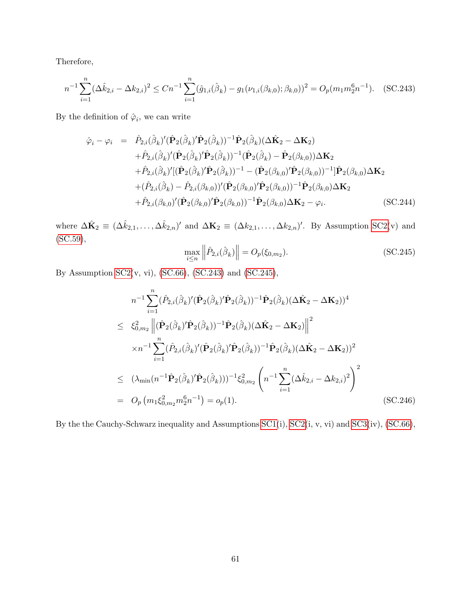Therefore,

<span id="page-83-0"></span>
$$
n^{-1} \sum_{i=1}^{n} (\Delta \hat{k}_{2,i} - \Delta k_{2,i})^2 \le Cn^{-1} \sum_{i=1}^{n} (\hat{g}_{1,i}(\hat{\beta}_k) - g_1(\nu_{1,i}(\beta_{k,0}); \beta_{k,0}))^2 = O_p(m_1 m_2^6 n^{-1}).
$$
 (SC.243)

By the definition of  $\hat{\varphi}_i$ , we can write

<span id="page-83-2"></span>
$$
\hat{\varphi}_{i} - \varphi_{i} = \hat{P}_{2,i}(\hat{\beta}_{k})'(\hat{\mathbf{P}}_{2}(\hat{\beta}_{k})' \hat{\mathbf{P}}_{2}(\hat{\beta}_{k}))^{-1} \hat{\mathbf{P}}_{2}(\hat{\beta}_{k}) (\Delta \hat{\mathbf{K}}_{2} - \Delta \mathbf{K}_{2}) \n+ \hat{P}_{2,i}(\hat{\beta}_{k})'(\hat{\mathbf{P}}_{2}(\hat{\beta}_{k})' \hat{\mathbf{P}}_{2}(\hat{\beta}_{k}))^{-1} (\hat{\mathbf{P}}_{2}(\hat{\beta}_{k}) - \hat{\mathbf{P}}_{2}(\beta_{k,0})) \Delta \mathbf{K}_{2} \n+ \hat{P}_{2,i}(\hat{\beta}_{k})'[(\hat{\mathbf{P}}_{2}(\hat{\beta}_{k})' \hat{\mathbf{P}}_{2}(\hat{\beta}_{k}))^{-1} - (\hat{\mathbf{P}}_{2}(\beta_{k,0})' \hat{\mathbf{P}}_{2}(\beta_{k,0}))^{-1}]\hat{\mathbf{P}}_{2}(\beta_{k,0}) \Delta \mathbf{K}_{2} \n+ (\hat{P}_{2,i}(\hat{\beta}_{k}) - \hat{P}_{2,i}(\beta_{k,0}))'(\hat{\mathbf{P}}_{2}(\beta_{k,0})' \hat{\mathbf{P}}_{2}(\beta_{k,0}))^{-1} \hat{\mathbf{P}}_{2}(\beta_{k,0}) \Delta \mathbf{K}_{2} \n+ \hat{P}_{2,i}(\beta_{k,0})'(\hat{\mathbf{P}}_{2}(\beta_{k,0})' \hat{\mathbf{P}}_{2}(\beta_{k,0}))^{-1} \hat{\mathbf{P}}_{2}(\beta_{k,0}) \Delta \mathbf{K}_{2} - \varphi_{i}.
$$
\n(SC.244)

where  $\Delta \hat{\mathbf{K}}_2 \equiv (\Delta \hat{k}_{2,1}, \ldots, \Delta \hat{k}_{2,n})'$  and  $\Delta \mathbf{K}_2 \equiv (\Delta k_{2,1}, \ldots, \Delta k_{2,n})'$ . By Assumption [SC2\(](#page-36-0)v) and [\(SC.59\)](#page-38-1),

<span id="page-83-1"></span>
$$
\max_{i \le n} \left\| \hat{P}_{2,i}(\hat{\beta}_k) \right\| = O_p(\xi_{0,m_2}).
$$
\n(SC.245)

By Assumption [SC2\(](#page-36-0)v, vi), [\(SC.66\)](#page-39-0), [\(SC.243\)](#page-83-0) and [\(SC.245\)](#page-83-1),

<span id="page-83-3"></span>
$$
n^{-1} \sum_{i=1}^{n} (\hat{P}_{2,i}(\hat{\beta}_{k})'(\hat{\mathbf{P}}_{2}(\hat{\beta}_{k}))^{-1} \hat{\mathbf{P}}_{2}(\hat{\beta}_{k}) (\Delta \hat{\mathbf{K}}_{2} - \Delta \mathbf{K}_{2}))^{4}
$$
  
\n
$$
\leq \xi_{0,m_{2}}^{2} \left\| (\hat{\mathbf{P}}_{2}(\hat{\beta}_{k})' \hat{\mathbf{P}}_{2}(\hat{\beta}_{k}))^{-1} \hat{\mathbf{P}}_{2}(\hat{\beta}_{k}) (\Delta \hat{\mathbf{K}}_{2} - \Delta \mathbf{K}_{2}) \right\|^{2}
$$
  
\n
$$
\times n^{-1} \sum_{i=1}^{n} (\hat{P}_{2,i}(\hat{\beta}_{k})' (\hat{\mathbf{P}}_{2}(\hat{\beta}_{k})' \hat{\mathbf{P}}_{2}(\hat{\beta}_{k}))^{-1} \hat{\mathbf{P}}_{2}(\hat{\beta}_{k}) (\Delta \hat{\mathbf{K}}_{2} - \Delta \mathbf{K}_{2}))^{2}
$$
  
\n
$$
\leq (\lambda_{\min}(n^{-1} \hat{\mathbf{P}}_{2}(\hat{\beta}_{k})' \hat{\mathbf{P}}_{2}(\hat{\beta}_{k})))^{-1} \xi_{0,m_{2}}^{2} \left( n^{-1} \sum_{i=1}^{n} (\Delta \hat{k}_{2,i} - \Delta k_{2,i})^{2} \right)^{2}
$$
  
\n
$$
= O_{p} (m_{1} \xi_{0,m_{2}}^{2} m_{2}^{6} n^{-1}) = o_{p}(1).
$$
 (SC.246)

By the the Cauchy-Schwarz inequality and Assumptions [SC1\(](#page-33-0)i), [SC2\(](#page-36-0)i, v, vi) and [SC3\(](#page-44-0)iv), [\(SC.66\)](#page-39-0),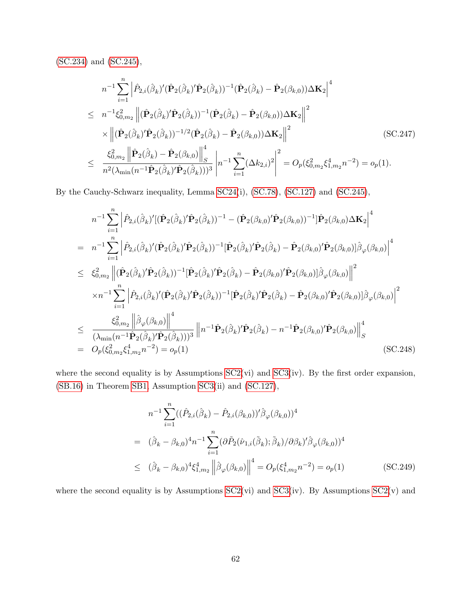[\(SC.234\)](#page-81-0) and [\(SC.245\)](#page-83-1),

<span id="page-84-0"></span>
$$
n^{-1} \sum_{i=1}^{n} \left| \hat{P}_{2,i}(\hat{\beta}_{k})'(\hat{\mathbf{P}}_{2}(\hat{\beta}_{k}))^{-1}(\hat{\mathbf{P}}_{2}(\hat{\beta}_{k}) - \hat{\mathbf{P}}_{2}(\beta_{k,0}))\Delta \mathbf{K}_{2} \right|^{4}
$$
  
\n
$$
\leq n^{-1}\xi_{0,m_{2}}^{2} \left\| (\hat{\mathbf{P}}_{2}(\hat{\beta}_{k})' \hat{\mathbf{P}}_{2}(\hat{\beta}_{k}))^{-1} (\hat{\mathbf{P}}_{2}(\hat{\beta}_{k}) - \hat{\mathbf{P}}_{2}(\beta_{k,0}))\Delta \mathbf{K}_{2} \right\|^{2}
$$
  
\n
$$
\times \left\| (\hat{\mathbf{P}}_{2}(\hat{\beta}_{k})' \hat{\mathbf{P}}_{2}(\hat{\beta}_{k}))^{-1/2} (\hat{\mathbf{P}}_{2}(\hat{\beta}_{k}) - \hat{\mathbf{P}}_{2}(\beta_{k,0}))\Delta \mathbf{K}_{2} \right\|^{2}
$$
  
\n
$$
\leq \frac{\xi_{0,m_{2}}^{2} \left\| \hat{\mathbf{P}}_{2}(\hat{\beta}_{k}) - \hat{\mathbf{P}}_{2}(\beta_{k,0}) \right\|_{S}^{4}}{n^{2}(\lambda_{\min}(n^{-1}\hat{\mathbf{P}}_{2}(\hat{\beta}_{k})')\hat{\mathbf{P}}_{2}(\hat{\beta}_{k})))^{3}} \left| n^{-1} \sum_{i=1}^{n} (\Delta k_{2,i})^{2} \right|^{2} = O_{p}(\xi_{0,m_{2}}^{2} \xi_{1,m_{2}}^{4} n^{-2}) = o_{p}(1).
$$
  
\n(SC.247)

By the Cauchy-Schwarz inequality, Lemma [SC24\(](#page-80-4)i), [\(SC.78\)](#page-42-0), [\(SC.127\)](#page-54-1) and [\(SC.245\)](#page-83-1),

<span id="page-84-1"></span>
$$
n^{-1} \sum_{i=1}^{n} \left| \hat{P}_{2,i}(\hat{\beta}_{k})' [(\hat{\mathbf{P}}_{2}(\hat{\beta}_{k}))^{-1} - (\hat{\mathbf{P}}_{2}(\beta_{k,0})' \hat{\mathbf{P}}_{2}(\beta_{k,0}))^{-1}] \hat{\mathbf{P}}_{2}(\beta_{k,0}) \Delta \mathbf{K}_{2} \right|^{4}
$$
\n
$$
= n^{-1} \sum_{i=1}^{n} \left| \hat{P}_{2,i}(\hat{\beta}_{k})' (\hat{\mathbf{P}}_{2}(\hat{\beta}_{k})' \hat{\mathbf{P}}_{2}(\hat{\beta}_{k}))^{-1} [\hat{\mathbf{P}}_{2}(\hat{\beta}_{k})' \hat{\mathbf{P}}_{2}(\hat{\beta}_{k}) - \hat{\mathbf{P}}_{2}(\beta_{k,0})' \hat{\mathbf{P}}_{2}(\beta_{k,0})] \hat{\beta}_{\varphi}(\beta_{k,0}) \right|^{4}
$$
\n
$$
\leq \xi_{0,m_{2}}^{2} \left\| (\hat{\mathbf{P}}_{2}(\hat{\beta}_{k})' \hat{\mathbf{P}}_{2}(\hat{\beta}_{k}))^{-1} [\hat{\mathbf{P}}_{2}(\hat{\beta}_{k})' \hat{\mathbf{P}}_{2}(\hat{\beta}_{k}) - \hat{\mathbf{P}}_{2}(\beta_{k,0})' \hat{\mathbf{P}}_{2}(\beta_{k,0})] \hat{\beta}_{\varphi}(\beta_{k,0}) \right\|^{2}
$$
\n
$$
\times n^{-1} \sum_{i=1}^{n} \left| \hat{P}_{2,i}(\hat{\beta}_{k})' (\hat{\mathbf{P}}_{2}(\hat{\beta}_{k})' \hat{\mathbf{P}}_{2}(\hat{\beta}_{k}))^{-1} [\hat{\mathbf{P}}_{2}(\hat{\beta}_{k})' \hat{\mathbf{P}}_{2}(\hat{\beta}_{k}) - \hat{\mathbf{P}}_{2}(\beta_{k,0})] \hat{\beta}_{\varphi}(\beta_{k,0}) \right\|^{2}
$$
\n
$$
\leq \frac{\xi_{0,m_{2}}^{2} \left\| \hat{\beta}_{\varphi}(\beta_{k,0}) \right\|^{4}}{(\lambda_{\min}(n^{-1} \hat{\mathbf{P}}_{2}(\hat{\beta}_{k}))' \hat{\mathbf{P}}_{2}(\hat{\beta}_{k})))^{3}} \left\| n^{-1} \hat{\mathbf{P}}_{
$$

where the second equality is by Assumptions  $SC2(vi)$  and  $SC3(iv)$ . By the first order expansion, [\(SB.16\)](#page-27-0) in Theorem [SB1,](#page-26-0) Assumption [SC3\(](#page-44-0)ii) and [\(SC.127\)](#page-54-1),

<span id="page-84-2"></span>
$$
n^{-1} \sum_{i=1}^{n} ((\hat{P}_{2,i}(\hat{\beta}_k) - \hat{P}_{2,i}(\beta_{k,0}))' \hat{\beta}_{\varphi}(\beta_{k,0}))^4
$$
  
\n
$$
= (\hat{\beta}_k - \beta_{k,0})^4 n^{-1} \sum_{i=1}^{n} (\partial \tilde{P}_2(\hat{\nu}_{1,i}(\tilde{\beta}_k); \tilde{\beta}_k) / \partial \beta_k)' \hat{\beta}_{\varphi}(\beta_{k,0}))^4
$$
  
\n
$$
\leq (\hat{\beta}_k - \beta_{k,0})^4 \xi_{1,m_2}^4 \left\| \hat{\beta}_{\varphi}(\beta_{k,0}) \right\|^4 = O_p(\xi_{1,m_2}^4 n^{-2}) = o_p(1)
$$
 (SC.249)

where the second equality is by Assumptions  $SC2(vi)$  and  $SC3(iv)$ . By Assumptions  $SC2(v)$  and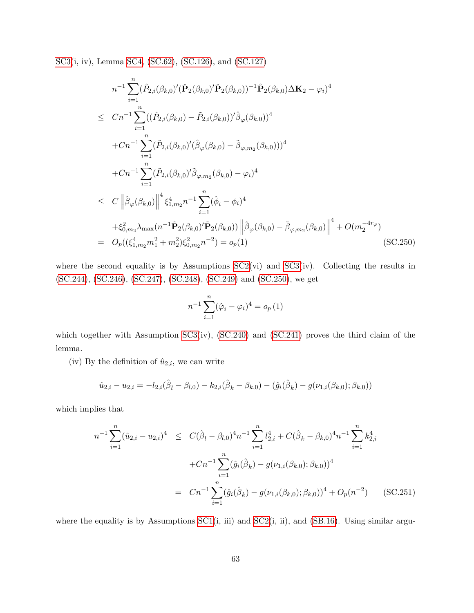[SC3\(](#page-44-0)i, iv), Lemma [SC4,](#page-34-0) [\(SC.62\)](#page-38-2), [\(SC.126\)](#page-54-0), and [\(SC.127\)](#page-54-1)

<span id="page-85-0"></span>
$$
n^{-1} \sum_{i=1}^{n} (\hat{P}_{2,i}(\beta_{k,0})'(\hat{P}_{2}(\beta_{k,0})' \hat{P}_{2}(\beta_{k,0}))^{-1} \hat{P}_{2}(\beta_{k,0}) \Delta K_{2} - \varphi_{i})^{4}
$$
  
\n
$$
\leq Cn^{-1} \sum_{i=1}^{n} ((\hat{P}_{2,i}(\beta_{k,0}) - \tilde{P}_{2,i}(\beta_{k,0}))' \hat{\beta}_{\varphi}(\beta_{k,0}))^{4}
$$
  
\n
$$
+ Cn^{-1} \sum_{i=1}^{n} (\tilde{P}_{2,i}(\beta_{k,0})' (\hat{\beta}_{\varphi}(\beta_{k,0}) - \tilde{\beta}_{\varphi,m_{2}}(\beta_{k,0})))^{4}
$$
  
\n
$$
+ Cn^{-1} \sum_{i=1}^{n} (\tilde{P}_{2,i}(\beta_{k,0})' \tilde{\beta}_{\varphi,m_{2}}(\beta_{k,0}) - \varphi_{i})^{4}
$$
  
\n
$$
\leq C \left\| \hat{\beta}_{\varphi}(\beta_{k,0}) \right\|^{4} \xi_{1,m_{2}}^{4} n^{-1} \sum_{i=1}^{n} (\hat{\phi}_{i} - \phi_{i})^{4}
$$
  
\n
$$
+ \xi_{0,m_{2}}^{2} \lambda_{\max}(n^{-1} \tilde{P}_{2}(\beta_{k,0})' \tilde{P}_{2}(\beta_{k,0})) \left\| \hat{\beta}_{\varphi}(\beta_{k,0}) - \tilde{\beta}_{\varphi,m_{2}}(\beta_{k,0}) \right\|^{4} + O(m_{2}^{-4r_{\varphi}})
$$
  
\n
$$
O_{p}((\xi_{1,m_{2}}^{4}m_{1}^{2} + m_{2}^{2}) \xi_{0,m_{2}}^{2}n^{-2}) = o_{p}(1)
$$
 (SC.250)

where the second equality is by Assumptions  $SC2(vi)$  and  $SC3(iv)$ . Collecting the results in [\(SC.244\)](#page-83-2), [\(SC.246\)](#page-83-3), [\(SC.247\)](#page-84-0), [\(SC.248\)](#page-84-1), [\(SC.249\)](#page-84-2) and [\(SC.250\)](#page-85-0), we get

$$
n^{-1} \sum_{i=1}^{n} (\hat{\varphi}_i - \varphi_i)^4 = o_p(1)
$$

which together with Assumption [SC3\(](#page-44-0)iv), [\(SC.240\)](#page-82-2) and [\(SC.241\)](#page-82-3) proves the third claim of the lemma.

(iv) By the definition of  $\hat{u}_{2,i}$ , we can write

$$
\hat{u}_{2,i} - u_{2,i} = -l_{2,i}(\hat{\beta}_l - \beta_{l,0}) - k_{2,i}(\hat{\beta}_k - \beta_{k,0}) - (\hat{g}_i(\hat{\beta}_k) - g(\nu_{1,i}(\beta_{k,0});\beta_{k,0}))
$$

which implies that

<span id="page-85-1"></span>
$$
n^{-1} \sum_{i=1}^{n} (\hat{u}_{2,i} - u_{2,i})^4 \leq C(\hat{\beta}_l - \beta_{l,0})^4 n^{-1} \sum_{i=1}^{n} l_{2,i}^4 + C(\hat{\beta}_k - \beta_{k,0})^4 n^{-1} \sum_{i=1}^{n} k_{2,i}^4
$$
  
+ 
$$
Cn^{-1} \sum_{i=1}^{n} (\hat{g}_i(\hat{\beta}_k) - g(\nu_{1,i}(\beta_{k,0}); \beta_{k,0}))^4
$$
  
= 
$$
Cn^{-1} \sum_{i=1}^{n} (\hat{g}_i(\hat{\beta}_k) - g(\nu_{1,i}(\beta_{k,0}); \beta_{k,0}))^4 + O_p(n^{-2})
$$
 (SC.251)

where the equality is by Assumptions  $SC1(i, iii)$  and  $SC2(i, ii)$ , and  $(SB.16)$ . Using similar argu-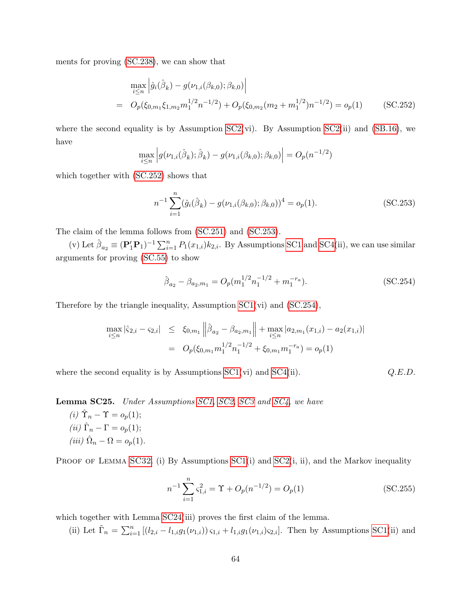ments for proving [\(SC.238\)](#page-82-0), we can show that

<span id="page-86-0"></span>
$$
\max_{i \le n} \left| \hat{g}_i(\hat{\beta}_k) - g(\nu_{1,i}(\beta_{k,0}); \beta_{k,0}) \right|
$$
\n
$$
= O_p(\xi_{0,m_1}\xi_{1,m_2}m_1^{1/2}n^{-1/2}) + O_p(\xi_{0,m_2}(m_2 + m_1^{1/2})n^{-1/2}) = o_p(1) \quad (SC.252)
$$

where the second equality is by Assumption  $SC2(vi)$ . By Assumption  $SC2(ii)$  and  $(SB.16)$ , we have

$$
\max_{i \le n} \left| g(\nu_{1,i}(\hat{\beta}_k); \hat{\beta}_k) - g(\nu_{1,i}(\beta_{k,0}); \beta_{k,0}) \right| = O_p(n^{-1/2})
$$

which together with [\(SC.252\)](#page-86-0) shows that

<span id="page-86-1"></span>
$$
n^{-1} \sum_{i=1}^{n} (\hat{g}_i(\hat{\beta}_k) - g(\nu_{1,i}(\beta_{k,0}); \beta_{k,0}))^4 = o_p(1).
$$
 (SC.253)

The claim of the lemma follows from [\(SC.251\)](#page-85-1) and [\(SC.253\)](#page-86-1).

(v) Let  $\hat{\beta}_{a_2} \equiv (\mathbf{P}'_1 \mathbf{P}_1)^{-1} \sum_{i=1}^n P_1(x_{1,i}) k_{2,i}$ . By Assumptions [SC1](#page-33-0) and [SC4\(](#page-80-2)ii), we can use similar arguments for proving [\(SC.55\)](#page-36-1) to show

<span id="page-86-2"></span>
$$
\hat{\beta}_{a_2} - \beta_{a_2, m_1} = O_p(m_1^{1/2} n_1^{-1/2} + m_1^{-r_a}).
$$
\n(SC.254)

Therefore by the triangle inequality, Assumption [SC1\(](#page-33-0)vi) and [\(SC.254\)](#page-86-2),

$$
\max_{i \le n} |\hat{\varsigma}_{2,i} - \varsigma_{2,i}| \le \xi_{0,m_1} ||\hat{\beta}_{a_2} - \beta_{a_2,m_1}|| + \max_{i \le n} |a_{2,m_1}(x_{1,i}) - a_2(x_{1,i})|
$$
  
=  $O_p(\xi_{0,m_1} m_1^{1/2} n_1^{-1/2} + \xi_{0,m_1} m_1^{-r_a}) = o_p(1)$ 

where the second equality is by Assumptions  $SC1(vi)$  and  $SC4(ii)$ .  $Q.E.D.$ 

<span id="page-86-3"></span>Lemma SC25. Under Assumptions [SC1,](#page-33-0) [SC2,](#page-36-0) [SC3](#page-44-0) and [SC4,](#page-80-2) we have

(i)  $\hat{\Upsilon}_n - \Upsilon = o_p(1);$ (*ii*)  $\hat{\Gamma}_n - \Gamma = o_p(1);$ (iii)  $\hat{\Omega}_n - \Omega = o_p(1)$ .

PROOF OF LEMMA [SC32](#page-95-0). (i) By Assumptions  $SC1(i)$  and  $SC2(i, ii)$ , and the Markov inequality

$$
n^{-1} \sum_{i=1}^{n} \zeta_{1,i}^{2} = \Upsilon + O_{p}(n^{-1/2}) = O_{p}(1)
$$
 (SC.255)

which together with Lemma [SC24\(](#page-80-4)iii) proves the first claim of the lemma.

(ii) Let  $\tilde{\Gamma}_n = \sum_{i=1}^n [(l_{2,i} - l_{1,i}g_1(\nu_{1,i})) \varsigma_{1,i} + l_{1,i}g_1(\nu_{1,i}) \varsigma_{2,i}]$ . Then by Assumptions [SC1\(](#page-33-0)ii) and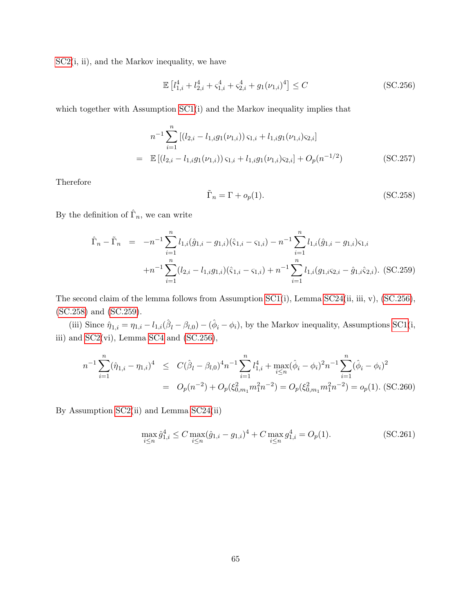$SC2(i, ii)$  $SC2(i, ii)$ , and the Markov inequality, we have

<span id="page-87-0"></span>
$$
\mathbb{E}\left[l_{1,i}^{4} + l_{2,i}^{4} + \varsigma_{1,i}^{4} + \varsigma_{2,i}^{4} + g_{1}(\nu_{1,i})^{4}\right] \leq C
$$
\n(SC.256)

which together with Assumption [SC1\(](#page-33-0)i) and the Markov inequality implies that

$$
n^{-1} \sum_{i=1}^{n} [(l_{2,i} - l_{1,i}g_1(\nu_{1,i})) \varsigma_{1,i} + l_{1,i}g_1(\nu_{1,i}) \varsigma_{2,i}]
$$
  
= 
$$
\mathbb{E} [(l_{2,i} - l_{1,i}g_1(\nu_{1,i})) \varsigma_{1,i} + l_{1,i}g_1(\nu_{1,i}) \varsigma_{2,i}] + O_p(n^{-1/2})
$$
 (SC.257)

Therefore

<span id="page-87-1"></span>
$$
\tilde{\Gamma}_n = \Gamma + o_p(1). \tag{SC.258}
$$

By the definition of  $\hat{\Gamma}_n$ , we can write

<span id="page-87-2"></span>
$$
\hat{\Gamma}_n - \tilde{\Gamma}_n = -n^{-1} \sum_{i=1}^n l_{1,i} (\hat{g}_{1,i} - g_{1,i}) (\hat{\varsigma}_{1,i} - \varsigma_{1,i}) - n^{-1} \sum_{i=1}^n l_{1,i} (\hat{g}_{1,i} - g_{1,i}) \varsigma_{1,i} \n+ n^{-1} \sum_{i=1}^n (l_{2,i} - l_{1,i} g_{1,i}) (\hat{\varsigma}_{1,i} - \varsigma_{1,i}) + n^{-1} \sum_{i=1}^n l_{1,i} (g_{1,i} \varsigma_{2,i} - \hat{g}_{1,i} \hat{\varsigma}_{2,i}).
$$
 (SC.259)

The second claim of the lemma follows from Assumption [SC1\(](#page-33-0)i), Lemma [SC24\(](#page-80-4)ii, iii, v), [\(SC.256\)](#page-87-0), [\(SC.258\)](#page-87-1) and [\(SC.259\)](#page-87-2).

(iii) Since  $\hat{\eta}_{1,i} = \eta_{1,i} - l_{1,i}(\hat{\beta}_l - \beta_{l,0}) - (\hat{\phi}_i - \phi_i)$ , by the Markov inequality, Assumptions [SC1\(](#page-33-0)i, iii) and  $SC2(vi)$ , Lemma  $SC4$  and  $(SC.256)$ ,

<span id="page-87-3"></span>
$$
n^{-1} \sum_{i=1}^{n} (\hat{\eta}_{1,i} - \eta_{1,i})^4 \le C(\hat{\beta}_l - \beta_{l,0})^4 n^{-1} \sum_{i=1}^{n} l_{1,i}^4 + \max_{i \le n} (\hat{\phi}_i - \phi_i)^2 n^{-1} \sum_{i=1}^{n} (\hat{\phi}_i - \phi_i)^2
$$
  
=  $O_p(n^{-2}) + O_p(\xi_{0,m_1}^2 m_1^2 n^{-2}) = O_p(\xi_{0,m_1}^2 m_1^2 n^{-2}) = o_p(1).$  (SC.260)

By Assumption [SC2\(](#page-36-0)ii) and Lemma [SC24\(](#page-80-4)ii)

<span id="page-87-4"></span>
$$
\max_{i \le n} \hat{g}_{1,i}^4 \le C \max_{i \le n} (\hat{g}_{1,i} - g_{1,i})^4 + C \max_{i \le n} g_{1,i}^4 = O_p(1). \tag{SC.261}
$$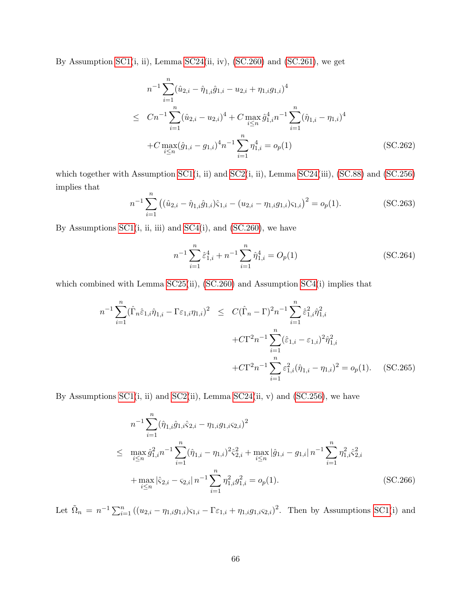By Assumption [SC1\(](#page-33-0)i, ii), Lemma [SC24\(](#page-80-4)ii, iv), [\(SC.260\)](#page-87-3) and [\(SC.261\)](#page-87-4), we get

$$
n^{-1} \sum_{i=1}^{n} (\hat{u}_{2,i} - \hat{\eta}_{1,i}\hat{g}_{1,i} - u_{2,i} + \eta_{1,i}g_{1,i})^4
$$
  
\n
$$
\leq Cn^{-1} \sum_{i=1}^{n} (\hat{u}_{2,i} - u_{2,i})^4 + C \max_{i \leq n} \hat{g}_{1,i}^4 n^{-1} \sum_{i=1}^{n} (\hat{\eta}_{1,i} - \eta_{1,i})^4
$$
  
\n
$$
+ C \max_{i \leq n} (\hat{g}_{1,i} - g_{1,i})^4 n^{-1} \sum_{i=1}^{n} \eta_{1,i}^4 = o_p(1)
$$
 (SC.262)

which together with Assumption [SC1\(](#page-33-0)i, ii) and [SC2\(](#page-36-0)i, ii), Lemma [SC24\(](#page-80-4)iii), [\(SC.88\)](#page-45-0) and [\(SC.256\)](#page-87-0) implies that

<span id="page-88-0"></span>
$$
n^{-1} \sum_{i=1}^{n} ((\hat{u}_{2,i} - \hat{\eta}_{1,i}\hat{g}_{1,i})\hat{\varsigma}_{1,i} - (u_{2,i} - \eta_{1,i}g_{1,i})\varsigma_{1,i})^2 = o_p(1).
$$
 (SC.263)

By Assumptions  $SC1(i, ii, iii)$  and  $SC4(i),$  and  $(SC.260)$ , we have

$$
n^{-1} \sum_{i=1}^{n} \hat{\varepsilon}_{1,i}^{4} + n^{-1} \sum_{i=1}^{n} \hat{\eta}_{1,i}^{4} = O_p(1)
$$
 (SC.264)

which combined with Lemma [SC25\(](#page-86-3)ii), [\(SC.260\)](#page-87-3) and Assumption [SC4\(](#page-80-2)i) implies that

<span id="page-88-1"></span>
$$
n^{-1} \sum_{i=1}^{n} (\hat{\Gamma}_{n} \hat{\varepsilon}_{1,i} \hat{\eta}_{1,i} - \Gamma \varepsilon_{1,i} \eta_{1,i})^{2} \leq C(\hat{\Gamma}_{n} - \Gamma)^{2} n^{-1} \sum_{i=1}^{n} \hat{\varepsilon}_{1,i}^{2} \hat{\eta}_{1,i}^{2} + C\Gamma^{2} n^{-1} \sum_{i=1}^{n} (\hat{\varepsilon}_{1,i} - \varepsilon_{1,i})^{2} \hat{\eta}_{1,i}^{2} + C\Gamma^{2} n^{-1} \sum_{i=1}^{n} \varepsilon_{1,i}^{2} (\hat{\eta}_{1,i} - \eta_{1,i})^{2} = o_{p}(1). \quad (SC.265)
$$

By Assumptions  $SC1(i, ii)$  and  $SC2(ii)$ , Lemma  $SC24(ii, v)$  and  $(SC.256)$ , we have

<span id="page-88-2"></span>
$$
n^{-1} \sum_{i=1}^{n} (\hat{\eta}_{1,i}\hat{g}_{1,i}\hat{\varsigma}_{2,i} - \eta_{1,i}g_{1,i}\varsigma_{2,i})^{2}
$$
  
\n
$$
\leq \max_{i \leq n} \hat{g}_{1,i}^{2} n^{-1} \sum_{i=1}^{n} (\hat{\eta}_{1,i} - \eta_{1,i})^{2} \hat{\varsigma}_{2,i}^{2} + \max_{i \leq n} |\hat{g}_{1,i} - g_{1,i}| n^{-1} \sum_{i=1}^{n} \eta_{1,i}^{2} \hat{\varsigma}_{2,i}^{2}
$$
  
\n
$$
+ \max_{i \leq n} |\hat{\varsigma}_{2,i} - \varsigma_{2,i}| n^{-1} \sum_{i=1}^{n} \eta_{1,i}^{2} g_{1,i}^{2} = o_{p}(1).
$$
 (SC.266)

Let  $\tilde{\Omega}_n = n^{-1} \sum_{i=1}^n ((u_{2,i} - \eta_{1,i}g_{1,i})\varsigma_{1,i} - \Gamma \varepsilon_{1,i} + \eta_{1,i}g_{1,i}\varsigma_{2,i})^2$ . Then by Assumptions [SC1\(](#page-33-0)i) and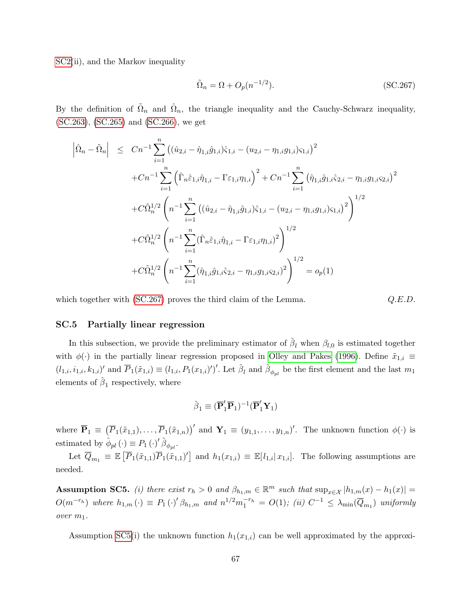SC<sub>2</sub>(ii), and the Markov inequality

<span id="page-89-1"></span>
$$
\tilde{\Omega}_n = \Omega + O_p(n^{-1/2}).\tag{SC.267}
$$

By the definition of  $\tilde{\Omega}_n$  and  $\hat{\Omega}_n$ , the triangle inequality and the Cauchy-Schwarz inequality, [\(SC.263\)](#page-88-0), [\(SC.265\)](#page-88-1) and [\(SC.266\)](#page-88-2), we get

$$
\begin{split}\n\left| \hat{\Omega}_n - \tilde{\Omega}_n \right| &\leq \left| Cn^{-1} \sum_{i=1}^n \left( (\hat{u}_{2,i} - \hat{\eta}_{1,i} \hat{g}_{1,i}) \hat{\varsigma}_{1,i} - (u_{2,i} - \eta_{1,i} g_{1,i}) \varsigma_{1,i} \right)^2 \\
&+ Cn^{-1} \sum_{i=1}^n \left( \hat{\Gamma}_n \hat{\varepsilon}_{1,i} \hat{\eta}_{1,i} - \Gamma \varepsilon_{1,i} \eta_{1,i} \right)^2 + Cn^{-1} \sum_{i=1}^n \left( \hat{\eta}_{1,i} \hat{g}_{1,i} \hat{\varsigma}_{2,i} - \eta_{1,i} g_{1,i} \varsigma_{2,i} \right)^2 \\
&+ C\tilde{\Omega}_n^{1/2} \left( n^{-1} \sum_{i=1}^n \left( (\hat{u}_{2,i} - \hat{\eta}_{1,i} \hat{g}_{1,i}) \hat{\varsigma}_{1,i} - (u_{2,i} - \eta_{1,i} g_{1,i}) \varsigma_{1,i} \right)^2 \right)^{1/2} \\
&+ C\tilde{\Omega}_n^{1/2} \left( n^{-1} \sum_{i=1}^n (\hat{\Gamma}_n \hat{\varepsilon}_{1,i} \hat{\eta}_{1,i} - \Gamma \varepsilon_{1,i} \eta_{1,i})^2 \right)^{1/2} \\
&+ C\tilde{\Omega}_n^{1/2} \left( n^{-1} \sum_{i=1}^n (\hat{\eta}_{1,i} \hat{g}_{1,i} \hat{\varsigma}_{2,i} - \eta_{1,i} g_{1,i} \varsigma_{2,i})^2 \right)^{1/2} = o_p(1)\n\end{split}
$$

which together with  $SC.267$  proves the third claim of the Lemma.

$$
O.E.D.
$$

## <span id="page-89-0"></span>SC.5 Partially linear regression

In this subsection, we provide the preliminary estimator of  $\hat{\beta}_l$  when  $\beta_{l,0}$  is estimated together with  $\phi(\cdot)$  in the partially linear regression proposed in [Olley and Pakes \(1996\)](#page-102-0). Define  $\tilde{x}_{1,i}$  $(l_{1,i}, i_{1,i}, k_{1,i})'$  and  $\overline{P}_1(\tilde{x}_{1,i}) \equiv (l_{1,i}, P_1(x_{1,i})')'$ . Let  $\hat{\beta}_l$  and  $\hat{\beta}_{\phi_{pl}}$  be the first element and the last  $m_1$ elements of  $\hat{\beta}_1$  respectively, where

$$
\hat{\boldsymbol{\beta}}_1 \equiv (\overline{\mathbf{P}}_1' \overline{\mathbf{P}}_1)^{-1} (\overline{\mathbf{P}}_1' \mathbf{Y}_1)
$$

where  $\overline{\mathbf{P}}_1 \equiv (\overline{P}_1(\tilde{x}_{1,1}), \ldots, \overline{P}_1(\tilde{x}_{1,n}))'$  and  $\mathbf{Y}_1 \equiv (y_{1,1}, \ldots, y_{1,n})'$ . The unknown function  $\phi(\cdot)$  is estimated by  $\hat{\phi}_{pl}(\cdot) \equiv P_1(\cdot)'\hat{\beta}_{\phi_{pl}}.$ 

Let  $\overline{Q}_{m_1} \equiv \mathbb{E}\left[\overline{P}_1(\tilde{x}_{1,1})\overline{P}_1(\tilde{x}_{1,1})'\right]$  and  $h_1(x_{1,i}) \equiv \mathbb{E}[l_{1,i}|x_{1,i}]$ . The following assumptions are needed.

<span id="page-89-2"></span>**Assumption SC5.** (i) there exist  $r_h > 0$  and  $\beta_{h_1,m} \in \mathbb{R}^m$  such that  $\sup_{x \in \mathcal{X}} |h_{1,m}(x) - h_1(x)| =$  $O(m^{-r_h})$  where  $h_{1,m}(\cdot) \equiv P_1(\cdot)'\beta_{h_1,m}$  and  $n^{1/2}m_1^{-r_h} = O(1)$ ; (ii)  $C^{-1} \leq \lambda_{\min}(\overline{Q}_{m_1})$  uniformly over m1.

Assumption [SC5\(](#page-89-2)i) the unknown function  $h_1(x_{1,i})$  can be well approximated by the approxi-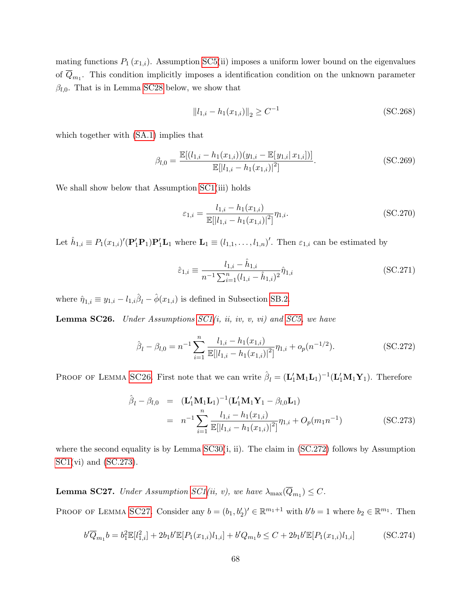mating functions  $P_1(x_{1,i})$ . Assumption [SC5\(](#page-89-2)ii) imposes a uniform lower bound on the eigenvalues of  $Q_{m_1}$ . This condition implicitly imposes a identification condition on the unknown parameter  $\beta_{l,0}$ . That is in Lemma [SC28](#page-91-0) below, we show that

$$
||l_{1,i} - h_1(x_{1,i})||_2 \ge C^{-1}
$$
\n(SC.268)

which together with [\(SA.1\)](#page-24-0) implies that

$$
\beta_{l,0} = \frac{\mathbb{E}[(l_{1,i} - h_1(x_{1,i}))(y_{1,i} - \mathbb{E}[y_{1,i}|x_{1,i}])]}{\mathbb{E}[[l_{1,i} - h_1(x_{1,i})]^2]}.
$$
\n(SC.269)

We shall show below that Assumption  $SC1(iii)$  holds

$$
\varepsilon_{1,i} = \frac{l_{1,i} - h_1(x_{1,i})}{\mathbb{E}[|l_{1,i} - h_1(x_{1,i})|^2]} \eta_{1,i}.
$$
\n(SC.270)

Let  $\hat{h}_{1,i} \equiv P_1(x_{1,i})'(\mathbf{P}_1'\mathbf{P}_1)\mathbf{P}_1'\mathbf{L}_1$  where  $\mathbf{L}_1 \equiv (l_{1,1},\ldots,l_{1,n})'$ . Then  $\varepsilon_{1,i}$  can be estimated by

<span id="page-90-0"></span>
$$
\hat{\varepsilon}_{1,i} \equiv \frac{l_{1,i} - \hat{h}_{1,i}}{n^{-1} \sum_{i=1}^{n} (l_{1,i} - \hat{h}_{1,i})^2} \hat{\eta}_{1,i}
$$
\n(SC.271)

where  $\hat{\eta}_{1,i} \equiv y_{1,i} - l_{1,i}\hat{\beta}_l - \hat{\phi}(x_{1,i})$  is defined in Subsection [SB.2.](#page-28-0)

<span id="page-90-1"></span>**Lemma SC26.** Under Assumptions  $SC1(i, ii, iv, v, vi)$  and  $SC5$ , we have

<span id="page-90-2"></span>
$$
\hat{\beta}_l - \beta_{l,0} = n^{-1} \sum_{i=1}^n \frac{l_{1,i} - h_1(x_{1,i})}{\mathbb{E}[|l_{1,i} - h_1(x_{1,i})|^2]} \eta_{1,i} + o_p(n^{-1/2}).
$$
\n(SC.272)

PROOF OF LEMMA [SC26](#page-90-1). First note that we can write  $\hat{\beta}_l = (\mathbf{L}_1' \mathbf{M}_1 \mathbf{L}_1)^{-1} (\mathbf{L}_1' \mathbf{M}_1 \mathbf{Y}_1)$ . Therefore

<span id="page-90-3"></span>
$$
\hat{\beta}_{l} - \beta_{l,0} = (\mathbf{L}_{1}' \mathbf{M}_{1} \mathbf{L}_{1})^{-1} (\mathbf{L}_{1}' \mathbf{M}_{1} \mathbf{Y}_{1} - \beta_{l,0} \mathbf{L}_{1})
$$
\n
$$
= n^{-1} \sum_{i=1}^{n} \frac{l_{1,i} - h_{1}(x_{1,i})}{\mathbb{E}[|l_{1,i} - h_{1}(x_{1,i})|^{2}]} \eta_{1,i} + O_{p}(m_{1}n^{-1})
$$
\n(SC.273)

where the second equality is by Lemma  $SC30(i, ii)$ . The claim in  $(SC.272)$  follows by Assumption  $SC1(vi)$  $SC1(vi)$  and  $(SC.273)$ .

<span id="page-90-4"></span>**Lemma SC27.** Under Assumption [SC1\(](#page-33-0)ii, v), we have  $\lambda_{\max}(Q_{m_1}) \leq C$ .

PROOF OF LEMMA [SC27](#page-90-4). Consider any  $b = (b_1, b_2')' \in \mathbb{R}^{m_1+1}$  with  $b'b = 1$  where  $b_2 \in \mathbb{R}^{m_1}$ . Then

<span id="page-90-5"></span>
$$
b'\overline{Q}_{m_1}b = b_1^2 \mathbb{E}[l_{1,i}^2] + 2b_1 b' \mathbb{E}[P_1(x_{1,i})l_{1,i}] + b'Q_{m_1}b \le C + 2b_1 b' \mathbb{E}[P_1(x_{1,i})l_{1,i}]
$$
(SC.274)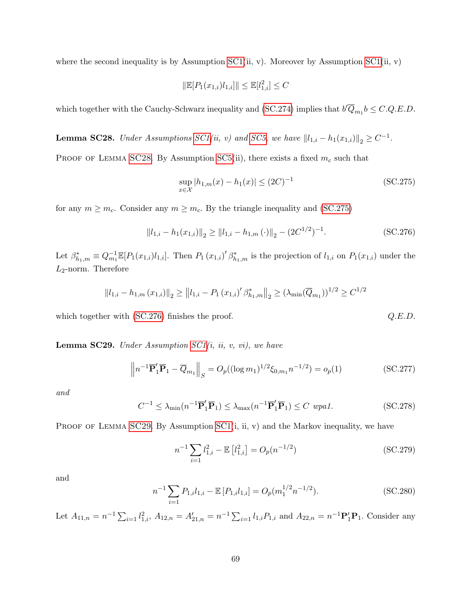where the second inequality is by Assumption [SC1\(](#page-33-0)ii, v). Moreover by Assumption SC1(ii, v)

$$
\|\mathbb{E}[P_1(x_{1,i})l_{1,i}]\| \le \mathbb{E}[l_{1,i}^2] \le C
$$

which together with the Cauchy-Schwarz inequality and [\(SC.274\)](#page-90-5) implies that  $b' \overline{Q}_{m_1} b \leq C.Q.E.D$ .

<span id="page-91-0"></span>**Lemma SC28.** Under Assumptions  $SC1(ii, v)$  and  $SC5$ , we have  $||l_{1,i} - h_1(x_{1,i})||_2 \geq C^{-1}$ .

PROOF OF LEMMA [SC28](#page-91-0). By Assumption [SC5\(](#page-89-2)ii), there exists a fixed  $m_c$  such that

<span id="page-91-1"></span>
$$
\sup_{x \in \mathcal{X}} |h_{1,m}(x) - h_1(x)| \le (2C)^{-1}
$$
\n(SC.275)

for any  $m \geq m_c$ . Consider any  $m \geq m_c$ . By the triangle inequality and [\(SC.275\)](#page-91-1)

<span id="page-91-2"></span>
$$
||l_{1,i} - h_1(x_{1,i})||_2 \ge ||l_{1,i} - h_{1,m}(\cdot)||_2 - (2C^{1/2})^{-1}.
$$
 (SC.276)

Let  $\beta_{h_1,m}^* \equiv Q_{m_1}^{-1} \mathbb{E}[P_1(x_{1,i})l_{1,i}]$ . Then  $P_1(x_{1,i})' \beta_{h_1,m}^*$  is the projection of  $l_{1,i}$  on  $P_1(x_{1,i})$  under the  $L_2$ -norm. Therefore

$$
||l_{1,i} - h_{1,m}(x_{1,i})||_2 \ge ||l_{1,i} - P_1(x_{1,i})' \beta_{h_1,m}^*||_2 \ge (\lambda_{\min}(\overline{Q}_{m_1}))^{1/2} \ge C^{1/2}
$$

which together with  $(SC.276)$  finishes the proof.  $Q.E.D.$ 

<span id="page-91-3"></span>**Lemma SC29.** Under Assumption  $SC1(i, ii, v, vi)$ , we have

$$
\left\| n^{-1} \overline{\mathbf{P}}_1' \overline{\mathbf{P}}_1 - \overline{Q}_{m_1} \right\|_S = O_p((\log m_1)^{1/2} \xi_{0,m_1} n^{-1/2}) = o_p(1)
$$
\n(SC.277)

and

<span id="page-91-6"></span>
$$
C^{-1} \leq \lambda_{\min}(n^{-1}\overline{\mathbf{P}}_1'\overline{\mathbf{P}}_1) \leq \lambda_{\max}(n^{-1}\overline{\mathbf{P}}_1'\overline{\mathbf{P}}_1) \leq C \text{ wpa1.}
$$
 (SC.278)

PROOF OF LEMMA [SC29](#page-91-3). By Assumption  $\text{SC1}(i, ii, v)$  and the Markov inequality, we have

<span id="page-91-4"></span>
$$
n^{-1} \sum_{i=1}^{n-1} l_{1,i}^2 - \mathbb{E}\left[l_{1,i}^2\right] = O_p(n^{-1/2})\tag{SC.279}
$$

and

<span id="page-91-5"></span>
$$
n^{-1} \sum_{i=1} P_{1,i} l_{1,i} - \mathbb{E} \left[ P_{1,i} l_{1,i} \right] = O_p(m_1^{1/2} n^{-1/2}). \tag{SC.280}
$$

Let  $A_{11,n} = n^{-1} \sum_{i=1}^{n} l_{1,i}^2$ ,  $A_{12,n} = A'_{21,n} = n^{-1} \sum_{i=1}^{n} l_{1,i} P_{1,i}$  and  $A_{22,n} = n^{-1} \mathbf{P}'_1 \mathbf{P}_1$ . Consider any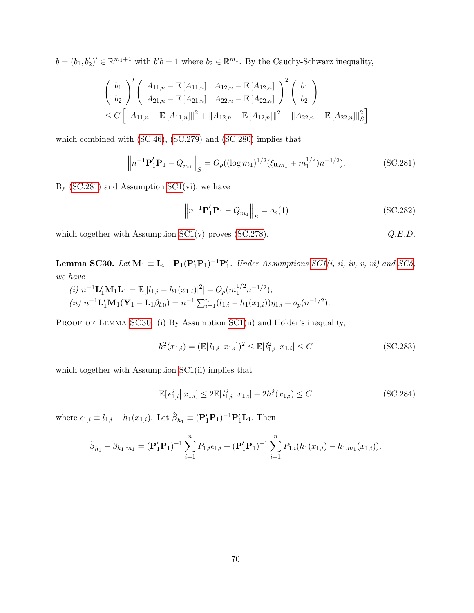$b = (b_1, b_2')' \in \mathbb{R}^{m_1+1}$  with  $b'b = 1$  where  $b_2 \in \mathbb{R}^{m_1}$ . By the Cauchy-Schwarz inequality,

$$
\begin{aligned}\n&\left(\begin{array}{c} b_1 \\ b_2 \end{array}\right)' \left(\begin{array}{cc} A_{11,n} - \mathbb{E}\left[A_{11,n}\right] & A_{12,n} - \mathbb{E}\left[A_{12,n}\right] \\ A_{21,n} - \mathbb{E}\left[A_{21,n}\right] & A_{22,n} - \mathbb{E}\left[A_{22,n}\right] \end{array}\right)^2 \left(\begin{array}{c} b_1 \\ b_2 \end{array}\right) \\
&\leq C \left[\|A_{11,n} - \mathbb{E}\left[A_{11,n}\right]\|^2 + \|A_{12,n} - \mathbb{E}\left[A_{12,n}\right]\|^2 + \|A_{22,n} - \mathbb{E}\left[A_{22,n}\right]\|^2_S\right]\n\end{aligned}
$$

which combined with [\(SC.46\)](#page-34-1), [\(SC.279\)](#page-91-4) and [\(SC.280\)](#page-91-5) implies that

<span id="page-92-1"></span>
$$
\left\| n^{-1} \overline{\mathbf{P}}_1' \overline{\mathbf{P}}_1 - \overline{Q}_{m_1} \right\|_S = O_p((\log m_1)^{1/2} (\xi_{0,m_1} + m_1^{1/2}) n^{-1/2}).
$$
 (SC.281)

By  $(SC.281)$  and Assumption  $SC1(vi)$ , we have

$$
\left\| n^{-1} \overline{\mathbf{P}}_1' \overline{\mathbf{P}}_1 - \overline{Q}_{m_1} \right\|_S = o_p(1)
$$
 (SC.282)

which together with Assumption  $SC1(v)$  proves  $(SC.278)$ .  $Q.E.D.$ 

<span id="page-92-0"></span>**Lemma SC30.** Let  $M_1 \equiv I_n - P_1(P'_1P_1)^{-1}P'_1$ . Under Assumptions [SC1\(](#page-33-0)i, ii, iv, v, vi) and [SC5,](#page-89-2) we have

(i) 
$$
n^{-1} \mathbf{L}'_1 \mathbf{M}_1 \mathbf{L}_1 = \mathbb{E}[|l_{1,i} - h_1(x_{1,i})|^2] + O_p(m_1^{1/2} n^{-1/2});
$$
  
\n(ii)  $n^{-1} \mathbf{L}'_1 \mathbf{M}_1 (\mathbf{Y}_1 - \mathbf{L}_1 \beta_{l,0}) = n^{-1} \sum_{i=1}^n (l_{1,i} - h_1(x_{1,i})) \eta_{1,i} + o_p(n^{-1/2}).$ 

PROOF OF LEMMA [SC30](#page-92-0). (i) By Assumption [SC1\(](#page-33-0)ii) and Hölder's inequality,

<span id="page-92-3"></span>
$$
h_1^2(x_{1,i}) = (\mathbb{E}[l_{1,i}|x_{1,i}])^2 \le \mathbb{E}[l_{1,i}^2|x_{1,i}] \le C
$$
 (SC.283)

which together with Assumption  $SC1(i)$  implies that

<span id="page-92-2"></span>
$$
\mathbb{E}[\epsilon_{1,i}^2 | x_{1,i}] \le 2\mathbb{E}[l_{1,i}^2 | x_{1,i}] + 2h_1^2(x_{1,i}) \le C
$$
\n(SC.284)

where  $\epsilon_{1,i} \equiv l_{1,i} - h_1(x_{1,i})$ . Let  $\hat{\beta}_{h_1} \equiv (\mathbf{P}'_1 \mathbf{P}_1)^{-1} \mathbf{P}'_1 \mathbf{L}_1$ . Then

$$
\hat{\beta}_{h_1} - \beta_{h_1, m_1} = (\mathbf{P}'_1 \mathbf{P}_1)^{-1} \sum_{i=1}^n P_{1,i} \epsilon_{1,i} + (\mathbf{P}'_1 \mathbf{P}_1)^{-1} \sum_{i=1}^n P_{1,i} (h_1(x_{1,i}) - h_{1,m_1}(x_{1,i})).
$$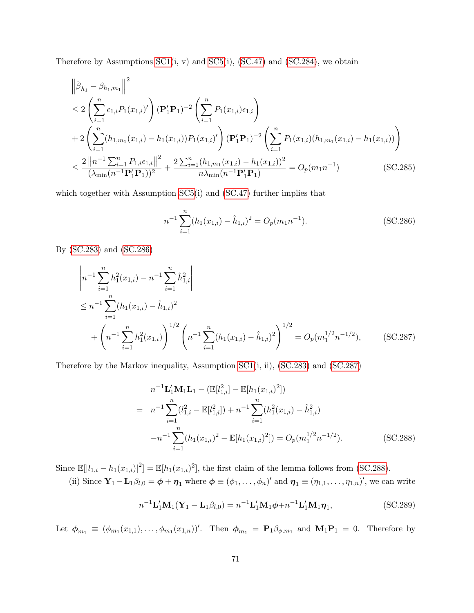Therefore by Assumptions  $SC1(i, v)$  and  $SC5(i)$ ,  $(SC.47)$  and  $(SC.284)$ , we obtain

$$
\|\hat{\beta}_{h_1} - \beta_{h_1, m_1}\|^2
$$
\n
$$
\leq 2 \left(\sum_{i=1}^n \epsilon_{1,i} P_1(x_{1,i})'\right) (\mathbf{P}_1' \mathbf{P}_1)^{-2} \left(\sum_{i=1}^n P_1(x_{1,i})\epsilon_{1,i}\right)
$$
\n
$$
+ 2 \left(\sum_{i=1}^n (h_{1,m_1}(x_{1,i}) - h_1(x_{1,i})) P_1(x_{1,i})'\right) (\mathbf{P}_1' \mathbf{P}_1)^{-2} \left(\sum_{i=1}^n P_1(x_{1,i}) (h_{1,m_1}(x_{1,i}) - h_1(x_{1,i}))\right)
$$
\n
$$
\leq \frac{2 \left\|n^{-1} \sum_{i=1}^n P_{1,i} \epsilon_{1,i}\right\|^2}{(\lambda_{\min}(n^{-1} \mathbf{P}_1' \mathbf{P}_1))^2} + \frac{2 \sum_{i=1}^n (h_{1,m_1}(x_{1,i}) - h_1(x_{1,i}))^2}{n\lambda_{\min}(n^{-1} \mathbf{P}_1' \mathbf{P}_1)} = O_p(m_1 n^{-1})
$$
\n(SC.285)

which together with Assumption [SC5\(](#page-89-2)i) and [\(SC.47\)](#page-35-0) further implies that

<span id="page-93-1"></span><span id="page-93-0"></span>
$$
n^{-1} \sum_{i=1}^{n} (h_1(x_{1,i}) - \hat{h}_{1,i})^2 = O_p(m_1 n^{-1}).
$$
 (SC.286)

By [\(SC.283\)](#page-92-3) and [\(SC.286\)](#page-93-0)

$$
\begin{aligned}\n\left| n^{-1} \sum_{i=1}^{n} h_1^2(x_{1,i}) - n^{-1} \sum_{i=1}^{n} \hat{h}_{1,i}^2 \right| \\
&\leq n^{-1} \sum_{i=1}^{n} (h_1(x_{1,i}) - \hat{h}_{1,i})^2 \\
&+ \left( n^{-1} \sum_{i=1}^{n} h_1^2(x_{1,i}) \right)^{1/2} \left( n^{-1} \sum_{i=1}^{n} (h_1(x_{1,i}) - \hat{h}_{1,i})^2 \right)^{1/2} = O_p(m_1^{1/2} n^{-1/2}), \qquad (\text{SC.287})\n\end{aligned}
$$

Therefore by the Markov inequality, Assumption [SC1\(](#page-33-0)i, ii), [\(SC.283\)](#page-92-3) and [\(SC.287\)](#page-93-1)

<span id="page-93-2"></span>
$$
n^{-1} \mathbf{L}_1' \mathbf{M}_1 \mathbf{L}_1 - (\mathbb{E}[l_{1,i}^2] - \mathbb{E}[h_1(x_{1,i})^2])
$$
  
= 
$$
n^{-1} \sum_{i=1}^n (l_{1,i}^2 - \mathbb{E}[l_{1,i}^2]) + n^{-1} \sum_{i=1}^n (h_1^2(x_{1,i}) - \hat{h}_{1,i}^2)
$$

$$
-n^{-1} \sum_{i=1}^n (h_1(x_{1,i})^2 - \mathbb{E}[h_1(x_{1,i})^2]) = O_p(m_1^{1/2} n^{-1/2}).
$$
 (SC.288)

Since  $\mathbb{E}[|l_{1,i} - h_1(x_{1,i})|^2] = \mathbb{E}[h_1(x_{1,i})^2]$ , the first claim of the lemma follows from [\(SC.288\)](#page-93-2). (ii) Since  $\mathbf{Y}_1 - \mathbf{L}_1 \beta_{l,0} = \boldsymbol{\phi} + \boldsymbol{\eta}_1$  where  $\boldsymbol{\phi} \equiv (\phi_1, \dots, \phi_n)'$  and  $\boldsymbol{\eta}_1 \equiv (\eta_{1,1}, \dots, \eta_{1,n})'$ , we can write

<span id="page-93-3"></span>
$$
n^{-1}\mathbf{L}'_1\mathbf{M}_1(\mathbf{Y}_1 - \mathbf{L}_1\beta_{l,0}) = n^{-1}\mathbf{L}'_1\mathbf{M}_1\phi + n^{-1}\mathbf{L}'_1\mathbf{M}_1\eta_1,
$$
\n(SC.289)

Let  $\phi_{m_1} \equiv (\phi_{m_1}(x_{1,1}), \ldots, \phi_{m_1}(x_{1,n}))'$ . Then  $\phi_{m_1} = \mathbf{P}_1 \beta_{\phi,m_1}$  and  $\mathbf{M}_1 \mathbf{P}_1 = 0$ . Therefore by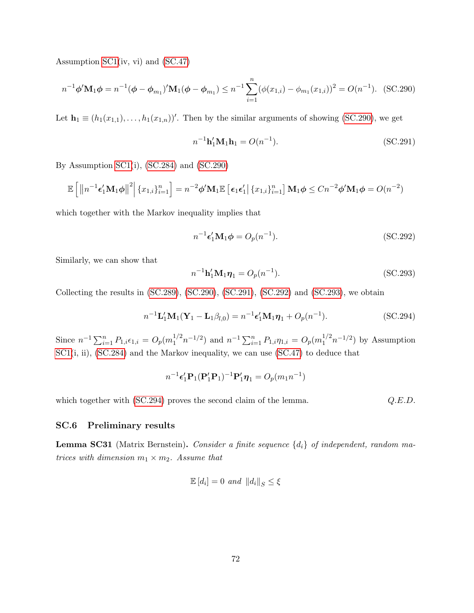Assumption [SC1\(](#page-33-0)iv, vi) and [\(SC.47\)](#page-35-0)

<span id="page-94-0"></span>
$$
n^{-1}\phi'\mathbf{M}_1\phi = n^{-1}(\phi - \phi_{m_1})'\mathbf{M}_1(\phi - \phi_{m_1}) \le n^{-1}\sum_{i=1}^n(\phi(x_{1,i}) - \phi_{m_1}(x_{1,i}))^2 = O(n^{-1}).
$$
 (SC.290)

Let  $\mathbf{h}_1 \equiv (h_1(x_{1,1}), \ldots, h_1(x_{1,n}))'$ . Then by the similar arguments of showing [\(SC.290\)](#page-94-0), we get

<span id="page-94-1"></span>
$$
n^{-1}\mathbf{h}'_1 \mathbf{M}_1 \mathbf{h}_1 = O(n^{-1}).
$$
\n(SC.291)

By Assumption [SC1\(](#page-33-0)i), [\(SC.284\)](#page-92-2) and [\(SC.290\)](#page-94-0)

$$
\mathbb{E}\left[\left\|n^{-1}\boldsymbol{\epsilon}_{1}'\mathbf{M}_{1}\boldsymbol{\phi}\right\|^{2}\right]\left\{x_{1,i}\right\}_{i=1}^{n}\right]=n^{-2}\boldsymbol{\phi}'\mathbf{M}_{1}\mathbb{E}\left[\left.\boldsymbol{\epsilon}_{1}\boldsymbol{\epsilon}_{1}'\right|\left\{x_{1,i}\right\}_{i=1}^{n}\right]\mathbf{M}_{1}\boldsymbol{\phi}\leq Cn^{-2}\boldsymbol{\phi}'\mathbf{M}_{1}\boldsymbol{\phi}=O(n^{-2})
$$

which together with the Markov inequality implies that

<span id="page-94-2"></span>
$$
n^{-1} \epsilon_1' \mathbf{M}_1 \phi = O_p(n^{-1}). \tag{SC.292}
$$

Similarly, we can show that

<span id="page-94-3"></span>
$$
n^{-1}h'_1 M_1 \eta_1 = O_p(n^{-1}).
$$
\n(SC.293)

Collecting the results in [\(SC.289\)](#page-93-3), [\(SC.290\)](#page-94-0), [\(SC.291\)](#page-94-1), [\(SC.292\)](#page-94-2) and [\(SC.293\)](#page-94-3), we obtain

<span id="page-94-4"></span>
$$
n^{-1} \mathbf{L}'_1 \mathbf{M}_1 (\mathbf{Y}_1 - \mathbf{L}_1 \beta_{l,0}) = n^{-1} \epsilon'_1 \mathbf{M}_1 \boldsymbol{\eta}_1 + O_p(n^{-1}).
$$
 (SC.294)

Since  $n^{-1} \sum_{i=1}^{n} P_{1,i} \epsilon_{1,i} = O_p(m_1^{1/2} n^{-1/2})$  and  $n^{-1} \sum_{i=1}^{n} P_{1,i} \eta_{1,i} = O_p(m_1^{1/2} n^{-1/2})$  by Assumption [SC1\(](#page-33-0)i, ii), [\(SC.284\)](#page-92-2) and the Markov inequality, we can use [\(SC.47\)](#page-35-0) to deduce that

$$
n^{-1} \epsilon_1' \mathbf{P}_1(\mathbf{P}_1' \mathbf{P}_1)^{-1} \mathbf{P}_1' \boldsymbol{\eta}_1 = O_p(m_1 n^{-1})
$$

which together with [\(SC.294\)](#page-94-4) proves the second claim of the lemma.  $Q.E.D.$ 

## SC.6 Preliminary results

<span id="page-94-5"></span>**Lemma SC31** (Matrix Bernstein). Consider a finite sequence  $\{d_i\}$  of independent, random matrices with dimension  $m_1 \times m_2$ . Assume that

$$
\mathbb{E}[d_i] = 0 \text{ and } ||d_i||_S \le \xi
$$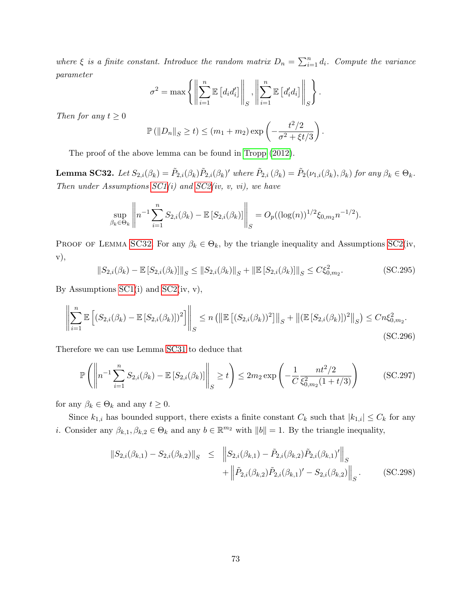where  $\xi$  is a finite constant. Introduce the random matrix  $D_n = \sum_{i=1}^n d_i$ . Compute the variance parameter

$$
\sigma^{2} = \max \left\{ \left\| \sum_{i=1}^{n} \mathbb{E} \left[ d_i d'_i \right] \right\|_{S}, \left\| \sum_{i=1}^{n} \mathbb{E} \left[ d'_i d_i \right] \right\|_{S} \right\}.
$$

Then for any  $t \geq 0$ 

$$
\mathbb{P}(|D_n||_S \ge t) \le (m_1 + m_2) \exp\left(-\frac{t^2/2}{\sigma^2 + \xi t/3}\right).
$$

The proof of the above lemma can be found in [Tropp \(2012\)](#page-102-1).

<span id="page-95-0"></span>**Lemma SC32.** Let  $S_{2,i}(\beta_k) = \tilde{P}_{2,i}(\beta_k)\tilde{P}_{2,i}(\beta_k)'$  where  $\tilde{P}_{2,i}(\beta_k) = \tilde{P}_2(\nu_{1,i}(\beta_k), \beta_k)$  for any  $\beta_k \in \Theta_k$ . Then under Assumptions  $SC1(i)$  and  $SC2(iv, v, vi)$ , we have

$$
\sup_{\beta_k \in \Theta_k} \left\| n^{-1} \sum_{i=1}^n S_{2,i}(\beta_k) - \mathbb{E} \left[ S_{2,i}(\beta_k) \right] \right\|_S = O_p((\log(n))^{1/2} \xi_{0,m_2} n^{-1/2}).
$$

PROOF OF LEMMA [SC32](#page-95-0). For any  $\beta_k \in \Theta_k$ , by the triangle inequality and Assumptions [SC2\(](#page-36-0)iv, v),

$$
||S_{2,i}(\beta_k) - \mathbb{E}\left[S_{2,i}(\beta_k)\right]||_S \le ||S_{2,i}(\beta_k)||_S + \|\mathbb{E}\left[S_{2,i}(\beta_k)\right]\|_S \le C\xi_{0,m_2}^2.
$$
 (SC.295)

By Assumptions  $SC1(i)$  and  $SC2(iv, v)$ ,

$$
\left\| \sum_{i=1}^{n} \mathbb{E} \left[ \left( S_{2,i}(\beta_k) - \mathbb{E} \left[ S_{2,i}(\beta_k) \right] \right)^2 \right] \right\|_{S} \le n \left( \left\| \mathbb{E} \left[ \left( S_{2,i}(\beta_k) \right)^2 \right] \right\|_{S} + \left\| (\mathbb{E} \left[ S_{2,i}(\beta_k) \right])^2 \right\|_{S} \right) \le C n \xi_{0,m_2}^2.
$$
\n(SC.296)

Therefore we can use Lemma [SC31](#page-94-5) to deduce that

<span id="page-95-2"></span>
$$
\mathbb{P}\left(\left\|n^{-1}\sum_{i=1}^{n}S_{2,i}(\beta_{k}) - \mathbb{E}\left[S_{2,i}(\beta_{k})\right]\right\|_{S} \ge t\right) \le 2m_{2}\exp\left(-\frac{1}{C}\frac{nt^{2}/2}{\xi_{0,m_{2}}^{2}(1+t/3)}\right) \tag{SC.297}
$$

for any  $\beta_k \in \Theta_k$  and any  $t \geq 0$ .

Since  $k_{1,i}$  has bounded support, there exists a finite constant  $C_k$  such that  $|k_{1,i}| \leq C_k$  for any *i*. Consider any  $\beta_{k,1}, \beta_{k,2} \in \Theta_k$  and any  $b \in \mathbb{R}^{m_2}$  with  $||b|| = 1$ . By the triangle inequality,

<span id="page-95-1"></span>
$$
\|S_{2,i}(\beta_{k,1}) - S_{2,i}(\beta_{k,2})\|_{S} \leq \|S_{2,i}(\beta_{k,1}) - \tilde{P}_{2,i}(\beta_{k,2})\tilde{P}_{2,i}(\beta_{k,1})'\|_{S} + \|\tilde{P}_{2,i}(\beta_{k,2})\tilde{P}_{2,i}(\beta_{k,1})' - S_{2,i}(\beta_{k,2})\|_{S}.
$$
 (SC.298)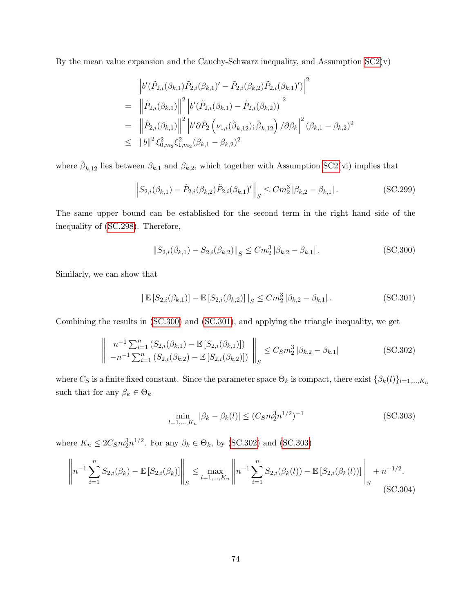By the mean value expansion and the Cauchy-Schwarz inequality, and Assumption  $SC2(v)$ 

$$
\begin{split}\n&\left|b'(\tilde{P}_{2,i}(\beta_{k,1})\tilde{P}_{2,i}(\beta_{k,1})'-\tilde{P}_{2,i}(\beta_{k,2})\tilde{P}_{2,i}(\beta_{k,1})')\right|^2 \\
&= \left\|\tilde{P}_{2,i}(\beta_{k,1})\right\|^2 \left|b'(\tilde{P}_{2,i}(\beta_{k,1})-\tilde{P}_{2,i}(\beta_{k,2}))\right|^2 \\
&= \left\|\tilde{P}_{2,i}(\beta_{k,1})\right\|^2 \left|b' \partial \tilde{P}_2\left(\nu_{1,i}(\tilde{\beta}_{k,12});\tilde{\beta}_{k,12}\right)/\partial \beta_k\right|^2 (\beta_{k,1}-\beta_{k,2})^2 \\
&\leq \|b\|^2 \xi_{0,m_2}^2 \xi_{1,m_2}^2 (\beta_{k,1}-\beta_{k,2})^2\n\end{split}
$$

where  $\tilde{\beta}_{k,12}$  lies between  $\beta_{k,1}$  and  $\beta_{k,2}$ , which together with Assumption [SC2\(](#page-36-0)vi) implies that

$$
\left\| S_{2,i}(\beta_{k,1}) - \tilde{P}_{2,i}(\beta_{k,2}) \tilde{P}_{2,i}(\beta_{k,1})' \right\|_{S} \leq C m_2^3 |\beta_{k,2} - \beta_{k,1}|.
$$
 (SC.299)

The same upper bound can be established for the second term in the right hand side of the inequality of [\(SC.298\)](#page-95-1). Therefore,

<span id="page-96-0"></span>
$$
||S_{2,i}(\beta_{k,1}) - S_{2,i}(\beta_{k,2})||_{S} \leq Cm_2^3 |\beta_{k,2} - \beta_{k,1}|.
$$
 (SC.300)

Similarly, we can show that

<span id="page-96-1"></span>
$$
\left\| \mathbb{E} \left[ S_{2,i}(\beta_{k,1}) \right] - \mathbb{E} \left[ S_{2,i}(\beta_{k,2}) \right] \right\|_{S} \leq C m_2^3 \left| \beta_{k,2} - \beta_{k,1} \right|.
$$
 (SC.301)

Combining the results in [\(SC.300\)](#page-96-0) and [\(SC.301\)](#page-96-1), and applying the triangle inequality, we get

<span id="page-96-2"></span>
$$
\left\| \begin{array}{l} n^{-1} \sum_{i=1}^{n} \left( S_{2,i}(\beta_{k,1}) - \mathbb{E}\left[ S_{2,i}(\beta_{k,1}) \right] \right) \\ -n^{-1} \sum_{i=1}^{n} \left( S_{2,i}(\beta_{k,2}) - \mathbb{E}\left[ S_{2,i}(\beta_{k,2}) \right] \right) \end{array} \right\|_{S} \leq C_{S} m_{2}^{3} |\beta_{k,2} - \beta_{k,1}| \tag{SC.302}
$$

where  $C_S$  is a finite fixed constant. Since the parameter space  $\Theta_k$  is compact, there exist  $\{\beta_k(l)\}_{l=1,\dots,K_n}$ such that for any  $\beta_k \in \Theta_k$ 

<span id="page-96-3"></span>
$$
\min_{l=1,\dots,K_n} |\beta_k - \beta_k(l)| \le (C_S m_2^3 n^{1/2})^{-1}
$$
\n(SC.303)

where  $K_n \leq 2C_S m_2^3 n^{1/2}$ . For any  $\beta_k \in \Theta_k$ , by [\(SC.302\)](#page-96-2) and [\(SC.303\)](#page-96-3)

$$
\left\| n^{-1} \sum_{i=1}^{n} S_{2,i}(\beta_k) - \mathbb{E}\left[S_{2,i}(\beta_k)\right] \right\|_{S} \le \max_{l=1,\dots,K_n} \left\| n^{-1} \sum_{i=1}^{n} S_{2,i}(\beta_k(l)) - \mathbb{E}\left[S_{2,i}(\beta_k(l))\right] \right\|_{S} + n^{-1/2}.
$$
\n(SC.304)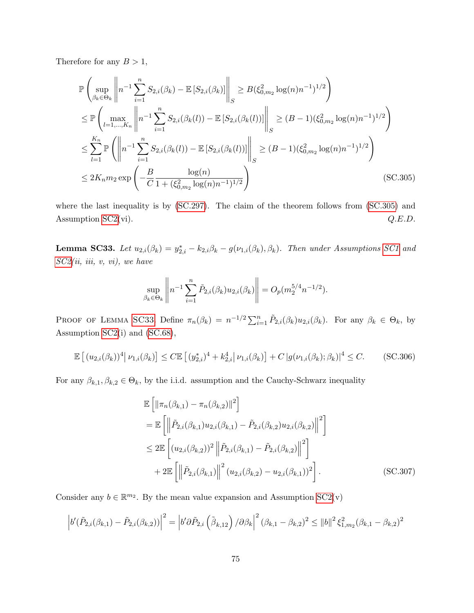Therefore for any  $B > 1$ ,

$$
\mathbb{P}\left(\sup_{\beta_k \in \Theta_k} \left\|n^{-1} \sum_{i=1}^n S_{2,i}(\beta_k) - \mathbb{E}\left[S_{2,i}(\beta_k)\right]\right\|_S \ge B(\xi_{0,m_2}^2 \log(n)n^{-1})^{1/2}\right)
$$
\n
$$
\le \mathbb{P}\left(\max_{l=1,\dots,K_n} \left\|n^{-1} \sum_{i=1}^n S_{2,i}(\beta_k(l)) - \mathbb{E}\left[S_{2,i}(\beta_k(l))\right]\right\|_S \ge (B-1)(\xi_{0,m_2}^2 \log(n)n^{-1})^{1/2}\right)
$$
\n
$$
\le \sum_{l=1}^{K_n} \mathbb{P}\left(\left\|n^{-1} \sum_{i=1}^n S_{2,i}(\beta_k(l)) - \mathbb{E}\left[S_{2,i}(\beta_k(l))\right]\right\|_S \ge (B-1)(\xi_{0,m_2}^2 \log(n)n^{-1})^{1/2}\right)
$$
\n
$$
\le 2K_n m_2 \exp\left(-\frac{B}{C} \frac{\log(n)}{1 + (\xi_{0,m_2}^2 \log(n)n^{-1})^{1/2}}\right) \tag{SC.305}
$$

where the last inequality is by  $(SC.297)$ . The claim of the theorem follows from  $(SC.305)$  and Assumption  $SC2(vi)$ .  $Q.E.D.$ 

<span id="page-97-1"></span>**Lemma SC33.** Let  $u_{2,i}(\beta_k) = y_{2,i}^* - k_{2,i}\beta_k - g(\nu_{1,i}(\beta_k), \beta_k)$ . Then under Assumptions [SC1](#page-33-0) and  $SC2(ii, iii, v, vi), we have$  $SC2(ii, iii, v, vi), we have$ 

<span id="page-97-0"></span>
$$
\sup_{\beta_k \in \Theta_k} \left\| n^{-1} \sum_{i=1}^n \tilde{P}_{2,i}(\beta_k) u_{2,i}(\beta_k) \right\| = O_p(m_2^{5/4} n^{-1/2}).
$$

PROOF OF LEMMA [SC33](#page-97-1). Define  $\pi_n(\beta_k) = n^{-1/2} \sum_{i=1}^n \tilde{P}_{2,i}(\beta_k) u_{2,i}(\beta_k)$ . For any  $\beta_k \in \Theta_k$ , by Assumption [SC2\(](#page-36-0)i) and [\(SC.68\)](#page-40-1),

<span id="page-97-2"></span>
$$
\mathbb{E}\left[\left(u_{2,i}(\beta_k)\right)^4 \middle| \nu_{1,i}(\beta_k)\right] \le C \mathbb{E}\left[\left(y_{2,i}^*\right)^4 + k_{2,i}^4 \middle| \nu_{1,i}(\beta_k)\right] + C \left|g(\nu_{1,i}(\beta_k); \beta_k)\right|^4 \le C. \tag{SC.306}
$$

For any  $\beta_{k,1}, \beta_{k,2} \in \Theta_k$ , by the i.i.d. assumption and the Cauchy-Schwarz inequality

<span id="page-97-3"></span>
$$
\mathbb{E}\left[\left\|\pi_{n}(\beta_{k,1})-\pi_{n}(\beta_{k,2})\right\|^{2}\right]
$$
\n
$$
= \mathbb{E}\left[\left\|\tilde{P}_{2,i}(\beta_{k,1})u_{2,i}(\beta_{k,1})-\tilde{P}_{2,i}(\beta_{k,2})u_{2,i}(\beta_{k,2})\right\|^{2}\right]
$$
\n
$$
\leq 2\mathbb{E}\left[\left(u_{2,i}(\beta_{k,2})\right)^{2}\left\|\tilde{P}_{2,i}(\beta_{k,1})-\tilde{P}_{2,i}(\beta_{k,2})\right\|^{2}\right]
$$
\n
$$
+ 2\mathbb{E}\left[\left\|\tilde{P}_{2,i}(\beta_{k,1})\right\|^{2}\left(u_{2,i}(\beta_{k,2})-u_{2,i}(\beta_{k,1})\right)^{2}\right].
$$
\n(SC.307)

Consider any  $b \in \mathbb{R}^{m_2}$ . By the mean value expansion and Assumption  $SC2(v)$ 

$$
\left| b'(\tilde{P}_{2,i}(\beta_{k,1}) - \tilde{P}_{2,i}(\beta_{k,2})) \right|^2 = \left| b'\partial \tilde{P}_{2,i} \left( \tilde{\beta}_{k,12} \right) / \partial \beta_k \right|^2 (\beta_{k,1} - \beta_{k,2})^2 \le ||b||^2 \xi_{1,m_2}^2 (\beta_{k,1} - \beta_{k,2})^2
$$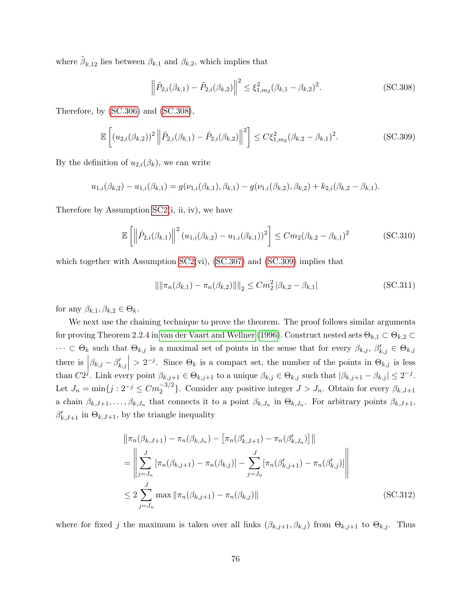where  $\tilde{\beta}_{k,12}$  lies between  $\beta_{k,1}$  and  $\beta_{k,2}$ , which implies that

<span id="page-98-0"></span>
$$
\left\|\tilde{P}_{2,i}(\beta_{k,1}) - \tilde{P}_{2,i}(\beta_{k,2})\right\|^2 \le \xi_{1,m_2}^2(\beta_{k,1} - \beta_{k,2})^2.
$$
 (SC.308)

Therefore, by [\(SC.306\)](#page-97-2) and [\(SC.308\)](#page-98-0),

<span id="page-98-1"></span>
$$
\mathbb{E}\left[ (u_{2,i}(\beta_{k,2}))^2 \left\| \tilde{P}_{2,i}(\beta_{k,1}) - \tilde{P}_{2,i}(\beta_{k,2}) \right\|^2 \right] \le C\xi_{1,m_2}^2(\beta_{k,2} - \beta_{k,1})^2. \tag{SC.309}
$$

By the definition of  $u_{2,i}(\beta_k)$ , we can write

$$
u_{1,i}(\beta_{k,2})-u_{1,i}(\beta_{k,1})=g(\nu_{1,i}(\beta_{k,1}),\beta_{k,1})-g(\nu_{1,i}(\beta_{k,2}),\beta_{k,2})+k_{2,i}(\beta_{k,2}-\beta_{k,1}).
$$

Therefore by Assumption [SC2\(](#page-36-0)i, ii, iv), we have

$$
\mathbb{E}\left[\left\|\tilde{P}_{2,i}(\beta_{k,1})\right\|^2(u_{1,i}(\beta_{k,2})-u_{1,i}(\beta_{k,1}))^2\right] \leq Cm_2(\beta_{k,2}-\beta_{k,1})^2
$$
\n(SC.310)

which together with Assumption  $SC2(vi)$ ,  $(SC.307)$  and  $(SC.309)$  implies that

<span id="page-98-2"></span>
$$
\left\| \|\pi_n(\beta_{k,1}) - \pi_n(\beta_{k,2})\| \right\|_2 \leq Cm_2^2 \, |\beta_{k,2} - \beta_{k,1}| \tag{SC.311}
$$

for any  $\beta_{k,1}, \beta_{k,2} \in \Theta_k$ .

We next use the chaining technique to prove the theorem. The proof follows similar arguments for proving Theorem 2.2.4 in [van der Vaart and Wellner \(1996\)](#page-102-2). Construct nested sets  $\Theta_{k,1} \subset \Theta_{k,2}$  $\cdots \subset \Theta_k$  such that  $\Theta_{k,j}$  is a maximal set of points in the sense that for every  $\beta_{k,j}, \beta'_{k,j} \in \Theta_{k,j}$ there is  $|\beta_{k,j} - \beta'_{k,j}| > 2^{-j}$ . Since  $\Theta_k$  is a compact set, the number of the points in  $\Theta_{k,j}$  is less than  $C2^j$ . Link every point  $\beta_{k,j+1} \in \Theta_{k,j+1}$  to a unique  $\beta_{k,j} \in \Theta_{k,j}$  such that  $|\beta_{k,j+1} - \beta_{k,j}| \leq 2^{-j}$ . Let  $J_n = \min\{j : 2^{-j} \leq C m_2^{-3/2}\}\.$  Consider any positive integer  $J > J_n$ . Obtain for every  $\beta_{k,J+1}$ a chain  $\beta_{k, J+1}, \ldots, \beta_{k, J_n}$  that connects it to a point  $\beta_{k, J_n}$  in  $\Theta_{k, J_n}$ . For arbitrary points  $\beta_{k, J+1}$ ,  $\beta'_{k,J+1}$  in  $\Theta_{k,J+1}$ , by the triangle inequality

<span id="page-98-3"></span>
$$
\|\pi_n(\beta_{k,J+1}) - \pi_n(\beta_{k,J_n}) - \left[\pi_n(\beta'_{k,J+1}) - \pi_n(\beta'_{k,J_n})\right]\|
$$
  
\n
$$
= \left\|\sum_{j=J_n}^{J} \left[\pi_n(\beta_{k,j+1}) - \pi_n(\beta_{k,j})\right] - \sum_{j=J_n}^{J} \left[\pi_n(\beta'_{k,j+1}) - \pi_n(\beta'_{k,j})\right]\right\|
$$
  
\n
$$
\leq 2 \sum_{j=J_n}^{J} \max \|\pi_n(\beta_{k,j+1}) - \pi_n(\beta_{k,j})\|
$$
 (SC.312)

where for fixed j the maximum is taken over all links  $(\beta_{k,j+1}, \beta_{k,j})$  from  $\Theta_{k,j+1}$  to  $\Theta_{k,j}$ . Thus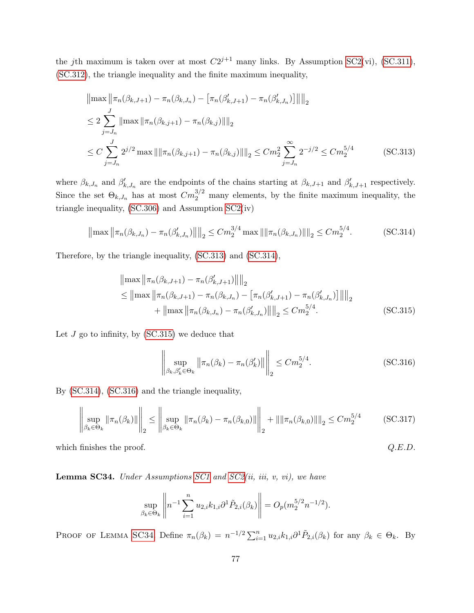the jth maximum is taken over at most  $C2^{j+1}$  many links. By Assumption [SC2\(](#page-36-0)vi), [\(SC.311\)](#page-98-2), [\(SC.312\)](#page-98-3), the triangle inequality and the finite maximum inequality,

$$
\|\max \|\pi_n(\beta_{k,J+1}) - \pi_n(\beta_{k,J_n}) - \left[\pi_n(\beta'_{k,J+1}) - \pi_n(\beta'_{k,J_n})\right] \|\|_2
$$
  
\n
$$
\leq 2 \sum_{j=J_n}^J \|\max \|\pi_n(\beta_{k,j+1}) - \pi_n(\beta_{k,j})\|\|_2
$$
  
\n
$$
\leq C \sum_{j=J_n}^J 2^{j/2} \max \|\|\pi_n(\beta_{k,j+1}) - \pi_n(\beta_{k,j})\|\|_2 \leq Cm_2^2 \sum_{j=J_n}^\infty 2^{-j/2} \leq Cm_2^{5/4}
$$
 (SC.313)

where  $\beta_{k,J_n}$  and  $\beta'_{k,J_n}$  are the endpoints of the chains starting at  $\beta_{k,J+1}$  and  $\beta'_{k,J+1}$  respectively. Since the set  $\Theta_{k,J_n}$  has at most  $Cm_2^{3/2}$  many elements, by the finite maximum inequality, the triangle inequality, [\(SC.306\)](#page-97-2) and Assumption [SC2\(](#page-36-0)iv)

<span id="page-99-1"></span>
$$
\left\|\max \left\|\pi_n(\beta_{k,J_n}) - \pi_n(\beta'_{k,J_n})\right\|\right\|_2 \le Cm_2^{3/4} \max \left\|\pi_n(\beta_{k,J_n})\right\|_2 \le Cm_2^{5/4}.
$$
 (SC.314)

Therefore, by the triangle inequality, [\(SC.313\)](#page-99-0) and [\(SC.314\)](#page-99-1),

<span id="page-99-0"></span>
$$
\|\max \|\pi_n(\beta_{k,J+1}) - \pi_n(\beta'_{k,J+1})\| \|_2
$$
  
\n
$$
\leq \|\max \|\pi_n(\beta_{k,J+1}) - \pi_n(\beta_{k,J_n}) - \left[\pi_n(\beta'_{k,J+1}) - \pi_n(\beta'_{k,J_n})\right] \|\|_2
$$
  
\n
$$
+ \|\max \|\pi_n(\beta_{k,J_n}) - \pi_n(\beta'_{k,J_n})\| \|_2 \leq C m_2^{5/4}.
$$
 (SC.315)

Let  $J$  go to infinity, by  $(SC.315)$  we deduce that

<span id="page-99-3"></span><span id="page-99-2"></span>
$$
\left\| \sup_{\beta_k, \beta'_k \in \Theta_k} \left\| \pi_n(\beta_k) - \pi_n(\beta'_k) \right\| \right\|_2 \le C m_2^{5/4}.
$$
 (SC.316)

By [\(SC.314\)](#page-99-1), [\(SC.316\)](#page-99-3) and the triangle inequality,

$$
\left\| \sup_{\beta_k \in \Theta_k} \|\pi_n(\beta_k)\| \right\|_2 \le \left\| \sup_{\beta_k \in \Theta_k} \|\pi_n(\beta_k) - \pi_n(\beta_{k,0})\| \right\|_2 + \|\|\pi_n(\beta_{k,0})\| \|_2 \le C m_2^{5/4}
$$
 (SC.317)

which finishes the proof.  $Q.E.D.$ 

<span id="page-99-4"></span>**Lemma SC34.** Under Assumptions [SC1](#page-33-0) and  $SC2(ii, iii, v, vi)$ , we have

$$
\sup_{\beta_k \in \Theta_k} \left\| n^{-1} \sum_{i=1}^n u_{2,i} k_{1,i} \partial^1 \tilde{P}_{2,i}(\beta_k) \right\| = O_p(m_2^{5/2} n^{-1/2}).
$$

PROOF OF LEMMA [SC34](#page-99-4). Define  $\pi_n(\beta_k) = n^{-1/2} \sum_{i=1}^n u_{2,i} k_{1,i} \partial^1 \tilde{P}_{2,i}(\beta_k)$  for any  $\beta_k \in \Theta_k$ . By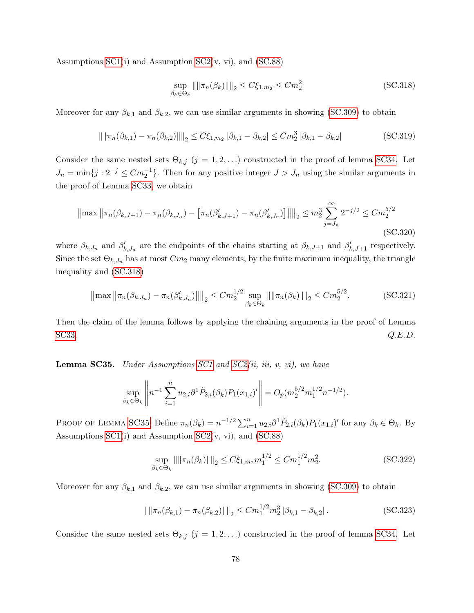Assumptions  $SC1(i)$  and Assumption  $SC2(v, vi)$ , and  $(SC.88)$ 

<span id="page-100-0"></span>
$$
\sup_{\beta_k \in \Theta_k} \|\|\pi_n(\beta_k)\|\|_2 \le C\xi_{1,m_2} \le Cm_2^2 \tag{SC.318}
$$

Moreover for any  $\beta_{k,1}$  and  $\beta_{k,2}$ , we can use similar arguments in showing [\(SC.309\)](#page-98-1) to obtain

$$
\left\|\|\pi_n(\beta_{k,1}) - \pi_n(\beta_{k,2})\|\right\|_2 \le C\xi_{1,m_2} |\beta_{k,1} - \beta_{k,2}| \le Cm_2^3 |\beta_{k,1} - \beta_{k,2}|
$$
\n(SC.319)

Consider the same nested sets  $\Theta_{k,j}$  (j = 1, 2, ...) constructed in the proof of lemma [SC34.](#page-99-4) Let  $J_n = \min\{j : 2^{-j} \leq C m_2^{-1}\}\.$  Then for any positive integer  $J > J_n$  using the similar arguments in the proof of Lemma [SC33,](#page-97-1) we obtain

$$
\left\|\max \left\|\pi_n(\beta_{k,J+1}) - \pi_n(\beta_{k,J_n}) - \left[\pi_n(\beta'_{k,J+1}) - \pi_n(\beta'_{k,J_n})\right]\right\|\right\|_2 \le m_2^3 \sum_{j=J_n}^{\infty} 2^{-j/2} \le C m_2^{5/2}
$$
\n(SC.320)

where  $\beta_{k,J_n}$  and  $\beta'_{k,J_n}$  are the endpoints of the chains starting at  $\beta_{k,J+1}$  and  $\beta'_{k,J+1}$  respectively. Since the set  $\Theta_{k,J_n}$  has at most  $Cm_2$  many elements, by the finite maximum inequality, the triangle inequality and [\(SC.318\)](#page-100-0)

$$
\left\|\max \left\|\pi_n(\beta_{k,J_n}) - \pi_n(\beta'_{k,J_n})\right\|\right\|_2 \le Cm_2^{1/2} \sup_{\beta_k \in \Theta_k} \left\|\|\pi_n(\beta_k)\right\|_2 \le Cm_2^{5/2}.\tag{SC.321}
$$

Then the claim of the lemma follows by applying the chaining arguments in the proof of Lemma [SC33.](#page-97-1)  $Q.E.D.$ 

<span id="page-100-1"></span>**Lemma SC35.** Under Assumptions [SC1](#page-33-0) and [SC2\(](#page-36-0)ii, iii, v, vi), we have

$$
\sup_{\beta_k \in \Theta_k} \left\| n^{-1} \sum_{i=1}^n u_{2,i} \partial^1 \tilde{P}_{2,i}(\beta_k) P_1(x_{1,i})' \right\| = O_p(m_2^{5/2} m_1^{1/2} n^{-1/2}).
$$

PROOF OF LEMMA [SC35](#page-100-1). Define  $\pi_n(\beta_k) = n^{-1/2} \sum_{i=1}^n u_{2,i} \partial^1 \tilde{P}_{2,i}(\beta_k) P_1(x_{1,i})'$  for any  $\beta_k \in \Theta_k$ . By Assumptions  $SC1(i)$  and Assumption  $SC2(v, vi)$ , and  $(SC.88)$ 

<span id="page-100-2"></span>
$$
\sup_{\beta_k \in \Theta_k} ||\|\pi_n(\beta_k)||\|_2 \le C\xi_{1,m_2} m_1^{1/2} \le C m_1^{1/2} m_2^2.
$$
 (SC.322)

Moreover for any  $\beta_{k,1}$  and  $\beta_{k,2}$ , we can use similar arguments in showing [\(SC.309\)](#page-98-1) to obtain

$$
\left\| \|\pi_n(\beta_{k,1}) - \pi_n(\beta_{k,2})\| \right\|_2 \le C m_1^{1/2} m_2^3 \left| \beta_{k,1} - \beta_{k,2} \right|.
$$
 (SC.323)

Consider the same nested sets  $\Theta_{k,j}$  (j = 1, 2, ...) constructed in the proof of lemma [SC34.](#page-99-4) Let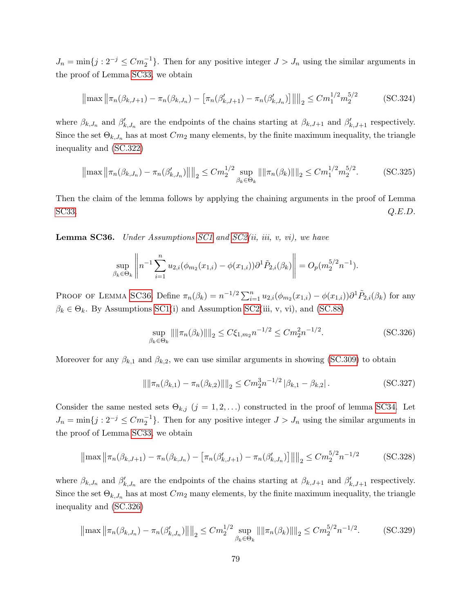$J_n = \min\{j : 2^{-j} \leq C m_2^{-1}\}\.$  Then for any positive integer  $J > J_n$  using the similar arguments in the proof of Lemma [SC33,](#page-97-1) we obtain

$$
\left\|\max \left\|\pi_n(\beta_{k,J+1}) - \pi_n(\beta_{k,J_n}) - \left[\pi_n(\beta'_{k,J+1}) - \pi_n(\beta'_{k,J_n})\right]\right\|\right\|_2 \le C m_1^{1/2} m_2^{5/2}
$$
 (SC.324)

where  $\beta_{k,J_n}$  and  $\beta'_{k,J_n}$  are the endpoints of the chains starting at  $\beta_{k,J+1}$  and  $\beta'_{k,J+1}$  respectively. Since the set  $\Theta_{k,J_n}$  has at most  $Cm_2$  many elements, by the finite maximum inequality, the triangle inequality and [\(SC.322\)](#page-100-2)

$$
\left\|\max \left\|\pi_n(\beta_{k,J_n}) - \pi_n(\beta'_{k,J_n})\right\|\right\|_2 \le Cm_2^{1/2} \sup_{\beta_k \in \Theta_k} \left\|\|\pi_n(\beta_k)\right\|_2 \le Cm_1^{1/2} m_2^{5/2}.
$$
 (SC.325)

Then the claim of the lemma follows by applying the chaining arguments in the proof of Lemma [SC33.](#page-97-1)  $Q.E.D.$ 

<span id="page-101-0"></span>**Lemma SC36.** Under Assumptions [SC1](#page-33-0) and [SC2\(](#page-36-0)ii, iii, v, vi), we have

$$
\sup_{\beta_k \in \Theta_k} \left\| n^{-1} \sum_{i=1}^n u_{2,i}(\phi_{m_2}(x_{1,i}) - \phi(x_{1,i})) \partial^1 \tilde{P}_{2,i}(\beta_k) \right\| = O_p(m_2^{5/2} n^{-1}).
$$

PROOF OF LEMMA [SC36](#page-101-0). Define  $\pi_n(\beta_k) = n^{-1/2} \sum_{i=1}^n u_{2,i}(\phi_{m_2}(x_{1,i}) - \phi(x_{1,i})) \partial^1 \tilde{P}_{2,i}(\beta_k)$  for any  $\beta_k \in \Theta_k$ . By Assumptions [SC1\(](#page-33-0)i) and Assumption [SC2\(](#page-36-0)iii, v, vi), and [\(SC.88\)](#page-45-0)

<span id="page-101-1"></span>
$$
\sup_{\beta_k \in \Theta_k} \|\|\pi_n(\beta_k)\|\|_2 \le C\xi_{1,m_2} n^{-1/2} \le Cm_2^2 n^{-1/2}.
$$
\n(SC.326)

Moreover for any  $\beta_{k,1}$  and  $\beta_{k,2}$ , we can use similar arguments in showing [\(SC.309\)](#page-98-1) to obtain

$$
\left\| \|\pi_n(\beta_{k,1}) - \pi_n(\beta_{k,2})\| \right\|_2 \le C m_2^3 n^{-1/2} \left| \beta_{k,1} - \beta_{k,2} \right|.
$$
 (SC.327)

Consider the same nested sets  $\Theta_{k,j}$   $(j = 1, 2, ...)$  constructed in the proof of lemma [SC34.](#page-99-4) Let  $J_n = \min\{j : 2^{-j} \leq C m_2^{-1}\}\.$  Then for any positive integer  $J > J_n$  using the similar arguments in the proof of Lemma [SC33,](#page-97-1) we obtain

$$
\left\|\max \left\|\pi_n(\beta_{k,J+1}) - \pi_n(\beta_{k,J_n}) - \left[\pi_n(\beta'_{k,J+1}) - \pi_n(\beta'_{k,J_n})\right]\right\|\right\|_2 \le C m_2^{5/2} n^{-1/2}
$$
 (SC.328)

where  $\beta_{k,J_n}$  and  $\beta'_{k,J_n}$  are the endpoints of the chains starting at  $\beta_{k,J+1}$  and  $\beta'_{k,J+1}$  respectively. Since the set  $\Theta_{k,J_n}$  has at most  $Cm_2$  many elements, by the finite maximum inequality, the triangle inequality and [\(SC.326\)](#page-101-1)

$$
\left\|\max \left\|\pi_n(\beta_{k,J_n}) - \pi_n(\beta'_{k,J_n})\right\|\right\|_2 \le Cm_2^{1/2} \sup_{\beta_k \in \Theta_k} \left\|\|\pi_n(\beta_k)\right\|\right\|_2 \le Cm_2^{5/2}n^{-1/2}.\tag{SC.329}
$$